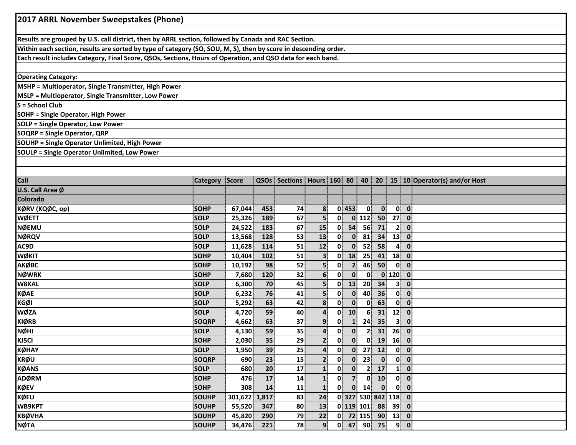| 2017 ARRL November Sweepstakes (Phone)                                                                          |              |               |      |                       |                         |              |                         |                |                             |                |                               |
|-----------------------------------------------------------------------------------------------------------------|--------------|---------------|------|-----------------------|-------------------------|--------------|-------------------------|----------------|-----------------------------|----------------|-------------------------------|
|                                                                                                                 |              |               |      |                       |                         |              |                         |                |                             |                |                               |
| Results are grouped by U.S. call district, then by ARRL section, followed by Canada and RAC Section.            |              |               |      |                       |                         |              |                         |                |                             |                |                               |
| Within each section, results are sorted by type of category (SO, SOU, M, S), then by score in descending order. |              |               |      |                       |                         |              |                         |                |                             |                |                               |
| Each result includes Category, Final Score, QSOs, Sections, Hours of Operation, and QSO data for each band.     |              |               |      |                       |                         |              |                         |                |                             |                |                               |
|                                                                                                                 |              |               |      |                       |                         |              |                         |                |                             |                |                               |
| <b>Operating Category:</b>                                                                                      |              |               |      |                       |                         |              |                         |                |                             |                |                               |
| MSHP = Multioperator, Single Transmitter, High Power                                                            |              |               |      |                       |                         |              |                         |                |                             |                |                               |
| MSLP = Multioperator, Single Transmitter, Low Power                                                             |              |               |      |                       |                         |              |                         |                |                             |                |                               |
| S = School Club                                                                                                 |              |               |      |                       |                         |              |                         |                |                             |                |                               |
| SOHP = Single Operator, High Power                                                                              |              |               |      |                       |                         |              |                         |                |                             |                |                               |
| <b>SOLP = Single Operator, Low Power</b>                                                                        |              |               |      |                       |                         |              |                         |                |                             |                |                               |
| <b>SOQRP = Single Operator, QRP</b>                                                                             |              |               |      |                       |                         |              |                         |                |                             |                |                               |
| <b>SOUHP</b> = Single Operator Unlimited, High Power                                                            |              |               |      |                       |                         |              |                         |                |                             |                |                               |
| <b>SOULP = Single Operator Unlimited, Low Power</b>                                                             |              |               |      |                       |                         |              |                         |                |                             |                |                               |
|                                                                                                                 |              |               |      |                       |                         |              |                         |                |                             |                |                               |
|                                                                                                                 |              |               |      |                       |                         |              |                         |                |                             |                |                               |
| <b>Call</b>                                                                                                     | Category     | Score         | QSOs | Sections Hours 160 80 |                         |              |                         | 40             | 20 <sup>1</sup>             |                | 15 10 Operator(s) and/or Host |
| U.S. Call Area Ø                                                                                                |              |               |      |                       |                         |              |                         |                |                             |                |                               |
| <b>Colorado</b>                                                                                                 |              |               |      |                       |                         |              |                         |                |                             |                |                               |
| KØRV (KQØC, op)                                                                                                 | <b>SOHP</b>  | 67,044        | 453  | 74                    | 8                       |              | $0$ 453                 | 0              | $\mathbf{0}$                | $\mathbf{0}$   | $\mathbf{0}$                  |
| <b>WØETT</b>                                                                                                    | <b>SOLP</b>  | 25,326        | 189  | 67                    | 5 <sup>1</sup>          | 0            |                         | $0$ 112        | 50                          | 27             | $\mathbf 0$                   |
| <b>NØEMU</b>                                                                                                    | <b>SOLP</b>  | 24,522        | 183  | 67                    | 15                      | 0            | 54                      | 56             | 71                          | $\mathbf{2}$   | $\mathbf{0}$                  |
| <b>NØRQV</b>                                                                                                    | <b>SOLP</b>  | 13,568        | 128  | 53                    | 13                      | 0            | $\mathbf{0}$            | 81             | 34                          | 13             | $\mathbf{0}$                  |
| AC9D                                                                                                            | <b>SOLP</b>  | 11,628        | 114  | 51                    | 12                      | 0            | $\mathbf{0}$            | 52             | 58                          | 4              | $\mathbf 0$                   |
| <b>WØKIT</b>                                                                                                    | <b>SOHP</b>  | 10,404        | 102  | 51                    | 3 <sup>1</sup>          | 0            | 18                      | 25             | 41                          | 18             | $\mathbf 0$                   |
| АКФВС                                                                                                           | <b>SOHP</b>  | 10,192        | 98   | 52                    | $\overline{\mathbf{5}}$ | 0            | $\overline{2}$          | 46             | 50                          | $\mathbf{0}$   | $\mathbf{0}$                  |
| <b>NØWRK</b>                                                                                                    | <b>SOHP</b>  | 7,680         | 120  | 32                    | 6 <sup>1</sup>          | $\mathbf{0}$ | $\bf{0}$                | 0              | $\mathbf{0}$                | 120            | $\mathbf 0$                   |
| W8XAL                                                                                                           | <b>SOLP</b>  | 6,300         | 70   | 45                    | $\overline{\mathbf{5}}$ | 0            | 13                      | 20             | 34                          | 3 <sup>1</sup> | $\mathbf{0}$                  |
| <b>KØAE</b>                                                                                                     | <b>SOLP</b>  | 6,232         | 76   | 41                    | $\overline{\mathbf{5}}$ | 0            | $\mathbf{0}$            | 40             | 36                          | $\mathbf{0}$   | $\mathbf{0}$                  |
| <b>KGØI</b>                                                                                                     | <b>SOLP</b>  | 5,292         | 63   | 42                    | 8 <sup>1</sup>          | $\mathbf{0}$ | $\Omega$                | $\mathbf{0}$   | 63                          | $\mathbf{0}$   | $\mathbf 0$                   |
| <b>WØZA</b>                                                                                                     | <b>SOLP</b>  | 4,720         | 59   | 40                    | $\mathbf{4}$            | $\mathbf{0}$ | 10 <sup>1</sup>         | 6              | 31                          | 12             | $\mathbf{0}$                  |
| <b>KIØRB</b>                                                                                                    | <b>SOQRP</b> | 4,662         | 63   | 37                    | 9 <sup>1</sup>          | $\mathbf{0}$ | $\mathbf{1}$            | 24             | 35                          | 3 <sup>1</sup> | $\mathbf{0}$                  |
| <b>NØHI</b>                                                                                                     | <b>SOLP</b>  | 4,130         | 59   | 35                    | $\overline{4}$          | $\bf{0}$     | $\bf{0}$                | $\overline{2}$ | 31                          | 26             | $\mathbf{0}$                  |
| KJ5CI                                                                                                           | <b>SOHP</b>  | 2,030         | 35   | 29                    | 2 <sup>1</sup>          | $\mathbf{0}$ | $\mathbf{0}$            |                | $0$ 19 16 0                 |                |                               |
| KØHAY                                                                                                           | <b>SOLP</b>  | 1,950         | 39   | 25                    | $\boldsymbol{4}$        | 0            |                         | $0$ 27         | 12                          | $\mathbf{0}$   | $\mathbf{0}$                  |
| <b>KRØU</b>                                                                                                     | <b>SOQRP</b> | 690           | 23   | 15                    | 2 <sup>1</sup>          | $\mathbf{0}$ | $\mathbf{0}$            | 23             | $\mathbf{0}$                |                | $0\ 0$                        |
| <b>KØANS</b>                                                                                                    | <b>SOLP</b>  | 680           | 20   | 17                    | $\mathbf{1}$            | $\mathbf{0}$ | $\mathbf{0}$            | $\overline{2}$ | 17                          |                | $1$ 0                         |
| <b>ADØRM</b>                                                                                                    | <b>SOHP</b>  | 476           | 17   | 14                    | $\mathbf{1}$            | $\mathbf{0}$ | $\overline{7}$          | $\mathbf{0}$   | 10                          | $\mathbf{0}$   | $\mathbf{0}$                  |
| <b>KØEV</b>                                                                                                     | <b>SOHP</b>  | 308           | 14   | 11                    | $\mathbf{1}$            | $\mathbf{0}$ | $\overline{\mathbf{0}}$ | 14             | $\mathbf{0}$                | $\mathbf{0}$   | $\mathbf{0}$                  |
| KØEU                                                                                                            | <b>SOUHP</b> | 301,622 1,817 |      | 83                    | 24                      |              |                         |                | $0$   327   530   842   118 |                | $\overline{\mathbf{0}}$       |
| WB9KPT                                                                                                          | SOUHP        | 55,520        | 347  | 80                    | 13                      |              |                         | 0 119 101      | 88                          | $39^{\circ}$   | $\mathbf{0}$                  |
| <b>KBØVHA</b>                                                                                                   | SOUHP        | 45,820        | 290  | 79                    | 22                      |              |                         | $0$ 72 115     | 90                          | 13             | $\mathbf{0}$                  |
| <b>NØTA</b>                                                                                                     | <b>SOUHP</b> | 34,476        | 221  | 78                    | 9 <sub>1</sub>          |              |                         |                | $0$ 47 90 75                |                | 9 0                           |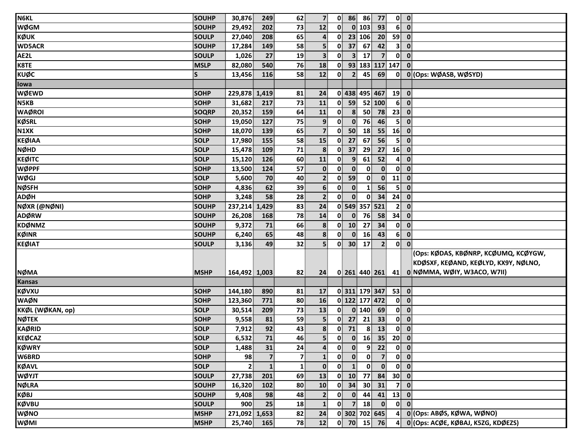| <b>N6KL</b>      | SOUHP        | 30,876        | 249                     | 62           | 7 <sup>1</sup>   | $\mathbf{0}$             | 86                      | 86               | 77              |                         | $0$ $0$                                      |
|------------------|--------------|---------------|-------------------------|--------------|------------------|--------------------------|-------------------------|------------------|-----------------|-------------------------|----------------------------------------------|
| <b>WØGM</b>      | <b>SOUHP</b> | 29,492        | 202                     | 73           | 12               | $\mathbf{0}^{\parallel}$ |                         | 0 103            | 93              | 6 <sup>1</sup>          | $\mathbf{0}$                                 |
| <b>KØUK</b>      | <b>SOULP</b> | 27,040        | 208                     | 65           | $\boldsymbol{4}$ | 0                        |                         | 23 106           | 20              | 59                      | $\mathbf 0$                                  |
| <b>WD5ACR</b>    | <b>SOUHP</b> | 17,284        | 149                     | 58           | 5 <sup>1</sup>   | $\mathbf{0}$             | 37                      | 67               | 42              | 3 <sup>1</sup>          | $\mathbf{0}$                                 |
| AE2L             | <b>SOULP</b> | 1,026         | 27                      | 19           | 3 <sup>1</sup>   | $\mathbf{0}$             | 3 <sup>1</sup>          | 17               | 7 <sup>1</sup>  | $\mathbf{0}$            | $\mathbf{0}$                                 |
| K8TE             | <b>MSLP</b>  | 82,080        | 540                     | 76           | 18               | $\mathbf{0}$             |                         |                  | 93 183 117 147  |                         | $\mathbf{0}$                                 |
| <b>KUØC</b>      | $\mathsf{S}$ | 13,456        | 116                     | 58           | 12               | $\mathbf{0}$             | $\overline{2}$          | 45               | 69              | $\mathbf{0}$            | 0 (Ops: WØASB, WØSYD)                        |
| lowa             |              |               |                         |              |                  |                          |                         |                  |                 |                         |                                              |
| <b>WØEWD</b>     | <b>SOHP</b>  | 229,878       | 1,419                   | 81           | 24               |                          |                         |                  | 0 438 495 467   | 19                      | $\overline{\mathbf{0}}$                      |
| N5KB             | <b>SOHP</b>  | 31,682        | 217                     | 73           | 11               | 0                        | 59                      |                  | 52 100          | 6 <sup>1</sup>          | $\overline{\mathbf{0}}$                      |
| <b>WAØROI</b>    | <b>SOQRP</b> | 20,352        | 159                     | 64           | 11               | 0                        | $\overline{\mathbf{8}}$ | 50 <sup>1</sup>  | 78              | 23                      | $\mathbf{0}$                                 |
| <b>KØSRL</b>     | <b>SOHP</b>  | 19,050        | 127                     | 75           | $\overline{9}$   | $\mathbf{0}$             | $\mathbf{0}$            | 76               | 46              | $\overline{\mathbf{5}}$ | $\mathbf{0}$                                 |
| N1XK             | <b>SOHP</b>  | 18,070        | 139                     | 65           | $\overline{7}$   | $\mathbf{0}$             | 50                      | 18               | 55              | 16                      | $\mathbf{0}$                                 |
| <b>KEØIAA</b>    | <b>SOLP</b>  | 17,980        | 155                     | 58           | 15               | 0                        | 27                      | 67               | 56              | 5 <sup>1</sup>          | $\mathbf{0}$                                 |
| <b>NØHD</b>      | <b>SOLP</b>  | 15,478        | 109                     | 71           | 8                | $\mathbf{0}$             | 37                      | 29               | 27              | 16                      | $\mathbf{0}$                                 |
| <b>KEØITC</b>    | <b>SOLP</b>  | 15,120        | 126                     | 60           | 11               | $\mathbf{0}$             | $\overline{9}$          | 61               | 52              | $\mathbf{4}$            | $\mathbf 0$                                  |
| <b>WØPPF</b>     | <b>SOHP</b>  | 13,500        | 124                     | 57           | $\mathbf{0}$     | $\mathbf{0}$             | $\mathbf{0}$            | $\mathbf{0}$     | $\mathbf{0}$    | $\mathbf{0}$            | $\mathbf{0}$                                 |
| <b>WØGJ</b>      | <b>SOLP</b>  | 5,600         | 70                      | 40           | $\mathbf{2}$     | $\mathbf{0}$             | 59                      | $\mathbf{0}$     | $\mathbf{0}$    | 11                      | $\mathbf{0}$                                 |
| <b>NØSFH</b>     | <b>SOHP</b>  | 4,836         | 62                      | 39           | $6 \overline{6}$ | $\mathbf{0}$             | $\mathbf{0}$            | $\mathbf{1}$     | 56              | 5 <sup>1</sup>          | $\mathbf 0$                                  |
| <b>ADØH</b>      | <b>SOHP</b>  | 3,248         | 58                      | 28           | $\mathbf{2}$     | 0                        | $\mathbf{0}$            | $\mathbf{0}$     | 34              | 24                      | $\mathbf 0$                                  |
| NØXR (@NØNI)     | <b>SOUHP</b> | 237,214       | 1,429                   | 83           | 24               |                          |                         |                  | 0 549 357 521   | 2 <sup>1</sup>          | $\mathbf{0}$                                 |
| <b>ADØRW</b>     | <b>SOUHP</b> | 26,208        | 168                     | 78           | 14               | 0                        | $\mathbf{0}$            | 76               | 58              | 34                      | $\mathbf{0}$                                 |
| <b>KDØNMZ</b>    | <b>SOUHP</b> | 9,372         | 71                      | 66           | 8                | $\mathbf{0}$             | 10                      | 27               | 34              |                         | $0$ $0$                                      |
| KØINR            | <b>SOUHP</b> | 6,240         | 65                      | 48           | 8                | $\mathbf{0}$             | $\mathbf{0}$            | 16               | 43              | 6 <sup>1</sup>          | $\mathbf{0}$                                 |
| <b>KEØIAT</b>    | <b>SOULP</b> | 3,136         | 49                      | 32           | 5                | $\mathbf{0}$             | 30 <sup>°</sup>         | 17               | $\overline{2}$  | 0                       | $\mathbf{0}$                                 |
|                  |              |               |                         |              |                  |                          |                         |                  |                 |                         | (Ops: KØDAS, KBØNRP, KCØUMQ, KCØYGW,         |
|                  |              |               |                         |              |                  |                          |                         |                  |                 |                         | KDØSXF, KEØAND, KEØLYD, KX9Y, NØLNO,         |
| <b>NØMA</b>      | <b>MSHP</b>  | 164,492 1,003 |                         | 82           | 24               |                          |                         |                  |                 |                         | 0 261 440 261 41 0 NØMMA, WØIY, W3ACO, W7II) |
| <b>Kansas</b>    |              |               |                         |              |                  |                          |                         |                  |                 |                         |                                              |
| <b>KØVXU</b>     | <b>SOHP</b>  | 144,180       | 890                     | 81           | 17               |                          |                         |                  | 0311 179 347    |                         | $53$ 0                                       |
| <b>WAØN</b>      | <b>SOHP</b>  | 123,360       | 771                     | 80           | 16               |                          |                         |                  | 0 122 177 472   | $\mathbf{0}$            | $\mathbf{0}$                                 |
| KKØL (WØKAN, op) | <b>SOLP</b>  | 30,514        | 209                     | 73           | 13               | $\mathbf{0}$             |                         | $0$ 140          | 69              | $\mathbf{0}$            | $\mathbf{0}$                                 |
| <b>NØTEK</b>     | <b>SOHP</b>  | 9,558         | 81                      | 59           | 5 <sup>1</sup>   | $\mathbf{0}$             | 27                      | 21               | 33 <sup>3</sup> | $\mathbf{0}$            | $\overline{\mathbf{0}}$                      |
| <b>KAØRID</b>    | SOLP         | 7,912         | 92                      | 43           | 8 <sup>1</sup>   |                          | $0$ 71                  | $\boldsymbol{8}$ | 13              | 0                       | $\mathbf{0}$                                 |
| <b>KEØCAZ</b>    | <b>SOLP</b>  | 6,532         | 71                      | 46           | 5                | $\mathbf{0}$             |                         | $0 \quad 16$     |                 | $35$ 20 0               |                                              |
| <b>KØWRY</b>     | SOLP         | 1,488         | 31                      | 24           | $\overline{4}$   | $\mathbf{0}$             | $\mathbf{0}$            | 9 <sup>1</sup>   | 22              |                         | $\overline{0}$ $\overline{0}$                |
| W6BRD            | <b>SOHP</b>  | 98            | $\overline{\mathbf{z}}$ | 7            | $\mathbf{1}$     | $\mathbf{0}$             | $\mathbf{0}$            | $\mathbf{0}$     | $\overline{7}$  | $\mathbf{0}$            | $\overline{\mathbf{0}}$                      |
| <b>KØAVL</b>     | <b>SOLP</b>  | $\mathbf{2}$  | $\mathbf{1}$            | $\mathbf{1}$ | $\mathbf{0}$     | $\mathbf{0}$             | $\mathbf{1}$            | $\mathbf{0}$     | $\mathbf{0}$    | $\mathbf{0}$            | $\mathbf{0}$                                 |
| <b>WØYJT</b>     | <b>SOULP</b> | 27,738        | 201                     | 69           | 13               | $\mathbf{0}$             | 10                      | 77               | 84              |                         | $30$ 0                                       |
| <b>NØLRA</b>     | <b>SOUHP</b> | 16,320        | 102                     | 80           | 10               | 0                        | 34                      | 30 <sup>°</sup>  | 31              | $\mathbf{7}$            | $\mathbf{0}$                                 |
| <b>KØBJ</b>      | <b>SOUHP</b> | 9,408         | 98                      | 48           | $\overline{2}$   | 0                        | $\mathbf{0}$            | 44               | 41              | 13                      | $\mathbf{0}$                                 |
| <b>KØVBU</b>     | <b>SOULP</b> | 900           | 25                      | 18           | $\mathbf{1}$     | $\mathbf{0}$             | $\overline{7}$          | 18               | $\mathbf{0}$    |                         | $\overline{0}$ $\overline{0}$                |
| <b>WØNO</b>      | <b>MSHP</b>  | 271,092 1,653 |                         | 82           | 24               |                          |                         |                  | 0 302 702 645   | $\mathbf{4}$            | 0 (Ops: ABØS, KØWA, WØNO)                    |
| WØMI             | <b>MSHP</b>  | 25,740        | 165                     | 78           | 12               |                          |                         |                  | $0$ 70 15 76    | $\mathbf{A}$            | 0 (Ops: ACØE, KØBAJ, K5ZG, KDØEZS)           |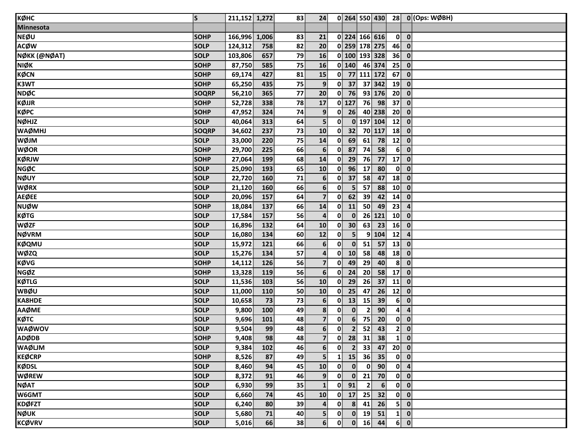| кøнс             | <b>S</b>     | 211,152 1,272 |       | 83 | 24               |              |                 |                     | $0$ 264 550 430  |                          | 28 $0$ (Ops: WØBH)                     |
|------------------|--------------|---------------|-------|----|------------------|--------------|-----------------|---------------------|------------------|--------------------------|----------------------------------------|
| <b>Minnesota</b> |              |               |       |    |                  |              |                 |                     |                  |                          |                                        |
| <b>NEØU</b>      | <b>SOHP</b>  | 166,996       | 1,006 | 83 | 21               |              |                 | 0 224 166 616       |                  |                          | $\begin{bmatrix} 0 \\ 0 \end{bmatrix}$ |
| <b>ACØW</b>      | <b>SOLP</b>  | 124,312       | 758   | 82 | 20               |              |                 | 0 259 178 275       |                  | 46                       | $\mathbf 0$                            |
| NØKK (@NØAT)     | <b>SOLP</b>  | 103,806       | 657   | 79 | 16               |              |                 |                     | 0 100 193 328    | 36                       | $\overline{\mathbf{0}}$                |
| <b>NIØK</b>      | <b>SOHP</b>  | 87,750        | 585   | 75 | 16               |              | $0$ 140         |                     | 46 374           | 25                       | $\mathbf 0$                            |
| <b>KØCN</b>      | SOHP         | 69,174        | 427   | 81 | 15               |              |                 | 0 77 111 172        |                  | 67                       | $\mathbf 0$                            |
| K3WT             | <b>SOHP</b>  | 65,250        | 435   | 75 | 9                |              | $0$ 37          |                     | 37 342           | 19                       | $\mathbf{0}$                           |
| <b>NDØC</b>      | SOQRP        | 56,210        | 365   | 77 | 20               |              | $0$ 76          |                     | 93 176           | 20 <sup>1</sup>          | $\mathbf 0$                            |
| KØJJR            | <b>SOHP</b>  | 52,728        | 338   | 78 | 17               |              | $0$ 127         | 76                  | 98               | 37 <sup>1</sup>          | $\mathbf 0$                            |
| КØРС             | <b>SOHP</b>  | 47,952        | 324   | 74 | 9                | $\mathbf{0}$ | 26              |                     | 40 238           | 20 <sup>1</sup>          | $\mathbf 0$                            |
| <b>NØHJZ</b>     | SOLP         | 40,064        | 313   | 64 | 5 <sup>1</sup>   | $\mathbf{0}$ |                 | $\boxed{0}$ 197 104 |                  | 12                       | $\bullet$                              |
| <b>WAØMHJ</b>    | <b>SOQRP</b> | 34,602        | 237   | 73 | 10               | $\mathbf{0}$ | 32              |                     | 70 117           | 18                       | $\mathbf 0$                            |
| WØJM             | <b>SOLP</b>  | 33,000        | 220   | 75 | 14               | $\mathbf{0}$ | 69              | 61                  | 78               | 12                       | $\overline{\mathbf{0}}$                |
| <b>WØOR</b>      | <b>SOHP</b>  | 29,700        | 225   | 66 | $6 \overline{6}$ | 0            | 87              | 74                  | 58               | 6 <sup>1</sup>           | $\mathbf 0$                            |
| <b>KØRJW</b>     | <b>SOHP</b>  | 27,064        | 199   | 68 | 14               | $\mathbf{0}$ | 29              | 76                  | 77               | 17                       | $\mathbf 0$                            |
| <b>NGØC</b>      | <b>SOLP</b>  | 25,090        | 193   | 65 | 10               | $\mathbf{0}$ | 96              | 17                  | 80               | $\mathbf{0}$             | $\mathbf 0$                            |
| NØUY             | <b>SOLP</b>  | 22,720        | 160   | 71 | $6 \overline{6}$ | $\mathbf{0}$ | 37              | 58                  | 47               | 18                       | $\mathbf 0$                            |
| <b>WØRX</b>      | <b>SOLP</b>  | 21,120        | 160   | 66 | 6 <sup>1</sup>   | $\mathbf{0}$ | 5               | 57                  | 88               | 10 <sup>1</sup>          | $\mathbf{0}$                           |
| <b>AEØEE</b>     | <b>SOLP</b>  | 20,096        | 157   | 64 | $\overline{7}$   | 0            | 62              | 39                  | 42               | 14                       | $\mathbf 0$                            |
| <b>NUØW</b>      | <b>SOHP</b>  | 18,084        | 137   | 66 | 14               | $\mathbf{0}$ | 11              | 50 <sup>1</sup>     | 49               | 23                       | $\overline{4}$                         |
| <b>KØTG</b>      | <b>SOLP</b>  | 17,584        | 157   | 56 | $\boldsymbol{4}$ | $\mathbf{0}$ | $\mathbf{0}$    |                     | 26 121           | 10 <sup>1</sup>          | $\mathbf{0}$                           |
| <b>WØZF</b>      | <b>SOLP</b>  | 16,896        | 132   | 64 | 10               | $\mathbf{0}$ | 30 <sup>°</sup> | 63                  | 23               | 16                       | $\mathbf 0$                            |
| <b>NØVRM</b>     | <b>SOLP</b>  | 16,080        | 134   | 60 | 12               | $\mathbf{0}$ | 5 <sup>1</sup>  |                     | 9 104            | 12                       | $\overline{\mathbf{4}}$                |
| KØQMU            | <b>SOLP</b>  | 15,972        | 121   | 66 | $6 \overline{6}$ | $\mathbf{0}$ | $\mathbf{0}$    | 51                  | 57               | 13                       | $\bullet$                              |
| <b>WØZQ</b>      | <b>SOLP</b>  | 15,276        | 134   | 57 | $\boldsymbol{4}$ | $\mathbf{0}$ | 10              | 58                  | 48               | 18                       | $\overline{\mathbf{0}}$                |
| <b>KØVG</b>      | <b>SOHP</b>  | 14,112        | 126   | 56 | 7 <sup>1</sup>   | 0            | 49              | 29                  | 40               | 8 <sup>1</sup>           | $\mathbf{0}$                           |
| <b>NGØZ</b>      | <b>SOHP</b>  | 13,328        | 119   | 56 | 6                | 0            | 24              | 20                  | 58               | 17                       | $\mathbf 0$                            |
| <b>KØTLG</b>     | <b>SOLP</b>  | 11,536        | 103   | 56 | 10               | 0            | 29              | 26                  | 37               | $\mathbf{11}$            | $\mathbf 0$                            |
| <b>WBØU</b>      | <b>SOLP</b>  | 11,000        | 110   | 50 | 10               | 0            | 25              | 47                  | 26               | $12$ 0                   |                                        |
| <b>KA8HDE</b>    | <b>SOLP</b>  | 10,658        | 73    | 73 | $6 \overline{6}$ | $\mathbf{0}$ | 13              | 15                  | 39               | 6 <sup>1</sup>           | $\mathbf 0$                            |
| <b>AAØME</b>     | SOLP         | 9,800         | 100   | 49 | 8 <sup>1</sup>   | $\mathbf{0}$ | $\mathbf{0}$    | $\overline{2}$      | 90               | $\mathbf{A}^{\parallel}$ | $\overline{\mathbf{4}}$                |
| КØТС             | <b>SOLP</b>  | 9,696         | 101   | 48 | 7 <sup>1</sup>   | $\mathbf{0}$ | 6 <sup>1</sup>  | 75                  | 20               |                          | $0$ $0$                                |
| <b>WAØWOV</b>    | <b>SOLP</b>  | 9,504         | 99    | 48 | $6 \overline{6}$ | $\mathbf{0}$ | $\mathbf{2}$    | 52                  | 43               | $\mathbf{2}$             | $\mathbf 0$                            |
| <b>ADØDB</b>     | SOHP         | 9,408         | 98    | 48 | $\mathbf{7}$     | $\mathbf{0}$ | 28              |                     | $31 \mid 38$     |                          | $1 \vert 0 \vert$                      |
| <b>WAØLIM</b>    | <b>SOLP</b>  | 9,384         | 102   | 46 | 6 <sup>1</sup>   | $\mathbf{0}$ | 2 <sub>1</sub>  | 33 <sup>1</sup>     | 47               | $20$ 0                   |                                        |
| <b>KEØCRP</b>    | <b>SOHP</b>  | 8,526         | 87    | 49 | 5                | $\mathbf{1}$ | 15              | 36                  | 35               |                          | $0$ $0$                                |
| KØDSL            | SOLP         | 8,460         | 94    | 45 | 10               | $\mathbf{0}$ | $\mathbf{0}$    | $\mathbf{0}$        | 90               |                          | $0 \mid 4$                             |
| <b>WØREW</b>     | <b>SOLP</b>  | 8,372         | 91    | 46 | 9                | 0            | $\mathbf{0}$    | 21                  | 70               |                          | $0$ 0                                  |
| <b>NØAT</b>      | <b>SOLP</b>  | 6,930         | 99    | 35 | $\mathbf{1}$     | 0            | 91              | $\mathbf{2}$        | $6 \overline{6}$ |                          | $0$ $0$                                |
| W6GMT            | <b>SOLP</b>  | 6,660         | 74    | 45 | 10               |              | $0$ 17          | 25                  | 32               |                          | $0 \quad 0$                            |
| <b>KDØFZT</b>    | SOLP         | 6,240         | 80    | 39 | 4                | $\mathbf{0}$ | 8               | 41                  | 26               | 5 <sup>1</sup>           | $\mathbf 0$                            |
| <b>NØUK</b>      | SOLP         | 5,680         | 71    | 40 | 5                | $\mathbf{0}$ | $\mathbf{0}$    | 19                  | 51               | 1 <sup>1</sup>           | $\mathbf 0$                            |
| <b>KCØVRV</b>    | <b>SOLP</b>  | 5,016         | 66    | 38 | 6                | $\mathbf{0}$ | $\mathbf{0}$    | 16                  | 44               |                          | 6 0                                    |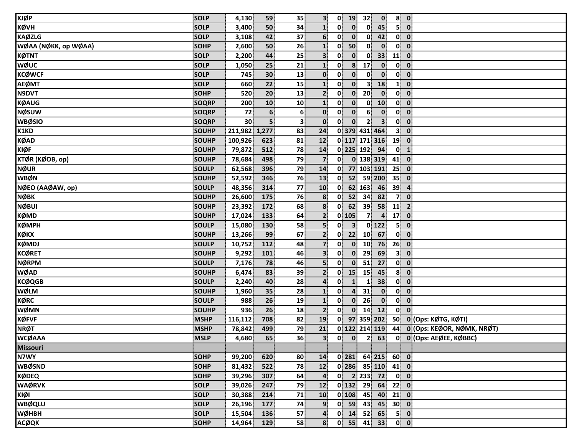| <b>KJØP</b>          | <b>SOLP</b>  | 4,130           | 59              | 35 | 3 <sup>1</sup>          | 0            | 19             | 32 <sup>1</sup> | $\mathbf{0}$            | 8 <sup>1</sup>          | $\mathbf{0}$                           |
|----------------------|--------------|-----------------|-----------------|----|-------------------------|--------------|----------------|-----------------|-------------------------|-------------------------|----------------------------------------|
| <b>KØVH</b>          | <b>SOLP</b>  | 3,400           | 50              | 34 | $\mathbf{1}$            | $\mathbf{0}$ | $\mathbf{0}$   | $\mathbf{0}$    | 45                      | 5                       | $\mathbf{0}$                           |
| <b>KAØZLG</b>        | <b>SOLP</b>  | 3,108           | 42              | 37 | 6 <sup>1</sup>          | $\mathbf{0}$ | $\mathbf{0}$   | $\mathbf{0}$    | 42                      | $\mathbf{0}$            | $\mathbf{0}$                           |
| WØAA (NØKK, op WØAA) | <b>SOHP</b>  | 2,600           | 50              | 26 | $\mathbf{1}$            | $\mathbf{0}$ | 50             | $\mathbf{0}$    | $\mathbf{0}$            | 0                       | $\mathbf{0}$                           |
| <b>KØTNT</b>         | <b>SOLP</b>  | 2,200           | 44              | 25 | $\overline{\mathbf{3}}$ | $\mathbf{0}$ | $\mathbf{0}$   | $\mathbf{0}$    | 33                      | 11                      | $\mathbf{0}$                           |
| <b>WØUC</b>          | <b>SOLP</b>  | 1,050           | 25              | 21 | $\mathbf{1}$            | 0            | 8              | 17              | $\mathbf{0}$            | $\mathbf{0}$            | $\mathbf{0}$                           |
| <b>KCØWCF</b>        | <b>SOLP</b>  | 745             | 30              | 13 | $\mathbf{0}$            | $\mathbf{0}$ | $\mathbf{0}$   | $\mathbf{0}$    | $\mathbf{0}$            | $\mathbf{0}$            | $\mathbf 0$                            |
| <b>AEØMT</b>         | <b>SOLP</b>  | 660             | 22              | 15 | $\mathbf{1}$            | $\mathbf{0}$ | $\mathbf{0}$   | 3 <sup>1</sup>  | 18                      | $\mathbf{1}$            | $\mathbf 0$                            |
| N9DVT                | <b>SOHP</b>  | 520             | 20              | 13 | 2 <sup>1</sup>          | $\mathbf{0}$ | $\mathbf{0}$   | 20              | $\mathbf{0}$            | $\mathbf{0}$            | $\mathbf 0$                            |
| <b>KØAUG</b>         | <b>SOQRP</b> | 200             | 10              | 10 | $\mathbf{1}$            | 0            | $\mathbf{0}$   | $\mathbf{0}$    | 10 <sup>1</sup>         | $\mathbf{0}$            | $\mathbf 0$                            |
| <b>NØSUW</b>         | <b>SOQRP</b> | 72              | $6\phantom{1}6$ | 6  | $\mathbf{0}$            | $\mathbf{0}$ | $\mathbf{0}$   | 6               | $\bf{0}$                | $\mathbf{0}$            | $\mathbf{0}$                           |
| <b>WBØSIO</b>        | <b>SOQRP</b> | 30 <sup>°</sup> | 5               | 3  | $\mathbf{0}$            | $\mathbf{0}$ | $\mathbf{0}$   | $\mathbf{2}$    | $\overline{\mathbf{3}}$ | $\mathbf{0}$            | $\mathbf{0}$                           |
| K1KD                 | <b>SOUHP</b> | 211,982 1,277   |                 | 83 | 24                      |              |                |                 | 0 379 431 464           | 3 <sup>1</sup>          | $\mathbf{0}$                           |
| <b>KØAD</b>          | <b>SOUHP</b> | 100,926         | 623             | 81 | 12                      |              |                |                 | 0 117 171 316           | 19                      | $\mathbf{0}$                           |
| <b>KIØF</b>          | <b>SOUHP</b> | 79,872          | 512             | 78 | 14                      |              |                | 0 225 192       | 94                      | $\mathbf{0}$            | $\mathbf{1}$                           |
| KTØR (KØOB, op)      | <b>SOUHP</b> | 78,684          | 498             | 79 | $\overline{7}$          | $\mathbf{0}$ |                |                 | 0 138 319               | 41                      | $\mathbf{0}$                           |
| <b>NØUR</b>          | <b>SOULP</b> | 62,568          | 396             | 79 | 14                      | 0            |                |                 | 77 103 191              | 25                      | $\mathbf{0}$                           |
| <b>WBØN</b>          | <b>SOUHP</b> | 52,592          | 346             | 76 | 13                      | $\mathbf{0}$ | 52             |                 | 59 200                  | 35                      | $\mathbf 0$                            |
| NØEO (AAØAW, op)     | <b>SOULP</b> | 48,356          | 314             | 77 | 10                      | 0            |                | 62 163          | 46                      | 39                      | $\overline{4}$                         |
| <b>NØBK</b>          | <b>SOUHP</b> | 26,600          | 175             | 76 | $\boldsymbol{8}$        | 0            | 52             | 34              | 82                      | $\overline{7}$          | $\mathbf{0}$                           |
| <b>NØBUI</b>         | <b>SOUHP</b> | 23,392          | 172             | 68 | $\boldsymbol{8}$        | 0            | 62             | 39              | 58                      | 11                      | $\overline{2}$                         |
| <b>KØMD</b>          | <b>SOUHP</b> | 17,024          | 133             | 64 | 2 <sup>1</sup>          |              | $0$ 105        | 7 <sup>1</sup>  | $\overline{4}$          | 17                      | $\mathbf{0}$                           |
| <b>KØMPH</b>         | <b>SOULP</b> | 15,080          | 130             | 58 | $\overline{\mathbf{5}}$ | $\mathbf{0}$ | 3 <sup>1</sup> |                 | $0$ 122                 | $\overline{\mathbf{5}}$ | $\mathbf{0}$                           |
| кøкх                 | <b>SOUHP</b> | 13,266          | 99              | 67 | 2 <sup>1</sup>          | $\mathbf{0}$ | 22             | 10 <sup>1</sup> | 67                      | 0                       | $\mathbf{0}$                           |
| <b>KØMDJ</b>         | <b>SOULP</b> | 10,752          | 112             | 48 | $\overline{7}$          | 0            | $\mathbf{0}$   | 10              | 76                      | 26                      | $\mathbf 0$                            |
| <b>KCØRET</b>        | <b>SOUHP</b> | 9,292           | 101             | 46 | $\overline{\mathbf{3}}$ | 0            | $\mathbf{0}$   | 29              | 69                      | 3                       | $\mathbf 0$                            |
| <b>NØRPM</b>         | <b>SOULP</b> | 7,176           | 78              | 46 | $\overline{\mathbf{5}}$ | 0            | $\mathbf{0}$   | 51              | 27                      | $\mathbf{0}$            | $\mathbf{0}$                           |
| <b>WØAD</b>          | <b>SOUHP</b> | 6,474           | 83              | 39 | $\mathbf{2}$            | 0            | 15             | 15              | 45                      | 8                       | $\mathbf{0}$                           |
| <b>KCØQGB</b>        | <b>SOULP</b> | 2,240           | 40              | 28 | 4                       | $\mathbf{0}$ | $\mathbf{1}$   |                 | 38                      | 0                       | $\mathbf{0}$                           |
| <b>WØLM</b>          | <b>SOUHP</b> | 1,960           | 35              | 28 | $\mathbf{1}$            | 0            | 4              | 31              | $\mathbf{0}$            | $\mathbf{0}$            | $\mathbf{0}$                           |
| <b>KØRC</b>          | <b>SOULP</b> | 988             | 26              | 19 | $\mathbf{1}$            | 0            | $\mathbf{0}$   | 26              | $\mathbf{0}$            | 0                       | $\mathbf{0}$                           |
| <b>WØMN</b>          | <b>SOUHP</b> | 936             | 26              | 18 | 2 <sup>1</sup>          | 0            | $\mathbf{0}$   | 14              | 12                      | $\mathbf{0}$            | $\mathbf{0}$                           |
| <b>KØFVF</b>         | <b>MSHP</b>  | 116,112         | 708             | 82 | 19                      |              |                |                 | 0 97 359 202            | 50                      | 0 (Ops: KØTG, KØTI)                    |
| <b>NRØT</b>          | <b>MSHP</b>  | 78,842          | 499             | 79 | 21                      |              |                |                 | 0 122 214 119           |                         | 44 0 (Ops: KEØOR, NØMK, NRØT)          |
| <b>WCØAAA</b>        | <b>MSLP</b>  | 4,680           | 65              | 36 |                         |              |                |                 |                         |                         |                                        |
| <b>Missouri</b>      |              |                 |                 |    |                         |              |                |                 |                         |                         |                                        |
| N7WY                 | <b>SOHP</b>  | 99,200          | 620             | 80 | 14                      |              | $0$   281      |                 | $64$ 215                | 60 0                    |                                        |
| <b>WBØSND</b>        | <b>SOHP</b>  | 81,432          | 522             | 78 | 12                      |              |                |                 | $0$ 286 85 110          | 41 0                    |                                        |
| <b>KØDEQ</b>         | <b>SOHP</b>  | 39,296          | 307             | 64 | $\overline{a}$          |              |                |                 | $0$ 2 233 72            |                         | $\begin{bmatrix} 0 \\ 0 \end{bmatrix}$ |
| <b>WAØRVK</b>        | <b>SOLP</b>  | 39,026          | 247             | 79 | 12                      |              | $0$   132      | 29              | 64                      | 22                      | $\mathbf{0}$                           |
| KIØI                 | <b>SOLP</b>  | 30,388          | 214             | 71 | 10                      |              | $0$ 108        | 45              | 40                      | $21$ 0                  |                                        |
| <b>WBØQLU</b>        | <b>SOLP</b>  | 26,196          | 177             | 74 | $\overline{9}$          |              | $0$ 59         | 43              | 45                      | $30$ 0                  |                                        |
| <b>WØHBH</b>         | <b>SOLP</b>  | 15,504          | 136             | 57 | $\overline{\mathbf{r}}$ |              | $0$ 14         | 52              | 65                      |                         | $5$ 0                                  |
| <b>ACØQK</b>         | <b>SOHP</b>  | 14,964          | 129             | 58 | 8 <sup>1</sup>          |              |                |                 | $0$ 55 41 33            |                         | $\mathbf{0}$ $\mathbf{0}$              |
|                      |              |                 |                 |    |                         |              |                |                 |                         |                         |                                        |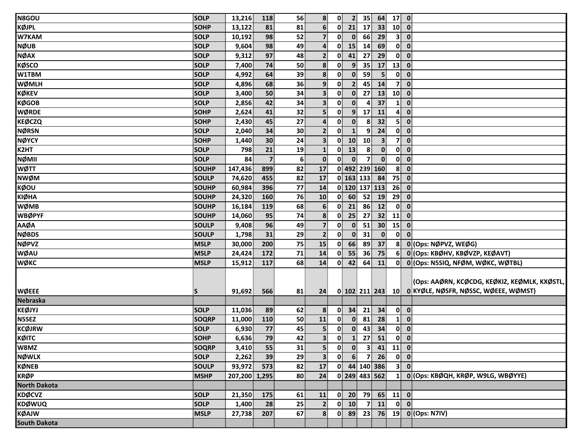| N8GOU                           | <b>SOLP</b>  | 13,216        | 118                     | 56             | 8                       | $\mathbf{0}$ | 2 <sup>1</sup> | 35               | 64                                                                  | $17$ 0                   |                                                                                                         |
|---------------------------------|--------------|---------------|-------------------------|----------------|-------------------------|--------------|----------------|------------------|---------------------------------------------------------------------|--------------------------|---------------------------------------------------------------------------------------------------------|
| <b>KØJPL</b>                    | <b>SOHP</b>  | 13,122        | 81                      | 81             | 6 <sup>1</sup>          | 0            | 21             | 17               | 33                                                                  | $10$ 0                   |                                                                                                         |
| W7KAM                           | <b>SOLP</b>  | 10,192        | 98                      | 52             | $\overline{7}$          | 0            | $\mathbf{0}$   | 66               | 29                                                                  | 3 <sup>1</sup>           | $\bullet$                                                                                               |
| <b>NØUB</b>                     | <b>SOLP</b>  | 9,604         | 98                      | 49             | $\overline{\mathbf{a}}$ | 0            | 15             | 14               | 69                                                                  |                          | $0 \quad 0$                                                                                             |
| <b>NØAX</b>                     | <b>SOLP</b>  | 9,312         | 97                      | 48             | 2 <sup>1</sup>          | $\mathbf{0}$ | 41             | 27               | 29                                                                  |                          | $0\ 0$                                                                                                  |
| <b>KØSCO</b>                    | <b>SOLP</b>  | 7,400         | 74                      | 50             | 8 <sup>1</sup>          | $\mathbf{0}$ | 9 <sup>1</sup> | 35               | 17                                                                  | 13                       | $\overline{\mathbf{0}}$                                                                                 |
| W1TBM                           | <b>SOLP</b>  | 4,992         | 64                      | 39             | 8                       | $\mathbf{0}$ | $\mathbf{0}$   | 59               | 5 <sub>1</sub>                                                      | $\mathbf{0}$             | $\mathbf{0}$                                                                                            |
| <b>WØMLH</b>                    | <b>SOLP</b>  | 4,896         | 68                      | 36             | 9 <sub>1</sub>          | 0            | 2 <sup>1</sup> | 45               | 14                                                                  | 7 <sup>1</sup>           | $\mathbf{0}$                                                                                            |
| <b>KØKEV</b>                    | SOLP         | 3,400         | 50                      | 34             | $\overline{\mathbf{3}}$ | $\mathbf{0}$ | $\mathbf{0}$   | 27               | 13                                                                  | 10 <sup>1</sup>          | $\bullet$                                                                                               |
| <b>KØGOB</b>                    | <b>SOLP</b>  | 2,856         | 42                      | 34             | $\overline{\mathbf{3}}$ | 0            | $\mathbf{0}$   | 4                | 37                                                                  | $\mathbf{1}$             | $\mathbf{0}$                                                                                            |
| <b>WØRDE</b>                    | SOHP         | 2,624         | 41                      | 32             | 5 <sup>1</sup>          | $\mathbf{0}$ | 9 <sup>1</sup> | 17               | 11                                                                  | $\mathbf{A}^{\parallel}$ | $\overline{\mathbf{0}}$                                                                                 |
| <b>KEØCZQ</b>                   | SOHP         | 2,430         | 45                      | 27             | $\overline{\mathbf{r}}$ | $\mathbf{0}$ | $\mathbf{0}$   | $\boldsymbol{8}$ | 32                                                                  | 5 <sup>1</sup>           | $\overline{\mathbf{0}}$                                                                                 |
| <b>NØRSN</b>                    | <b>SOLP</b>  | 2,040         | 34                      | 30             | $\mathbf{2}$            | $\mathbf{0}$ | $\mathbf{1}$   | 9                | 24                                                                  | $\mathbf{0}$             | $\overline{\mathbf{0}}$                                                                                 |
| <b>NØYCY</b>                    | <b>SOHP</b>  | 1,440         | 30                      | 24             | 3 <sup>1</sup>          | 0            | 10             | 10 <sup>1</sup>  | $\mathbf{3}$                                                        |                          | 7 0                                                                                                     |
| K <sub>2HT</sub>                | SOLP         | 798           | 21                      | 19             | $\mathbf{1}$            | 0            | 13             | 8 <sup>1</sup>   | $\mathbf{0}$                                                        |                          | $0$ $0$                                                                                                 |
| NØMII                           | <b>SOLP</b>  | 84            | $\overline{\mathbf{z}}$ | 6 <sup>1</sup> | $\mathbf{0}$            | $\mathbf{0}$ | $\mathbf{0}$   | 7 <sup>1</sup>   | $\mathbf{0}$                                                        |                          | $0 \quad 0$                                                                                             |
| WØTT                            | <b>SOUHP</b> | 147,436       | 899                     | 82             | 17                      |              |                |                  | 0 492 239 160                                                       |                          | $8$ 0                                                                                                   |
| <b>NWØM</b>                     | SOULP        | 74,620        | 455                     | 82             | 17                      |              |                | 0 163 133        | 84                                                                  | 75                       | $\overline{\mathbf{0}}$                                                                                 |
| <b>KØOU</b>                     | SOUHP        | 60,984        | 396                     | 77             | 14                      |              |                |                  | 0 120 137 113                                                       | 26                       | $\overline{\mathbf{0}}$                                                                                 |
| KIØHA                           | <b>SOUHP</b> | 24,320        | 160                     | 76             | 10                      | 0            | 60             | 52               | 19                                                                  | 29                       | $\overline{\mathbf{0}}$                                                                                 |
| WØMB                            | <b>SOUHP</b> | 16,184        | 119                     | 68             | $6 \overline{6}$        | 0            | 21             | 86               | 12                                                                  | $\mathbf{0}$             | $\mathbf{0}$                                                                                            |
| <b>WBØPYF</b>                   | SOUHP        | 14,060        | 95                      | 74             | 8 <sup>1</sup>          | 0            | 25             | 27               | 32                                                                  | 11                       | $\mathbf{0}$                                                                                            |
| <b>AAØA</b>                     | <b>SOULP</b> | 9,408         | 96                      | 49             | $\overline{7}$          | $\mathbf{0}$ | $\mathbf{0}$   | 51               | 30 <sup>°</sup>                                                     | $15$ 0                   |                                                                                                         |
| <b>NØBDS</b>                    | SOULP        | 1,798         | 31                      | 29             | $\overline{2}$          | $\mathbf{0}$ | $\mathbf{0}$   | 31               | $\mathbf{0}$                                                        | $\mathbf{0}$             | $\mathbf{0}$                                                                                            |
| <b>NØPVZ</b>                    | <b>MSLP</b>  | 30,000        | 200                     | 75             | 15                      | $\mathbf{0}$ | 66             | 89               | 37                                                                  | 8 <sup>1</sup>           | 0 (Ops: NØPVZ, WEØG)                                                                                    |
| <b>WØAU</b>                     | <b>MSLP</b>  | 24,424        | 172                     | 71             | 14                      | $\mathbf{0}$ | 55             | 36               | 75                                                                  | 6 <sup>1</sup>           | 0 (Ops: KBØHV, KBØVZP, KEØAVT)                                                                          |
| <b>WØKC</b>                     | <b>MSLP</b>  | 15,912        | 117                     | 68             | 14                      | 0            | 42             | 64               | 11                                                                  |                          | 0 0 (Ops: N5SIQ, NFØM, WØKC, WØTBL)                                                                     |
| <b>WØEEE</b><br><b>Nebraska</b> | S            | 91,692        | 566                     | 81             | 24                      |              |                |                  |                                                                     |                          | [(Ops: AAØRN, KCØCDG, KEØKIZ, KEØMLK, KXØSTL, <br>0 102 211 243 10 0 KYØLE, NØSFR, NØSSC, WØEEE, WØMST) |
| KEØJYJ                          | <b>SOLP</b>  | 11,036        | 89                      | 62             | 8                       | $\mathbf{0}$ | 34             | 21               | 34                                                                  |                          | $\begin{bmatrix} 0 \\ 0 \end{bmatrix}$                                                                  |
| <b>N5SEZ</b>                    | <b>SOQRP</b> | 11,000        | 110                     | 50             | 11                      | $\mathbf{0}$ | $\mathbf{0}$   | 81               | 28                                                                  |                          | $1 \vert 0 \vert$                                                                                       |
| <b>KCØJRW</b>                   | <b>SOLP</b>  | 6,930         | 77                      | 45             | $\overline{\mathbf{5}}$ | 0            | $\mathbf{0}$   | 43               | 34                                                                  | $\mathbf{0}$             | $\overline{\mathbf{0}}$                                                                                 |
| КØІТС                           | SOHP         | 6,636         | 79                      | 42             | 3 <sup>1</sup>          | $\mathbf{0}$ |                |                  | $\begin{array}{ c c c }\n\hline\n1 & 27 & 51\n\end{array}$          |                          | $\begin{bmatrix} 0 \\ 0 \end{bmatrix}$                                                                  |
| W8MZ                            | <b>SOQRP</b> | 3,410         | 55                      | 31             | 5 <sup>1</sup>          | $\mathbf{0}$ | $\mathbf{0}$   |                  | $3 \begin{array}{ c c c } \hline 41 & 11 & 0 \\ \hline \end{array}$ |                          |                                                                                                         |
| <b>NØWLX</b>                    | SOLP         | 2,262         | 39                      | 29             | $\mathbf{3}$            | $\mathbf{0}$ | 6              | $\overline{7}$   | 26                                                                  |                          | $0\vert 0\vert$                                                                                         |
| <b>KØNEB</b>                    | <b>SOULP</b> | 93,972        | 573                     | 82             | 17                      | $\mathbf{0}$ |                |                  | 44 140 386                                                          |                          | 3 0                                                                                                     |
| <b>KRØP</b>                     | <b>MSHP</b>  | 207,200 1,295 |                         | 80             | 24 <sup>1</sup>         |              |                |                  | 0 249 483 562                                                       |                          | 1 0 (Ops: KBØQH, KRØP, W9LG, WBØYYE)                                                                    |
| <b>North Dakota</b>             |              |               |                         |                |                         |              |                |                  |                                                                     |                          |                                                                                                         |
| <b>KDØCVZ</b>                   | <b>SOLP</b>  | 21,350        | 175                     | 61             | 11                      |              |                |                  | $0$ 20 79 65 11 0                                                   |                          |                                                                                                         |
| <b>KDØWUQ</b>                   | SOLP         | 1,400         | 28                      | 25             | $\overline{2}$          |              | $0$ 10         |                  | $7 \mid 11 \mid$                                                    |                          | $\overline{0}$ $\overline{0}$                                                                           |
| <b>KØAJW</b>                    | <b>MSLP</b>  |               | 207                     | 67             | 8 <sup>1</sup>          |              | $0$ 89         | 23               |                                                                     |                          | 76 19 0 (Ops: N7IV)                                                                                     |
| <b>South Dakota</b>             |              | 27,738        |                         |                |                         |              |                |                  |                                                                     |                          |                                                                                                         |
|                                 |              |               |                         |                |                         |              |                |                  |                                                                     |                          |                                                                                                         |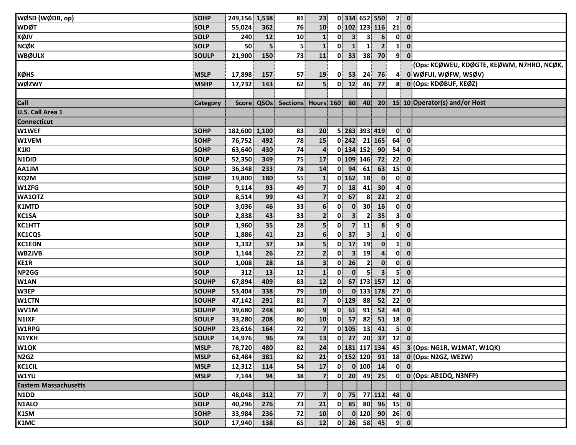| WØSD (WØDB, op)               | <b>SOHP</b>  | 249,156 1,538 |     | 81                      | 23 <sup>3</sup>         |                          | 0 334 652 550           |                         |                                                   |                          | 2 0                     |                                                                      |
|-------------------------------|--------------|---------------|-----|-------------------------|-------------------------|--------------------------|-------------------------|-------------------------|---------------------------------------------------|--------------------------|-------------------------|----------------------------------------------------------------------|
| <b>WDØT</b>                   | <b>SOLP</b>  | 55,024        | 362 | 76                      | 10                      |                          |                         |                         | 0 102 123 116                                     | $21$ 0                   |                         |                                                                      |
| κøιν                          | <b>SOLP</b>  | 240           | 12  | 10                      | $\mathbf{1}$            | 0                        | 3 <sup>1</sup>          | 3                       | 6                                                 | $\mathbf{0}$             | $\overline{\mathbf{0}}$ |                                                                      |
| <b>NCØK</b>                   | <b>SOLP</b>  | 50            | 5   | $\overline{\mathbf{5}}$ | $\mathbf{1}$            | $\mathbf{0}$             | $\mathbf{1}$            | 1                       | $\overline{2}$                                    | $\mathbf{1}$             | $\mathbf{0}$            |                                                                      |
| <b>WBØULX</b>                 | <b>SOULP</b> | 21,900        | 150 | 73                      | 11                      | $\mathbf{0}$             | 33 <sup>1</sup>         | 38 <sup>1</sup>         | 70                                                | 9 <sup>1</sup>           | $\overline{\mathbf{0}}$ |                                                                      |
|                               |              |               |     |                         |                         |                          |                         |                         |                                                   |                          |                         | (Ops: KCØWEU, KDØGTE, KEØWM, N7HRO, NCØK,                            |
| <b>KØHS</b>                   | <b>MSLP</b>  | 17,898        | 157 | 57                      | <b>19</b>               | $\mathbf{0}$             | 53                      | 24                      | 76                                                | 4                        |                         | 0 WØFUI, WØFW, WSØV)                                                 |
| <b>WØZWY</b>                  | <b>MSHP</b>  | 17,732        | 143 | 62                      | 5 <sup>1</sup>          |                          | $0$ 12                  | 46                      | 77                                                | 8                        |                         | 0 (Ops: KDØBUF, KEØZ)                                                |
|                               |              |               |     |                         |                         |                          |                         |                         |                                                   |                          |                         |                                                                      |
| Call                          | Category     |               |     |                         |                         |                          |                         |                         |                                                   |                          |                         | Score QSOs Sections Hours 160 80 40 20 15 10 Operator(s) and/or Host |
| U.S. Call Area 1              |              |               |     |                         |                         |                          |                         |                         |                                                   |                          |                         |                                                                      |
| <b>Connecticut</b>            |              |               |     |                         |                         |                          |                         |                         |                                                   |                          |                         |                                                                      |
| W1WEF                         | <b>SOHP</b>  | 182,600 1,100 |     | 83                      | 20                      |                          | 5 283 393 419           |                         |                                                   | $\mathbf{0}$             | $\overline{\mathbf{0}}$ |                                                                      |
| W1VEM                         | <b>SOHP</b>  | 76,752        | 492 | 78                      | 15                      |                          | $0$   242               |                         | 21 165                                            | 64                       | $\overline{\mathbf{0}}$ |                                                                      |
| $\overline{K1}$ KI            | <b>SOHP</b>  | 63,640        | 430 | 74                      | $\overline{\mathbf{4}}$ |                          | 0 134 152 90            |                         |                                                   | 54                       | $\mathbf 0$             |                                                                      |
| N <sub>1DID</sub>             | <b>SOLP</b>  | 52,350        | 349 | 75                      | 17                      |                          | 0 109 146               |                         | 72                                                | 22                       | $\overline{\mathbf{0}}$ |                                                                      |
| AA1JM                         | <b>SOLP</b>  | 36,348        | 233 | 78                      | 14                      |                          | $0$ 94                  | 61                      | 63                                                | 15                       | $\overline{\mathbf{0}}$ |                                                                      |
| KQ2M                          | <b>SOHP</b>  | 19,800        | 180 | 55                      | $\mathbf{1}$            |                          | $0$ 162                 | 18                      | $\mathbf{0}$                                      | $\mathbf{0}$             | $\overline{\mathbf{0}}$ |                                                                      |
| W1ZFG                         | <b>SOLP</b>  | 9,114         | 93  | 49                      | 7 <sup>1</sup>          | $\mathbf{0}$             | 18                      | 41                      | 30 <sup>°</sup>                                   | 4                        | $\mathbf{0}$            |                                                                      |
| WA10TZ                        | <b>SOLP</b>  | 8,514         | 99  | 43                      | $\overline{7}$          | 0                        | 67                      | 8                       | 22                                                | 2 <sup>1</sup>           | $\mathbf 0$             |                                                                      |
| <b>K1MTD</b>                  | <b>SOLP</b>  | 3,036         | 46  | 33                      | 6 <sup>1</sup>          | 0                        | $\mathbf{0}$            | 30 <sup>1</sup>         | <b>16</b>                                         |                          | $0\ 0$                  |                                                                      |
| KC1SA                         | <b>SOLP</b>  | 2,838         | 43  | 33                      | $\overline{2}$          | 0                        | $\overline{\mathbf{3}}$ | $\overline{2}$          | 35                                                | 3                        | $\mathbf 0$             |                                                                      |
| <b>KC1HTT</b>                 | <b>SOLP</b>  | 1,960         | 35  | 28                      | 5 <sup>1</sup>          | $\mathbf{0}$             | $\overline{7}$          | 11                      | 8                                                 | 9                        | $\mathbf 0$             |                                                                      |
| <b>KC1CQS</b>                 | <b>SOLP</b>  | 1,886         | 41  | 23                      | 6 <sup>1</sup>          | $\mathbf{0}^{\parallel}$ | 37                      | $\overline{\mathbf{3}}$ | $\mathbf{1}$                                      | $\mathbf{0}^{\parallel}$ | $\mathbf 0$             |                                                                      |
| <b>KC1EDN</b>                 | <b>SOLP</b>  | 1,332         | 37  | 18                      | $\overline{\mathbf{5}}$ | 0                        | 17                      | 19                      | $\mathbf{0}$                                      | $\mathbf{1}$             | $\mathbf 0$             |                                                                      |
| WB2JVB                        | <b>SOLP</b>  | 1,144         | 26  | 22                      | $\overline{2}$          | 0                        | 3 <sup>1</sup>          | 19                      | $\overline{\mathbf{4}}$                           | 0                        | $\boldsymbol{0}$        |                                                                      |
| KE1R                          | <b>SOLP</b>  | 1,008         | 28  | 18                      | $\overline{\mathbf{3}}$ | 0                        | 26                      | $\mathbf{2}$            | $\mathbf{0}$                                      |                          | $0$ $0$                 |                                                                      |
| NP2GG                         | <b>SOLP</b>  | 312           | 13  | 12                      | $\mathbf{1}$            | $\mathbf{0}$             | $\mathbf{0}$            | 5.                      | $\overline{\mathbf{3}}$                           | 5 <sup>1</sup>           | $\overline{\mathbf{0}}$ |                                                                      |
| W <sub>1</sub> AN             | SOUHP        | 67,894        | 409 | 83                      | 12                      | $\mathbf{0}$             |                         |                         | 67 173 157                                        | 12                       | $\overline{\mathbf{0}}$ |                                                                      |
| W3EP                          | <b>SOUHP</b> | 53,404        | 338 | 79                      | 10                      | 0                        |                         |                         | 0 133 178                                         | 27                       | $\overline{\mathbf{0}}$ |                                                                      |
| W1CTN                         | <b>SOUHP</b> | 47,142        | 291 | 81                      | $\overline{7}$          |                          | $0$ 129                 | 88                      | 52                                                | 22                       | $\overline{\mathbf{0}}$ |                                                                      |
| WV1M                          | <b>SOUHP</b> | 39,680        | 248 | 80                      | $\overline{9}$          | $\mathbf{0}$             | 61                      | 91                      | 52                                                | 44                       | $\mathbf 0$             |                                                                      |
| N <sub>1IXF</sub>             | <b>SOULP</b> | 33,280        | 208 | 80                      | 10                      |                          | $0$ 57                  | 82                      | 51                                                | $18$ 0                   |                         |                                                                      |
| W1RPG                         | <b>SOUHP</b> | 23,616        | 164 | 72                      | 7 <sup>1</sup>          |                          | $0$ 105                 | $\overline{13}$         | 41                                                | 5 <sup>1</sup>           | $\overline{\mathbf{0}}$ |                                                                      |
| <b>N1YKH</b>                  | <b>SOULP</b> | 14,976        | 96  | 78                      | 13                      |                          |                         |                         | $0$ 27 20 37 12 0                                 |                          |                         |                                                                      |
| W1QK                          | <b>MSLP</b>  | 78,720        | 480 | 82                      | 24                      |                          |                         |                         | 0 181 117 134                                     |                          |                         | 45 3 (Ops: NG1R, W1MAT, W1QK)                                        |
| N <sub>2</sub> G <sub>Z</sub> | <b>MSLP</b>  | 62,484        | 381 | 82                      | 21                      |                          |                         |                         | $0$ 152 120 91                                    |                          |                         | 18 0 (Ops: N2GZ, WE2W)                                               |
| <b>KC1CIL</b>                 | <b>MSLP</b>  | 12,312        | 114 | 54                      | 17                      | $\mathbf{0}$             |                         |                         | $\begin{bmatrix} 0 & 100 \\ 1 & 14 \end{bmatrix}$ |                          | $0$ $0$                 |                                                                      |
| W1YU                          | <b>MSLP</b>  | 7,144         | 94  | 38                      | $\overline{7}$          | $\mathbf{0}$             | 20 <sup>°</sup>         | 49                      | 25                                                |                          |                         | $0$ $0$ (Ops: AB1DQ, N3NFP)                                          |
| <b>Eastern Massachusetts</b>  |              |               |     |                         |                         |                          |                         |                         |                                                   |                          |                         |                                                                      |
| N <sub>1</sub> D <sub>D</sub> | <b>SOLP</b>  | 48,048        | 312 | 77                      | $\overline{7}$          |                          |                         |                         | $0$ 75 77 112                                     | 48 0                     |                         |                                                                      |
| N1ALO                         | <b>SOLP</b>  | 40,296        | 276 | 73                      | 21                      | $\mathbf{0}$             |                         | 85 80                   | 96                                                | $15$ 0                   |                         |                                                                      |
| K1SM                          | <b>SOHP</b>  | 33,984        | 236 | 72                      | 10                      |                          | $\mathbf{0}$            |                         | $0$ 120 90                                        | $26$ 0                   |                         |                                                                      |
| K1MC                          | <b>SOLP</b>  | 17,940        | 138 | 65                      | 12                      |                          |                         |                         | $0$ 26 58 45                                      |                          | $9$ 0                   |                                                                      |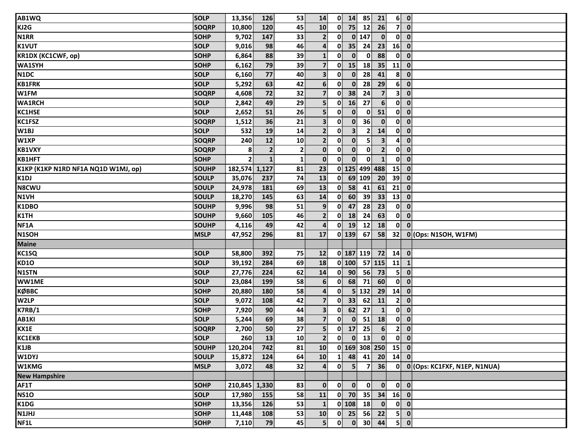| AB1WQ                               | <b>SOLP</b>  | 13,356         | 126            | 53              | 14                      |                          | $0$ 14          | 85             | 21                       |                | 6 0                                    |                                |
|-------------------------------------|--------------|----------------|----------------|-----------------|-------------------------|--------------------------|-----------------|----------------|--------------------------|----------------|----------------------------------------|--------------------------------|
| KJ2G                                | <b>SOQRP</b> | 10,800         | 120            | 45              | 10                      | $\mathbf{0}$             | 75              | 12             | 26                       | 7              | $\mathbf 0$                            |                                |
| N1RR                                | <b>SOHP</b>  | 9,702          | 147            | 33              | $\mathbf{2}$            | 0                        |                 | $0$ 147        | $\mathbf{0}$             | $\mathbf{0}$   | $\mathbf{0}$                           |                                |
| <b>K1VUT</b>                        | <b>SOLP</b>  | 9,016          | 98             | 46              | $\mathbf{4}$            | $\mathbf{0}$             | 35 <sup>°</sup> | 24             | 23                       | 16             | $\mathbf 0$                            |                                |
| <b>KR1DX (KC1CWF, op)</b>           | <b>SOHP</b>  | 6,864          | 88             | 39              | $\mathbf{1}$            | $\mathbf{0}$             | $\mathbf{0}$    | $\bf{0}$       | 88                       | 0              | $\mathbf 0$                            |                                |
| <b>WA1SYH</b>                       | <b>SOHP</b>  | 6,162          | 79             | 39              | 7 <sup>1</sup>          | $\mathbf{0}$             | 15              | 18             | 35                       | 11             | $\mathbf 0$                            |                                |
| N1DC                                | <b>SOLP</b>  | 6,160          | 77             | 40              | $\overline{\mathbf{3}}$ | $\mathbf{0}$             | $\mathbf{0}$    | 28             | 41                       | 8 <sup>1</sup> | $\mathbf 0$                            |                                |
| <b>KB1FRK</b>                       | <b>SOLP</b>  | 5,292          | 63             | 42              | 6 <sup>1</sup>          | $\mathbf{0}$             | $\mathbf{0}$    | 28             | 29                       | 6              | $\mathbf 0$                            |                                |
| W1FM                                | <b>SOQRP</b> | 4,608          | 72             | 32              | $\overline{\mathbf{z}}$ | 0                        | 38              | 24             | $\overline{7}$           | 3              | $\mathbf 0$                            |                                |
| <b>WA1RCH</b>                       | <b>SOLP</b>  | 2,842          | 49             | 29              | 5 <sup>1</sup>          | $\mathbf{0}$             | 16              | 27             | $6 \overline{6}$         | $\mathbf{0}$   | $\mathbf{0}$                           |                                |
| KC1HSE                              | <b>SOLP</b>  | 2,652          | 51             | 26              | $\overline{\mathbf{5}}$ | $\mathbf{0}$             | $\mathbf{0}$    | $\mathbf{0}$   | 51                       | 0              | $\mathbf 0$                            |                                |
| KC1FSZ                              | <b>SOQRP</b> | 1,512          | 36             | 21              | $\overline{\mathbf{3}}$ | $\mathbf{0}$             | $\mathbf{0}$    | 36             | $\mathbf{0}$             | 0              | $\mathbf{0}$                           |                                |
| W1BJ                                | <b>SOLP</b>  | 532            | 19             | 14              | $\mathbf{2}$            | $\mathbf{0}$             | $\mathbf{3}$    | $\mathbf{2}$   | 14                       | $\mathbf{0}$   | $\mathbf 0$                            |                                |
| W1XP                                | <b>SOQRP</b> | 240            | 12             | 10              | $\mathbf{2}$            | $\mathbf{0}$             | $\mathbf{0}$    | 5 <sup>1</sup> | 3 <sup>1</sup>           | 41             | $\mathbf 0$                            |                                |
| <b>KB1VXY</b>                       | <b>SOQRP</b> | 8              | $\overline{2}$ | $\mathbf{2}$    | 0                       | 0                        | $\mathbf{0}$    | $\mathbf{0}$   | $\mathbf{2}$             | 0              | $\mathbf 0$                            |                                |
| KB1HFT                              | <b>SOHP</b>  | 2 <sup>1</sup> | $\mathbf{1}$   | $\mathbf{1}$    | $\mathbf{0}$            | 0                        | $\mathbf{0}$    | $\mathbf{0}$   | $\mathbf{1}$             | $\mathbf{0}$   | $\mathbf 0$                            |                                |
| K1KP (K1KP N1RD NF1A NQ1D W1MJ, op) | <b>SOUHP</b> | 182,574 1,127  |                | 81              | 23                      |                          |                 |                | 0 125 499 488            | 15             | $\mathbf 0$                            |                                |
| K1DJ                                | <b>SOULP</b> | 35,076         | 237            | 74              | 13                      | $\mathbf{0}$             |                 | 69 109         | 20                       | 39             | $\mathbf 0$                            |                                |
| N8CWU                               | <b>SOULP</b> | 24,978         | 181            | 69              | 13                      | $\mathbf{0}$             | 58              | 41             | 61                       | 21             | $\boldsymbol{0}$                       |                                |
| N1VH                                | <b>SOULP</b> | 18,270         | 145            | 63              | 14                      | 0                        | 60              | 39             | 33                       | 13             | $\mathbf{0}$                           |                                |
| K1DBO                               | <b>SOUHP</b> | 9,996          | 98             | 51              | $\overline{9}$          | 0                        | 47              | 28             | 23                       | 0              | $\mathbf 0$                            |                                |
| K1TH                                | <b>SOUHP</b> | 9,660          | 105            | 46              | 2 <sup>1</sup>          | $\mathbf{0}$             | 18              | 24             | 63                       | $\mathbf{0}$   | $\mathbf 0$                            |                                |
| NF1A                                | <b>SOUHP</b> | 4,116          | 49             | 42              | $\overline{\mathbf{r}}$ | 0                        | 19              | 12             | 18                       | $\mathbf{0}$   | $\mathbf 0$                            |                                |
| N1SOH                               | <b>MSLP</b>  | 47,952         | 296            | 81              | 17                      |                          | $0$ 139         | 67             | 58                       | 32             |                                        | 0 (Ops: N1SOH, W1FM)           |
| <b>Maine</b>                        |              |                |                |                 |                         |                          |                 |                |                          |                |                                        |                                |
| KC1SQ                               | <b>SOLP</b>  | 58,800         | 392            | 75              | 12                      |                          |                 | $0$ 187 119    | 72                       |                | $14$ 0                                 |                                |
| <b>KD10</b>                         | SOLP         | 39,192         | 284            | 69              | 18                      |                          | 0 100           |                | 57 115                   | 11             | $\mathbf{1}$                           |                                |
| N1STN                               | <b>SOLP</b>  | 27,776         | 224            | 62              | 14                      | 0                        | 90              | 56             | 73                       | 5              | $\mathbf 0$                            |                                |
| WW1ME                               | <b>SOLP</b>  | 23,084         | 199            | 58              | 6 <sup>1</sup>          | $\mathbf{0}$             | 68              | 71             | 60                       | 0              | $\mathbf 0$                            |                                |
| <b>КØВВС</b>                        | <b>SOHP</b>  | 20,880         | 180            | 58              | $\overline{\mathbf{a}}$ | $\bf{0}$                 |                 | $5$ 132        | 29                       | 14             | $\mathbf 0$                            |                                |
| W2LP                                | <b>SOLP</b>  | 9,072          | 108            | 42              | $\overline{\mathbf{z}}$ | $\mathbf{0}$             | 33              | 62             | 11                       | $\mathbf{2}$   | $\mathbf{0}$                           |                                |
| <b>K7RB/1</b>                       | <b>SOHP</b>  | 7,920          | 90             | 44              | $\overline{\mathbf{3}}$ | $\mathbf{0}$             | 62              | 27             | $\mathbf{1}$             | $\mathbf{0}$   | $\mathbf 0$                            |                                |
| AB1KI                               | <b>SOLP</b>  | 5,244          | 69             | 38              | $\overline{7}$          | $\mathbf{0}$             | $\mathbf{0}$    | 51             | 18                       | 0              | $\boldsymbol{0}$                       |                                |
| KX1E                                | <b>SOQRP</b> | 2,700          | 50             | 27              | $\overline{\mathbf{5}}$ | 0                        | 17              | 25             | 6 <sup>1</sup>           | 2              | $\mathbf 0$                            |                                |
| <b>KC1EKB</b>                       | <b>SOLP</b>  | 260            | 13             | 10 <sup>1</sup> | $\overline{2}$          |                          |                 |                | $0$ $0$ $13$ $0$ $0$ $0$ |                |                                        |                                |
| K1JB                                | <b>SOUHP</b> | 120,204        | 742            | 81              | 10                      |                          |                 |                | $0$ 169 308 250 15 0     |                |                                        |                                |
| W1DYJ                               | <b>SOULP</b> | 15,872         | 124            | 64              | 10                      | $\mathbf{1}$             | 48              | 41             | 20                       |                | $14$ 0                                 |                                |
| <b>W1KMG</b>                        | <b>MSLP</b>  | 3,072          | 48             | 32              | $\mathbf{A}$            | $\mathbf{0}^{\parallel}$ | 5 <sub>1</sub>  | $\overline{7}$ | 36                       |                |                                        | 0 0 (Ops: KC1FXF, N1EP, N1NUA) |
| <b>New Hampshire</b>                |              |                |                |                 |                         |                          |                 |                |                          |                |                                        |                                |
| AF1T                                | <b>SOHP</b>  | 210,845 1,330  |                | 83              | $\mathbf{0}$            | 0                        | $\mathbf{0}$    | $\mathbf{0}$   | $\mathbf{0}$             |                | $\begin{bmatrix} 0 \\ 0 \end{bmatrix}$ |                                |
| <b>NS10</b>                         | <b>SOLP</b>  | 17,980         | 155            | 58              | 11                      |                          | $0$ 70          | 35             | 34                       |                | $16$ 0                                 |                                |
| K1DG                                | <b>SOHP</b>  | 13,356         | 126            | 53              | $\mathbf{1}$            |                          |                 | $0$ 108 18     | $\mathbf{0}$             |                | $0$ $0$                                |                                |
| N1JHJ                               | <b>SOHP</b>  | 11,448         | 108            | 53              | 10                      |                          |                 |                | $0$ 25 56 22             |                | 5 0                                    |                                |
| NF1L                                | <b>SOHP</b>  | 7,110          | 79             | 45              | 5 <sub>1</sub>          | $\mathbf{0}$             | $\mathbf{0}$    |                | $30 \mid 44$             |                | 5 0                                    |                                |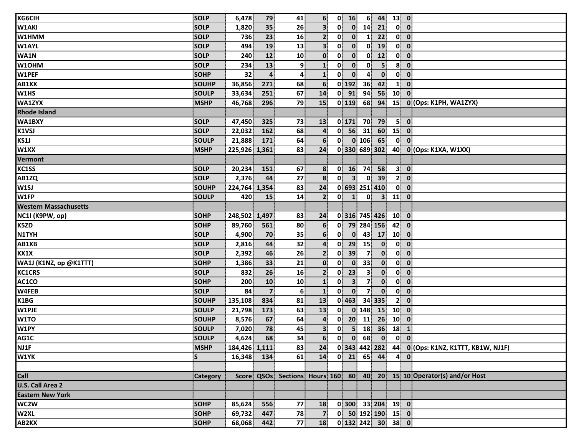| <b>KG6CIH</b>                | <b>SOLP</b>  | 6,478         | 79                      | 41             | 6 <sup>1</sup> |                          | $0$ 16                  | 6 <sup>1</sup> |                         | $44$ 13 0      |                                                                      |
|------------------------------|--------------|---------------|-------------------------|----------------|----------------|--------------------------|-------------------------|----------------|-------------------------|----------------|----------------------------------------------------------------------|
| <b>W1AKI</b>                 | <b>SOLP</b>  | 1,820         | 35                      | 26             | 3 <sup>1</sup> | 0                        | $\mathbf{0}$            | 14             | 21                      |                | $0 \quad 0$                                                          |
| W1HMM                        | <b>SOLP</b>  | 736           | 23                      | 16             | 2 <sup>1</sup> | $\mathbf{0}$             | $\mathbf{0}$            | 1              | 22                      |                | $0 \quad 0$                                                          |
| <b>W1AYL</b>                 | <b>SOLP</b>  | 494           | 19                      | 13             | 3 <sup>1</sup> | $\mathbf{0}$             | $\mathbf{0}$            | $\mathbf{0}$   | 19                      |                | $0$ $0$                                                              |
| WA1N                         | SOLP         | 240           | $12$                    | 10             | $\mathbf{0}$   | $\mathbf{0}$             | $\mathbf{0}$            | $\mathbf{0}$   | 12                      | $\mathbf{0}$   | $\overline{\mathbf{0}}$                                              |
| W10HM                        | <b>SOLP</b>  | 234           | 13                      | 9              | $\mathbf{1}$   | $\mathbf{0}$             | $\mathbf{0}$            | $\mathbf{0}$   | 5 <sup>1</sup>          | 8 <sup>1</sup> | $\mathbf{0}$                                                         |
| W1PEF                        | <b>SOHP</b>  | 32            | $\overline{a}$          | $\mathbf{4}$   | $\mathbf{1}$   | $\mathbf{0}$             | $\mathbf{0}$            | 4              | $\mathbf{0}$            |                | $0 \quad 0$                                                          |
| AB1XX                        | SOUHP        | 36,856        | 271                     | 68             | 6 <sup>1</sup> |                          | $0$ 192                 | 36             | 42                      | 1 <sup>1</sup> | $\overline{\mathbf{0}}$                                              |
| W1HS                         | <b>SOULP</b> | 33,634        | 251                     | 67             | 14             | $\mathbf{0}$             | 91                      | 94             | 56                      | 10             | $\overline{\mathbf{0}}$                                              |
| <b>WA1ZYX</b>                | <b>MSHP</b>  | 46,768        | 296                     | 79             | 15             |                          |                         | $0$ 119 68     |                         |                | 94 15 0 (Ops: K1PH, WA1ZYX)                                          |
| <b>Rhode Island</b>          |              |               |                         |                |                |                          |                         |                |                         |                |                                                                      |
| WA1BXY                       | <b>SOLP</b>  | 47,450        | 325                     | 73             | 13             |                          | 0 171                   | 70             | 79                      | 5 <sup>1</sup> | $\overline{\mathbf{0}}$                                              |
| K1VSJ                        | <b>SOLP</b>  | 22,032        | 162                     | 68             | 4              | 0                        | 56                      | 31             | 60                      | 15 O           |                                                                      |
| KS1J                         | <b>SOULP</b> | 21,888        | 171                     | 64             | 6 <sup>1</sup> | $\mathbf{0}^{\parallel}$ |                         | $0$ 106        | 65                      | $\mathbf{0}$   | $\overline{\mathbf{0}}$                                              |
| W1XX                         | <b>MSHP</b>  | 225,926 1,361 |                         | 83             | 24             |                          |                         |                | $0$ 330 689 302         |                | 40 0 (Ops: K1XA, W1XX)                                               |
| Vermont                      |              |               |                         |                |                |                          |                         |                |                         |                |                                                                      |
| KC1SS                        | <b>SOLP</b>  | 20,234        | 151                     | 67             | 8              | $\mathbf{0}$             | 16                      | 74             | 58                      |                | 3 0                                                                  |
| AB1ZQ                        | <b>SOLP</b>  | 2,376         | 44                      | 27             | 8 <sup>1</sup> | $\mathbf{0}$             | $\overline{3}$          | $\mathbf{0}$   | 39                      | $\overline{2}$ | $\overline{\mathbf{0}}$                                              |
| W1SJ                         | <b>SOUHP</b> | 224,764 1,354 |                         | 83             | 24             |                          |                         |                | 0 693 251 410           |                | $0 \quad 0$                                                          |
| W1FP                         | <b>SOULP</b> | 420           | 15                      | 14             | 2 <sup>1</sup> | $\mathbf{0}$             | $\mathbf{1}$            | $\mathbf{0}$   | $\overline{\mathbf{3}}$ | $11$ 0         |                                                                      |
| <b>Western Massachusetts</b> |              |               |                         |                |                |                          |                         |                |                         |                |                                                                      |
| NC1I (K9PW, op)              | <b>SOHP</b>  | 248,502 1,497 |                         | 83             | 24             |                          |                         |                | $0$ 316 745 426 10 0    |                |                                                                      |
| K5ZD                         | <b>SOHP</b>  | 89,760        | 561                     | 80             | 6 <sup>1</sup> | $\mathbf{0}$             |                         |                | 79 284 156              | 42 0           |                                                                      |
| <b>N1TYH</b>                 | <b>SOLP</b>  | 4,900         | 70                      | 35             | 6 <sup>1</sup> | $\mathbf{0}$             | $\overline{\mathbf{0}}$ | 43             | 17                      | $10$ 0         |                                                                      |
| AB1XB                        | <b>SOLP</b>  | 2,816         | 44                      | 32             | $\overline{4}$ | 0                        | 29                      | 15             | $\mathbf{0}$            | $\mathbf{0}$   | $\overline{\mathbf{0}}$                                              |
| KX1X                         | <b>SOLP</b>  | 2,392         | 46                      | 26             | 2 <sup>1</sup> | 0                        | 39                      | $\overline{7}$ | $\mathbf{0}$            |                | $0 \quad 0$                                                          |
| WA1J (K1NZ, op @K1TTT)       | <b>SOHP</b>  | 1,386         | 33                      | 21             | $\mathbf{0}$   | 0                        | $\mathbf{0}$            | 33             | $\mathbf{0}$            |                | $0$ $0$                                                              |
| <b>KC1CRS</b>                | <b>SOLP</b>  | 832           | 26                      | 16             | 2 <sup>1</sup> | 0                        | 23                      | $\mathbf{3}$   | $\mathbf{0}$            |                | $0 \quad 0$                                                          |
| AC1CO                        | <b>SOHP</b>  | 200           | 10                      | 10             | $\mathbf{1}$   | 0                        | 3 <sup>1</sup>          | $\mathbf{7}$   | $\mathbf{0}$            |                | $0$ $0$                                                              |
| W4FEB                        | SOLP         | 84            | $\overline{\mathbf{z}}$ | 6 <sup>1</sup> | $\mathbf{1}$   | 0                        | $\mathbf{0}$            | $\overline{7}$ | $\mathbf{0}$            | $\mathbf{0}$   | $\overline{\mathbf{0}}$                                              |
| K1BG                         | SOUHP        | 135,108       | 834                     | 81             | 13             |                          | $0$ 463                 |                | 34 335                  | 2 <sup>1</sup> | $\mathbf{0}$                                                         |
| W1PJE                        | <b>SOULP</b> | 21,798        | 173                     | 63             | 13             | $\mathbf{0}$             |                         | $0$ 148        | 15                      | $10$ 0         |                                                                      |
| W <sub>1</sub> TO            | <b>SOUHP</b> | 8,576         | 67                      | 64             | $\overline{4}$ | 0                        |                         | $20$ 11        | 26                      | $10$ 0         |                                                                      |
| W1PY                         | <b>SOULP</b> | 7,020         | 78                      | 45             | 3 <sup>1</sup> | 0                        | 5 <sup>1</sup>          | 18             |                         | $36 \mid 18$   | $\vert 1 \vert$                                                      |
|                              | SOULP        | 4,624         | 68                      | 34             |                | 6                        |                         |                |                         |                |                                                                      |
| AG1C<br>NJ1F                 | <b>MSHP</b>  | 184,426 1,111 |                         | 83             | 24             |                          |                         |                |                         |                | 0 343 442 282 44 0 (Ops: K1NZ, K1TTT, KB1W, NJ1F)                    |
| W1YK                         | S            | 16,348        | 134                     | 61             | 14             |                          |                         |                | $0$ 21 65 44            |                | $4 \mid 0$                                                           |
|                              |              |               |                         |                |                |                          |                         |                |                         |                |                                                                      |
| Call                         | Category     |               |                         |                |                |                          |                         |                |                         |                | Score QSOs Sections Hours 160 80 40 20 15 10 Operator(s) and/or Host |
| U.S. Call Area 2             |              |               |                         |                |                |                          |                         |                |                         |                |                                                                      |
| <b>Eastern New York</b>      |              |               |                         |                |                |                          |                         |                |                         |                |                                                                      |
| WC2W                         | SOHP         | 85,624        | 556                     | 77             | 18             |                          |                         |                | $0$ 300 33 204 19 0     |                |                                                                      |
| W2XL                         | <b>SOHP</b>  | 69,732        | 447                     | 78             | $\overline{7}$ |                          |                         |                | $0$ 50 192 190 15 0     |                |                                                                      |
| AB2KX                        | <b>SOHP</b>  | 68,068        | 442                     | 77             | 18             |                          |                         |                | $0$ 132 242 30 38 0     |                |                                                                      |
|                              |              |               |                         |                |                |                          |                         |                |                         |                |                                                                      |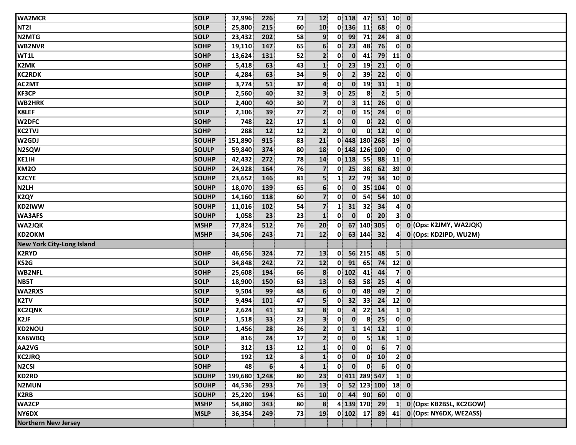| <b>WA2MCR</b>                    | <b>SOLP</b>  | 32,996        | 226              | 73 | 12                      |                          | $0$   118               | 47             | 51                        | $10$ 0                   |                         |
|----------------------------------|--------------|---------------|------------------|----|-------------------------|--------------------------|-------------------------|----------------|---------------------------|--------------------------|-------------------------|
| <b>NT21</b>                      | <b>SOLP</b>  | 25,800        | 215              | 60 | 10                      |                          | $0$ 136                 | 11             | 68                        | 0                        | $\mathbf{0}$            |
| N2MTG                            | <b>SOLP</b>  | 23,432        | 202              | 58 | 9                       | $\mathbf{0}^{\parallel}$ | 99                      | 71             | 24                        | 8 <sup>1</sup>           | $\mathbf{0}$            |
| <b>WB2NVR</b>                    | <b>SOHP</b>  | 19,110        | 147              | 65 | $6 \overline{6}$        | 0                        | 23                      | 48             | 76                        | $\mathbf{0}$             | $\mathbf 0$             |
| WT1L                             | SOHP         | 13,624        | 131              | 52 | 2 <sup>1</sup>          | $\mathbf{0}$             | $\mathbf{0}$            | 41             | 79                        | 11                       | $\mathbf{0}$            |
| <b>K2MK</b>                      | <b>SOHP</b>  | 5,418         | 63               | 43 | $\mathbf{1}$            | 0                        | 23                      | 19             | 21                        | $\mathbf{0}^{\parallel}$ | $\mathbf 0$             |
| <b>KC2RDK</b>                    | <b>SOLP</b>  | 4,284         | 63               | 34 | 9                       | $\mathbf{0}$             | $\overline{2}$          | 39             | 22                        | $\mathbf{0}$             | $\mathbf 0$             |
| AC2MT                            | <b>SOHP</b>  | 3,774         | 51               | 37 | $\boldsymbol{4}$        | $\mathbf{0}$             | $\overline{\mathbf{0}}$ | 19             | 31                        | $\mathbf{1}$             | $\mathbf{0}$            |
| <b>KF3CP</b>                     | <b>SOLP</b>  | 2,560         | 40               | 32 | $\overline{\mathbf{3}}$ | 0                        | 25                      | 8 <sup>1</sup> | $\overline{2}$            | 5                        | $\mathbf 0$             |
| <b>WB2HRK</b>                    | <b>SOLP</b>  | 2,400         | 40               | 30 | $\overline{7}$          | 0                        | 3 <sup>1</sup>          | 11             | 26                        | $\mathbf{0}$             | $\mathbf{0}$            |
| <b>K8LEF</b>                     | <b>SOLP</b>  | 2,106         | 39               | 27 | 2 <sup>1</sup>          | $\mathbf{0}$             | $\mathbf{0}$            | 15             | 24                        |                          | $0\ 0$                  |
| W2DFC                            | <b>SOHP</b>  | 748           | 22               | 17 | $\mathbf{1}$            | $\mathbf{0}$             | $\mathbf{0}$            | $\mathbf{0}$   | 22                        | 0                        | $\mathbf{0}$            |
| <b>KC2TVJ</b>                    | <b>SOHP</b>  | 288           | $12$             | 12 | $\overline{2}$          | $\mathbf{0}$             | $\mathbf{0}$            | $\mathbf{0}$   | 12                        | $\mathbf{0}$             | $\mathbf 0$             |
| W2GDJ                            | <b>SOUHP</b> | 151,890       | 915              | 83 | 21                      |                          |                         |                | 0 448 180 268             | 19                       | $\mathbf{0}$            |
| N2SQW                            | <b>SOULP</b> | 59,840        | 374              | 80 | 18                      |                          |                         | 0 148 126 100  |                           | $\mathbf{0}$             | $\mathbf{0}$            |
| KE1IH                            | <b>SOUHP</b> | 42,432        | 272              | 78 | 14                      |                          | $0$ 118                 | 55             | 88 <sup>3</sup>           | 11                       | $\mathbf{0}$            |
| <b>KM20</b>                      | <b>SOUHP</b> | 24,928        | 164              | 76 | $\overline{7}$          | 0                        | 25                      | 38             | 62                        | 39                       | $\mathbf{0}$            |
| <b>K2CYE</b>                     | <b>SOUHP</b> | 23,652        | 146              | 81 | $\overline{\mathbf{5}}$ | 1                        | 22                      | 79             | 34                        | 10                       | $\mathbf{0}$            |
| N <sub>2</sub> LH                | <b>SOUHP</b> | 18,070        | 139              | 65 | 6 <sup>1</sup>          | $\mathbf{0}$             | $\mathbf{0}$            |                | 35 104                    | $\mathbf{0}$             | $\mathbf{0}$            |
| K <sub>2</sub> QY                | <b>SOUHP</b> | 14,160        | 118              | 60 | $\overline{\mathbf{z}}$ | 0                        | $\mathbf{0}$            | 54             | 54                        | 10 <sup>1</sup>          | $\mathbf 0$             |
| KD2IWW                           | <b>SOUHP</b> | 11,016        | 102              | 54 | $\overline{7}$          | $\mathbf{1}$             | 31                      | 32             | 34                        | $\overline{\mathbf{4}}$  | $\mathbf 0$             |
| <b>WA3AFS</b>                    | <b>SOUHP</b> | 1,058         | 23               | 23 | $\mathbf{1}$            | $\mathbf{0}$             | $\mathbf{0}$            | $\mathbf{0}$   | 20                        | 3                        | $\mathbf{0}$            |
| <b>WA2JQK</b>                    | <b>MSHP</b>  | 77,824        | 512              | 76 | 20                      | $\mathbf{0}$             |                         | 67 140 305     |                           | $\mathbf{0}$             | 0 (Ops: K2JMY, WA2JQK)  |
| KD2OKM                           | <b>MSHP</b>  | 34,506        | 243              | 71 | 12                      | 0                        |                         | 63 144         | 32                        | 4                        | 0 (Ops: KD2IPD, WU2M)   |
| <b>New York City-Long Island</b> |              |               |                  |    |                         |                          |                         |                |                           |                          |                         |
| <b>K2RYD</b>                     | <b>SOHP</b>  | 46,656        | 324              | 72 | 13                      | $\mathbf{0}$             |                         | 56 215         | 48                        | 5                        | $\mathbf 0$             |
| KS2G                             | <b>SOLP</b>  | 34,848        | 242              | 72 | 12                      | 0                        | 91                      | 65             | 74                        | 12                       | $\mathbf 0$             |
| <b>WB2NFL</b>                    | <b>SOHP</b>  | 25,608        | 194              | 66 | 8 <sup>1</sup>          |                          | 0 102                   | 41             | 44                        | $\overline{7}$           | $\mathbf 0$             |
| NB5T                             | <b>SOLP</b>  | 18,900        | 150              | 63 | 13                      | 0                        | 63                      | 58             | 25                        | $\mathbf{A}^{\parallel}$ | $\mathbf{0}$            |
| <b>WA2RXS</b>                    | <b>SOLP</b>  | 9,504         | 99               | 48 | $6 \overline{6}$        | 0                        | $\mathbf{0}$            | 48             | 49                        | 2 <sup>1</sup>           | $\mathbf{0}$            |
| K <sub>2</sub> TV                | <b>SOLP</b>  | 9,494         | 101              | 47 | $\overline{\mathbf{5}}$ | $\mathbf{0}$             | 32                      | 33             | 24                        | 12                       | $\mathbf{0}$            |
| <b>KC2QNK</b>                    | <b>SOLP</b>  | 2,624         | 41               | 32 | 8                       | 0                        | 4                       | 22             | 14                        | $\mathbf{1}$             | $\mathbf 0$             |
| K <sub>2</sub> JF                | <b>SOLP</b>  | 1,518         | 33               | 23 | $\overline{\mathbf{3}}$ | $\mathbf{0}$             | $\mathbf{0}$            | 8              | 25                        | 0                        | $\mathbf 0$             |
| <b>KD2NOU</b>                    | <b>SOLP</b>  | 1,456         | 28               | 26 | $\mathbf{2}$            | $\mathbf{0}$             | $\mathbf{1}$            | 14             | 12                        | $\mathbf{1}$             | $\mathbf{0}$            |
| <b>KA6WBQ</b>                    | <b>SOLP</b>  | 816           | 24               | 17 | 2 <sup>1</sup>          | $\mathbf{0}$             | $\overline{\mathbf{0}}$ | $\mathbf{5}$   | <b>18</b>                 | $\mathbf{1}$             | $\overline{\mathbf{0}}$ |
| AA2VG                            | <b>SOLP</b>  | 312           | 13               | 12 | $\mathbf{1}$            | $\mathbf{0}$             | $\mathbf{0}$            | $\mathbf{0}$   | 6 <sup>1</sup>            |                          | 7 0                     |
| <b>KC2JRQ</b>                    | <b>SOLP</b>  | 192           | 12               | 8  | $\mathbf{1}$            | $\mathbf{0}$             | $\mathbf{0}$            | $\mathbf{0}$   | 10                        | 2 <sup>1</sup>           | $\bullet$               |
| N <sub>2</sub> CSI               | <b>SOHP</b>  | 48            | $6 \overline{6}$ | 4  | $\mathbf{1}$            | $\mathbf{0}$             | $\mathbf{0}$            | $\mathbf{0}$   | 6 <sup>1</sup>            | $\mathbf{0}$             | $\overline{\mathbf{0}}$ |
| <b>KD2RD</b>                     | <b>SOUHP</b> | 199,680 1,248 |                  | 80 | 23                      |                          |                         | 0 411 289 547  |                           | $\mathbf{1}$             | $\mathbf{0}$            |
| <b>N2MUN</b>                     | <b>SOUHP</b> | 44,536        | 293              | 76 | 13                      |                          |                         |                | $\overline{0}$ 52 123 100 | $18$ 0                   |                         |
| <b>K2RB</b>                      | <b>SOUHP</b> | 25,220        | 194              | 65 | 10                      |                          |                         |                | $0$ 44 90 60              | $\mathbf{0}$             | $\mathbf{0}$            |
| <b>WA2CP</b>                     | <b>MSHP</b>  | 54,880        | 343              | 80 | 8                       |                          |                         |                | 4 139 170 29              | $\mathbf{1}$             | 0 (Ops: KB2BSL, KC2GOW) |
| NY6DX                            | <b>MSLP</b>  | 36,354        | 249              | 73 | 19                      |                          |                         | $0$ 102 17     | 89                        | 41                       | 0 (Ops: NY6DX, WE2ASS)  |
| <b>Northern New Jersey</b>       |              |               |                  |    |                         |                          |                         |                |                           |                          |                         |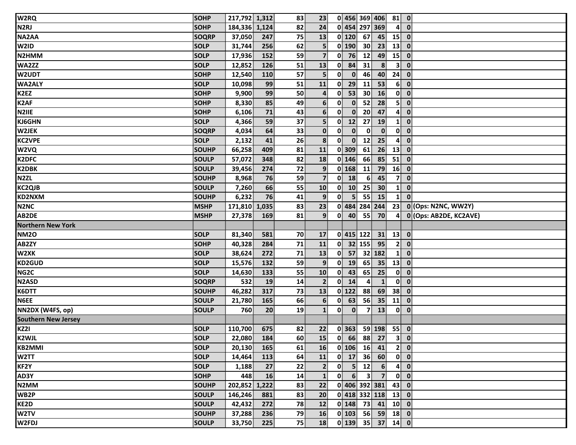| W <sub>2RQ</sub>                                                                       | <b>SOHP</b>  | 217,792 1,312 |     | 83 | 23                      |              |                  |                         | 0 456 369 406        | 81 0                                   |              |                        |
|----------------------------------------------------------------------------------------|--------------|---------------|-----|----|-------------------------|--------------|------------------|-------------------------|----------------------|----------------------------------------|--------------|------------------------|
| N <sub>2</sub> RJ                                                                      | <b>SOHP</b>  | 184,336 1,124 |     | 82 | 24                      |              |                  | 0 454 297 369           |                      | 4                                      | $\mathbf{0}$ |                        |
| NA2AA                                                                                  | <b>SOQRP</b> | 37,050        | 247 | 75 | 13                      | $0$ 120      |                  | 67                      | 45                   | 15                                     | $\mathbf 0$  |                        |
| W2ID                                                                                   | <b>SOLP</b>  | 31,744        | 256 | 62 | 5 <sub>1</sub>          | $0$ 190      |                  | 30 <sup>°</sup>         | 23                   | 13                                     | $\mathbf 0$  |                        |
| N2HMM                                                                                  | <b>SOLP</b>  | 17,936        | 152 | 59 | 7 <sup>1</sup>          | 0            | 76               | 12                      | 49                   | 15                                     | $\mathbf 0$  |                        |
| WA2ZZ                                                                                  | <b>SOLP</b>  | 12,852        | 126 | 51 | 13                      | $\mathbf{0}$ | 84               | 31                      | 8                    | $\mathbf{3}$                           | $\mathbf{0}$ |                        |
| <b>W2UDT</b>                                                                           | <b>SOHP</b>  | 12,540        | 110 | 57 | 5                       | 0            | $\mathbf{0}$     | 46                      | 40                   | 24                                     | $\mathbf 0$  |                        |
| <b>WA2ALY</b>                                                                          | <b>SOLP</b>  | 10,098        | 99  | 51 | 11                      | $\mathbf{0}$ | 29               | 11                      | 53                   | 6                                      | $\mathbf{0}$ |                        |
| K <sub>2EZ</sub>                                                                       | <b>SOHP</b>  | 9,900         | 99  | 50 | $\overline{4}$          | 0            | 53               | 30 <sup>°</sup>         | <b>16</b>            | $\mathbf{0}$                           | $\mathbf{0}$ |                        |
| <b>K2AF</b>                                                                            | <b>SOHP</b>  | 8,330         | 85  | 49 | 6 <sup>1</sup>          | 0            | $\mathbf{0}$     | 52                      | 28                   | 5 <sup>1</sup>                         | $\mathbf{0}$ |                        |
| N2IIE                                                                                  | <b>SOHP</b>  | 6,106         | 71  | 43 | 6 <sup>1</sup>          | $\mathbf{0}$ | $\mathbf{0}$     | 20                      | 47                   | 4                                      | $\mathbf 0$  |                        |
| KJ6GHN                                                                                 | <b>SOLP</b>  | 4,366         | 59  | 37 | $\overline{\mathbf{5}}$ | $\mathbf{0}$ | 12               | 27                      | 19                   | $\mathbf{1}$                           | $\mathbf{0}$ |                        |
| W2JEK                                                                                  | <b>SOQRP</b> | 4,034         | 64  | 33 | $\mathbf{0}$            | 0            | $\mathbf{0}$     | $\mathbf{0}$            | $\mathbf{0}$         | 01                                     | $\mathbf 0$  |                        |
| <b>KC2VPE</b>                                                                          | <b>SOLP</b>  | 2,132         | 41  | 26 | 8                       | $\mathbf{0}$ | $\mathbf{0}$     | 12                      | 25                   | 4                                      | $\mathbf{0}$ |                        |
| W2VQ                                                                                   | <b>SOUHP</b> | 66,258        | 409 | 81 | 11                      | $0$ 309      |                  | 61                      | 26                   | 13                                     | $\mathbf 0$  |                        |
| <b>K2DFC</b>                                                                           | <b>SOULP</b> | 57,072        | 348 | 82 | 18                      | $0$ 146      |                  | 66                      | 85                   | 51                                     | $\mathbf 0$  |                        |
| <b>K2DBK</b>                                                                           | <b>SOULP</b> | 39,456        | 274 | 72 | 9 <sub>1</sub>          | $0$ 168      |                  | 11                      | 79                   | 16                                     | $\mathbf{0}$ |                        |
| N <sub>2ZL</sub>                                                                       | <b>SOUHP</b> | 8,968         | 76  | 59 | $\overline{7}$          | 0            | 18               | 6                       | 45                   | $\overline{7}$                         | $\mathbf 0$  |                        |
| <b>KC2QJB</b>                                                                          | <b>SOULP</b> | 7,260         | 66  | 55 | 10                      | $\mathbf{0}$ | 10               | 25                      | 30                   | $\mathbf{1}$                           | $\mathbf 0$  |                        |
| KD2NXM                                                                                 | <b>SOUHP</b> | 6,232         | 76  | 41 | 9                       | 0            | 5 <sup>1</sup>   | 55                      | 15                   | $\mathbf{1}$                           | $\mathbf{0}$ |                        |
| N <sub>2</sub> N <sub>C</sub>                                                          | <b>MSHP</b>  | 171,810 1,035 |     | 83 | 23                      |              |                  |                         | 0 484 284 244        | 23                                     |              | 0 (Ops: N2NC, WW2Y)    |
| AB2DE                                                                                  | <b>MSHP</b>  | 27,378        | 169 | 81 | 9 <sup>1</sup>          | $\mathbf{0}$ | 40               | 55                      | 70                   | $\mathbf{4}^{\parallel}$               |              | 0 (Ops: AB2DE, KC2AVE) |
|                                                                                        |              |               |     |    |                         |              |                  |                         |                      |                                        |              |                        |
| <b>Northern New York</b>                                                               |              |               |     |    |                         |              |                  |                         |                      |                                        |              |                        |
| NM <sub>20</sub>                                                                       | <b>SOLP</b>  | 81,340        | 581 | 70 | 17                      | 0 415 122    |                  |                         | 31                   | $13$ 0                                 |              |                        |
| AB2ZY                                                                                  | <b>SOHP</b>  | 40,328        | 284 | 71 | 11                      | $\mathbf{0}$ |                  | 32 155                  | 95                   | $\mathbf{2}$                           | $\mathbf 0$  |                        |
| W2XK                                                                                   | <b>SOLP</b>  | 38,624        | 272 | 71 | 13                      | 0            | 57               |                         | 32 182               |                                        | $1 \ 0$      |                        |
| <b>KD2GUD</b>                                                                          | <b>SOLP</b>  | 15,576        | 132 | 59 | 9                       | 0            | 19               | 65                      | 35                   | 13                                     | $\mathbf 0$  |                        |
| NG <sub>2</sub> C                                                                      | <b>SOLP</b>  | 14,630        | 133 | 55 | 10                      | 0            | 43               | 65                      | 25                   | $\mathbf{0}$                           | $\mathbf{0}$ |                        |
| <b>N2ASD</b>                                                                           | <b>SOQRP</b> | 532           | 19  | 14 | $\overline{2}$          | 0            | 14               | 4                       | $\mathbf{1}$         | $\mathbf{0}$                           | $\mathbf 0$  |                        |
| K6DTT                                                                                  | <b>SOUHP</b> | 46,282        | 317 | 73 | 13                      | $0$ 122      |                  | 88                      | 69                   | 38                                     | $\mathbf 0$  |                        |
| N6EE                                                                                   | <b>SOULP</b> | 21,780        | 165 | 66 | $6\phantom{1}$          | $\mathbf{0}$ | 63               | 56                      | 35                   | 11                                     | $\mathbf 0$  |                        |
| NN2DX (W4FS, op)                                                                       | <b>SOULP</b> | 760           | 20  | 19 | $\mathbf{1}$            | 0            | $\mathbf{0}$     | 7 <sup>1</sup>          | 13                   |                                        | $0 \quad 0$  |                        |
| <b>Southern New Jersey</b>                                                             |              |               |     |    |                         |              |                  |                         |                      |                                        |              |                        |
| KZ2I                                                                                   | <b>SOLP</b>  | 110,700       | 675 | 82 | 22                      | 0 363        |                  |                         | 59 198               | $55$ 0                                 |              |                        |
| <b>K2WJL</b>                                                                           | <b>SOLP</b>  | 22,080 184    |     | 60 | 15                      |              |                  |                         | $0$ 66 88 27         | $\overline{\phantom{a}3\phantom{a}}$ 0 |              |                        |
|                                                                                        | <b>SOLP</b>  | 20,130        | 165 | 61 | <b>16</b>               |              |                  |                         | $0$ 106 16 41        |                                        | 2 0          |                        |
|                                                                                        | <b>SOLP</b>  | 14,464        | 113 | 64 | 11                      |              |                  |                         | $0$ 17 36 60         |                                        | $0$ $0$      |                        |
|                                                                                        | <b>SOLP</b>  | 1,188         | 27  | 22 | $\mathbf{2}$            |              |                  | $0$ 5 12                | 6                    |                                        | $4$ 0        |                        |
|                                                                                        | <b>SOHP</b>  | 448           | 16  | 14 | $\mathbf{1}$            | 0            | $6 \overline{6}$ | $\overline{\mathbf{3}}$ | $\overline{7}$       |                                        | $0\quad 0$   |                        |
|                                                                                        | SOUHP        | 202,852 1,222 |     | 83 | 22                      |              |                  |                         | 0 406 392 381        | 43 0                                   |              |                        |
|                                                                                        | <b>SOULP</b> | 146,246       | 881 | 83 | 20 <sup>1</sup>         |              |                  |                         | $0$ 418 332 118 13 0 |                                        |              |                        |
| <b>KB2MMI</b><br>W2TT<br>KF2Y<br>AD3Y<br>N <sub>2</sub> MM<br>WB <sub>2P</sub><br>KE2D | <b>SOULP</b> | 42,432        | 272 | 78 | 12                      |              |                  |                         | $0$ 148 73 41        | $10$ 0                                 |              |                        |
| W2TV                                                                                   | <b>SOUHP</b> | 37,288        | 236 | 79 | 16                      |              |                  |                         | $0$ 103 56 59 18 0   |                                        |              |                        |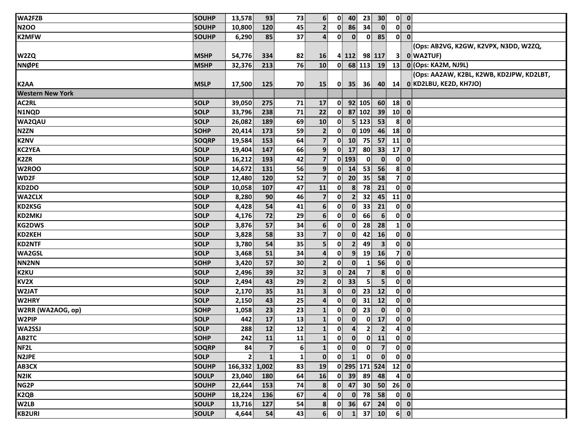| WA2FZB                  | <b>SOUHP</b> | 13,578         | 93             | 73              | 6 <sup>1</sup>          | $\mathbf{0}$ | 40              | 23                | 30 <sup>°</sup> | $0$ $0$                                |                         |                                          |  |
|-------------------------|--------------|----------------|----------------|-----------------|-------------------------|--------------|-----------------|-------------------|-----------------|----------------------------------------|-------------------------|------------------------------------------|--|
| <b>N2OO</b>             | <b>SOUHP</b> | 10,800         | 120            | 45              | $\mathbf{2}$            | 0            | 86              | 34                | $\mathbf{0}$    | 0                                      | $\mathbf 0$             |                                          |  |
| <b>K2MFW</b>            | <b>SOUHP</b> | 6,290          | 85             | 37              | $\overline{\mathbf{a}}$ | $\mathbf{0}$ | $\mathbf{0}$    | $\mathbf{0}$      | 85              | $0$ $0$                                |                         |                                          |  |
|                         |              |                |                |                 |                         |              |                 |                   |                 |                                        |                         | (Ops: AB2VG, K2GW, K2VPX, N3DD, W2ZQ,    |  |
| W2ZQ                    | <b>MSHP</b>  | 54,776         | 334            | 82              | <b>16</b>               |              | 4 112           | 98 117            |                 | 31                                     | 0 WA2TUF)               |                                          |  |
| <b>NNØPE</b>            | <b>MSHP</b>  | 32,376         | 213            | 76              | 10                      |              |                 |                   | $0$ 68 113 19   |                                        |                         | 13 0 (Ops: KA2M, NJ9L)                   |  |
|                         |              |                |                |                 |                         |              |                 |                   |                 |                                        |                         | (Ops: AA2AW, K2BL, K2WB, KD2JPW, KD2LBT, |  |
| <b>K2AA</b>             | <b>MSLP</b>  | 17,500         | 125            | 70              | <b>15</b>               | $\mathbf{0}$ | 35 <sub>1</sub> | 36                | 40              |                                        |                         | 14 0 KD2LBU, KE2D, KH7JO)                |  |
| <b>Western New York</b> |              |                |                |                 |                         |              |                 |                   |                 |                                        |                         |                                          |  |
| AC2RL                   | <b>SOLP</b>  | 39,050         | 275            | 71              | 17                      | $\mathbf{0}$ |                 | 92 105            | 60              | $18$ 0                                 |                         |                                          |  |
| N1NQD                   | <b>SOLP</b>  | 33,796         | 238            | 71              | 22                      | $\mathbf{0}$ |                 | 87 102            | 39              | 10 <sup>1</sup>                        | $\overline{\mathbf{0}}$ |                                          |  |
| <b>WA2QAU</b>           | <b>SOLP</b>  | 26,082         | 189            | 69              | 10                      | $\mathbf{0}$ |                 | $5 \mid 123 \mid$ | 53              | $8$ 0                                  |                         |                                          |  |
| N <sub>2</sub> ZN       | <b>SOHP</b>  | 20,414         | 173            | 59              | $\mathbf{2}$            | 0            |                 | $0$ 109           | 46              | 18                                     | $\mathbf 0$             |                                          |  |
| <b>K2NV</b>             | <b>SOQRP</b> | 19,584         | 153            | 64              | 7 <sup>1</sup>          | 0            | 10              | 75                | 57              | 11                                     | $\mathbf 0$             |                                          |  |
| <b>KC2YEA</b>           | <b>SOLP</b>  | 19,404         | 147            | 66              | $\overline{9}$          |              | $0$ 17          | 80                | 33 <sup>°</sup> | $17$ 0                                 |                         |                                          |  |
| K <sub>2</sub> ZR       | <b>SOLP</b>  | 16,212         | 193            | 42              | $\overline{7}$          |              | $0$ 193         | $\mathbf{0}$      | $\mathbf{0}$    | 0                                      | $\mathbf 0$             |                                          |  |
| W2ROO                   | <b>SOLP</b>  | 14,672         | 131            | 56              | 9 <sup>1</sup>          |              | $0$ 14          | 53                | 56              | 8 <sup>1</sup>                         | $\mathbf 0$             |                                          |  |
| WD2F                    | <b>SOLP</b>  | 12,480         | 120            | 52              | 7 <sup>1</sup>          | $\mathbf{0}$ | 20 <sub>1</sub> | 35                | 58              | 7 <sup>1</sup>                         | $\mathbf 0$             |                                          |  |
| KD2DO                   | <b>SOLP</b>  | 10,058         | 107            | 47              | 11                      | 0            | 8               | 78                | 21              | 0                                      | $\mathbf 0$             |                                          |  |
| <b>WA2CLX</b>           | <b>SOLP</b>  | 8,280          | 90             | 46              | $\overline{7}$          | $\mathbf{0}$ | $\overline{2}$  | 32                | 45              | 11                                     | $\mathbf 0$             |                                          |  |
| <b>KD2KSG</b>           | <b>SOLP</b>  | 4,428          | 54             | 41              | $6 \overline{6}$        | $\mathbf{0}$ | $\mathbf{0}$    | 33                | 21              | $\mathbf{0}$                           | $\mathbf 0$             |                                          |  |
| <b>KD2MKJ</b>           | <b>SOLP</b>  | 4,176          | 72             | 29              | 6 <sup>1</sup>          | 0            | $\mathbf{0}$    | 66                | 6               | 0                                      | $\mathbf 0$             |                                          |  |
| <b>KG2DWS</b>           | <b>SOLP</b>  | 3,876          | 57             | 34              | 6 <sup>1</sup>          | 0            | $\mathbf{0}$    | 28                | 28              | $\mathbf{1}$                           | $\boldsymbol{0}$        |                                          |  |
| <b>KD2KEH</b>           | <b>SOLP</b>  | 3,828          | 58             | 33              | 7 <sup>1</sup>          | 0            | $\mathbf{0}$    | 42                | <b>16</b>       | $\mathbf{0}$                           | $\mathbf 0$             |                                          |  |
| <b>KD2NTF</b>           | <b>SOLP</b>  | 3,780          | 54             | 35              | $\overline{\mathbf{5}}$ | 0            | 2 <sub>1</sub>  | 49                | 3 <sup>1</sup>  | $\mathbf{0}$                           | $\overline{\mathbf{0}}$ |                                          |  |
| WA2GSL                  | <b>SOLP</b>  | 3,468          | 51             | 34              | $\mathbf{4}$            | $\mathbf{0}$ | 9 <sup>1</sup>  | 19                | <b>16</b>       | 7                                      | $\mathbf{0}$            |                                          |  |
| NN2NN                   | <b>SOHP</b>  | 3,420          | 57             | 30 <sup>°</sup> | $\mathbf{2}$            | 0            | $\mathbf{0}$    | 1                 | 56              | $\mathbf{0}$                           | $\overline{\mathbf{0}}$ |                                          |  |
| K2KU                    | <b>SOLP</b>  | 2,496          | 39             | 32              | 3 <sup>1</sup>          | 0            | 24              | 7 <sup>1</sup>    | 8               | $0$ $0$                                |                         |                                          |  |
| KV <sub>2X</sub>        | <b>SOLP</b>  | 2,494          | 43             | 29              | $\mathbf{2}$            | 0            | 33              | 5                 | 5 <sup>1</sup>  | $\mathbf{0}$                           | $\overline{\mathbf{0}}$ |                                          |  |
| W2JAT                   | <b>SOLP</b>  | 2,170          | 35             | 31              | 3 <sup>1</sup>          | 0            | $\mathbf{0}$    | 23                | 12              | $0$ 0                                  |                         |                                          |  |
| W2HRY                   | <b>SOLP</b>  | 2,150          | 43             | 25              | $\mathbf{4}$            | 0            | $\mathbf{0}$    | 31                | 12              | $0$ $0$                                |                         |                                          |  |
| W2RR (WA2AOG, op)       | <b>SOHP</b>  | 1,058          | 23             | 23              | $\mathbf{1}$            | $\mathbf{0}$ | $\mathbf{0}$    | 23                | $\mathbf{0}$    | $\mathbf{0}$                           | $\mathbf 0$             |                                          |  |
| <b>W2PIP</b>            | <b>SOLP</b>  | 442            | 17             | 13              | $\mathbf{1}$            | $\mathbf{0}$ | $\mathbf{0}$    | $\mathbf{0}$      | 17              | 0                                      | $\mathbf 0$             |                                          |  |
| <b>WA2SSJ</b>           | <b>SOLP</b>  | 288            | 12             | 12              | $\mathbf{1}$            | 0            | 4               | 2 <sup>1</sup>    | $\mathbf{2}$    | 4                                      | $\mathbf{0}$            |                                          |  |
| AB2TC                   | <b>SOHP</b>  | 242            | 11             | 11              | $\mathbf{1}$            | ΩÎ           | $\mathbf{0}$    |                   | $0$ 11          | $\overline{0}$ $\overline{0}$          |                         |                                          |  |
| NF <sub>2L</sub>        | <b>SOQRP</b> | 84             | $\overline{7}$ | 6 <sup>1</sup>  | $\mathbf{1}$            | $\mathbf{0}$ | $\mathbf{0}$    | $\mathbf{0}$      | 7 <sup>1</sup>  | $0$ $0$                                |                         |                                          |  |
| N <sub>2JPE</sub>       | <b>SOLP</b>  | 2 <sup>1</sup> | $\mathbf{1}$   | $\mathbf{1}$    | $\mathbf{0}$            | $\mathbf{0}$ | $\mathbf{1}$    | $\mathbf{0}$      | $\mathbf{0}$    | $\begin{bmatrix} 0 \\ 0 \end{bmatrix}$ |                         |                                          |  |
| AB3CX                   | <b>SOUHP</b> | 166,332 1,002  |                | 83              | 19                      |              |                 | 0 295 171 524     |                 | 12                                     | $\overline{\mathbf{0}}$ |                                          |  |
| N <sub>2</sub> IK       | <b>SOULP</b> | 23,040         | 180            | 64              | 16                      | $\mathbf{0}$ | 39              | 89                | 48              | $\mathbf{A}^{\parallel}$               | $\mathbf 0$             |                                          |  |
| NG <sub>2</sub> P       | <b>SOUHP</b> | 22,644         | 153            | 74              | 8                       |              | $0$ 47          | 30 <sup>°</sup>   | 50              | $26$ 0                                 |                         |                                          |  |
| K <sub>2QB</sub>        | <b>SOUHP</b> | 18,224         | 136            | 67              | $\overline{\mathbf{r}}$ | 0            | $\mathbf{0}$    | 78                | 58              | $\mathbf{0}$                           | $\mathbf{0}$            |                                          |  |
| W <sub>2LB</sub>        | <b>SOULP</b> | 13,716         | 127            | 54              | 8                       | $\mathbf{0}$ | 36              | 67                | 24              | $\mathbf{0}$                           | $\mathbf 0$             |                                          |  |
| <b>KB2URI</b>           | <b>SOULP</b> | 4,644          | 54             | 43              | 6 <sup>1</sup>          | $\mathbf{0}$ | $\mathbf{1}$    |                   | 37 10           | 6 0                                    |                         |                                          |  |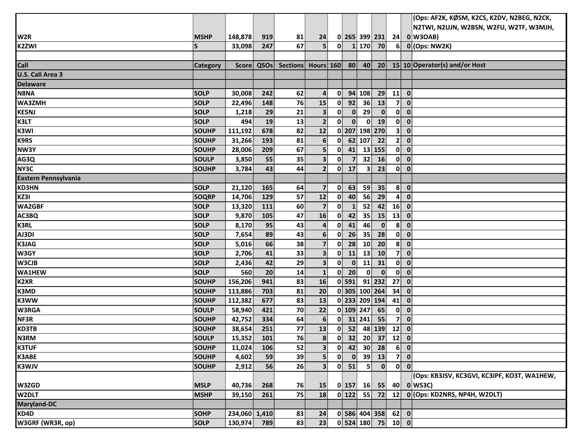|                      |              |               |            |                    |                         |              |                |                |                                                           |                | (Ops: AF2K, KØSM, K2CS, K2DV, N2BEG, N2CK,  |  |
|----------------------|--------------|---------------|------------|--------------------|-------------------------|--------------|----------------|----------------|-----------------------------------------------------------|----------------|---------------------------------------------|--|
|                      |              |               |            |                    |                         |              |                |                |                                                           |                | N2TWI, N2UJN, W2BSN, W2FU, W2TF, W3MJH,     |  |
| W <sub>2R</sub>      | <b>MSHP</b>  | 148,878       | 919        | 81                 | 24                      |              |                |                |                                                           |                | $0$ 265 399 231 24 0 W3OAB)                 |  |
| <b>K2ZWI</b>         | S            | 33,098        | 247        | 67                 | 5 <sup>1</sup>          | $\mathbf{0}$ |                |                | 1 170 70                                                  | 6 <sup>1</sup> | 0 (Ops: NW2K)                               |  |
|                      |              |               |            |                    |                         |              |                |                |                                                           |                |                                             |  |
| Call                 | Category     |               | Score QSOs | Sections Hours 160 |                         |              | 80             | 40             |                                                           |                | 20 15 10 Operator(s) and/or Host            |  |
| U.S. Call Area 3     |              |               |            |                    |                         |              |                |                |                                                           |                |                                             |  |
| <b>Delaware</b>      |              |               |            |                    |                         |              |                |                |                                                           |                |                                             |  |
| N8NA                 | <b>SOLP</b>  | 30,008        | 242        | 62                 | 4                       | 0            |                | 94 108         | 29                                                        | 11             | $\overline{\mathbf{0}}$                     |  |
| WA3ZMH               | <b>SOLP</b>  | 22,496        | 148        | 76                 | 15                      | 0            | 92             | 36             | 13                                                        | 7              | $\mathbf{0}$                                |  |
| <b>KE5NJ</b>         | <b>SOLP</b>  | 1,218         | 29         | 21                 | 3 <sup>1</sup>          | 0            | $\mathbf{0}$   | 29             | $\mathbf{0}$                                              | $0\ 0$         |                                             |  |
| K3LT                 | SOLP         | 494           | 19         | 13                 | $\mathbf{2}$            | $\mathbf{0}$ | $\mathbf{0}$   | $\mathbf{0}$   | <b>19</b>                                                 | $\mathbf{0}$   | $\mathbf{0}$                                |  |
| K3WI                 | <b>SOUHP</b> | 111,192       | 678        | 82                 | 12                      |              |                | 0 207 198 270  |                                                           | $\mathbf{3}$   | $\mathbf{0}$                                |  |
| <b>K9RS</b>          | <b>SOUHP</b> | 31,266        | 193        | 81                 | 6                       | $\mathbf{0}$ |                | 62 107         | 22                                                        | 2 <sup>1</sup> | $\mathbf{0}$                                |  |
| NW3Y                 | SOUHP        | 28,006        | 209        | 67                 | 5                       | 0            | 41             |                | 13 155                                                    | $0$ $0$        |                                             |  |
| AG3Q                 | <b>SOULP</b> | 3,850         | 55         | 35                 | 3 <sup>1</sup>          | $\mathbf{0}$ | $\overline{7}$ | 32             | <b>16</b>                                                 | $\mathbf{0}$   | $\overline{\mathbf{0}}$                     |  |
| NY3C                 | <b>SOUHP</b> | 3,784         | 43         | 44                 | 2 <sup>1</sup>          |              | $0$ 17         | 3 <sup>1</sup> | 23                                                        | $0$ $0$        |                                             |  |
| Eastern Pennsylvania |              |               |            |                    |                         |              |                |                |                                                           |                |                                             |  |
| KD3HN                | <b>SOLP</b>  | 21,120        | 165        | 64                 | $\overline{7}$          | $\mathbf{0}$ | 63             | 59             | 35                                                        | 8 <sup>1</sup> | $\mathbf{0}$                                |  |
| KZ3I                 | SOQRP        | 14,706        | 129        | 57                 | 12                      | $\mathbf{0}$ | 40             | 56             | 29                                                        | $\mathbf{A}$   | $\mathbf 0$                                 |  |
| <b>WA2GBF</b>        | <b>SOLP</b>  | 13,320        | 111        | 60                 | $\overline{7}$          | 0            | $\mathbf{1}$   | 52             | 42                                                        | 16             | $\mathbf{0}$                                |  |
| AC3BQ                | <b>SOLP</b>  | 9,870         | 105        | 47                 | 16                      | 0            | 42             | 35             | 15                                                        | 13             | $\mathbf{0}$                                |  |
| <b>K3RL</b>          | <b>SOLP</b>  | 8,170         | 95         | 43                 | $\overline{\mathbf{4}}$ | 0            | 41             | 46             | $\mathbf{0}$                                              | $\mathbf{8}$   | $\mathbf{0}$                                |  |
| AJ3DI                | <b>SOLP</b>  | 7,654         | 89         | 43                 | $6 \overline{6}$        | $\mathbf{0}$ | 26             | 35             | 28                                                        | $\mathbf{0}$   | $\overline{\mathbf{0}}$                     |  |
| <b>K3JAG</b>         | <b>SOLP</b>  | 5,016         | 66         | 38                 | $\overline{7}$          | $\mathbf{0}$ | 28             | 10             | 20                                                        | 8 <sup>1</sup> | $\mathbf{0}$                                |  |
| W3GY                 | <b>SOLP</b>  | 2,706         | 41         | 33                 | $\overline{\mathbf{3}}$ | $\mathbf{0}$ | 11             | 13             | 10                                                        | 7 <sup>1</sup> | $\mathbf{0}$                                |  |
| W3CJB                | <b>SOLP</b>  | 2,436         | 42         | 29                 | 3 <sup>1</sup>          | 0            | $\mathbf{0}$   | $\mathbf{11}$  | 31                                                        | $\mathbf{0}$   | $\mathbf{0}$                                |  |
| <b>WA1HEW</b>        | <b>SOLP</b>  | 560           | 20         | 14                 | $\mathbf{1}$            |              | $0$ 20         | $\mathbf{0}$   | $\mathbf{0}$                                              | $\mathbf{0}$   | $\overline{\mathbf{0}}$                     |  |
| <b>K2XR</b>          | <b>SOUHP</b> | 156,206       | 941        | 83                 | 16                      |              | $0$ 591        |                | 91 232                                                    | 27             | $\mathbf 0$                                 |  |
| K3MD                 | <b>SOUHP</b> | 113,886       | 703        | 81                 | 20                      |              |                |                | 0 305 100 264                                             | 34             | $\mathbf{0}$                                |  |
| <b>K3WW</b>          | <b>SOUHP</b> | 112,382       | 677        | 83                 | 13                      |              |                |                | 0 233 209 194                                             | 41             | $\mathbf 0$                                 |  |
| <b>W3RGA</b>         | <b>SOULP</b> | 58,940        | 421        | 70                 | 22                      |              |                | 0 109 247      | 65                                                        | $\mathbf{0}$   | $\mathbf{0}$                                |  |
| NF3R                 | <b>SOUHP</b> | 42,752        | 334        | 64                 | 6 <sup>1</sup>          |              |                | $0$ 31 241     | 55                                                        | 7 <sup>1</sup> | $\mathbf{0}$                                |  |
| <b>KD3TB</b>         | <b>SOUHP</b> | 38,654        | 251        | 77                 | 13                      | $\mathbf{0}$ | 52             |                | 48 139                                                    | 12             | $\mathbf 0$                                 |  |
| <b>N3RM</b>          | <b>SOULP</b> | 15,352        | 101        | 76                 | 8 <sup>1</sup>          | $\mathbf{0}$ |                |                | $32 \begin{array}{ c c } \hline 32 & 20 & 37 \end{array}$ | $12$ 0         |                                             |  |
| <b>K3TUF</b>         | SOUHP        | 11,024        | 106        | 52                 | 3 <sup>1</sup>          | $\mathbf{0}$ |                |                | 42 30 28                                                  | 6 0            |                                             |  |
| K3ABE                | <b>SOUHP</b> | 4,602         | 59         | 39                 | 5                       | 0            | $\mathbf{0}$   | 39             | 13                                                        | 7 0            |                                             |  |
| <b>K3WJV</b>         | <b>SOUHP</b> | 2,912         | 56         | 26                 | 3                       | $\mathbf{0}$ | 51             | 5 <sup>1</sup> | $\mathbf{0}$                                              | $0$ $0$        |                                             |  |
|                      |              |               |            |                    |                         |              |                |                |                                                           |                | (Ops: KB3JSV, KC3GVI, KC3IPF, KO3T, WA1HEW, |  |
| W3ZGD                | <b>MSLP</b>  | 40,736        | 268        | 76                 | <b>15</b>               |              |                |                | $0$ 157 16 55                                             |                | 40 0 WS3C)                                  |  |
| W <sub>2DLT</sub>    | <b>MSHP</b>  | 39,150        | 261        | 75                 | 18                      |              |                |                | $0$ 122 55 72 12                                          |                | 0 (Ops: KD2NRS, NP4H, W2DLT)                |  |
| <b>Maryland-DC</b>   |              |               |            |                    |                         |              |                |                |                                                           |                |                                             |  |
| KDAD                 | <b>SOHP</b>  | 234,060 1,410 |            | 83                 | 24                      |              |                |                | $0$ 586 404 358 62 0                                      |                |                                             |  |
| W3GRF (WR3R, op)     | <b>SOLP</b>  | 130,974 789   |            | 83                 | 23                      |              |                |                | $0$ 524 180 75 10 0                                       |                |                                             |  |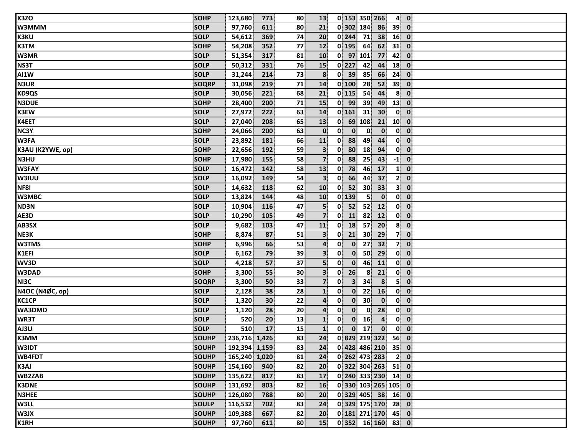| K3ZQ             | <b>SOHP</b>  | 123,680       | 773             | 80 | 13                      | 0 153 350 266                         |                         |                          | $4$ 0        |
|------------------|--------------|---------------|-----------------|----|-------------------------|---------------------------------------|-------------------------|--------------------------|--------------|
| <b>W3MMM</b>     | <b>SOLP</b>  | 97,760        | 611             | 80 | 21                      | 0 302 184                             | 86                      | 39                       | $\mathbf 0$  |
| <b>K3KU</b>      | <b>SOLP</b>  | 54,612        | 369             | 74 | 20                      | $0$   244 <br>71                      | 38                      | 16                       | $\mathbf 0$  |
| <b>K3TM</b>      | <b>SOHP</b>  | 54,208        | 352             | 77 | 12                      | $0$ 195<br>64                         | 62                      | 31                       | $\mathbf 0$  |
| W3MR             | <b>SOLP</b>  | 51,354        | 317             | 81 | 10                      | $0$ 97 101                            | 77                      | 42                       | $\mathbf 0$  |
| <b>NS3T</b>      | <b>SOLP</b>  | 50,312        | 331             | 76 | 15                      | $0$   227<br>42                       | 44                      | 18                       | $\mathbf{0}$ |
| <b>AI1W</b>      | <b>SOLP</b>  | 31,244        | 214             | 73 | 8                       | $\mathbf{0}$<br>39<br>85              | 66                      | 24                       | $\mathbf 0$  |
| <b>N3UR</b>      | <b>SOQRP</b> | 31,098        | 219             | 71 | 14                      | 0 100 <br>28                          | 52                      | $39^{\circ}$             | $\mathbf 0$  |
| <b>KD9QS</b>     | <b>SOLP</b>  | 30,056        | 221             | 68 | 21                      | $0$ 115<br>54                         | 44                      | $\mathbf{8}$             | $\mathbf{0}$ |
| <b>N3DUE</b>     | <b>SOHP</b>  | 28,400        | 200             | 71 | 15                      | $0$ 99<br>39                          | 49                      | 13                       | $\mathbf{0}$ |
| <b>K3EW</b>      | <b>SOLP</b>  | 27,972        | 222             | 63 | 14                      | $0$ 161<br>31                         | 30 <sup>°</sup>         | $\mathbf{0}$             | $\mathbf 0$  |
| K4EET            | <b>SOLP</b>  | 27,040        | 208             | 65 | 13                      | 69 108<br>$\mathbf{0}$                | 21                      | 10 <sup>1</sup>          | $\mathbf 0$  |
| NC3Y             | <b>SOHP</b>  | 24,066        | 200             | 63 | $\mathbf 0$             | 0<br>$\mathbf{0}$<br>$\mathbf{0}$     | $\mathbf{0}$            | $0$ $0$                  |              |
| W3FA             | <b>SOLP</b>  | 23,892        | 181             | 66 | 11                      | 0<br>88<br>49                         | 44                      | $0$ $0$                  |              |
| K3AU (K2YWE, op) | SOHP         | 22,656        | 192             | 59 | 3 <sup>1</sup>          | 80<br>$\mathbf{0}$<br>18              | 94                      | $0$ $0$                  |              |
| <b>N3HU</b>      | <b>SOHP</b>  | 17,980        | 155             | 58 | 7 <sup>1</sup>          | $\mathbf{0}$<br>88<br>25              | 43                      | $-1$                     | $\mathbf 0$  |
| <b>W3FAY</b>     | <b>SOLP</b>  | 16,472        | 142             | 58 | 13                      | 0<br>78<br>46                         | 17                      | $\mathbf{1}$             | $\mathbf 0$  |
| <b>W3IUU</b>     | <b>SOLP</b>  | 16,092        | 149             | 54 | 3                       | 66<br>$\mathbf{0}$<br>44              | 37                      | 2 <sup>1</sup>           | $\mathbf 0$  |
| <b>NF81</b>      | <b>SOLP</b>  | 14,632        | 118             | 62 | 10                      | $\mathbf{0}$<br>52<br>30 <sup>°</sup> | 33                      | 3 <sup>1</sup>           | $\mathbf 0$  |
| <b>W3MBC</b>     | <b>SOLP</b>  | 13,824        | 144             | 48 | 10                      | $0$ 139<br>5 <sup>1</sup>             | $\mathbf{0}$            | $0$ $0$                  |              |
| ND3N             | <b>SOLP</b>  | 10,904        | 116             | 47 | $\overline{\mathbf{5}}$ | 0<br>52<br>52                         | 12                      | $0$ $0$                  |              |
| AE3D             | <b>SOLP</b>  | 10,290        | 105             | 49 | $\overline{7}$          | $\mathbf{0}$<br>82<br>11              | 12                      | $\mathbf{0}$             | $\mathbf 0$  |
| AB3SX            | <b>SOLP</b>  | 9,682         | 103             | 47 | 11                      | 18<br>$\mathbf{0}$<br>57              | 20                      | $8$ 0                    |              |
| NE3K             | <b>SOHP</b>  | 8,874         | 87              | 51 | $\overline{\mathbf{3}}$ | $\mathbf{0}$<br>21<br>30 <sup>°</sup> | 29                      | 7                        | $\mathbf 0$  |
| <b>W3TMS</b>     | <b>SOHP</b>  | 6,996         | 66              | 53 | $\mathbf{4}$            | 27<br>0<br>$\mathbf{0}$               | 32                      | 7                        | $\mathbf 0$  |
| K1EFI            | <b>SOLP</b>  | 6,162         | 79              | 39 | 3 <sup>1</sup>          | 50<br>$\mathbf{0}$<br>$\mathbf{0}$    | 29                      | $0$ $0$                  |              |
| WV3D             | <b>SOLP</b>  | 4,218         | 57              | 37 | $\overline{\mathbf{5}}$ | 0<br>$\mathbf{0}$<br>46               | 11                      | $\mathbf{0}^{\parallel}$ | $\mathbf 0$  |
| W3DAD            | <b>SOHP</b>  | 3,300         | 55              | 30 | 3 <sup>1</sup>          | $\mathbf{0}$<br>26<br>8               | 21                      | $\mathbf{0}$             | $\mathbf 0$  |
| NI3C             | <b>SOQRP</b> | 3,300         | 50              | 33 | 7 <sup>1</sup>          | $\mathbf{0}$<br>$\mathbf{3}$<br>34    | 8                       | 5 <sup>1</sup>           | $\mathbf 0$  |
| N4OC (N4ØC, op)  | <b>SOLP</b>  | 2,128         | 38              | 28 | $\mathbf{1}$            | $\mathbf{0}$<br>$\mathbf{0}$<br>22    | <b>16</b>               | $\mathbf{0}$             | $\mathbf{0}$ |
| <b>KC1CP</b>     | <b>SOLP</b>  | 1,320         | 30 <sup>°</sup> | 22 | $\mathbf{4}$            | 30<br>$\mathbf{0}$<br>$\mathbf{0}$    | $\mathbf{0}$            | $\mathbf{0}$             | $\mathbf{0}$ |
| <b>WA3DMD</b>    | <b>SOLP</b>  | 1,120         | 28              | 20 | 4                       | $\mathbf{0}$<br>$\mathbf{0}$<br>0     | 28                      | $\mathbf{0}$             | $\mathbf 0$  |
| WR3T             | <b>SOLP</b>  | 520           | 20              | 13 | $\mathbf{1}$            | $\mathbf{0}$<br>$\mathbf{0}$<br>16    | $\overline{\mathbf{4}}$ | 0                        | $\mathbf 0$  |
| AJ3U             | <b>SOLP</b>  | 510           | 17              | 15 | $\mathbf{1}$            | $\mathbf{0}$<br>$\mathbf{0}$<br>17    | $\mathbf{0}$            | $\mathbf{0}$             | $\mathbf{0}$ |
| K3MM             | <b>SOUHP</b> | 236,716 1,426 |                 | 83 | 24                      | $0$ 829 219 322 56 0                  |                         |                          |              |
| <b>W3IDT</b>     | <b>SOUHP</b> | 192,394 1,159 |                 | 83 | 24                      | $0$ 428 486 210 35 0                  |                         |                          |              |
| WB4FDT           | <b>SOUHP</b> | 165,240 1,020 |                 | 81 | 24                      | 0 262 473 283                         |                         | $2$ 0                    |              |
| <b>K3AJ</b>      | <b>SOUHP</b> | 154,160       | 940             | 82 | 20 <sup>1</sup>         | $0$ 322 304 263 51 0                  |                         |                          |              |
| <b>WB2ZAB</b>    | <b>SOUHP</b> | 135,622       | 817             | 83 | 17                      | $0$ 240 333 230 14 0                  |                         |                          |              |
| <b>K3DNE</b>     | <b>SOUHP</b> | 131,692       | 803             | 82 | <b>16</b>               | $0$ 330 103 265 105 0                 |                         |                          |              |
| <b>N3HEE</b>     | <b>SOUHP</b> | 126,080       | 788             | 80 | 20 <sup>1</sup>         | $0$ 329 405 38 16 0                   |                         |                          |              |
| <b>W3LL</b>      | <b>SOULP</b> | 116,532       | 702             | 83 | 24                      | $0$ 329 175 170 28 0                  |                         |                          |              |
| <b>W3JX</b>      | <b>SOUHP</b> | 109,388       | 667             | 82 | 20                      | $0$ 181 271 170 45 0                  |                         |                          |              |
| K1RH             | <b>SOUHP</b> | 97,760        | 611             | 80 | 15                      | $0$ 352 16 160 83 0                   |                         |                          |              |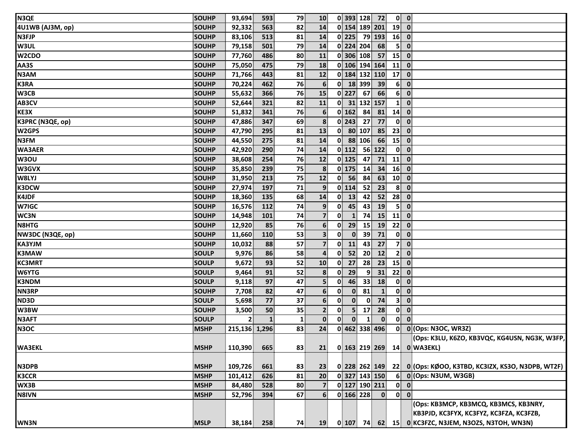| N3QE<br><b>SOUHP</b>              | 93,694         | 593          | 79           | 10 <sup>1</sup> |              |                    |                 | 0 393 128 72               |                 | $0 \quad 0$                                         |
|-----------------------------------|----------------|--------------|--------------|-----------------|--------------|--------------------|-----------------|----------------------------|-----------------|-----------------------------------------------------|
| 4U1WB (AJ3M, op)<br><b>SOUHP</b>  | 92,332         | 563          | 82           | 14              |              | 0 154 189 201      |                 |                            | $19$ 0          |                                                     |
| N <sub>3FJP</sub><br><b>SOUHP</b> | 83,106         | 513          | 81           | 14              |              | 0 225 79 193       |                 |                            | $16$ 0          |                                                     |
| <b>W3UL</b><br><b>SOUHP</b>       | 79,158         | 501          | 79           | 14              |              | 0 224 204          |                 | 68                         | 5 <sup>1</sup>  | $\mathbf{0}$                                        |
| W2CDO<br><b>SOUHP</b>             | 77,760         | 486          | 80           | 11              |              | 0 306 108          |                 | 57                         | 15              | $\mathbf{0}$                                        |
| AA3S<br><b>SOUHP</b>              | 75,050         | 475          | 79           | 18              |              | 0 106 194 164      |                 |                            | 11              | $\mathbf 0$                                         |
| N3AM<br>SOUHP                     | 71,766         | 443          | 81           | 12              |              | 0 184 132 110      |                 |                            | 17              | $\mathbf{0}$                                        |
| <b>K3RA</b><br><b>SOUHP</b>       | 70,224         | 462          | 76           | 6               |              | 0 18 399 39        |                 |                            | 6 <sup>1</sup>  | $\mathbf{0}$                                        |
| W3CB<br><b>SOUHP</b>              | 55,632         | 366          | 76           | 15              |              | $0$   227          | 67              | 66                         | 6 <sup>1</sup>  | $\overline{\mathbf{0}}$                             |
| AB3CV<br><b>SOUHP</b>             | 52,644         | 321          | 82           | 11              |              | 0 31 132 157       |                 |                            | $\mathbf{1}$    | $\mathbf 0$                                         |
| KE3X<br><b>SOUHP</b>              | 51,832         | 341          | 76           | 6 <sup>1</sup>  |              | 0 162              | 84              | 81                         | $14$ 0          |                                                     |
| K3PRC (N3QE, op)<br>SOUHP         | 47,886         | 347          | 69           | 8               |              | $0$   243          | 27              | 77                         | $\mathbf{0}$    | $\mathbf{0}$                                        |
| W2GPS<br><b>SOUHP</b>             | 47,790         | 295          | 81           | 13              | 0            |                    | 80 107          | 85                         | 23              | $\mathbf{0}$                                        |
| <b>N3FM</b><br><b>SOUHP</b>       | 44,550         | 275          | 81           | 14              |              | $0$ 88 106         |                 | 66                         | 15 <sup>1</sup> | $\mathbf 0$                                         |
| <b>WA3AER</b><br><b>SOUHP</b>     | 42,920         | 290          | 74           | 14              |              | $\overline{0}$ 112 |                 | 56 122                     | 0               | $\mathbf{0}$                                        |
| W3OU<br>SOUHP                     | 38,608         | 254          | 76           | 12              |              | $0$ 125            | 47              | 71                         | 11              | $\mathbf{0}$                                        |
| W3GVX<br><b>SOUHP</b>             | 35,850         | 239          | 75           | 8               |              | $0$   175          | 14              | 34                         | 16              | $\overline{\mathbf{0}}$                             |
| W8LYJ<br>SOUHP                    | 31,950         | 213          | 75           | 12              | 0            | 56                 | 84              | 63                         | 10              | $\overline{\mathbf{0}}$                             |
| <b>K3DCW</b><br><b>SOUHP</b>      | 27,974         | 197          | 71           | 9 <sup>1</sup>  |              | $0$ 114            | 52              | 23                         | $\mathbf{8}$    | $\mathbf{0}$                                        |
| <b>K4JDF</b><br><b>SOUHP</b>      | 18,360         | 135          | 68           | 14              | 0            | 13                 | 42              | 52                         | 28              | $\mathbf{0}$                                        |
| <b>W7IGC</b><br><b>SOUHP</b>      | 16,576         | 112          | 74           | 9 <sup>1</sup>  | 0            | 45                 | 43              | 19                         | 5               | $\mathbf{0}$                                        |
| WC3N<br>SOUHP                     | 14,948         | 101          | 74           | $\overline{7}$  | $\mathbf{0}$ | $\mathbf{1}$       | 74              | 15                         | 11              | $\mathbf 0$                                         |
| N8HTG<br>SOUHP                    | 12,920         | 85           | 76           | 6 <sup>1</sup>  | $\mathbf{0}$ | 29                 | 15              | 19                         | 22              | $\overline{\mathbf{0}}$                             |
| NW3DC (N3QE, op)<br><b>SOUHP</b>  | 11,660         | 110          | 53           | 3 <sup>1</sup>  | $\mathbf{0}$ | $\mathbf{0}$       | 39              | 71                         | 0               | $\overline{\mathbf{0}}$                             |
| <b>KA3YJM</b><br><b>SOUHP</b>     | 10,032         | 88           | 57           | $\overline{7}$  | $\mathbf{0}$ | 11                 | 43              | 27                         | 7 <sup>1</sup>  | $\mathbf{0}$                                        |
| <b>K3MAW</b><br><b>SOULP</b>      | 9,976          | 86           | 58           | $\overline{4}$  | 0            | 52                 | 20 <sup>°</sup> | 12                         | 2 <sup>1</sup>  | $\overline{\mathbf{0}}$                             |
| <b>KC3MRT</b><br><b>SOULP</b>     | 9,672          | 93           | 52           | 10              | $\mathbf{0}$ | 27                 | 28              | 23                         | 15              | $\overline{\mathbf{0}}$                             |
| <b>W6YTG</b><br><b>SOULP</b>      | 9,464          | 91           | 52           | 8               | $\mathbf{0}$ | 29                 | $\overline{9}$  | 31                         | 22              | $\mathbf{0}$                                        |
| <b>K3NDM</b><br><b>SOULP</b>      | 9,118          | 97           | 47           | 5 <sup>1</sup>  | $\mathbf{0}$ | 46                 | 33              | 18                         | $\mathbf{0}$    | $\overline{\mathbf{0}}$                             |
| <b>NN3RP</b><br><b>SOUHP</b>      | 7,708          | 82           | 47           | 6 <sup>1</sup>  | $\mathbf{0}$ | $\mathbf{0}$       | 81              | $\mathbf{1}$               |                 | $0 \quad 0$                                         |
| ND3D<br><b>SOULP</b>              | 5,698          | 77           | 37           | 6 <sup>1</sup>  | $\mathbf{0}$ | $\mathbf{0}$       | $\mathbf{0}$    | 74                         | 3 <sup>1</sup>  | $\mathbf{0}$                                        |
| W3BW<br>SOUHP                     | 3,500          | 50           | 35           | $\mathbf{2}$    | 0            | 5 <sup>1</sup>     | 17 <sup>1</sup> | 28                         | 0               | $\mathbf{0}$                                        |
| <b>N3AFT</b><br><b>SOULP</b>      | $\overline{2}$ | $\mathbf{1}$ | $\mathbf{1}$ | $\mathbf{0}$    | 0            | $\mathbf{0}$       | $\mathbf{1}$    | $\mathbf{0}$               | $\mathbf{0}$    | $\mathbf{0}$                                        |
| N3OC<br><b>MSHP</b>               | 215,136 1,296  |              | 83           | 24              |              | 0 462 338 496      |                 |                            |                 | 0 0 (Ops: N3OC, WR3Z)                               |
|                                   |                |              |              |                 |              |                    |                 |                            |                 | (Ops: K3LU, K6ZO, KB3VQC, KG4USN, NG3K, W3FP,       |
| <b>WA3EKL</b><br><b>MSHP</b>      | 110,390        | 665          | 83           | 21              |              |                    |                 |                            |                 | 0 163 219 269 14 0 WA3EKL)                          |
|                                   |                |              |              |                 |              |                    |                 |                            |                 |                                                     |
| <b>N3DPB</b><br><b>MSHP</b>       | 109,726        | 661          | 83           | 23              |              |                    |                 | 0 228 262 149              | 22              | 0 (Ops: KØOO, K3TBD, KC3IZX, KS3O, N3DPB, WT2F)     |
| <b>K3CCR</b><br><b>MSHP</b>       | 101,412        | 626          | 81           | 20              |              |                    |                 | 0 327 143 150              |                 | 6 0 (Ops: N3UM, W3GB)                               |
| WX3B<br><b>MSHP</b>               | 84,480         | 528          | 80           | $\overline{7}$  |              |                    |                 | 0 127 190 211              |                 | $0$ $0$                                             |
| N8IVN<br><b>MSHP</b>              | 52,796         | 394          | 67           | 6 <sup>1</sup>  |              | $0$ 166 228        |                 | $\overline{\phantom{a}}$ 0 |                 | $0\ 0$                                              |
|                                   |                |              |              |                 |              |                    |                 |                            |                 | (Ops: KB3MCP, KB3MCQ, KB3MCS, KB3NRY,               |
|                                   |                |              |              |                 |              |                    |                 |                            |                 | KB3PJD, KC3FYX, KC3FYZ, KC3FZA, KC3FZB,             |
| WN3N<br><b>MSLP</b>               | 38,184         | 258          | 74           | <b>19</b>       |              |                    |                 |                            |                 | 0 107 74 62 15 0 KC3FZC, N3JEM, N3OZS, N3TOH, WN3N) |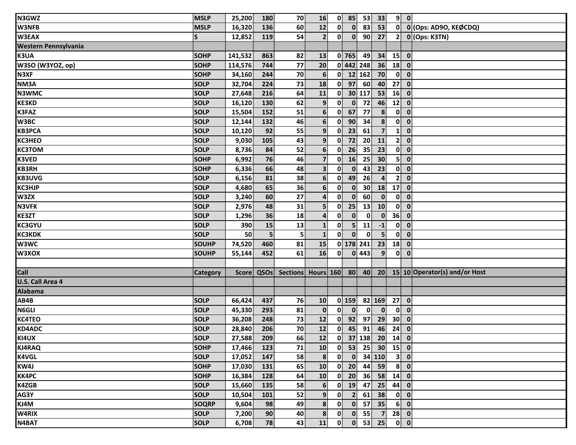| N3GWZ                       | <b>MSLP</b>  | 25,200       | 180 | 70           | 16               | $\mathbf{0}$             | 85             | 53              | 33 <sup>1</sup>         |                 | $9$ 0                                                          |
|-----------------------------|--------------|--------------|-----|--------------|------------------|--------------------------|----------------|-----------------|-------------------------|-----------------|----------------------------------------------------------------|
| <b>W3NFB</b>                | <b>MSLP</b>  | 16,320       | 136 | 60           | 12               | 0                        | $\mathbf{0}$   | 83              | 53                      | $\mathbf{0}$    | 0 (Ops: AD9O, KEØCDQ)                                          |
| <b>W3EAX</b>                | S            | 12,852       | 119 | 54           | $\mathbf{2}$     | $\mathbf{0}^{\parallel}$ | $\mathbf{0}$   | 90 <sup>1</sup> | 27                      | 2 <sup>1</sup>  | 0 (Ops: K3TN)                                                  |
| <b>Western Pennsylvania</b> |              |              |     |              |                  |                          |                |                 |                         |                 |                                                                |
| K3UA                        | <b>SOHP</b>  | 141,532      | 863 | 82           | 13               |                          | $0$ 765        | 49              | 34                      | 15              | $\overline{\mathbf{0}}$                                        |
| W3SO (W3YOZ, op)            | <b>SOHP</b>  | 114,576      | 744 | 77           | 20               |                          |                | 0 442 248       | 36                      | 18              | $\mathbf 0$                                                    |
| N3XF                        | <b>SOHP</b>  | 34,160       | 244 | 70           | 6                | $\mathbf{0}$             |                | 12 162          | 70                      | $\mathbf{0}$    | $\mathbf 0$                                                    |
| NM3A                        | <b>SOLP</b>  | 32,704       | 224 | 73           | 18               | $\mathbf{0}$             | 97             | 60              | 40                      | 27              | $\mathbf{0}$                                                   |
| <b>N3WMC</b>                | <b>SOLP</b>  | 27,648       | 216 | 64           | ${\bf 11}$       | $\mathbf{0}$             |                | 30 117          | 53                      | 16              | $\mathbf 0$                                                    |
| <b>KE3KD</b>                | <b>SOLP</b>  | 16,120       | 130 | 62           | 9                | $\mathbf{0}$             | $\mathbf{0}$   | 72              | 46                      | 12              | $\mathbf 0$                                                    |
| K3FAZ                       | SOLP         | 15,504       | 152 | 51           | 6 <sup>1</sup>   | $\mathbf{0}$             | 67             | 77              | 8 <sup>1</sup>          | $\mathbf{0}$    | $\mathbf 0$                                                    |
| W3BC                        | SOLP         | 12,144       | 132 | 46           | $6 \overline{6}$ | $\mathbf{0}$             | 90             | 34              | $\boldsymbol{8}$        | 0               | $\mathbf 0$                                                    |
| <b>КВЗРСА</b>               | SOLP         | 10,120       | 92  | 55           | 9                | $\mathbf{0}$             | 23             | 61              | $\overline{7}$          | $\mathbf{1}$    | $\mathbf 0$                                                    |
| <b>KC3HEO</b>               | <b>SOLP</b>  | 9,030        | 105 | 43           | 9                | $\mathbf{0}$             | 72             | 20 <sup>1</sup> | 11                      | 2 <sup>1</sup>  | $\mathbf 0$                                                    |
| <b>КСЗТОМ</b>               | SOLP         | 8,736        | 84  | 52           | $6 \overline{6}$ | 0                        | 26             | 35              | 23                      | $\mathbf{0}$    | $\mathbf 0$                                                    |
| <b>K3VED</b>                | <b>SOHP</b>  | 6,992        | 76  | 46           | $\overline{7}$   | 0                        | 16             | 25              | 30                      | 5               | $\mathbf 0$                                                    |
| <b>KB3RH</b>                | <b>SOHP</b>  | 6,336        | 66  | 48           | 3 <sup>1</sup>   | $\mathbf{0}$             | $\mathbf{0}$   | 43              | 23                      | $\mathbf{0}$    | $\mathbf 0$                                                    |
| <b>KB3UVG</b>               | SOLP         | 6,156        | 81  | 38           | $6 \overline{6}$ | $\mathbf{0}$             | 49             | 26              | 4                       | 2 <sup>1</sup>  | $\mathbf 0$                                                    |
| <b>KC3HJP</b>               | <b>SOLP</b>  | 4,680        | 65  | 36           | $6 \overline{6}$ | $\mathbf{0}$             | $\mathbf{0}$   | 30 <sup>°</sup> | 18                      | 17              | $\boldsymbol{0}$                                               |
| W3ZX                        | <b>SOLP</b>  | 3,240        | 60  | 27           | 4                | 0                        | $\mathbf{0}$   | 60              | $\mathbf{0}$            | $\mathbf{0}$    | $\mathbf 0$                                                    |
| <b>N3VFK</b>                | <b>SOLP</b>  | 2,976        | 48  | 31           | 5 <sub>5</sub>   | 0                        | 25             | 13              | 10                      | 0               | $\mathbf 0$                                                    |
| KE3ZT                       | SOLP         | 1,296        | 36  | 18           | $\mathbf{4}$     | $\mathbf{0}$             | $\mathbf{0}$   | $\mathbf{0}$    | $\mathbf{0}$            | 36              | $\mathbf{0}$                                                   |
| <b>KC3GYU</b>               | SOLP         | 390          | 15  | 13           | $\mathbf{1}$     | $\mathbf{0}$             | 5 <sup>1</sup> | 11              | $-1$                    | $\mathbf{0}$    | $\mathbf 0$                                                    |
| <b>КСЗКОК</b>               | <b>SOLP</b>  | 50           | 5   | $\mathsf{s}$ | $\mathbf{1}$     | $\mathbf{0}$             | $\mathbf{0}$   | $\mathbf{0}$    | $\overline{\mathbf{5}}$ | $\mathbf{0}$    | $\mathbf 0$                                                    |
| W3WC                        | SOUHP        | 74,520       | 460 | 81           | 15               |                          |                | 0 178 241       | 23                      | 18              | $\mathbf 0$                                                    |
| W3XOX                       | <b>SOUHP</b> | 55,144       | 452 | 61           | 16               | $\mathbf{0}$             |                | $0$ 443         | 9 <sub>1</sub>          |                 | $0$ 0                                                          |
|                             |              |              |     |              |                  |                          |                |                 |                         |                 |                                                                |
| Call                        | Category     | <b>Score</b> |     |              |                  |                          |                |                 |                         |                 | QSOs Sections Hours 160 80 40 20 15 10 Operator(s) and/or Host |
| U.S. Call Area 4            |              |              |     |              |                  |                          |                |                 |                         |                 |                                                                |
| Alabama                     |              |              |     |              |                  |                          |                |                 |                         |                 |                                                                |
| AB4B                        | <b>SOLP</b>  | 66,424       | 437 | 76           | 10               |                          | $0$ 159        |                 | 82 169                  | 27              | $\mathbf 0$                                                    |
| N6GLI                       | <b>SOLP</b>  | 45,330       | 293 | 81           | $\mathbf 0$      | $\mathbf{0}$             | $\mathbf 0$    | $\mathbf{0}$    | $\mathbf{0}$            | $\mathbf{0}$    | $\mathbf 0$                                                    |
| <b>KC4TEO</b>               | <b>SOLP</b>  | 36,208       | 248 | 73           | 12               | $\mathbf{0}$             | 92             | 97              | 29                      | 30 <sup>1</sup> | $\mathbf 0$                                                    |
| <b>KD4ADC</b>               | SOLP         | 28,840       | 206 | 70           | 12               | $\mathbf{0}$             | 45             | 91              | 46                      | 24              | $\mathbf{0}$                                                   |
| KI4UX                       | <b>SOLP</b>  | 27,588       | 209 | 66           | $\boxed{12}$     | $\overline{\mathbf{0}}$  |                | 37 138 20       |                         |                 | $14$ 0                                                         |
| <b>KJ4RAQ</b>               | SOHP         | 17,466       | 123 | 71           | 10 <sup>1</sup>  | $\mathbf{0}$             | 53             |                 | $25$ 30                 | $15$ 0          |                                                                |
| <b>K4VGL</b>                | <b>SOLP</b>  | 17,052       | 147 | 58           | 8                | $\mathbf{0}$             | $\mathbf{0}$   |                 | 34 110                  |                 | 3 0                                                            |
| KW4J                        | <b>SOHP</b>  | 17,030       | 131 | 65           | 10               | $\mathbf{0}$             | 20             | 44              | 59                      | 8               | $\overline{\mathbf{0}}$                                        |
| <b>KK4PC</b>                | SOHP         | 16,384       | 128 | 64           | 10               |                          | $0$ 20         | 36              | 58                      |                 | $14$ 0                                                         |
| K4ZGB                       | <b>SOLP</b>  | 15,660       | 135 | 58           | 6                |                          | $0$ 19         | 47              | 25                      |                 | $44$ 0                                                         |
| AG3Y                        | <b>SOLP</b>  | 10,504       | 101 | 52           | 9 <sup>1</sup>   | $\mathbf{0}$             | $\mathbf{2}$   | 61              | 38                      |                 | $0$ $0$                                                        |
| KJ4M                        | SOQRP        | 9,604        | 98  | 49           | 8                | $\mathbf{0}$             | $\mathbf{0}$   | 57              | 35                      |                 | $6$ 0                                                          |
| W4RIX                       | <b>SOLP</b>  | 7,200        | 90  | 40           | 8                | $\mathbf{0}$             | $\mathbf{0}$   | 55              | 7 <sup>1</sup>          |                 | $28$ 0                                                         |
| N4BAT                       | <b>SOLP</b>  | 6,708        | 78  | 43           | 11               | 0                        | $\mathbf{0}$   | 53 25           |                         |                 | $\begin{bmatrix} 0 \\ 0 \end{bmatrix}$                         |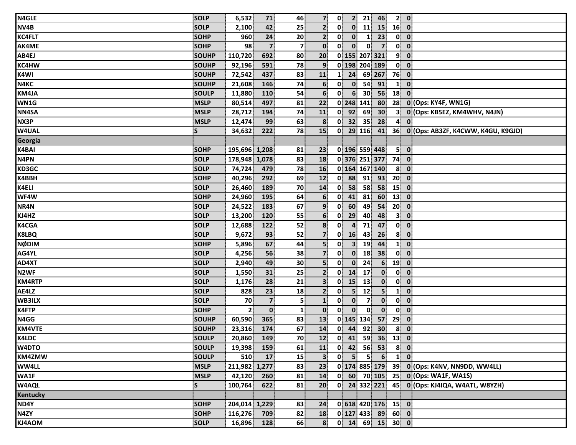| N4GLE             | <b>SOLP</b>  | 6,532          | 71                      | 46           | 7 <sup>1</sup>          | $\mathbf{0}$ |                | 2 <sup>1</sup>   | 21                   | 46              | 2 0               |                                               |
|-------------------|--------------|----------------|-------------------------|--------------|-------------------------|--------------|----------------|------------------|----------------------|-----------------|-------------------|-----------------------------------------------|
| NV4B              | <b>SOLP</b>  | 2,100          | 42                      | 25           | $\mathbf{2}$            | 0            |                | $\mathbf{O}$     | $\mathbf{11}$        | 15              | $16$ 0            |                                               |
| <b>KC4FLT</b>     | <b>SOHP</b>  | 960            | 24                      | 20           | $\overline{2}$          | 0            |                | $\mathbf{0}$     | $\mathbf{1}$         | 23              | $0 \quad 0$       |                                               |
| AK4ME             | <b>SOHP</b>  | 98             | $\overline{7}$          | $\mathbf{7}$ | $\mathbf{0}$            | $\mathbf{0}$ |                | $\mathbf{0}$     | $\mathbf{0}$         | $\overline{7}$  | $0 \quad 0$       |                                               |
| AB4EJ             | SOUHP        | 110,720        | 692                     | 80           | 20                      |              |                |                  | 0 155 207 321        |                 | $9$ 0             |                                               |
| <b>KC4HW</b>      | <b>SOUHP</b> | 92,196         | 591                     | 78           | 9                       |              |                |                  | 0 198 204 189        |                 | $0$ $0$           |                                               |
| K4WI              | SOUHP        | 72,542         | 437                     | 83           | 11                      | $\mathbf{1}$ | 24             |                  | 69 267               |                 | $76$ 0            |                                               |
| N4KC              | <b>SOUHP</b> | 21,608         | 146                     | 74           | 6                       | 0            |                | $\mathbf{0}$     | 54                   | 91              | $\mathbf{1}$      | $\overline{\mathbf{0}}$                       |
| KM4JA             | <b>SOULP</b> | 11,880         | 110                     | 54           | 6 <sup>1</sup>          | 0            |                | 6 <sup>1</sup>   | 30 <sup>°</sup>      | 56              | 18                | $\mathbf{0}$                                  |
| WN1G              | <b>MSLP</b>  | 80,514         | 497                     | 81           | 22                      |              | 0 248 141      |                  |                      | 80              |                   | 28 0 (Ops: KY4F, WN1G)                        |
| NN4SA             | <b>MSLP</b>  | 28,712         | 194                     | 74           | 11                      |              | $0$ 92         |                  | 69                   | 30 <sup>°</sup> | 3 <sup>1</sup>    | 0 (Ops: KB5EZ, KM4WHV, N4JN)                  |
| NX3P              | <b>MSLP</b>  | 12,474         | 99                      | 63           | 8 <sup>1</sup>          | 0            | 32             |                  | 35                   | 28              | $\mathbf{A}$      | $\mathbf{0}$                                  |
| W4UAL             | S            | 34,632         | 222                     | 78           | 15                      | 0            |                | 29 116           |                      | 41              |                   | 36 0 (Ops: AB3ZF, K4CWW, K4GU, K9GJD)         |
| Georgia           |              |                |                         |              |                         |              |                |                  |                      |                 |                   |                                               |
| K4BAI             | <b>SOHP</b>  | 195,696 1,208  |                         | 81           | 23                      |              |                |                  | 0 196 559 448        |                 | $5$ 0             |                                               |
| N4PN              | <b>SOLP</b>  | 178,948 1,078  |                         | 83           | 18                      |              |                |                  | 0376 251 377         |                 | $74$ 0            |                                               |
| KD3GC             | <b>SOLP</b>  | 74,724         | 479                     | 78           | 16                      |              |                |                  | 0 164 167 140        |                 | $8$ 0             |                                               |
| K4BBH             | <b>SOHP</b>  | 40,296         | 292                     | 69           | 12                      | 0            | 88             |                  | 91                   | 93              | 20                | $\overline{\mathbf{0}}$                       |
| K4ELI             | <b>SOLP</b>  | 26,460         | 189                     | 70           | 14                      | $\mathbf{0}$ | 58             |                  | 58                   | 58              | 15                | $\overline{\mathbf{0}}$                       |
| WF4W              | <b>SOHP</b>  | 24,960         | 195                     | 64           | 6                       | 0            | 41             |                  | 81                   | 60              | 13                | $\mathbf 0$                                   |
| NR4N              | <b>SOLP</b>  | 24,522         | 183                     | 67           | 9 <sup>1</sup>          | 0            | 60             |                  | 49                   | 54              | 20                | $\overline{\mathbf{0}}$                       |
| KJ4HZ             | SOLP         | 13,200         | 120                     | 55           | 6 <sup>1</sup>          | 0            | 29             |                  | 40                   | 48              | 3 <sup>1</sup>    | $\mathbf{0}$                                  |
| <b>K4CGA</b>      | <b>SOLP</b>  | 12,688         | 122                     | 52           | 8                       | $\mathbf{0}$ |                | $\boldsymbol{4}$ | 71                   | 47              | $0 \quad 0$       |                                               |
| <b>K8LBQ</b>      | <b>SOLP</b>  | 9,672          | 93                      | 52           | 7 <sup>1</sup>          | $\mathbf{0}$ | 16             |                  | 43                   | 26              | 8                 | $\overline{\mathbf{0}}$                       |
| <b>NØDIM</b>      | SOHP         | 5,896          | 67                      | 44           | $\overline{\mathbf{5}}$ | 0            | 3 <sup>1</sup> |                  | 19                   | 44              | $\mathbf{1}$      | $\overline{\mathbf{0}}$                       |
| AG4YL             | <b>SOLP</b>  | 4,256          | 56                      | 38           | 7 <sup>1</sup>          | $\mathbf{0}$ |                | $\mathbf{0}$     | 18                   | 38              | $0 \quad 0$       |                                               |
| AD4XT             | <b>SOLP</b>  | 2,940          | 49                      | 30           | $\overline{\mathbf{5}}$ | 0            |                | $\mathbf{0}$     | 24                   | 6 <sup>1</sup>  | 19                | $\overline{\mathbf{0}}$                       |
| N <sub>2</sub> WF | <b>SOLP</b>  | 1,550          | 31                      | 25           | $\mathbf{2}$            | $\mathbf{0}$ | 14             | 17               |                      | $\mathbf{0}$    | $\mathbf{0}$      | $\overline{\mathbf{0}}$                       |
| <b>KM4RTP</b>     | <b>SOLP</b>  | 1,176          | 28                      | 21           | 3 <sup>1</sup>          | $\mathbf{0}$ | 15             | 13               |                      | $\mathbf{0}$    | $0 \quad 0$       |                                               |
| AE4LZ             | <b>SOLP</b>  | 828            | 23                      | 18           | 2 <sup>1</sup>          | $\mathbf{0}$ |                | 5 <sup>1</sup>   | 12                   | 5 <sup>1</sup>  | $1 \ 0$           |                                               |
| WB3ILX            | SOLP         | 70             | $\overline{\mathbf{z}}$ | 5            | $\mathbf{1}$            | $\mathbf{0}$ | $\mathbf{0}$   |                  | $\overline{7}$       | $\mathbf{0}$    | $\mathbf{0}$      | $\overline{\mathbf{0}}$                       |
| <b>K4FTP</b>      | SOHP         | $\overline{2}$ | $\mathbf 0$             | $\mathbf{1}$ | $\mathbf{0}$            | $\mathbf{0}$ |                | $\mathbf{0}$     | $\mathbf{0}$         | $\mathbf{0}$    | $\mathbf{0}$      | $\mathbf{0}$                                  |
| N4GG              | <b>SOUHP</b> | 60,590         | 365                     | 83           | 13                      |              | 0 145 134      |                  |                      | 57              | 29                | $\overline{\mathbf{0}}$                       |
| <b>KM4VTE</b>     | <b>SOUHP</b> | 23,316         | 174                     | 67           | 14                      | $\mathbf{0}$ | 44             |                  | 92                   | 30 <sup>°</sup> | 8 <sup>1</sup>    | $\overline{\mathbf{0}}$                       |
| K4LDC             | <b>SOULP</b> | 20,860         | 149                     | 70           | 12                      |              |                |                  | $0$ 41 59 36 13 0    |                 |                   |                                               |
| W4DTO             | <b>SOULP</b> | 19,398         | 159                     | 61           | 11                      |              |                |                  | $0$ 42 56 53         |                 | $8 \overline{0}$  |                                               |
| <b>KM4ZMW</b>     | <b>SOULP</b> | 510            | 17                      | 15           | 3                       | 0            |                | 5 <sup>1</sup>   | 5 <sup>1</sup>       | 6 <sup>1</sup>  | $1 \vert 0 \vert$ |                                               |
| <b>WW4LL</b>      | <b>MSLP</b>  | 211,982 1,277  |                         | 83           | 23                      |              |                |                  |                      |                 |                   | 0 174 885 179 39 0 (Ops: K4NV, NN9DD, WW4LL)  |
| WA1F              | <b>MSLP</b>  | 42,120         | 260                     | 81           | 14                      |              |                |                  |                      |                 |                   | $0$ 60 70 105 25 0 (Ops: WA1F, WA1S)          |
| <b>W4AQL</b>      | <b>S</b>     | 100,764        | 622                     | 81           | 20 <sup>1</sup>         |              |                |                  |                      |                 |                   | 0 24 332 221 45 0 (Ops: KJ4IQA, W4ATL, W8YZH) |
| <b>Kentucky</b>   |              |                |                         |              |                         |              |                |                  |                      |                 |                   |                                               |
| ND4Y              | <b>SOHP</b>  | 204,014 1,229  |                         | 83           | 24                      |              |                |                  | $0$ 618 420 176 15 0 |                 |                   |                                               |
| N4ZY              | <b>SOHP</b>  | 116,276        | 709                     | 82           | 18                      |              |                |                  | $0$ 127 433 89 60 0  |                 |                   |                                               |
| KJ4AOM            | <b>SOLP</b>  | 16,896         | 128                     | 66           | 8                       |              |                |                  | $0$ 14 69 15 30 0    |                 |                   |                                               |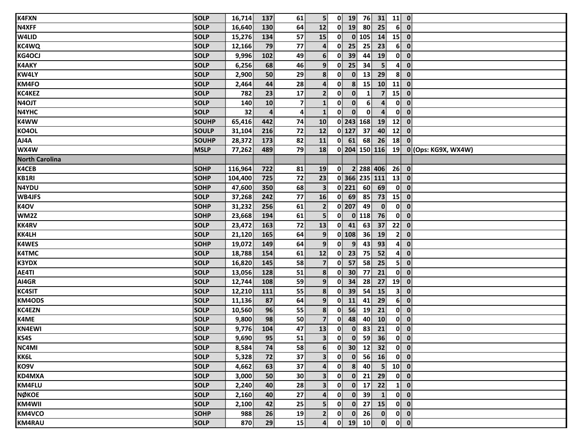| <b>K4FXN</b>          | SOLP         | 16,714  | 137            | 61              | 5 <sup>1</sup>          |              | $0$ 19           | 76                 | 31                                                                           | $11$ 0         |                                        |
|-----------------------|--------------|---------|----------------|-----------------|-------------------------|--------------|------------------|--------------------|------------------------------------------------------------------------------|----------------|----------------------------------------|
| N4XFF                 | <b>SOLP</b>  | 16,640  | 130            | 64              | 12                      | $\mathbf{0}$ | 19               | 80                 | 25                                                                           | 6 <sup>1</sup> | $\overline{\mathbf{0}}$                |
| <b>W4LID</b>          | <b>SOLP</b>  | 15,276  | 134            | 57              | 15                      | 0            |                  | $0$ 105            | 14                                                                           | $15$ 0         |                                        |
| <b>KC4WQ</b>          | <b>SOLP</b>  | 12,166  | 79             | 77              | $\overline{\mathbf{a}}$ | $\mathbf{0}$ | 25               | 25                 | 23                                                                           | 6 <sup>1</sup> | $\mathbf{0}$                           |
| <b>KG4OCJ</b>         | <b>SOLP</b>  | 9,996   | 102            | 49              | $6 \overline{6}$        | 0            | 39               | 44                 | <b>19</b>                                                                    | $\mathbf{0}$   | $\overline{\mathbf{0}}$                |
| <b>K4AKY</b>          | <b>SOLP</b>  | 6,256   | 68             | 46              | 9                       | 0            | 25               | 34                 | 5 <sup>1</sup>                                                               | $\mathbf{A}$   | $\mathbf 0$                            |
| <b>KW4LY</b>          | <b>SOLP</b>  | 2,900   | 50             | 29              | 8 <sup>1</sup>          | 0            | $\mathbf{0}$     | 13                 | 29                                                                           | $\mathbf{8}$   | $\mathbf 0$                            |
| KM4FO                 | <b>SOLP</b>  | 2,464   | 44             | 28              | $\boldsymbol{4}$        | 0            | $\boldsymbol{8}$ | 15                 | 10                                                                           | 11             | $\overline{\mathbf{0}}$                |
| KC4KEZ                | <b>SOLP</b>  | 782     | 23             | 17              | $\mathbf{2}$            | 0            | $\mathbf{0}$     | 1                  | $\overline{7}$                                                               | 15             | $\mathbf{0}$                           |
| N4OJT                 | <b>SOLP</b>  | 140     | 10             | 7 <sup>1</sup>  | $\mathbf{1}$            | $\mathbf{0}$ | $\mathbf{0}$     | 6 <sup>1</sup>     | $\overline{4}$                                                               | $\mathbf{0}$   | $\overline{\mathbf{0}}$                |
| N4YHC                 | <b>SOLP</b>  | 32      | $\overline{a}$ | $\mathbf{A}$    | $\mathbf{1}$            | $\mathbf{0}$ | $\mathbf{0}$     | $\mathbf{0}$       | $\overline{\mathbf{A}}$                                                      | $\mathbf{0}$   | $\mathbf{0}$                           |
| <b>K4WW</b>           | SOUHP        | 65,416  | 442            | 74              | 10                      |              |                  | 0 243 168          | 19                                                                           | 12             | $\mathbf 0$                            |
| KO4OL                 | <b>SOULP</b> | 31,104  | 216            | 72              | 12                      |              | $0$ 127          | 37                 | 40                                                                           | 12             | $\mathbf 0$                            |
| AJ4A                  | <b>SOUHP</b> | 28,372  | 173            | 82              | 11                      |              | $0$ 61           | 68                 | 26                                                                           | 18             | $\mathbf{0}$                           |
| WX4W                  | <b>MSLP</b>  | 77,262  | 489            | 79              | 18                      |              |                  |                    | 0 204 150 116                                                                | 19             | 0 (Ops: KG9X, WX4W)                    |
| <b>North Carolina</b> |              |         |                |                 |                         |              |                  |                    |                                                                              |                |                                        |
| K4CEB                 | <b>SOHP</b>  | 116,964 | 722            | 81              | <b>19</b>               | $\mathbf{0}$ |                  |                    | 2 288 406                                                                    | 26             | $\overline{\mathbf{0}}$                |
| KB1RI                 | <b>SOHP</b>  | 104,400 | 725            | 72              | 23                      |              |                  |                    | 0 366 235 111                                                                | 13             | $\mathbf{0}$                           |
| N4YDU                 | <b>SOHP</b>  | 47,600  | 350            | 68              | $\mathbf{3}$            |              | $0$   221        | 60                 | 69                                                                           | $\mathbf{0}$   | $\mathbf{0}$                           |
| <b>WB4JFS</b>         | <b>SOLP</b>  | 37,268  | 242            | 77              | 16                      |              | $0$ 69           | 85                 | 73                                                                           | 15             | $\mathbf{0}$                           |
| <b>K4OV</b>           | <b>SOHP</b>  | 31,232  | 256            | 61              | $\overline{2}$          |              | $0$   207        | 49                 | $\mathbf{0}$                                                                 | $\mathbf{0}$   | $\overline{\mathbf{0}}$                |
| WM2Z                  | <b>SOHP</b>  | 23,668  | 194            | 61              | 5 <sup>1</sup>          | 0            |                  | $0$ 118            | 76                                                                           | $\mathbf{0}$   | $\mathbf{0}$                           |
| <b>KK4RV</b>          | <b>SOLP</b>  | 23,472  | 163            | 72              | 13                      | 0            | 41               | 63                 | 37                                                                           | 22             | $\overline{\mathbf{0}}$                |
| <b>KK4LH</b>          | SOLP         | 21,120  | 165            | 64              | 9 <sub>1</sub>          |              | $0$ 108          | 36                 | 19                                                                           | 2 <sup>1</sup> | $\mathbf{0}$                           |
| <b>K4WES</b>          | <b>SOHP</b>  | 19,072  | 149            | 64              | 9                       | 0            | 9                | 43                 | 93                                                                           | $\mathbf{A}$   | $\mathbf{0}$                           |
| <b>K4TMC</b>          | <b>SOLP</b>  | 18,788  | 154            | 61              | 12                      | $\mathbf{0}$ | 23               | 75                 | 52                                                                           | 4              | $\mathbf{0}$                           |
| <b>K3YDX</b>          | <b>SOLP</b>  | 16,820  | 145            | 58              | $\overline{7}$          | $\mathbf{0}$ | 57               | 58                 | 25                                                                           | 5 <sup>1</sup> | $\mathbf{0}$                           |
| AE4TI                 | <b>SOLP</b>  | 13,056  | 128            | 51              | 8                       | $\mathbf{0}$ | 30               | 77                 | 21                                                                           | $\mathbf{0}$   | $\overline{\mathbf{0}}$                |
| AI4GR                 | <b>SOLP</b>  | 12,744  | 108            | 59              | 9 <sup>1</sup>          | 0            | 34               | 28 <sup>1</sup>    | 27                                                                           |                | $19$ 0                                 |
| <b>KC4SIT</b>         | <b>SOLP</b>  | 12,210  | 111            | 55              | 8                       | $\mathbf{0}$ | 39               | 54                 | 15                                                                           | 3 <sup>1</sup> | $\mathbf{0}$                           |
| <b>KM4ODS</b>         | <b>SOLP</b>  | 11,136  | 87             | 64              | 9                       | $\mathbf{0}$ | 11               | 41                 | 29                                                                           | 6 <sup>1</sup> | $\mathbf{0}$                           |
| <b>KC4EZN</b>         | <b>SOLP</b>  | 10,560  | 96             | 55              | 8 <sup>1</sup>          | $\mathbf{0}$ | 56               | 19                 | 21                                                                           |                | $0\ 0$                                 |
| K4ME                  | <b>SOLP</b>  | 9,800   | 98             | 50              | $\overline{7}$          | 0            | 48               | 40                 | 10                                                                           |                | $0$ $0$                                |
| <b>KN4EWI</b>         | <b>SOLP</b>  | 9,776   | 104            | 47              | 13                      | 0            |                  | $\mathbf{0}$<br>83 | 21                                                                           | $\mathbf{0}$   | $\mathbf{0}$                           |
| KS4S                  | <b>SOLP</b>  | 9,690   | 95             | $\overline{51}$ | $\overline{\mathbf{3}}$ |              |                  |                    | $\begin{array}{ c c c c c }\n\hline\n0 & 0 & 59 & 36 \\ \hline\n\end{array}$ |                | $\overline{0}$ $\overline{0}$          |
| NC4MI                 | <b>SOLP</b>  | 8,584   | 74             | 58              | 6 <sup>1</sup>          | $\mathbf{0}$ | 30 <sup>°</sup>  | 12                 | 32                                                                           |                | $0$ $0$                                |
| KK6L                  | SOLP         | 5,328   | 72             | 37              | 3 <sup>1</sup>          | 0            | $\mathbf{0}$     | 56                 | 16                                                                           |                | $0$ $0$                                |
| KO9V                  | <b>SOLP</b>  | 4,662   | 63             | 37              | 4                       | $\mathbf{0}$ | 8 <sup>1</sup>   | 40                 | 5 <sup>1</sup>                                                               |                | $10$ 0                                 |
| KD4MXA                | <b>SOLP</b>  | 3,000   | 50             | 30 <sub>1</sub> | 3 <sup>1</sup>          | 0            |                  | $0$ 21             | 29                                                                           |                | $0 \vert 0 \vert$                      |
| <b>KM4FLU</b>         | SOLP         | 2,240   | 40             | 28              | 3 <sup>1</sup>          | 0            |                  | $0$ 17             | 22                                                                           |                | $1 \vert 0 \vert$                      |
| <b>NØKOE</b>          | <b>SOLP</b>  | 2,160   | 40             | 27              | 4                       | $\mathbf{0}$ |                  | $0$ 39             | $\mathbf{1}$                                                                 |                | $0$ $0$                                |
| KM4WII                | <b>SOLP</b>  | 2,100   | 42             | 25              | 5 <sup>1</sup>          | $\mathbf{0}$ |                  | $0$ 27             | 15                                                                           |                | $0\ 0$                                 |
| KM4VCO                | <b>SOHP</b>  | 988     | 26             | 19              | $\mathbf{2}$            | $\mathbf{0}$ | $\mathbf{0}$     | 26                 | $\mathbf{0}$                                                                 |                | $0$ $0$                                |
| <b>KM4RAU</b>         | <b>SOLP</b>  | 870     | 29             | 15              | $\boldsymbol{4}$        |              |                  | $0$ 19 10          | $\mathbf{0}$                                                                 |                | $\begin{bmatrix} 0 \\ 0 \end{bmatrix}$ |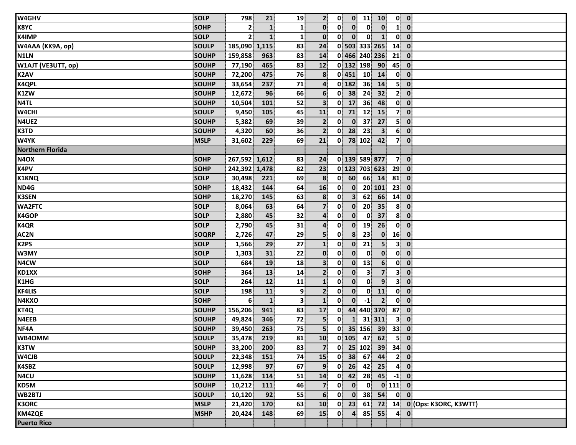| W4GHV                         | <b>SOLP</b>  | 798            | 21           | 19             | 2 <sup>1</sup>          | $\mathbf{0}$ |                  | $0$ 11          | 10             |                | $0$ $0$                     |
|-------------------------------|--------------|----------------|--------------|----------------|-------------------------|--------------|------------------|-----------------|----------------|----------------|-----------------------------|
| <b>K8YC</b>                   | <b>SOHP</b>  | 2              |              | $\mathbf{1}$   | $\mathbf{0}$            | 0            | $\mathbf{0}$     | $\mathbf{0}$    | $\mathbf{0}$   | $\mathbf{1}$   | $\mathbf{0}$                |
| <b>K4IMP</b>                  | <b>SOLP</b>  | 2 <sup>1</sup> | $\mathbf{1}$ | $\mathbf{1}$   | $\mathbf{0}$            | $\mathbf{0}$ | $\mathbf{0}$     | $\mathbf{0}$    | $\mathbf{1}$   | $\mathbf{0}$   | $\mathbf{0}$                |
| W4AAA (KK9A, op)              | <b>SOULP</b> | 185,090 1,115  |              | 83             | 24                      |              |                  | 0 503 333 265   |                | 14             | $\mathbf 0$                 |
| N1LN                          | <b>SOUHP</b> | 159,858        | 963          | 83             | 14                      |              |                  | 0 466 240 236   |                | 21             | $\overline{\mathbf{0}}$     |
| W1AJT (VE3UTT, op)            | SOUHP        | 77,190         | 465          | 83             | 12                      |              |                  | 0 132 198       | 90             | 45             | $\mathbf 0$                 |
| K2AV                          | <b>SOUHP</b> | 72,200         | 475          | 76             | 8                       |              | $0$ 451          | 10 <sup>1</sup> | 14             | $\bullet$      | $\mathbf 0$                 |
| K4QPL                         | <b>SOUHP</b> | 33,654         | 237          | 71             | $\overline{\mathbf{4}}$ |              | $0$ 182          | 36 <sup>1</sup> | 14             | 5 <sup>1</sup> | $\mathbf{0}$                |
| K1ZW                          | <b>SOUHP</b> | 12,672         | 96           | 66             | $6 \overline{6}$        |              | $0$ 38           | 24              | 32             | 2 <sup>1</sup> | $\mathbf 0$                 |
| N <sub>4TL</sub>              | <b>SOUHP</b> | 10,504         | 101          | 52             | 3 <sup>1</sup>          | $\mathbf{0}$ | 17               | 36              | 48             |                | $0\ 0$                      |
| W4CHI                         | <b>SOULP</b> | 9,450          | 105          | 45             | 11                      | 0            | 71               | 12              | 15             | 7 <sup>1</sup> | $\mathbf{0}$                |
| N4UEZ                         | SOUHP        | 5,382          | 69           | 39             | $\mathbf{2}$            | 0            | $\mathbf{0}$     | 37              | 27             | 5 <sup>1</sup> | $\mathbf{0}$                |
| K3TD                          | <b>SOUHP</b> | 4,320          | 60           | 36             | $\overline{2}$          | 0            | 28               | 23              | $\mathbf{3}$   | 6 <sup>1</sup> | $\mathbf{0}$                |
| W4YK                          | <b>MSLP</b>  | 31,602         | 229          | 69             | 21                      |              |                  | $0$ 78 102      | 42             | 7 <sup>1</sup> | $\mathbf{0}$                |
| <b>Northern Florida</b>       |              |                |              |                |                         |              |                  |                 |                |                |                             |
| N <sub>4</sub> OX             | <b>SOHP</b>  | 267,592 1,612  |              | 83             | 24                      |              |                  | 0 139 589 877   |                | 7 <sup>1</sup> | $\mathbf{0}$                |
| <b>K4PV</b>                   | <b>SOHP</b>  | 242,392 1,478  |              | 82             | 23                      |              |                  | 0 123 703 623   |                | 29             | $\mathbf 0$                 |
| <b>K1KNQ</b>                  | <b>SOLP</b>  | 30,498         | 221          | 69             | 8                       | 0            | 60               | 66              | 14             | 81             | $\overline{\mathbf{0}}$     |
| ND4G                          | <b>SOHP</b>  | 18,432         | 144          | 64             | 16                      | $\mathbf{0}$ | $\mathbf{0}$     |                 | 20 101         | 23             | $\mathbf{0}$                |
| <b>K3SEN</b>                  | <b>SOHP</b>  | 18,270         | 145          | 63             | 8                       | 0            | 3 <sup>1</sup>   | 62              | 66             | 14             | $\mathbf{0}$                |
| <b>WA2FTC</b>                 | <b>SOLP</b>  | 8,064          | 63           | 64             | $\overline{7}$          | $\mathbf{0}$ | $\mathbf{0}$     | 20              | 35             | $\mathbf{8}$   | $\mathbf{0}$                |
| K4GOP                         | <b>SOLP</b>  | 2,880          | 45           | 32             | $\overline{4}$          | $\mathbf{0}$ | $\mathbf{0}$     | $\mathbf{0}$    | 37             | 8 <sup>1</sup> | $\mathbf{0}$                |
| K4QR                          | <b>SOLP</b>  | 2,790          | 45           | 31             | 4                       | 0            | $\mathbf{0}$     | 19              | 26             | $\mathbf{0}$   | $\mathbf{0}$                |
| AC2N                          | <b>SOQRP</b> | 2,726          | 47           | 29             | 5                       | $\mathbf{0}$ | $\boldsymbol{8}$ | 23              | $\mathbf{0}$   | 16             | $\mathbf{0}$                |
| K <sub>2</sub> PS             | <b>SOLP</b>  | 1,566          | 29           | 27             | $\mathbf{1}$            | 0            | $\mathbf{0}$     | 21              | 5 <sup>1</sup> | $\mathbf{3}$   | $\mathbf 0$                 |
| W3MY                          | <b>SOLP</b>  | 1,303          | 31           | 22             | $\mathbf{0}$            | $\mathbf{0}$ | $\mathbf{0}$     | $\mathbf{0}$    | $\mathbf{0}$   |                | $0$ $0$                     |
| N4CW                          | <b>SOLP</b>  | 684            | 19           | 18             | 3 <sup>1</sup>          | $\mathbf{0}$ | $\mathbf{0}$     | 13              | 6 <sup>1</sup> | $\mathbf{0}$   | $\mathbf{0}$                |
| KD1XX                         | <b>SOHP</b>  | 364            | 13           | 14             | $\mathbf{2}$            | $\mathbf{0}$ | $\mathbf{0}$     | $\mathbf{3}$    | $\overline{7}$ | $\mathbf{3}$   | $\mathbf 0$                 |
| K <sub>1</sub> H <sub>G</sub> | <b>SOLP</b>  | 264            | 12           | 11             | $\mathbf{1}$            | $\mathbf{0}$ | $\mathbf{0}$     | $\mathbf{0}$    | 9              | 3 <sup>1</sup> | $\mathbf{0}$                |
| <b>KF4LIS</b>                 | <b>SOLP</b>  | 198            | 11           | $\overline{9}$ | 2 <sup>1</sup>          | 0            | $\mathbf{0}$     | $\mathbf{0}$    | 11             | $\mathbf{0}$   | $\mathbf{0}$                |
| N4KXO                         | <b>SOHP</b>  | 6              | $\mathbf{1}$ | $\mathbf{3}$   | $\mathbf{1}$            | $\mathbf{0}$ | $\mathbf{0}$     | $-1$            | $\overline{2}$ | $\mathbf{0}$   | $\mathbf{0}$                |
| KT4Q                          | <b>SOUHP</b> | 156,206        | 941          | 83             | 17                      | $\mathbf{0}$ |                  |                 | 44 440 370     | 87             | $\mathbf 0$                 |
| N4EEB                         | <b>SOUHP</b> | 49,824         | 346          | 72             | 5 <sub>1</sub>          | 0            | $\mathbf{1}$     |                 | 31 311         | $\mathbf{3}$   | $\mathbf 0$                 |
| NF4A                          | <b>SOUHP</b> | 39,450         | 263          | 75             | 5 <sup>1</sup>          |              |                  |                 | $0$ 35 156 39  | 33             | $\mathbf 0$                 |
| WB4OMM                        | <b>SOULP</b> | 35,478         | 219          | 81             | 10                      |              |                  |                 | $0$ 105 47 62  |                | $5$ 0                       |
| <b>K3TW</b>                   | <b>SOUHP</b> | 33,200         | 200          | 83             | 7 <sup>1</sup>          |              |                  |                 | $0$ 25 102 39  | $34$ 0         |                             |
| W4CJB                         | <b>SOULP</b> | 22,348         | 151          | 74             | 15                      | $\mathbf{0}$ | 38               | 67              | 44             |                | 2 0                         |
| K4SBZ                         | <b>SOULP</b> | 12,998         | 97           | 67             | 9                       | 0            | 26               | 42              | 25             | $\mathbf{4}$   | $\mathbf{0}$                |
| N <sub>4</sub> CU             | SOUHP        | 11,628         | 114          | 51             | 14                      | 0            | 42               | 28              | 45             | $-1$           | $\overline{\mathbf{0}}$     |
| KD5M                          | <b>SOUHP</b> | 10,212         | 111          | 46             | $\overline{7}$          | $\mathbf{0}$ | $\mathbf{0}$     | $\mathbf{0}$    |                | $0$ 111 $0$    |                             |
| WB2BTJ                        | <b>SOULP</b> | 10,120         | 92           | 55             | $6 \overline{6}$        | 0            | $\mathbf{0}$     | 38 <sup>1</sup> | 54             |                | $0$ $0$                     |
| <b>K3ORC</b>                  | <b>MSLP</b>  | 21,420         | 170          | 63             | 10                      | $\mathbf{0}$ | 23               | 61              |                |                | 72 14 0 (Ops: K3ORC, K3WTT) |
| KM4ZQE                        | <b>MSHP</b>  | 20,424         | 148          | 69             | 15                      | 0            | $\mathbf{4}$     | 85              | 55             | $\mathbf{4}$   | $\mathbf{0}$                |
| <b>Puerto Rico</b>            |              |                |              |                |                         |              |                  |                 |                |                |                             |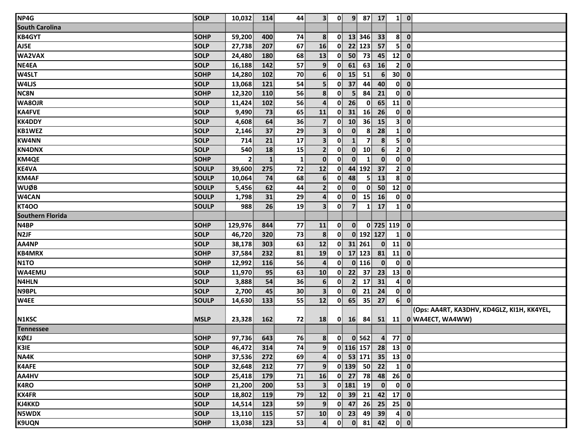| NP4G                    | <b>SOLP</b>  | 10,032         | 114          | 44              | 3 <sup>1</sup>          | $\mathbf{0}$ |                | $9$ 87 17               |                  |                                       | $1 \vert 0 \vert$       |                                            |
|-------------------------|--------------|----------------|--------------|-----------------|-------------------------|--------------|----------------|-------------------------|------------------|---------------------------------------|-------------------------|--------------------------------------------|
| <b>South Carolina</b>   |              |                |              |                 |                         |              |                |                         |                  |                                       |                         |                                            |
| <b>KB4GYT</b>           | <b>SOHP</b>  | 59,200         | 400          | 74              | 8                       |              |                | $0$ 13 346              | 33               |                                       | $8$ 0                   |                                            |
| AJ5E                    | <b>SOLP</b>  | 27,738         | 207          | 67              | 16                      | $\mathbf{0}$ |                | 22 123                  | 57               |                                       | $5$ 0                   |                                            |
| WA2VAX                  | <b>SOLP</b>  | 24,480         | 180          | 68              | 13                      | $\mathbf{0}$ | 50             | 73                      | 45               | $12$ 0                                |                         |                                            |
| NE4EA                   | <b>SOLP</b>  | 16,188         | 142          | 57              | 9 <sup>1</sup>          | $\mathbf{0}$ | 61             | 63                      | 16               | 2 <sup>1</sup>                        | $\overline{\mathbf{0}}$ |                                            |
| <b>W4SLT</b>            | SOHP         | 14,280         | 102          | 70              | $6 \overline{6}$        | $\mathbf{0}$ | 15             | 51                      | $6 \overline{6}$ | 30 <sup>1</sup>                       | $\overline{\mathbf{0}}$ |                                            |
| <b>W4LJS</b>            | SOLP         | 13,068         | 121          | 54              | 5 <sup>1</sup>          | $\mathbf{0}$ | 37             | 44                      | 40               |                                       | $0 \quad 0$             |                                            |
| <b>NC8N</b>             | SOHP         | 12,320         | 110          | 56              | 8 <sup>1</sup>          | $\mathbf{0}$ | 5 <sup>1</sup> | 84                      | 21               | $\mathbf{0}$                          | $\overline{\mathbf{0}}$ |                                            |
| <b>WA8OJR</b>           | <b>SOLP</b>  | 11,424         | 102          | 56              | $\overline{4}$          | 0            | 26             | $\mathbf{0}$            | 65               | $11$ 0                                |                         |                                            |
| KA4FVE                  | SOLP         | 9,490          | 73           | 65              | 11                      | $\mathbf{0}$ | 31             | 16                      | 26               |                                       | $0 \quad 0$             |                                            |
| <b>KK4DDY</b>           | SOLP         | 4,608          | 64           | 36              | $\overline{7}$          | $\mathbf{0}$ | 10             | 36                      | 15               | 3 <sup>1</sup>                        | $\overline{\mathbf{0}}$ |                                            |
| KB1WEZ                  | SOLP         | 2,146          | 37           | 29              | 3 <sup>1</sup>          | $\mathbf{0}$ | $\mathbf{0}$   | 8                       | 28               | $\mathbf{1}$                          | $\mathbf{0}$            |                                            |
| <b>KW4NN</b>            | <b>SOLP</b>  | 714            | 21           | 17              | 3 <sup>1</sup>          | 0            | $\mathbf{1}$   | $\overline{7}$          | 8                |                                       | $5$ 0                   |                                            |
| <b>KN4DNX</b>           | <b>SOLP</b>  | 540            | 18           | 15              | 2 <sup>1</sup>          | $\mathbf{0}$ | $\mathbf{0}$   | 10                      | 6 <sup>1</sup>   | 2 <sup>1</sup>                        | $\overline{\mathbf{0}}$ |                                            |
| <b>KM4QE</b>            | <b>SOHP</b>  | $\overline{2}$ | $\mathbf{1}$ | $\mathbf{1}$    | $\mathbf{0}$            | $\mathbf{0}$ | $\mathbf{0}$   | 1                       | $\mathbf{0}$     |                                       | $0 \quad 0$             |                                            |
| <b>KE4VA</b>            | SOULP        | 39,600         | 275          | 72              | 12                      | $\mathbf{0}$ |                | 44 192                  | 37               |                                       | 2 0                     |                                            |
| <b>KM4AF</b>            | SOULP        | 10,064         | 74           | 68              | $6\phantom{1}$          | $\mathbf{0}$ | 48             | $\overline{\mathbf{5}}$ | 13               | 8                                     | $\overline{\mathbf{0}}$ |                                            |
| <b>WUØB</b>             | SOULP        | 5,456          | 62           | 44              | $\overline{2}$          | $\mathbf{0}$ | $\mathbf{0}$   | $\mathbf{0}$            | 50               | 12                                    | $\overline{\mathbf{0}}$ |                                            |
| W4CAN                   | <b>SOULP</b> | 1,798          | 31           | 29              | $\boldsymbol{4}$        | $\mathbf{0}$ | $\mathbf{0}$   | 15                      | 16               |                                       | $0\ 0$                  |                                            |
| <b>KT400</b>            | <b>SOULP</b> | 988            | 26           | 19              | 3 <sup>1</sup>          | 0            | 7 <sup>1</sup> | $\mathbf{1}$            | 17               | $\mathbf{1}$                          | $\overline{\mathbf{0}}$ |                                            |
| <b>Southern Florida</b> |              |                |              |                 |                         |              |                |                         |                  |                                       |                         |                                            |
| N <sub>4</sub> BP       | <b>SOHP</b>  | 129,976        | 844          | 77              | 11                      | $\mathbf{0}$ | $\mathbf{0}$   |                         | $0$ 725 119 0    |                                       |                         |                                            |
| N <sub>2</sub> JF       | <b>SOLP</b>  | 46,720         | 320          | 73              | 8                       | $\mathbf{0}$ |                | 0 192 127               |                  | $\mathbf{1}$                          | $\overline{\mathbf{0}}$ |                                            |
| AA4NP                   | <b>SOLP</b>  | 38,178         | 303          | 63              | 12                      | 0            |                | 31 261                  | $\mathbf{0}$     | 11                                    | $\overline{\mathbf{0}}$ |                                            |
| <b>KB4MRX</b>           | <b>SOHP</b>  | 37,584         | 232          | 81              | 19                      | $\mathbf{0}$ |                | 17 123                  |                  | 81 11 0                               |                         |                                            |
| N <sub>1</sub> TO       | <b>SOHP</b>  | 12,992         | 116          | 56              | $\overline{4}$          | 0            |                | $0$ 116                 | $\mathbf{0}$     | $\mathbf{0}$                          | $\overline{\mathbf{0}}$ |                                            |
| WA4EMU                  | <b>SOLP</b>  | 11,970         | 95           | 63              | 10                      | 0            | 22             | 37                      | 23               | $13$ 0                                |                         |                                            |
| N4HLN                   | <b>SOLP</b>  | 3,888          | 54           | 36              | 6 <sup>1</sup>          | $\mathbf{0}$ | 2 <sup>1</sup> | 17                      | 31               | $\mathbf{4}$                          | $\overline{\mathbf{0}}$ |                                            |
| N9BPL                   | <b>SOLP</b>  | 2,700          | 45           | 30 <sup>°</sup> | 3 <sup>1</sup>          | $\mathbf{0}$ | $\mathbf{0}$   | 21                      | 24               |                                       | $0 \quad 0$             |                                            |
| W4EE                    | <b>SOULP</b> | 14,630         | 133          | 55              | 12                      | $\mathbf{0}$ | 65             | 35                      | 27               |                                       | $6$ 0                   |                                            |
|                         |              |                |              |                 |                         |              |                |                         |                  |                                       |                         | (Ops: AA4RT, KA3DHV, KD4GLZ, KI1H, KK4YEL, |
| <b>N1KSC</b>            | <b>MSLP</b>  | 23,328         | 162          | 72              | 18                      |              |                |                         |                  |                                       |                         | 0 16 84 51 11 0 WA4ECT, WA4WW)             |
| <b>Tennessee</b>        |              |                |              |                 |                         |              |                |                         |                  |                                       |                         |                                            |
| <b>KØEJ</b>             | SOHP         | 97,736         | 643          | 76              |                         |              |                | 8 0 0 562 4 77 0        |                  |                                       |                         |                                            |
| K3IE                    | <b>SOLP</b>  | 46,472         | 314          | 74              | 9 <sup>1</sup>          |              |                | $0$ 116 157 28 13 0     |                  |                                       |                         |                                            |
| NA4K                    | <b>SOHP</b>  | 37,536         | 272          | 69              | 4                       |              |                | $0$ 53 171 35 13 0      |                  |                                       |                         |                                            |
| <b>K4AFE</b>            | <b>SOLP</b>  | 32,648         | 212          | 77              | 9 <sup>1</sup>          |              |                | $0$ 139 50 22           |                  | $\begin{bmatrix} 1 & 0 \end{bmatrix}$ |                         |                                            |
| AA4HV                   | SOLP         | 25,418         | 179          | 71              | 16                      |              |                | $0$ 27 78 48 26 0       |                  |                                       |                         |                                            |
| K4RO                    | <b>SOHP</b>  | 21,200         | 200          | 53              | $\overline{\mathbf{3}}$ |              |                | $0$ 181 19              | $\mathbf{0}$     |                                       | $0$ $0$                 |                                            |
| <b>KX4FR</b>            | SOLP         | 18,802         | 119          | 79              | 12                      |              |                | $0$ 39 21               |                  | 42 17 0                               |                         |                                            |
| KJ4KKD                  | SOLP         | 14,514         | 123          | 59              | 9                       |              |                | $0$ 47 26               | $25$ 25 0        |                                       |                         |                                            |
| <b>N5WDX</b>            | <b>SOLP</b>  | 13,110         | 115          | 57              | 10                      |              |                | $0$ 23 49               | 39               |                                       | $4$ 0                   |                                            |
| <b>K9UQN</b>            | SOHP         | 13,038         | 123          | 53              | 4                       | $\mathbf{0}$ |                | $0$ 81                  | 42               |                                       | $0$ $0$                 |                                            |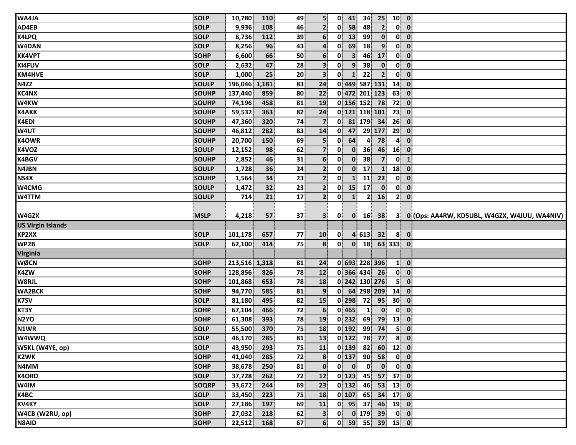| WA4JA                                | <b>SOLP</b>  | 10,780        | 110   | 49 | 5 <sup>1</sup>          | $\mathbf{0}$ | 41                      | 34              | 25             | $10$ 0          |                                        |                                              |  |
|--------------------------------------|--------------|---------------|-------|----|-------------------------|--------------|-------------------------|-----------------|----------------|-----------------|----------------------------------------|----------------------------------------------|--|
| AD4EB                                | <b>SOLP</b>  | 9,936         | 108   | 46 | $\mathbf{2}$            | $\mathbf{0}$ | 58                      | 48              | $\overline{2}$ | $\mathbf{0}$    | $\overline{\mathbf{0}}$                |                                              |  |
| <b>K4LPQ</b>                         | <b>SOLP</b>  | 8,736         | 112   | 39 | 6                       | $\mathbf{0}$ | 13                      | 99              | $\mathbf{0}$   | $\mathbf{0}$    | $\mathbf 0$                            |                                              |  |
| W4DAN                                | <b>SOLP</b>  | 8,256         | 96    | 43 | $\overline{\mathbf{a}}$ | 0            | 69                      | 18              | $\overline{9}$ | $\mathbf{0}$    | $\mathbf{0}$                           |                                              |  |
| <b>KK4VPT</b>                        | <b>SOHP</b>  | 6,600         | 66    | 50 | 6                       | 0            | $\overline{\mathbf{3}}$ | 46              | 17             | $\mathbf{0}$    | $\mathbf{0}$                           |                                              |  |
| KI4FUV                               | <b>SOLP</b>  | 2,632         | 47    | 28 | 3                       | $\mathbf{0}$ | 9                       | 38              | $\mathbf{0}$   | $\mathbf{0}$    | $\mathbf 0$                            |                                              |  |
| <b>KM4HVE</b>                        | SOLP         | 1,000         | 25    | 20 | $\mathbf{3}$            | 0            | 1                       | 22              | $\overline{2}$ | $\mathbf{0}$    | $\mathbf 0$                            |                                              |  |
| N4ZZ                                 | <b>SOULP</b> | 196,046       | 1,181 | 83 | 24                      |              |                         | 0 449 587 131   |                | 14              | $\mathbf 0$                            |                                              |  |
| <b>KC4NX</b>                         | <b>SOUHP</b> | 137,440       | 859   | 80 | 22                      |              |                         | 0 472 201 123   |                | 63              | $\mathbf{0}$                           |                                              |  |
| <b>W4KW</b>                          | <b>SOUHP</b> | 74,196        | 458   | 81 | 19                      |              |                         |                 | $0$ 156 152 78 | 72              | $\mathbf{0}$                           |                                              |  |
| <b>K4AKK</b>                         | <b>SOUHP</b> | 59,532        | 363   | 82 | 24                      |              |                         | 0 121 118 101   |                | 23              | $\mathbf{0}$                           |                                              |  |
| <b>K4EDI</b>                         | <b>SOUHP</b> | 47,360        | 320   | 74 | $\overline{\mathbf{z}}$ | $\mathbf{0}$ |                         | 81 179          | 34             | 26              | $\mathbf 0$                            |                                              |  |
| W4UT                                 | <b>SOUHP</b> | 46,812        | 282   | 83 | 14                      | 0            | 47                      |                 | 29 177         | 29              | $\mathbf 0$                            |                                              |  |
| <b>K4OWR</b>                         | <b>SOUHP</b> | 20,700        | 150   | 69 | 5 <sub>5</sub>          | 0            | 64                      | $\overline{4}$  | 78             | $\overline{4}$  | $\mathbf{0}$                           |                                              |  |
| <b>K4VOZ</b>                         | <b>SOULP</b> | 12,152        | 98    | 62 | $\overline{7}$          | 0            | $\mathbf{0}$            | 36              | 46             | 16              | $\overline{\mathbf{0}}$                |                                              |  |
| <b>K4BGV</b>                         | <b>SOUHP</b> | 2,852         | 46    | 31 | 6 <sup>1</sup>          | $\mathbf{0}$ | $\mathbf{0}$            | 38              | $\overline{7}$ | $\mathbf{0}$    | $\mathbf{1}$                           |                                              |  |
| N4JBN                                | <b>SOULP</b> | 1,728         | 36    | 24 | 2 <sup>1</sup>          | 0            | $\mathbf{0}$            | 17              | $\mathbf{1}$   | 18              | $\mathbf{0}$                           |                                              |  |
| NS4X                                 | <b>SOUHP</b> | 1,564         | 34    | 23 | $\mathbf{2}$            | $\mathbf{0}$ | $\mathbf{1}$            | 11              | 22             | $\mathbf{0}$    | $\mathbf{0}$                           |                                              |  |
| W4CMG                                | <b>SOULP</b> | 1,472         | 32    | 23 | $\mathbf{2}$            | 0            | 15                      | 17              | $\mathbf{0}$   | $\mathbf{0}$    | $\mathbf 0$                            |                                              |  |
| W4TTM                                | <b>SOULP</b> | 714           | 21    | 17 | 2 <sup>1</sup>          | 0            | $\mathbf{1}$            | 2 <sup>1</sup>  | 16             | 2 <sup>1</sup>  | $\mathbf{0}$                           |                                              |  |
|                                      |              |               |       |    |                         |              |                         |                 |                |                 |                                        |                                              |  |
| W4GZX                                | <b>MSLP</b>  | 4,218         | 57    | 37 | 3 <sup>1</sup>          | $\mathbf{0}$ | $\mathbf{0}$            | 16              | 38             | 3 <sup>1</sup>  |                                        | 0 (Ops: AA4RW, KD5UBL, W4GZX, W4JUU, WA4NIV) |  |
|                                      |              |               |       |    |                         |              |                         |                 |                |                 |                                        |                                              |  |
|                                      |              |               |       |    |                         |              |                         |                 |                |                 |                                        |                                              |  |
| <b>US Virgin Islands</b><br>KP2XX    | <b>SOLP</b>  | 101,178       | 657   | 77 | 10                      | $\mathbf{0}$ |                         | 4 613           | 32             | 8 <sup>1</sup>  | $\overline{\mathbf{0}}$                |                                              |  |
|                                      | <b>SOLP</b>  | 62,100        | 414   | 75 | 8                       | $\mathbf{0}$ | $\mathbf{0}$            | 18              |                | 63 333          | $\mathbf 0$                            |                                              |  |
|                                      |              |               |       |    |                         |              |                         |                 |                |                 |                                        |                                              |  |
| <b>Virginia</b><br><b>WØCN</b>       | <b>SOHP</b>  | 213,516 1,318 |       | 81 | 24                      |              |                         | 0 693 228 396   |                | $\mathbf{1}$    | $\mathbf{0}$                           |                                              |  |
|                                      | <b>SOHP</b>  | 128,856       | 826   | 78 | 12                      |              |                         | 0 366 434       | 26             | $\mathbf{0}$    | $\mathbf{0}$                           |                                              |  |
| WP2B<br><b>K4ZW</b>                  | <b>SOHP</b>  | 101,868       | 653   | 78 | <b>18</b>               |              |                         | 0 242 130 276   |                | 5 <sup>1</sup>  | $\mathbf{0}$                           |                                              |  |
| <b>WA2BCK</b>                        | <b>SOHP</b>  | 94,770        | 585   | 81 | 9                       |              |                         | $0$ 64 298 209  |                | 14              | $\mathbf{0}$                           |                                              |  |
|                                      | <b>SOLP</b>  | 81,180        | 495   | 82 | 15                      |              | $0$   298               | 72              | 95             | 30 <sup>°</sup> | $\mathbf 0$                            |                                              |  |
| K7SV                                 | <b>SOHP</b>  | 67,104        | 466   | 72 | 6                       |              | $0$ 465                 | $\mathbf{1}$    | $\mathbf{0}$   | $\mathbf{0}$    | $\mathbf 0$                            |                                              |  |
| KT3Y<br>N <sub>2</sub> YO            | <b>SOHP</b>  | 61,308        | 393   | 78 | 19                      |              | $0$   232               | 69              | 79             | 13              | $\mathbf 0$                            |                                              |  |
| N1WR                                 | <b>SOLP</b>  | 55,500        | 370   | 75 | 18                      |              | $0$   192               | 99              | 74             | 5 <sup>1</sup>  | $\mathbf 0$                            |                                              |  |
| <b>W8RJL</b><br><b>W4WWQ</b>         | <b>SOLP</b>  | 46,170        | 285   | 81 | 13                      |              |                         |                 | $0$ 122 78 77  |                 |                                        |                                              |  |
| W5KL (W4YE, op)                      | <b>SOLP</b>  | 43,950        | 293   | 75 | 11                      |              |                         | $0$ 139 82      | 60             | $12$ 0          | $\overline{8}$ 0                       |                                              |  |
| K2WK                                 | <b>SOHP</b>  | 41,040        | 285   | 72 | 8                       |              | $0$   137               | 90 <sub>1</sub> | 58             |                 | $\begin{bmatrix} 0 \\ 0 \end{bmatrix}$ |                                              |  |
| N4MM                                 | <b>SOHP</b>  | 38,678        | 250   | 81 | $\mathbf{0}$            | $\mathbf{0}$ | $\mathbf{0}$            | $\mathbf{0}$    | $\mathbf{0}$   |                 | $0 \quad 0$                            |                                              |  |
|                                      | <b>SOLP</b>  | 37,728        | 262   | 72 | 12                      |              | $0$   123               | 45              | 57             | 37 <sup>1</sup> | $\overline{\mathbf{0}}$                |                                              |  |
| W4IM                                 | SOQRP        | 33,672        | 244   | 69 | 23                      |              | $0$   132               | 46              | 53             | $13$ 0          |                                        |                                              |  |
|                                      | <b>SOLP</b>  | 33,450        | 223   | 75 | 18                      |              | $0$ 107                 | 65              | 34             | 17              | $\overline{\mathbf{0}}$                |                                              |  |
| <b>K4ORD</b><br>K4BC<br><b>KV4KY</b> | SOLP         | 27,186        | 197   | 69 | 11                      |              |                         | $0$ 95 37       | 46             | $19$ 0          |                                        |                                              |  |
| W4CB (W2RU, op)                      | <b>SOHP</b>  | 27,032        | 218   | 62 | $\mathbf{3}$            | $\mathbf{0}$ |                         |                 | $0$ 179 39     |                 | $\begin{bmatrix} 0 \\ 0 \end{bmatrix}$ |                                              |  |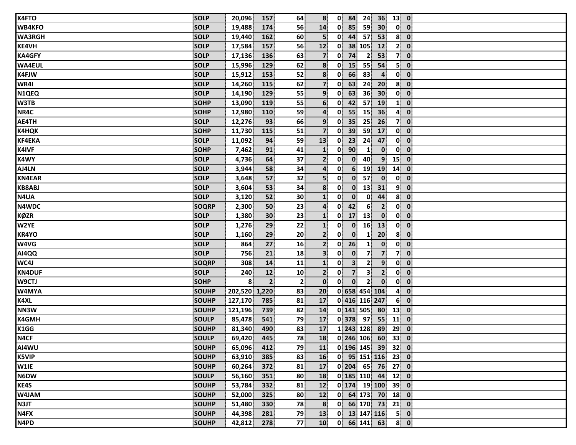| <b>K4FTO</b>     | <b>SOLP</b>  | 20,096        | 157            | 64             | 8 <sup>1</sup>          |                      | $0$ 84         | 24 <sup>1</sup>     |                 | $36$ 13 0                |                         |  |
|------------------|--------------|---------------|----------------|----------------|-------------------------|----------------------|----------------|---------------------|-----------------|--------------------------|-------------------------|--|
| <b>WB4KFO</b>    | <b>SOLP</b>  | 19,488        | 174            | 56             | 14                      | 0                    | 85             | 59                  | 30 <sup>°</sup> |                          | $0$ $0$                 |  |
| <b>WA3RGH</b>    | <b>SOLP</b>  | 19,440        | 162            | 60             | 5 <sup>1</sup>          | 0                    | 44             | 57                  | 53              | $\mathbf{8}$             | $\overline{\mathbf{0}}$ |  |
| <b>KE4VH</b>     | <b>SOLP</b>  | 17,584        | 157            | 56             | 12                      | $\mathbf{0}$         |                | 38 105              | 12              |                          | $2$ 0                   |  |
| <b>KA4GFY</b>    | <b>SOLP</b>  | 17,136        | 136            | 63             | $\overline{\mathbf{z}}$ | 0                    | 74             | $\mathbf{2}$        | 53              | 7 <sup>1</sup>           | $\overline{\mathbf{0}}$ |  |
| <b>WA4EUL</b>    | <b>SOLP</b>  | 15,996        | 129            | 62             | 8                       | $\mathbf{0}$         | 15             | 55                  | 54              | 5 <sup>1</sup>           | $\mathbf{0}$            |  |
| <b>K4FJW</b>     | <b>SOLP</b>  | 15,912        | 153            | 52             | 8 <sup>1</sup>          | $\mathbf{0}$         | 66             | 83                  | $\overline{4}$  |                          | $0$ $0$                 |  |
| WR4I             | <b>SOLP</b>  | 14,260        | 115            | 62             | $\overline{7}$          | 0                    | 63             | 24                  | 20              |                          | $8$ 0                   |  |
| N1QEQ            | <b>SOLP</b>  | 14,190        | 129            | 55             | 9 <sub>1</sub>          | 0                    | 63             | 36                  | 30 <sup>°</sup> |                          | $0$ $0$                 |  |
| W3TB             | <b>SOHP</b>  | 13,090        | 119            | 55             | 6 <sup>1</sup>          | 0                    | 42             | 57                  | 19              |                          | $1 \ 0$                 |  |
| NR4C             | <b>SOHP</b>  | 12,980        | 110            | 59             | 4                       | $\mathbf{0}$         | 55             | 15                  | 36              | $\mathbf{4}^{\parallel}$ | $\mathbf{0}$            |  |
| AE4TH            | <b>SOLP</b>  | 12,276        | 93             | 66             | 9 <sub>l</sub>          | $\mathbf{0}$         | 35             | 25                  | 26              | 7 <sup>1</sup>           | $\mathbf{0}$            |  |
| <b>K4HQK</b>     | <b>SOHP</b>  | 11,730        | 115            | 51             | $\overline{\mathbf{z}}$ | $\mathbf{0}$         | 39             | 59                  | 17              |                          | $0$ $0$                 |  |
| <b>KF4EKA</b>    | <b>SOLP</b>  | 11,092        | 94             | 59             | 13                      | 0                    | 23             | 24                  | 47              |                          | $0$ $0$                 |  |
| <b>K4IVF</b>     | <b>SOHP</b>  | 7,462         | 91             | 41             | $\mathbf{1}$            | 0                    | 90             | 1                   | $\mathbf{0}$    | $\mathbf{0}$             | $\overline{\mathbf{0}}$ |  |
| <b>K4WY</b>      | <b>SOLP</b>  | 4,736         | 64             | 37             | 2 <sup>1</sup>          | $\mathbf{0}$         | $\bullet$      | 40                  | 9 <sup>1</sup>  | 15                       | $\overline{\mathbf{0}}$ |  |
| AJ4LN            | <b>SOLP</b>  | 3,944         | 58             | 34             | $\overline{\mathbf{a}}$ | 0                    | 6 <sup>1</sup> | 19                  | 19              | 14                       | $\overline{\mathbf{0}}$ |  |
| <b>KN4EAR</b>    | <b>SOLP</b>  | 3,648         | 57             | 32             | 5 <sup>1</sup>          | $\mathbf{0}$         | $\mathbf{0}$   | 57                  | $\mathbf{0}$    | $\mathbf{0}$             | $\mathbf{0}$            |  |
| <b>KB8ABJ</b>    | <b>SOLP</b>  | 3,604         | 53             | 34             | 8                       | $\mathbf{0}$         | $\mathbf{0}$   | 13                  | 31              | 9 <sup>1</sup>           | $\mathbf{0}$            |  |
| N4UA             | <b>SOLP</b>  | 3,120         | 52             | 30             | $\mathbf{1}$            | $\mathbf{0}$         | $\mathbf{0}$   | $\mathbf{0}$        | 44              | 8 <sup>1</sup>           | $\overline{\mathbf{0}}$ |  |
| N4WDC            | <b>SOQRP</b> | 2,300         | 50             | 23             | $\overline{a}$          | 0                    | 42             | 6 <sup>1</sup>      | $\overline{2}$  |                          | $0\ 0$                  |  |
| <b>KØZR</b>      | <b>SOLP</b>  | 1,380         | 30             | 23             | $\mathbf{1}$            | $\mathbf{0}$         | 17             | 13                  | $\mathbf{0}$    | $\mathbf{0}$             | $\overline{\mathbf{0}}$ |  |
| W2YE             | <b>SOLP</b>  | 1,276         | 29             | 22             | $\mathbf{1}$            | $\mathbf{0}$         | $\mathbf{0}$   | 16                  | 13              | $\mathbf{0}$             | $\overline{\mathbf{0}}$ |  |
| <b>KR4YO</b>     | <b>SOLP</b>  | 1,160         | 29             | 20             | $\mathbf{2}$            | $\mathbf{0}$         | $\mathbf{0}$   | 1                   | 20              | 8 <sup>1</sup>           | $\overline{\mathbf{0}}$ |  |
| W4VG             | <b>SOLP</b>  | 864           | 27             | 16             | $\mathbf{2}$            | $\mathbf{0}$         | 26             | 1                   | $\mathbf{0}$    | $\mathbf{0}$             | $\overline{\mathbf{0}}$ |  |
| AI4QQ            | <b>SOLP</b>  | 756           | 21             | 18             | 3 <sup>1</sup>          | $\mathbf{0}$         | $\mathbf{0}$   | $\overline{7}$      | $\overline{7}$  |                          | $7$ 0                   |  |
| WC4J             | <b>SOQRP</b> | 308           | 14             | 11             | $\mathbf{1}$            | 0                    | $\mathbf{3}$   | 2                   | 9 <sup>1</sup>  | 0                        | $\overline{\mathbf{0}}$ |  |
| <b>KN4DUF</b>    | <b>SOLP</b>  | 240           | 12             | 10             | $\overline{2}$          | $\mathbf{0}$         | $\overline{7}$ | $\mathbf{3}$        | $\overline{2}$  |                          | $0\ 0$                  |  |
| W9CTJ            | <b>SOHP</b>  | 8             | $\overline{2}$ | 2 <sup>1</sup> | $\mathbf{0}$            | 0                    | $\mathbf{0}$   | $\overline{2}$      | $\mathbf{0}$    |                          | $0$ $0$                 |  |
| W4MYA            | <b>SOUHP</b> | 202,520 1,220 |                | 83             | 20                      |                      |                | 0 658 454 104       |                 | $\mathbf{A}$             | $\mathbf{0}$            |  |
| <b>K4XL</b>      | <b>SOUHP</b> | 127,170       | 785            | 81             | 17                      |                      |                | 0 416 116 247       |                 | 6 <sup>1</sup>           | $\overline{\mathbf{0}}$ |  |
| NN3W             | <b>SOUHP</b> | 121,196       | 739            | 82             | 14                      |                      |                | 0 141 505           | 80              | 13                       | $\overline{\mathbf{0}}$ |  |
| <b>K4GMH</b>     | <b>SOULP</b> | 85,478        | 541            | 79             | 17                      |                      | $0$ 378 97     |                     | 55              | 11                       | $\overline{\mathbf{0}}$ |  |
| K1GG             | <b>SOUHP</b> | 81,340        | 490            | 83             | 17                      |                      |                | 1 243 128           | 89              | 29                       | $\mathbf{0}$            |  |
| N4CF             | <b>SOULP</b> | 69,420 445    |                | 78             |                         | 18 0 246 106 60 33 0 |                |                     |                 |                          |                         |  |
| AI4WU            | <b>SOUHP</b> | 65,096        | 412            | 79             | 11                      |                      |                | $0$ 196 145 39 32 0 |                 |                          |                         |  |
| <b>K5VIP</b>     | <b>SOUHP</b> | 63,910        | 385            | 83             | 16                      |                      |                | $0$ 95 151 116 23 0 |                 |                          |                         |  |
| W1IE             | <b>SOUHP</b> | 60,264        | 372            | 81             | 17 <sup>1</sup>         |                      |                | $0$ 204 65 76 27 0  |                 |                          |                         |  |
| N6DW             | <b>SOULP</b> | 56,160        | 351            | 80             | 18                      |                      |                | $0$ 185 110 44 12 0 |                 |                          |                         |  |
| KE4S             | <b>SOUHP</b> | 53,784        | 332            | 81             | 12                      |                      |                | $0$ 174 19 100 39 0 |                 |                          |                         |  |
| W4JAM            | <b>SOUHP</b> | 52,000        | 325            | 80             | 12 <sup>1</sup>         |                      |                | $0$ 64 173 70 18 0  |                 |                          |                         |  |
| N3JT             | <b>SOUHP</b> | 51,480        | 330            | 78             | 8                       |                      |                | $0$ 66 170 73 21 0  |                 |                          |                         |  |
| N <sub>4FX</sub> | <b>SOUHP</b> | 44,398        | 281            | 79             | 13                      |                      |                | 0 13 147 116        |                 |                          | $5$ 0                   |  |
| N4PD             | <b>SOUHP</b> | 42,812        | 278            | 77             | 10                      |                      |                | $0$ 66 141 63       |                 |                          | $8$ 0                   |  |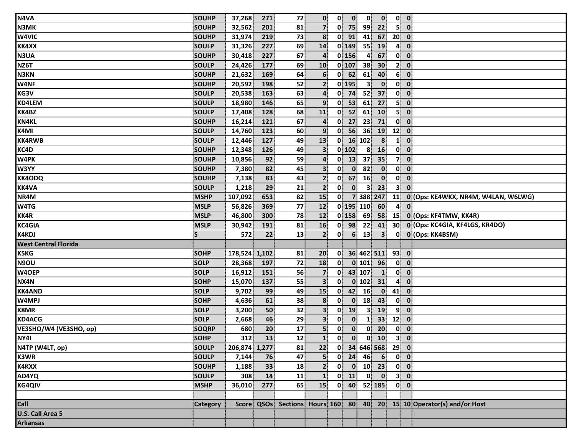| N4VA                     | SOUHP        | 37,268        | 271      | 72 | $\mathbf{0}$            | $\mathbf{0}$            | $\mathbf{0}$   | $\mathbf{0}$   | $\mathbf{0}$                                                                       |                                        | $0$ $0$                                                              |
|--------------------------|--------------|---------------|----------|----|-------------------------|-------------------------|----------------|----------------|------------------------------------------------------------------------------------|----------------------------------------|----------------------------------------------------------------------|
| <b>N3MK</b>              | <b>SOUHP</b> | 32,562        | 201      | 81 | 7 <sup>1</sup>          | 0                       | 75             | 99             | 22                                                                                 | 5 <sup>1</sup>                         | $\overline{\mathbf{0}}$                                              |
| W4VIC                    | <b>SOUHP</b> | 31,974        | 219      | 73 | 8 <sup>1</sup>          | $\mathbf{0}$            | 91             | 41             | 67                                                                                 | 20                                     | $\overline{\mathbf{0}}$                                              |
| <b>KK4XX</b>             | <b>SOULP</b> | 31,326        | 227      | 69 | 14                      |                         | $0$ 149        | 55             | 19                                                                                 | 4                                      | $\mathbf{0}$                                                         |
| N3UA                     | SOUHP        | 30,418        | 227      | 67 | $\overline{\mathbf{a}}$ |                         | $0$ 156        | 4              | 67                                                                                 | $\mathbf{0}$                           | $\overline{\mathbf{0}}$                                              |
| NZ6T                     | <b>SOULP</b> | 24,426        | 177      | 69 | 10                      |                         | $0$ 107        | 38             | 30                                                                                 | 2 <sup>1</sup>                         | $\mathbf{0}$                                                         |
| <b>N3KN</b>              | SOUHP        | 21,632        | 169      | 64 | 6                       | 0                       | 62             | 61             | 40                                                                                 | 6 <sup>1</sup>                         | $\mathbf{0}$                                                         |
| W4NF                     | <b>SOUHP</b> | 20,592        | 198      | 52 | $\overline{2}$          |                         | $0$ 195        | 3 <sup>1</sup> | $\mathbf{0}$                                                                       | $\mathbf{0}$                           | $\mathbf{0}$                                                         |
| KG3V                     | <b>SOULP</b> | 20,538        | 163      | 63 | $\overline{4}$          | 0                       | 74             | 52             | 37                                                                                 | 0                                      | $\mathbf{0}$                                                         |
| <b>KD4LEM</b>            | <b>SOULP</b> | 18,980        | 146      | 65 | 9 <sup>1</sup>          | $\mathbf{0}$            | 53             | 61             | 27                                                                                 | 51                                     | $\mathbf{0}$                                                         |
| KK4BZ                    | SOULP        | 17,408        | 128      | 68 | 11                      | $\mathbf{0}$            | 52             | 61             | 10                                                                                 | 5 <sup>1</sup>                         | $\overline{\mathbf{0}}$                                              |
| <b>KN4KL</b>             | SOUHP        | 16,214        | 121      | 67 | $\boldsymbol{4}$        | $\mathbf{0}$            | 27             | 23             | 71                                                                                 | $\mathbf{0}$                           | $\mathbf{0}$                                                         |
| K4MI                     | <b>SOULP</b> | 14,760        | 123      | 60 | 9 <sup>1</sup>          | $\mathbf{0}$            | 56             | 36             | 19                                                                                 | 12                                     | $\mathbf{0}$                                                         |
| <b>KK4RWB</b>            | <b>SOULP</b> | 12,446        | 127      | 49 | 13                      | 0                       |                | 16 102         | 8                                                                                  | $\mathbf{1}$                           | $\mathbf{0}$                                                         |
| KC4D                     | SOUHP        | 12,348        | 126      | 49 | $\overline{\mathbf{3}}$ |                         | 0 102          | 8 <sup>1</sup> | 16                                                                                 | 0                                      | $\overline{\mathbf{0}}$                                              |
| <b>W4PK</b>              | SOUHP        | 10,856        | 92       | 59 | $\overline{4}$          | 0                       | 13             | 37             | 35                                                                                 | 7 <sup>1</sup>                         | $\mathbf{0}$                                                         |
| W3YY                     | <b>SOUHP</b> | 7,380         | 82       | 45 | 3 <sup>1</sup>          | $\mathbf{0}$            | $\mathbf{0}$   | 82             | $\mathbf{0}$                                                                       | $\mathbf{0}^{\parallel}$               | $\overline{\mathbf{0}}$                                              |
| <b>KK4ODQ</b>            | SOUHP        | 7,138         | 83       | 43 | 2 <sup>1</sup>          | $\mathbf{0}$            | 67             | 16             | $\mathbf{0}$                                                                       | $\mathbf{0}$                           | $\mathbf{0}$                                                         |
| <b>KK4VA</b>             | <b>SOULP</b> | 1,218         | 29       | 21 | $\overline{2}$          | $\mathbf{0}$            | $\mathbf{0}$   | $\mathbf{3}$   | 23                                                                                 | 3 <sup>1</sup>                         | $\mathbf{0}$                                                         |
| NR4M                     | <b>MSHP</b>  | 107,092       | 653      | 82 | 15                      | 0                       | $\overline{7}$ | 388 247        |                                                                                    | 11                                     | 0 (Ops: KE4WKX, NR4M, W4LAN, W6LWG)                                  |
| <b>W4TG</b>              | <b>MSLP</b>  | 56,826        | 369      | 77 | 12                      |                         |                | 0 195 110      | 60                                                                                 | 4                                      | $\mathbf{0}$                                                         |
| KK4R                     | <b>MSLP</b>  | 46,800        | 300      | 78 | $12$                    |                         | $0$ 158        | 69             | 58                                                                                 | 15                                     | 0 (Ops: KF4TMW, KK4R)                                                |
| KC4GIA                   | <b>MSLP</b>  | 30,942        | 191      | 81 | 16                      | $\mathbf{0}$            | 98             | 22             | 41                                                                                 |                                        | 30 0 (Ops: KC4GIA, KF4LGS, KR4DO)                                    |
| <b>K4KDJ</b>             | $\mathsf{S}$ | 572           | 22       | 13 | $\mathbf{2}$            | $\mathbf{0}$            | 6 <sup>1</sup> | 13             | 3 <sup>1</sup>                                                                     | $\mathbf{0}$                           | 0 (Ops: KK4BSM)                                                      |
| West Central Florida     |              |               |          |    |                         |                         |                |                |                                                                                    |                                        |                                                                      |
| <b>K5KG</b>              | <b>SOHP</b>  | 178,524 1,102 |          | 81 | 20                      | $\mathbf{0}$            |                |                | 36 462 511 93                                                                      |                                        | $\bullet$                                                            |
| N9OU                     | <b>SOLP</b>  | 28,368        | 197      | 72 | 18                      | $\mathbf{0}$            |                | $0$ 101        | 96                                                                                 | $\mathbf{0}$                           | $\overline{\mathbf{0}}$                                              |
| W4OEP                    | <b>SOLP</b>  | 16,912        | 151      | 56 | $\overline{\mathbf{z}}$ | 0                       |                | 43 107         | $\mathbf{1}$                                                                       | $\mathbf{0}$                           | $\overline{\mathbf{0}}$                                              |
| NX4N                     | <b>SOHP</b>  | 15,070        | 137      | 55 | 3 <sup>1</sup>          | $\mathbf{0}$            |                | $0$ 102        | 31                                                                                 | 4                                      | $\mathbf{0}$                                                         |
| <b>KK4AND</b>            | <b>SOLP</b>  | 9,702         | 99       | 49 | 15                      | $\mathbf{0}$            | 42             | 16             | $\mathbf{0}$                                                                       | 41                                     | $\overline{\mathbf{0}}$                                              |
| W4MPJ                    | <b>SOHP</b>  | 4,636         | 61       | 38 | 8                       | $\mathbf{0}$            | $\mathbf{0}$   | 18             | 43                                                                                 | $\mathbf{0}$                           | $\mathbf{0}$                                                         |
| <b>K8MR</b>              | <b>SOLP</b>  | 3,200         | 50       | 32 | $\overline{\mathbf{3}}$ | $\mathbf{0}$            | 19             | $\mathbf{3}$   | 19                                                                                 | 9 <sup>1</sup>                         | $\mathbf{0}$                                                         |
| <b>KD4ACG</b>            | <b>SOLP</b>  | 2,668         | 46       | 29 | 3 <sup>1</sup>          | $\mathbf{0}$            | $\mathbf{0}$   | $\mathbf{1}$   | 33                                                                                 | 12                                     | $\overline{\mathbf{0}}$                                              |
| VE3SHO/W4 (VE3SHO, op)   | <b>SOQRP</b> | 680           | 20       | 17 | $\overline{\mathbf{5}}$ | $\mathbf{0}$            | $\mathbf{0}$   | $\mathbf{0}$   | 20                                                                                 | $\mathbf{0}$                           | $\mathbf{0}$                                                         |
| NY4I                     | <b>SOHP</b>  |               | $312$ 13 | 12 | $\mathbf{1}$            | $\overline{\mathbf{0}}$ |                |                | $\begin{array}{ c c c c }\hline \textbf{0} & \textbf{0} & \textbf{10} \end{array}$ | $3$ 0                                  |                                                                      |
| N4TP (W4LT, op)          | SOULP        | 206,874 1,277 |          | 81 | 22                      |                         |                |                | $0$ 34 646 568 29 0                                                                |                                        |                                                                      |
| <b>K3WR</b>              | <b>SOULP</b> | 7,144         | 76       | 47 | 5 <sup>1</sup>          |                         |                |                | $0$ 24 46 6                                                                        | $\begin{bmatrix} 0 \\ 0 \end{bmatrix}$ |                                                                      |
| K4KXX                    | SOUHP        | 1,188         | 33       | 18 | $\mathbf{2}$            |                         |                |                | $0 \t 0 \t 10 \t 23$                                                               |                                        | $\begin{bmatrix} 0 \\ 0 \end{bmatrix}$                               |
| AD4YQ                    | <b>SOULP</b> | 308           | 14       | 11 | $\mathbf{1}$            |                         |                |                | $0$ 11 $0$ $0$                                                                     |                                        | 3 0                                                                  |
| <b>KG4QIV</b>            | <b>MSHP</b>  | 36,010        | 277      | 65 | 15                      |                         |                |                | $0$ 40 52 185                                                                      |                                        | $0$ $0$                                                              |
|                          |              |               |          |    |                         |                         |                |                |                                                                                    |                                        |                                                                      |
| Call<br>U.S. Call Area 5 | Category     |               |          |    |                         |                         |                |                |                                                                                    |                                        | Score QSOs Sections Hours 160 80 40 20 15 10 Operator(s) and/or Host |
|                          |              |               |          |    |                         |                         |                |                |                                                                                    |                                        |                                                                      |
| <b>Arkansas</b>          |              |               |          |    |                         |                         |                |                |                                                                                    |                                        |                                                                      |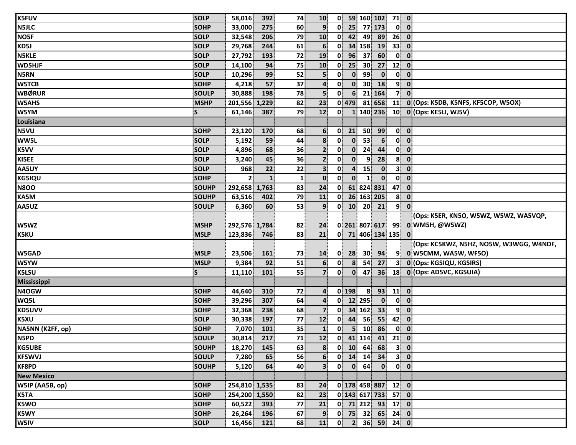| <b>K5FUV</b>      | <b>SOLP</b>  | 58,016        | 392 | 74                     | 10 <sup>1</sup>         | $\mathbf{0}$ |                         |                  | 59 160 102 71 0                                        |                |                         |                                         |
|-------------------|--------------|---------------|-----|------------------------|-------------------------|--------------|-------------------------|------------------|--------------------------------------------------------|----------------|-------------------------|-----------------------------------------|
| <b>N5JLC</b>      | <b>SOHP</b>  | 33,000        | 275 | 60                     | 9 <sup>1</sup>          | 0            | 25                      |                  | 77 173                                                 |                | $0\ 0$                  |                                         |
| NO5F              | <b>SOLP</b>  | 32,548        | 206 | 79                     | 10                      | 0            | 42                      | 49               | 89                                                     | 26             | $\overline{\mathbf{0}}$ |                                         |
| KD5J              | <b>SOLP</b>  | 29,768        | 244 | 61                     | $6 \overline{6}$        | $\mathbf{0}$ |                         | 34 158           | 19                                                     | 33             | $\overline{\mathbf{0}}$ |                                         |
| <b>N5KLE</b>      | <b>SOLP</b>  | 27,792        | 193 | 72                     | 19                      | $\mathbf{0}$ | 96                      | 37               | 60                                                     | $\mathbf{0}$   | $\mathbf{0}$            |                                         |
| WD5HJF            | <b>SOLP</b>  | 14,100        | 94  | 75                     | 10                      | $\mathbf{0}$ | 25                      | 30               | 27                                                     | 12             | $\mathbf 0$             |                                         |
| <b>N5RN</b>       | <b>SOLP</b>  | 10,296        | 99  | 52                     | 5                       | $\mathbf{0}$ | $\mathbf{0}$            | 99               | $\mathbf{0}$                                           | $\mathbf{0}$   | $\mathbf 0$             |                                         |
| <b>W5TCB</b>      | <b>SOHP</b>  | 4,218         | 57  | 37                     | 4                       | 0            | $\mathbf{0}$            | 30 <sup>1</sup>  | 18                                                     | 9 <sup>1</sup> | $\mathbf{0}$            |                                         |
| <b>WBØRUR</b>     | <b>SOULP</b> | 30,888        | 198 | 78                     | $\overline{\mathbf{5}}$ | 0            | 6 <sup>1</sup>          |                  | 21 164                                                 | $\mathbf{7}$   | $\mathbf{0}$            |                                         |
| <b>W5AHS</b>      | <b>MSHP</b>  | 201,556 1,229 |     | 82                     | 23                      |              | $0$ 479                 |                  | 81 658                                                 | 11             |                         | 0 (Ops: K5DB, K5NFS, KF5COP, W5OX)      |
| W5YM              | $\mathsf S$  | 61,146        | 387 | 79                     | 12                      | $\mathbf{0}$ |                         |                  |                                                        |                |                         | 1 140 236 10 0 (Ops: KE5LI, WJ5V)       |
| Louisiana         |              |               |     |                        |                         |              |                         |                  |                                                        |                |                         |                                         |
| N5VU              | <b>SOHP</b>  | 23,120        | 170 | 68                     | 6                       | $\mathbf{0}$ | 21                      | 50               | 99                                                     |                | $0 \quad 0$             |                                         |
| WW5L              | <b>SOLP</b>  | 5,192         | 59  | 44                     | 8                       | 0            | $\mathbf{0}$            | 53               | $6 \overline{6}$                                       |                | $0$ $0$                 |                                         |
| K5VV              | <b>SOLP</b>  | 4,896         | 68  | 36                     | $\mathbf{2}$            | 0            | $\mathbf{0}$            | 24               | 44                                                     |                | $0$ 0                   |                                         |
| KI5EE             | <b>SOLP</b>  | 3,240         | 45  | 36                     | $\mathbf{2}$            | $\mathbf{0}$ | $\mathbf{0}$            | 9                | 28                                                     | 8 <sup>1</sup> | $\mathbf 0$             |                                         |
| AA5UY             | <b>SOLP</b>  | 968           | 22  | 22                     | $\overline{\mathbf{3}}$ | 0            | $\overline{\mathbf{r}}$ | 15               | $\mathbf{0}$                                           | 3 <sup>1</sup> | $\mathbf 0$             |                                         |
| <b>KG5IQU</b>     | <b>SOHP</b>  | $\mathbf{2}$  |     | $\mathbf{1}^{\dagger}$ | $\mathbf{0}$            | $\mathbf{0}$ | $\mathbf{0}$            | $\mathbf{1}$     | $\mathbf{0}$                                           | $\mathbf{0}$   | $\mathbf 0$             |                                         |
| <b>N8OO</b>       | <b>SOUHP</b> | 292,658 1,763 |     | 83                     | 24                      | $\mathbf{0}$ |                         |                  | 61 824 831                                             | 47             | $\mathbf 0$             |                                         |
| KA5M              | <b>SOUHP</b> | 63,516        | 402 | 79                     | 11                      | $\mathbf{0}$ |                         |                  | 26 163 205                                             | $\mathbf{8}$   | $\mathbf{0}$            |                                         |
| AA5UZ             | <b>SOULP</b> | 6,360         | 60  | 53                     | 9                       | $\mathbf{0}$ | 10                      | 20 <sup>1</sup>  | 21                                                     | 9              | $\mathbf{0}$            |                                         |
|                   |              |               |     |                        |                         |              |                         |                  |                                                        |                |                         | (Ops: K5ER, KN5O, W5WZ, W5WZ, WA5VQP,   |
| W5WZ              | <b>MSHP</b>  | 292,576 1,784 |     | 82                     | 24                      |              |                         |                  | 0 261 807 617                                          | 99             |                         | 0 WM5H, @W5WZ)                          |
| <b>K5KU</b>       | <b>MSLP</b>  | 123,836       | 746 | 83                     | 21                      |              |                         |                  | $0$ 71 406 134 135                                     |                | $\overline{\mathbf{0}}$ |                                         |
|                   |              |               |     |                        |                         |              |                         |                  |                                                        |                |                         | (Ops: KC5KWZ, N5HZ, NO5W, W3WGG, W4NDF, |
| <b>W5GAD</b>      | <b>MSLP</b>  | 23,506        | 161 | 73                     | 14                      | 0            | 28                      | 30 <sub>2</sub>  | 94                                                     | 9              |                         | 0 W5CMM, WA5W, WF5O)                    |
| W5YW              | <b>MSLP</b>  | 9,384         | 92  | 51                     | $6 \overline{6}$        | $\mathbf{0}$ | 8                       | 54               | 27                                                     | 3 <sup>1</sup> |                         | 0 (Ops: KG5IQU, KG5IRS)                 |
| <b>K5LSU</b>      | $\mathsf{S}$ | 11,110        | 101 | 55                     | $\overline{\mathbf{z}}$ | $\mathbf{0}$ | $\mathbf{0}$            | 47               | 36                                                     |                |                         | 18 0 (Ops: AD5VC, KG5UIA)               |
| Mississippi       |              |               |     |                        |                         |              |                         |                  |                                                        |                |                         |                                         |
| N4OGW             | <b>SOHP</b>  | 44,640        | 310 | 72                     | 4                       |              | $0$ 198                 | $\boldsymbol{8}$ | 93                                                     | $11$ 0         |                         |                                         |
| WQ5L              | <b>SOHP</b>  | 39,296        | 307 | 64                     | 4                       | 0            |                         | 12 295           | $\mathbf{0}$                                           | $\mathbf{0}$   | $\mathbf{0}$            |                                         |
| KD5UVV            | <b>SOHP</b>  | 32,368        | 238 | 68                     | $\overline{\mathbf{z}}$ | $\mathbf{0}$ |                         | 34 162           | 33                                                     | 9 <sup>1</sup> | $\mathbf 0$             |                                         |
| K5XU              | <b>SOLP</b>  | 30,338        | 197 | 77                     | 12                      | 0            | 44                      | 56               | 55                                                     | $42$ 0         |                         |                                         |
| NA5NN (K2FF, op)  | <b>SOHP</b>  | 7,070         | 101 | 35                     | $\mathbf{1}$            | $\mathbf{0}$ | $\mathbf{5}$            | 10 <sup>1</sup>  | 86                                                     | $\mathbf{0}$   | $\mathbf{0}$            |                                         |
| N5PD              | <b>SOULP</b> | 30,814        | 217 | 71                     | 12                      |              |                         |                  | $0$ 41 114 41                                          | $21$ 0         |                         |                                         |
| <b>KG5UBE</b>     | <b>SOUHP</b> | 18,270        | 145 | 63                     | 8                       |              |                         | $0$ 10 64        | 68                                                     |                | 3 0                     |                                         |
| <b>KF5WVJ</b>     | <b>SOULP</b> | 7,280         | 65  | 56                     | 6 <sup>1</sup>          |              |                         |                  | $0$ 14 14 34                                           |                | 3 0                     |                                         |
| <b>KF8PD</b>      | <b>SOUHP</b> | 5,120         | 64  | 40                     | 3 <sup>1</sup>          | $\mathbf{0}$ |                         | $0 \quad 64$     | $\mathbf{0}$                                           |                | $0 \vert 0 \vert$       |                                         |
| <b>New Mexico</b> |              |               |     |                        |                         |              |                         |                  |                                                        |                |                         |                                         |
| W5IP (AA5B, op)   | <b>SOHP</b>  | 254,810 1,535 |     | 83                     | 24                      |              |                         |                  | 0 178 458 887                                          | $12$ 0         |                         |                                         |
| <b>K5TA</b>       | <b>SOHP</b>  | 254,200 1,550 |     | 82                     | 23                      |              |                         |                  | $\boxed{0}$ 143 617 733 57 0                           |                |                         |                                         |
| K5WO              | <b>SOHP</b>  | 60,522        | 393 | 77                     | 21                      |              |                         |                  | $\begin{bmatrix} 0 & 71 & 212 & 93 & 17 \end{bmatrix}$ |                |                         |                                         |
| <b>K5WY</b>       | <b>SOHP</b>  | 26,264        | 196 | 67                     | 9 <sub>1</sub>          |              |                         |                  | $0$ 75 32 65 24 0                                      |                |                         |                                         |
| W5IV              | <b>SOLP</b>  | 16,456        | 121 | 68                     | 11                      |              |                         |                  | $0$ 2 36 59 24 0                                       |                |                         |                                         |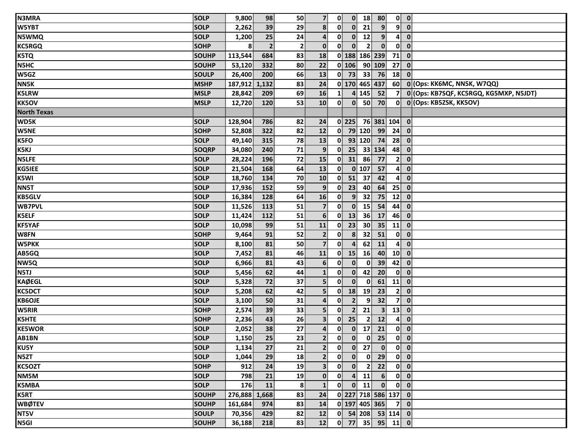| <b>N3MRA</b>       | <b>SOLP</b>  | 9,800         | 98             | 50             | 7 <sup>1</sup>   | $\mathbf{0}$   |                | $0$ 18          | 80                                                          |                         | $0$ $0$                                |
|--------------------|--------------|---------------|----------------|----------------|------------------|----------------|----------------|-----------------|-------------------------------------------------------------|-------------------------|----------------------------------------|
| W5YBT              | <b>SOLP</b>  | 2,262         | 39             | 29             | 8                | 0              | $\mathbf{0}$   | 21              | 9 <sup>1</sup>                                              | 9 <sup>1</sup>          | $\overline{\mathbf{0}}$                |
| <b>N5WMQ</b>       | <b>SOLP</b>  | 1,200         | 25             | 24             | $\overline{4}$   | $\mathbf{0}$   | $\mathbf{0}$   | 12              | 9 <sup>1</sup>                                              | $\mathbf{A}$            | $\mathbf 0$                            |
| KC5RGQ             | <b>SOHP</b>  | 8             | $\overline{2}$ | $\mathbf{2}$   | $\mathbf{0}$     | 0              | $\mathbf{0}$   | $\overline{2}$  | $\mathbf{0}$                                                | $\mathbf{0}$            | $\mathbf{0}$                           |
| K5TQ               | <b>SOUHP</b> | 113,544       | 684            | 83             | 18               |                |                |                 | 0 188 186 239                                               | 71                      | $\mathbf{0}$                           |
| <b>N5HC</b>        | <b>SOUHP</b> | 53,120        | 332            | 80             | 22               |                | $0$ 106        |                 | 90 109                                                      | 27                      | $\mathbf 0$                            |
| W5GZ               | <b>SOULP</b> | 26,400        | 200            | 66             | 13               |                | $0$ 73         | 33              | 76                                                          | 18                      | $\mathbf{0}$                           |
| <b>NN5K</b>        | <b>MSHP</b>  | 187,912       | 1,132          | 83             | 24               |                |                |                 | 0 170 465 437                                               | 60                      | 0 (Ops: KK6MC, NN5K, W7QQ)             |
| <b>K5LRW</b>       | <b>MSLP</b>  | 28,842        | 209            | 69             | 16               | 1 <sup>1</sup> |                | 4 145           | 52                                                          | $\overline{7}$          | 0 (Ops: KB7SQF, KC5RGQ, KG5MXP, N5JDT) |
| <b>KK5OV</b>       | <b>MSLP</b>  | 12,720        | 120            | 53             | 10               | $\mathbf{0}$   | $\mathbf{0}$   | 50              | 70                                                          |                         | 0 0 (Ops: KB5ZSK, KK5OV)               |
| <b>North Texas</b> |              |               |                |                |                  |                |                |                 |                                                             |                         |                                        |
| WD5K               | <b>SOLP</b>  | 128,904       | 786            | 82             | 24               |                |                |                 | $0$ 225 76 381 104                                          |                         | $\mathbf{0}$                           |
| <b>W5NE</b>        | <b>SOHP</b>  | 52,808        | 322            | 82             | 12               | $\mathbf{0}$   |                | 79 120          | 99                                                          | 24                      | $\mathbf{0}$                           |
| <b>K5FO</b>        | <b>SOLP</b>  | 49,140        | 315            | 78             | 13               | 0              |                |                 | 93 120 74                                                   | 28                      | $\mathbf{0}$                           |
| <b>K5KJ</b>        | <b>SOQRP</b> | 34,080        | 240            | 71             | 9                | 0              | 25             |                 | 33 134                                                      | 48                      | $\mathbf{0}$                           |
| <b>NSLFE</b>       | <b>SOLP</b>  | 28,224        | 196            | 72             | 15               | $\mathbf{0}$   | 31             | 86              | 77                                                          | $\mathbf{2}$            | $\mathbf{0}$                           |
| <b>KG5IEE</b>      | <b>SOLP</b>  | 21,504        | 168            | 64             | 13               | 0              |                | $0$ 107         | 57                                                          | $\mathbf{A}$            | $\mathbf 0$                            |
| K5WI               | <b>SOLP</b>  | 18,760        | 134            | 70             | 10               | $\mathbf{0}$   | 51             | 37              | 42                                                          | $\overline{\mathbf{4}}$ | $\mathbf{0}$                           |
| NN5T               | <b>SOLP</b>  | 17,936        | 152            | 59             | 9                | $\mathbf{0}$   | 23             | 40              | 64                                                          | 25                      | $\mathbf{0}$                           |
| <b>KB5GLV</b>      | <b>SOLP</b>  | 16,384        | 128            | 64             | 16               | 0              | 9 <sup>1</sup> | 32              | 75                                                          | 12                      | $\mathbf{0}$                           |
| <b>WB7PVL</b>      | <b>SOLP</b>  | 11,526        | 113            | 51             | $\overline{7}$   | 0              | $\mathbf{0}$   | 15              | 54                                                          | 44                      | $\mathbf 0$                            |
| <b>K5ELF</b>       | <b>SOLP</b>  | 11,424        | 112            | 51             | 6                | $\mathbf{0}$   | 13             | 36              | 17                                                          | 46                      | $\mathbf{0}$                           |
| <b>KF5YAF</b>      | <b>SOLP</b>  | 10,098        | 99             | 51             | 11               | 0              | 23             | 30 <sup>1</sup> | 35                                                          | 11                      | $\mathbf{0}$                           |
| W8FN               | <b>SOHP</b>  | 9,464         | 91             | 52             | $\mathbf{2}$     | $\mathbf{0}$   | 8 <sup>1</sup> | 32              | 51                                                          | $\mathbf{0}$            | $\mathbf 0$                            |
| <b>W5PKK</b>       | <b>SOLP</b>  | 8,100         | 81             | 50             | $\overline{7}$   | $\mathbf{0}$   | 4              | 62              | 11                                                          | $\mathbf{4}$            | $\mathbf{0}$                           |
| AB5GQ              | <b>SOLP</b>  | 7,452         | 81             | 46             | 11               | $\mathbf{0}$   | 15             | 16              | 40                                                          |                         | $10$ 0                                 |
| NW5Q               | <b>SOLP</b>  | 6,966         | 81             | 43             | $6 \overline{6}$ | 0              | $\mathbf{0}$   | $\mathbf{0}$    | 39                                                          | 42                      | $\mathbf{0}$                           |
| <b>N5TJ</b>        | <b>SOLP</b>  | 5,456         | 62             | 44             | $\mathbf{1}$     | $\mathbf{0}$   | $\mathbf{0}$   | 42              | 20                                                          | $\mathbf{0}$            | $\mathbf{0}$                           |
| <b>KAØEGL</b>      | <b>SOLP</b>  | 5,328         | 72             | 37             | 5 <sup>1</sup>   | $\mathbf{0}$   | $\mathbf{0}$   | $\mathbf{0}$    | 61                                                          | 11                      | $\mathbf{0}$                           |
| <b>KC5DCT</b>      | <b>SOLP</b>  | 5,208         | 62             | 42             | 5                | 0              | 18             | 19              | 23                                                          | 2 <sup>1</sup>          | $\mathbf{0}$                           |
| <b>KB6OJE</b>      | <b>SOLP</b>  | 3,100         | 50             | 31             | $\overline{a}$   | $\mathbf{0}$   | $\overline{2}$ | 9               | 32                                                          | $\mathbf{7}$            | $\mathbf{0}$                           |
| <b>W5RIR</b>       | <b>SOHP</b>  | 2,574         | 39             | 33             | 5 <sup>1</sup>   | $\mathbf{0}$   | $\overline{2}$ | 21              | $\mathbf{3}$                                                | 13                      | $\mathbf 0$                            |
| <b>K5HTE</b>       | <b>SOHP</b>  | 2,236         | 43             | 26             | 3 <sup>1</sup>   | 0              | 25             | $\mathbf{2}$    | 12                                                          | $\mathbf{4}$            | $\mathbf 0$                            |
| <b>KE5WOR</b>      | <b>SOLP</b>  | 2,052         | 38             | 27             | $\mathbf{4}$     | 0              | $\mathbf{0}$   | 17              | 21                                                          | $\mathbf{0}$            | $\mathbf{0}$                           |
| AB1BN              | SOLP         | 1,150         | 25             | 23             | 2 <sup>1</sup>   |                |                |                 | $\begin{array}{ c c c c c }\n\hline\n0&0&0&25\n\end{array}$ |                         | $\overline{0}$ $\overline{0}$          |
| KU5Y               | <b>SOLP</b>  | 1,134         | 27             | 21             | 2 <sup>1</sup>   | $\mathbf{0}$   | $\mathbf{0}$   | 27 <sup>1</sup> | $\mathbf{0}$                                                |                         | $0$ $0$                                |
| N5ZT               | <b>SOLP</b>  | 1,044         | 29             | 18             | $\overline{2}$   | $\mathbf{0}$   | $\mathbf{0}$   | $\mathbf{0}$    | 29                                                          |                         | $0$ $0$                                |
| <b>KC5OZT</b>      | <b>SOHP</b>  | 912           | 24             | 19             | 3 <sup>1</sup>   | 0              | $\mathbf{0}$   | $\mathbf{2}$    | 22                                                          |                         | $0 \quad 0$                            |
| NM5M               | <b>SOLP</b>  | 798           | 21             | 19             | $\mathbf{0}$     | 0              | $\overline{4}$ | 11              | 6                                                           |                         | $0 \quad 0$                            |
| <b>K5MBA</b>       | <b>SOLP</b>  | 176           | 11             | 8 <sup>1</sup> | $\mathbf{1}$     | $\mathbf{0}$   |                | $0$ 11          | $\bullet$                                                   |                         | $0$ $0$                                |
| <b>K5RT</b>        | SOUHP        | 276,888 1,668 |                | 83             | 24               |                |                |                 | 0 227 718 586 137 0                                         |                         |                                        |
| <b>WBØTEV</b>      | <b>SOUHP</b> | 161,684       | 974            | 83             | 14               |                |                |                 | 0 197 405 365                                               | 70                      |                                        |
| NT5V               | <b>SOULP</b> | 70,356        | 429            | 82             | 12               |                |                |                 | $0$ 54 208 53 114 0                                         |                         |                                        |
| N5GI               | SOUHP        | 36,188        | 218            | 83             | 12               |                |                |                 | $0$ 77 35 95 11 0                                           |                         |                                        |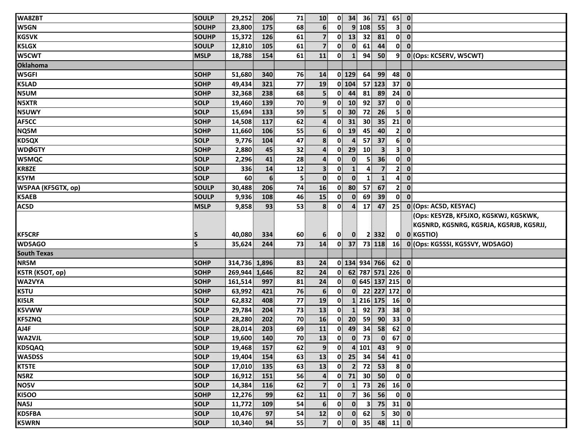| WA8ZBT             | SOULP        | 29,252        | 206             | 71           | 10               |              | $0 \vert 34 \vert$ | 36              | 71                         | $65$ 0          |                         |                                         |
|--------------------|--------------|---------------|-----------------|--------------|------------------|--------------|--------------------|-----------------|----------------------------|-----------------|-------------------------|-----------------------------------------|
| W5GN               | <b>SOUHP</b> | 23,800        | 175             | 68           | $6 \overline{6}$ | 0            |                    | 9 108           | 55                         | 3 <sup>1</sup>  | $\mathbf 0$             |                                         |
| <b>KG5VK</b>       | <b>SOUHP</b> | 15,372        | 126             | 61           | $\overline{7}$   | $\mathbf{0}$ | 13                 | 32              | 81                         | $\mathbf{0}$    | $\mathbf{0}$            |                                         |
| <b>K5LGX</b>       | <b>SOULP</b> | 12,810        | 105             | 61           | $\overline{7}$   | $\mathbf{0}$ | $\mathbf{0}$       | 61              | 44                         | 0               | $\mathbf 0$             |                                         |
| W5CWT              | <b>MSLP</b>  | 18,788        | 154             | 61           | 11               | $\mathbf{0}$ | $\mathbf{1}$       | 94              | 50                         | 9               |                         | 0 (Ops: KC5ERV, W5CWT)                  |
| <b>Oklahoma</b>    |              |               |                 |              |                  |              |                    |                 |                            |                 |                         |                                         |
| <b>W5GFI</b>       | <b>SOHP</b>  | 51,680        | 340             | 76           | 14               |              | $0$ 129            | 64              | 99                         | 48              | $\overline{\mathbf{0}}$ |                                         |
| <b>K5LAD</b>       | <b>SOHP</b>  | 49,434        | 321             | 77           | 19               |              | 0 104              |                 | 57 123                     | 37 <sup>1</sup> | $\mathbf 0$             |                                         |
| <b>N5UM</b>        | <b>SOHP</b>  | 32,368        | 238             | 68           | 5 <sup>1</sup>   |              | $0$ 44             | 81              | 89                         | 24              | $\mathbf{0}$            |                                         |
| <b>N5XTR</b>       | <b>SOLP</b>  | 19,460        | 139             | 70           | 9 <sub>1</sub>   | $\mathbf{0}$ | 10                 | 92              | 37                         | $\mathbf{0}$    | $\mathbf{0}$            |                                         |
| <b>N5UWY</b>       | <b>SOLP</b>  | 15,694        | 133             | 59           | 5                | $\mathbf{0}$ | 30 <sup>°</sup>    | 72              | 26                         | 5               | $\mathbf 0$             |                                         |
| AF5CC              | <b>SOHP</b>  | 14,508        | 117             | 62           | $\boldsymbol{4}$ | $\mathbf{0}$ | 31                 | 30 <sup>°</sup> | 35                         | 21              | $\mathbf 0$             |                                         |
| NQ5M               | <b>SOHP</b>  | 11,660        | 106             | 55           | $6 \overline{6}$ | 0            | 19                 | 45              | 40                         | 2 <sup>1</sup>  | $\mathbf 0$             |                                         |
| <b>KD5QX</b>       | <b>SOLP</b>  | 9,776         | 104             | 47           | 8                | 0            | 4                  | 57              | 37                         | 6 <sup>1</sup>  | $\mathbf 0$             |                                         |
| <b>WDØGTY</b>      | SOHP         | 2,880         | 45              | 32           | $\mathbf{4}$     | 0            | 29                 | 10              | 3 <sup>1</sup>             | 3 <sup>1</sup>  | $\boldsymbol{0}$        |                                         |
| <b>W5MQC</b>       | <b>SOLP</b>  | 2,296         | 41              | 28           | $\mathbf{4}$     | $\mathbf{0}$ | $\mathbf{0}$       | 5 <sup>1</sup>  | 36                         | 0               | $\mathbf 0$             |                                         |
| KR8ZE              | <b>SOLP</b>  | 336           | 14              | 12           | 3 <sup>1</sup>   | 0            | $\mathbf{1}$       | 4               | $\overline{7}$             | 2 <sup>1</sup>  | $\mathbf 0$             |                                         |
| <b>K5YM</b>        | <b>SOLP</b>  | 60            | $6\phantom{1}6$ | $\mathsf{S}$ | $\mathbf{0}$     | $\mathbf{0}$ | $\mathbf{0}$       |                 | $\mathbf{1}$               | $\mathbf{A}$    | $\mathbf 0$             |                                         |
| W5PAA (KF5GTX, op) | <b>SOULP</b> | 30,488        | 206             | 74           | 16               | $\mathbf{0}$ | 80                 | 57              | 67                         | $\mathbf{2}$    | $\mathbf{0}$            |                                         |
| <b>K5AEB</b>       | <b>SOULP</b> | 9,936         | 108             | 46           | 15               | $\mathbf{0}$ | $\mathbf{0}$       | 69              | 39                         | $\mathbf{0}$    | $\mathbf{0}$            |                                         |
| AC5D               | <b>MSLP</b>  | 9,858         | 93              | 53           | 8                | $\mathbf{0}$ | $\overline{a}$     | 17              | 47                         | 25              |                         | 0 (Ops: AC5D, KE5YAC)                   |
|                    |              |               |                 |              |                  |              |                    |                 |                            |                 |                         | (Ops: KE5YZB, KF5JXO, KG5KWJ, KG5KWK,   |
|                    |              |               |                 |              |                  |              |                    |                 |                            |                 |                         | KG5NRD, KG5NRG, KG5RJA, KG5RJB, KG5RJJ, |
| <b>KF5CRF</b>      | S            | 40,080        | 334             | 60           | 6                | $\mathbf{0}$ | $\mathbf{0}$       |                 | $2$ 332                    |                 |                         | 0 0 KG5TIO)                             |
| WD5AGO             | <b>S</b>     | 35,624        | 244             | 73           | 14               | $\mathbf{0}$ | 37                 |                 | 73 118                     |                 |                         | 16 0 (Ops: KG5SSI, KG5SVY, WD5AGO)      |
| <b>South Texas</b> |              |               |                 |              |                  |              |                    |                 |                            |                 |                         |                                         |
| NR5M               | <b>SOHP</b>  | 314,736 1,896 |                 | 83           | 24               |              |                    |                 | 0 134 934 766              | $62$ 0          |                         |                                         |
| K5TR (K5OT, op)    | <b>SOHP</b>  | 269,944       | 1,646           | 82           | 24               | $\mathbf{0}$ |                    |                 | 62 787 571 226             |                 | $\overline{\mathbf{0}}$ |                                         |
| WA2VYA             | <b>SOHP</b>  | 161,514       | 997             | 81           | 24               | $\mathbf{0}$ |                    |                 | 0 645 137 215              |                 | $\overline{\mathbf{0}}$ |                                         |
| K5TU               | <b>SOHP</b>  | 63,992        | 421             | 76           | $6 \overline{6}$ | $\mathbf{0}$ | $\mathbf{0}$       |                 | 22 227 172                 |                 | $\overline{\mathbf{0}}$ |                                         |
| KI5LR              | <b>SOLP</b>  | 62,832        | 408             | 77           | 19               | $\mathbf{0}$ |                    |                 | 1 216 175                  | 16              | $\mathbf 0$             |                                         |
| <b>K5VWW</b>       | <b>SOLP</b>  | 29,784        | 204             | 73           | 13               | $\mathbf{0}$ | $\mathbf{1}$       | 92              | 73                         | 38              | $\mathbf 0$             |                                         |
| <b>KF5ZNQ</b>      | <b>SOLP</b>  | 28,280        | 202             | 70           | 16               | 0            | 20                 | 59              | 90                         | 33              | $\boldsymbol{0}$        |                                         |
| AJ4F               | <b>SOLP</b>  | 28,014        | 203             | 69           | 11               | 0            | 49                 | 34              | 58                         | 62              | $\mathbf 0$             |                                         |
| <b>WA2VJL</b>      | SOLP         | 19,600        | 140             | 70           | 13               |              |                    | $0 \t 0 \t 73$  | $\overline{\phantom{0}}$ 0 | $67$ 0          |                         |                                         |
| <b>KD5QAQ</b>      | <b>SOLP</b>  | 19,468        | 157             | 62           | 9                | $\mathbf{0}$ |                    | 4 101           | 43                         |                 | $9$ 0                   |                                         |
| WA5DSS             | <b>SOLP</b>  | 19,404        | 154             | 63           | 13               | $\mathbf{0}$ | 25                 | 34              | 54                         | $41$ 0          |                         |                                         |
| <b>KT5TE</b>       | <b>SOLP</b>  | 17,010        | 135             | 63           | 13               | 0            | $\mathbf{2}$       | 72              | 53                         | 8 <sup>1</sup>  | $\overline{\mathbf{0}}$ |                                         |
| N5RZ               | <b>SOLP</b>  | 16,912        | 151             | 56           | 4                |              | $0$ 71             | 30 <sup>1</sup> | 50                         |                 | $0$ $0$                 |                                         |
| NO5V               | <b>SOLP</b>  | 14,384        | 116             | 62           | $\overline{7}$   | $\mathbf{0}$ | $\mathbf{1}$       | 73              | 26                         | $16$ 0          |                         |                                         |
| <b>KI5OO</b>       | <b>SOHP</b>  | 12,276        | 99              | 62           | 11               | $\mathbf{0}$ | 7 <sup>1</sup>     | 36              | 56                         |                 | $0 \vert 0 \vert$       |                                         |
| NA5J               | <b>SOLP</b>  | 11,772        | 109             | 54           | 6                | 0            | $\mathbf{0}$       | $\mathbf{3}$    | 75                         | $31$ 0          |                         |                                         |
| <b>KD5FBA</b>      | <b>SOLP</b>  | 10,476        | 97              | 54           | 12               | 0            | $\mathbf{0}$       | 62              | 5 <sup>1</sup>             | $30$ 0          |                         |                                         |
|                    |              |               |                 |              |                  |              |                    |                 |                            |                 |                         |                                         |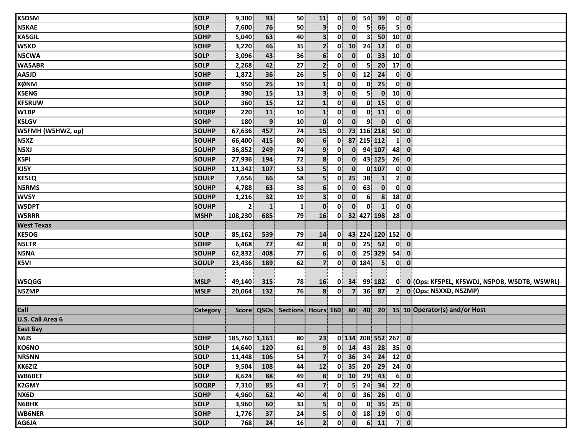| <b>K5DSM</b>            | <b>SOLP</b>     | 9,300          | 93           | 50           | 11                        | $\mathbf{0}$ | $\mathbf{0}$            | 54              | 39                |                 | $0$ $0$                                |                                                                      |
|-------------------------|-----------------|----------------|--------------|--------------|---------------------------|--------------|-------------------------|-----------------|-------------------|-----------------|----------------------------------------|----------------------------------------------------------------------|
| N5KAE                   | <b>SOLP</b>     | 7,600          | 76           | 50           | $\overline{\mathbf{3}}$   | 0            | $\mathbf{0}$            | 5               | 66                | 5 <sup>1</sup>  | $\mathbf 0$                            |                                                                      |
| <b>KA5GIL</b>           | <b>SOHP</b>     | 5,040          | 63           | 40           | 3 <sup>1</sup>            | 0            | $\mathbf{0}$            | 3               | 50                | $10$ 0          |                                        |                                                                      |
| W5XD                    | <b>SOHP</b>     | 3,220          | 46           | 35           | 2 <sup>1</sup>            | 0            | 10 <sup>1</sup>         | 24              | 12                | $\mathbf{0}$    | $\overline{\mathbf{0}}$                |                                                                      |
| N5CWA                   | <b>SOLP</b>     | 3,096          | 43           | 36           | 6 <sup>1</sup>            | $\mathbf{0}$ | $\mathbf{0}$            | $\mathbf{0}$    | 33                | 10              | $\mathbf 0$                            |                                                                      |
| <b>WA5ABR</b>           | <b>SOLP</b>     | 2,268          | 42           | 27           | $\mathbf{2}$              | 0            | $\mathbf{0}$            | 5               | 20 <sup>°</sup>   | 17              | $\mathbf{0}$                           |                                                                      |
| AA5JD                   | <b>SOHP</b>     | 1,872          | 36           | 26           | 5                         | $\mathbf{0}$ | $\mathbf{0}$            | 12              | 24                | $\mathbf{0}$    | $\mathbf{0}$                           |                                                                      |
| <b>KØNM</b>             | <b>SOHP</b>     | 950            | 25           | 19           | $\mathbf{1}$              | $\mathbf{0}$ | $\mathbf{0}$            | $\mathbf{0}$    | 25                | $\mathbf{0}$    | $\overline{\mathbf{0}}$                |                                                                      |
| <b>K5ENG</b>            | <b>SOLP</b>     | 390            | 15           | 13           | 3 <sup>1</sup>            | $\mathbf{0}$ | $\mathbf{0}$            | 5               | $\mathbf{0}$      | 10 <sup>1</sup> | $\overline{\mathbf{0}}$                |                                                                      |
| <b>KF5RUW</b>           | <b>SOLP</b>     | 360            | 15           | 12           | $\mathbf{1}$              | 0            | $\mathbf{0}$            | $\mathbf{0}$    | 15                | $\mathbf{0}$    | $\overline{\mathbf{0}}$                |                                                                      |
| W1BP                    | <b>SOQRP</b>    | 220            | 11           | 10           | $\mathbf{1}$              | $\mathbf{0}$ | $\mathbf{0}$            | $\mathbf{0}$    | 11                | $\mathbf{0}$    | $\mathbf 0$                            |                                                                      |
| <b>K5LGV</b>            | <b>SOHP</b>     | 180            | 9            | 10           | $\mathbf{0}$              | 0            | $\mathbf{0}$            | 9 <sup>1</sup>  | $\mathbf{0}$      | $\mathbf{0}$    | $\mathbf{0}$                           |                                                                      |
| W5FMH (W5HWZ, op)       | <b>SOUHP</b>    | 67,636         | 457          | 74           | 15                        | $\mathbf{0}$ |                         |                 | 73 116 218        | 50              | $\overline{\mathbf{0}}$                |                                                                      |
| N5XZ                    | <b>SOUHP</b>    | 66,400         | 415          | 80           | $6 \overline{6}$          | 0            |                         |                 | 87 215 112        | $\mathbf{1}$    | $\mathbf{0}$                           |                                                                      |
| N5XJ                    | <b>SOUHP</b>    | 36,852         | 249          | 74           | 9                         | $\mathbf{0}$ | $\mathbf{0}$            |                 | 94 107            | 48              | $\mathbf{0}$                           |                                                                      |
| K5PI                    | <b>SOUHP</b>    | 27,936         | 194          | 72           | $\boldsymbol{8}$          | $\mathbf{0}$ | $\mathbf{0}$            |                 | 43 125            | 26              | $\mathbf{0}$                           |                                                                      |
| KJ5Y                    | <b>SOUHP</b>    | 11,342         | 107          | 53           | 5                         | 0            | $\mathbf{0}$            |                 | $0$ 107           | $\mathbf{0}$    | $\overline{\mathbf{0}}$                |                                                                      |
| <b>KE5LQ</b>            | <b>SOULP</b>    | 7,656          | 66           | 58           | 5                         | $\mathbf{0}$ | 25                      | 38              | 1                 | $\mathbf{2}$    | $\mathbf{0}$                           |                                                                      |
| <b>N5RMS</b>            | <b>SOUHP</b>    | 4,788          | 63           | 38           | 6 <sup>1</sup>            | $\mathbf{0}$ | $\mathbf{0}$            | 63              | $\mathbf{0}$      | $\mathbf{0}$    | $\mathbf{0}$                           |                                                                      |
| WV5Y                    | <b>SOUHP</b>    | 1,216          | 32           | 19           | 3                         | $\mathbf{0}$ | $\mathbf{0}$            | 6 <sup>1</sup>  | $\boldsymbol{8}$  | 18              | $\mathbf{0}$                           |                                                                      |
| <b>W5DPT</b>            | <b>SOUHP</b>    | 2 <sup>1</sup> | $\mathbf{1}$ | $\mathbf{1}$ | $\mathbf{0}$              | $\mathbf{0}$ | $\mathbf{0}$            | $\mathbf{0}$    | $\mathbf{1}$      | $\mathbf{0}$    | $\mathbf{0}$                           |                                                                      |
| <b>W5RRR</b>            | <b>MSHP</b>     | 108,230        | 685          | 79           | 16                        | $\mathbf{0}$ |                         |                 | 32 427 198        | 28              | $\mathbf{0}$                           |                                                                      |
| <b>West Texas</b>       |                 |                |              |              |                           |              |                         |                 |                   |                 |                                        |                                                                      |
| <b>KE5OG</b>            | <b>SOLP</b>     | 85,162         | 539          | 79           | 14                        | $\mathbf{0}$ |                         |                 | 43 224 120 152    |                 | $\overline{\mathbf{0}}$                |                                                                      |
| <b>N5LTR</b>            | <b>SOHP</b>     | 6,468          | 77           | 42           | 8 <sup>1</sup>            | $\mathbf{0}$ | $\mathbf{0}$            | 25              | 52                |                 | $0\ 0$                                 |                                                                      |
| N5NA                    | <b>SOUHP</b>    | 62,832         | 408          | 77           | $6 \overline{6}$          | 0            | $\mathbf{0}$            |                 | 25 329            | 54              | $\mathbf{0}$                           |                                                                      |
| K5VI                    | <b>SOULP</b>    | 23,436         | 189          | 62           | $\overline{7}$            | $\mathbf{0}$ |                         | $0$ 184         | 5 <sup>1</sup>    | $\mathbf{0}$    | $\overline{\mathbf{0}}$                |                                                                      |
|                         |                 |                |              |              |                           |              |                         |                 |                   |                 |                                        |                                                                      |
| W5QGG                   | <b>MSLP</b>     | 49,140         | 315          | 78           | 16                        | $\mathbf{0}$ | 34                      |                 | 99 182            |                 |                                        | 0 0 (Ops: KF5PEL, KF5WDJ, N5POB, W5DTB, W5WRL)                       |
| N5ZMP                   | <b>MSLP</b>     | 20,064         | 132          | 76           | 8                         | $\mathbf{0}$ | $\overline{\mathbf{z}}$ | 36              | 87                | $\mathbf{2}$    |                                        | 0 (Ops: N5XXD, N5ZMP)                                                |
|                         |                 |                |              |              |                           |              |                         |                 |                   |                 |                                        |                                                                      |
| <b>Call</b>             | <b>Category</b> |                |              |              |                           |              |                         |                 |                   |                 |                                        | Score QSOs Sections Hours 160 80 40 20 15 10 Operator(s) and/or Host |
| <b>U.S. Call Area 6</b> |                 |                |              |              |                           |              |                         |                 |                   |                 |                                        |                                                                      |
| <b>East Bay</b>         |                 |                |              |              |                           |              |                         |                 |                   |                 |                                        |                                                                      |
| <b>N6JS</b>             | <b>SOHP</b>     | 185,760 1,161  |              |              | 80 23 0 134 208 552 267 0 |              |                         |                 |                   |                 |                                        |                                                                      |
| <b>KO6NO</b>            | <b>SOLP</b>     | 14,640         | <b>120</b>   | 61           | 9 <sup>1</sup>            |              | $0$ 14                  | 43              |                   | $28$ 35 0       |                                        |                                                                      |
| <b>NR5NN</b>            | <b>SOLP</b>     | 11,448         | 106          | 54           | 7 <sup>1</sup>            |              |                         |                 | $0$ 36 34 24 12 0 |                 |                                        |                                                                      |
| KK6ZIZ                  | <b>SOLP</b>     | 9,504          | 108          | 44           | 12                        |              |                         |                 | $0$ 35 20 29 24 0 |                 |                                        |                                                                      |
| WB6BET                  | <b>SOLP</b>     | 8,624          | 88           | 49           | 8                         |              |                         | $0$ 10 29       | 43                |                 | $6$ 0                                  |                                                                      |
| <b>K2GMY</b>            | <b>SOQRP</b>    | 7,310          | 85           | 43           | $\overline{7}$            | $\mathbf{0}$ | 5 <sup>1</sup>          | 24              | 34                | $22$ 0          |                                        |                                                                      |
| NX6D                    | <b>SOHP</b>     | 4,960          | 62           | 40           | $\overline{4}$            | $\mathbf{0}$ | $\mathbf{0}$            | 36 <sup>1</sup> | 26                |                 | $0$ $0$                                |                                                                      |
| N6BHX                   | <b>SOLP</b>     | 3,960          | 60           | 33           | 5                         | $\mathbf{0}$ | $\mathbf{0}$            | 0               |                   | $35$ 25 0       |                                        |                                                                      |
| <b>WB6NER</b>           | <b>SOHP</b>     | 1,776          | 37           | 24           | 5 <sup>1</sup>            | $\mathbf{0}$ |                         |                 | $0$ 18 19         |                 | $\begin{bmatrix} 0 \\ 0 \end{bmatrix}$ |                                                                      |
| AG6JA                   | <b>SOLP</b>     | 768            | 24           | 16           | 2 <sup>1</sup>            | 0            | $\bullet$               |                 | $6 \mid 11 \mid$  |                 | $7$ 0                                  |                                                                      |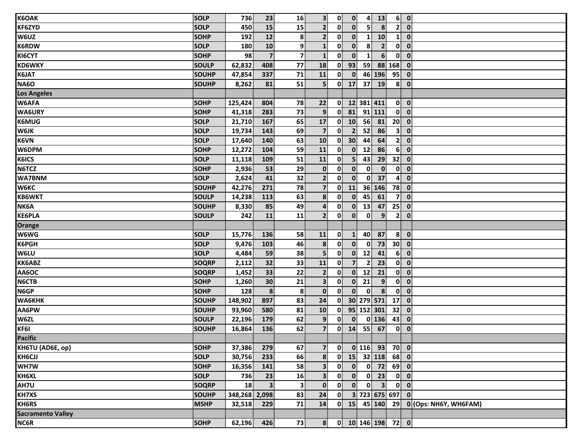| <b>K6OAK</b>             | <b>SOLP</b>  | 736           | 23                      | 16             | 3 <sup>1</sup>          | $\mathbf{0}$ | $\mathbf{0}$    | $\mathbf{4}$   | 13               | 6 <sup>1</sup>  | $\bullet$                                                                                                     |
|--------------------------|--------------|---------------|-------------------------|----------------|-------------------------|--------------|-----------------|----------------|------------------|-----------------|---------------------------------------------------------------------------------------------------------------|
| <b>KF6ZYD</b>            | <b>SOLP</b>  | 450           | 15                      | 15             | 2 <sup>1</sup>          | $\mathbf{0}$ | $\mathbf{0}$    | 5 <sup>1</sup> | 8                | 2 <sup>1</sup>  | $\mathbf{0}$                                                                                                  |
| W6UZ                     | <b>SOHP</b>  | 192           | 12                      | 8              | 2 <sup>1</sup>          | $\mathbf{0}$ | $\mathbf{0}$    | 1              | 10               | $\mathbf{1}$    | $\overline{\mathbf{0}}$                                                                                       |
| <b>K6RDW</b>             | <b>SOLP</b>  | 180           | 10                      | 9 <sup>1</sup> | $\mathbf{1}$            | $\mathbf{0}$ | $\mathbf{0}$    | 8              | $\overline{2}$   | $\mathbf{0}$    | $\mathbf{0}$                                                                                                  |
| KI6CYT                   | <b>SOHP</b>  | 98            | $\overline{\mathbf{z}}$ | $\mathbf{z}$   | $\mathbf{1}$            | $\mathbf{0}$ | $\mathbf{0}$    | $\mathbf{1}$   | $6 \overline{6}$ | $\mathbf{0}$    | $\mathbf{0}$                                                                                                  |
| <b>KD6WKY</b>            | <b>SOULP</b> | 62,832        | 408                     | 77             | 18                      | $\mathbf{0}$ | 93              | 59             |                  | 88 168          | $\mathbf{0}$                                                                                                  |
| K6JAT                    | <b>SOUHP</b> | 47,854        | 337                     | 71             | 11                      | $\mathbf{0}$ | $\mathbf{0}$    |                | 46 196           | 95              | $\overline{\mathbf{0}}$                                                                                       |
| <b>NA60</b>              | SOUHP        | 8,262         | 81                      | 51             | 5 <sup>1</sup>          |              | $0$ 17          | 37             | 19               |                 | $8$ 0                                                                                                         |
| <b>Los Angeles</b>       |              |               |                         |                |                         |              |                 |                |                  |                 |                                                                                                               |
| W6AFA                    | <b>SOHP</b>  | 125,424       | 804                     | 78             | 22                      | $\mathbf{0}$ |                 |                | 12 381 411       |                 | $0$ $0$                                                                                                       |
| <b>WA6URY</b>            | <b>SOHP</b>  | 41,318        | 283                     | 73             | 9 <sub>1</sub>          | 0            | 81              |                | 91 111           | $\mathbf{0}$    | $\overline{\mathbf{0}}$                                                                                       |
| K6MUG                    | <b>SOLP</b>  | 21,710        | 167                     | 65             | 17                      | $\mathbf{0}$ | 10              | 56             | 81               | $20$ 0          |                                                                                                               |
| <b>W6JK</b>              | <b>SOLP</b>  | 19,734        | 143                     | 69             | $\overline{7}$          | 0            | 2 <sup>1</sup>  | 52             | 86               | 3 <sup>1</sup>  | $\overline{\mathbf{0}}$                                                                                       |
| K6VN                     | <b>SOLP</b>  | 17,640        | 140                     | 63             | 10                      | 0            | 30 <sup>1</sup> | 44             | 64               | 2 <sup>1</sup>  | $\mathbf{0}$                                                                                                  |
| W6DPM                    | <b>SOHP</b>  | 12,272        | 104                     | 59             | 11                      | $\mathbf{0}$ | $\mathbf{0}$    | 12             | 86               | 6 <sup>1</sup>  | $\overline{\mathbf{0}}$                                                                                       |
| <b>K6ICS</b>             | <b>SOLP</b>  | 11,118        | 109                     | 51             | 11                      | 0            | 5 <sup>1</sup>  | 43             | 29               | 32              | $\overline{\mathbf{0}}$                                                                                       |
| N6TCZ                    | <b>SOHP</b>  | 2,936         | 53                      | 29             | $\mathbf 0$             | 0            | $\mathbf{0}$    | $\mathbf{0}$   | $\mathbf{0}$     | $\mathbf{0}$    | $\overline{\mathbf{0}}$                                                                                       |
| <b>WA7BNM</b>            | <b>SOLP</b>  | 2,624         | 41                      | 32             | $\mathbf{2}$            | $\mathbf{0}$ | $\mathbf{0}$    | $\mathbf{0}$   | 37               | $\mathbf{4}$    | $\mathbf{0}$                                                                                                  |
| <b>W6KC</b>              | <b>SOUHP</b> | 42,276        | 271                     | 78             | 7 <sup>1</sup>          | $\mathbf{0}$ | 11              |                | 36 146           | 78 0            |                                                                                                               |
| <b>KB6WKT</b>            | <b>SOULP</b> | 14,238        | 113                     | 63             | 8 <sup>1</sup>          | $\mathbf{0}$ | $\mathbf{0}$    | 45             | 61               | 7 <sup>1</sup>  | $\mathbf{0}$                                                                                                  |
| NK6A                     | <b>SOUHP</b> | 8,330         | 85                      | 49             | $\overline{a}$          | $\mathbf{0}$ | $\mathbf{0}$    | 13             | 47               | 25              | $\mathbf 0$                                                                                                   |
| <b>KE6PLA</b>            | <b>SOULP</b> | 242           | 11                      | 11             | 2 <sup>1</sup>          | $\mathbf{0}$ | $\mathbf{0}$    | $\mathbf{0}$   | $\overline{9}$   | 2 <sup>1</sup>  | $\mathbf{0}$                                                                                                  |
| Orange                   |              |               |                         |                |                         |              |                 |                |                  |                 |                                                                                                               |
|                          |              |               |                         |                |                         |              |                 |                |                  |                 |                                                                                                               |
| W6WG                     | <b>SOLP</b>  | 15,776        | 136                     | 58             | 11                      | $\mathbf{0}$ | $\mathbf{1}$    | 40             | 87               | 8 <sup>1</sup>  | $\overline{\mathbf{0}}$                                                                                       |
| K6PGH                    | <b>SOLP</b>  | 9,476         | 103                     | 46             | 8                       | $\mathbf{0}$ | $\mathbf{0}$    | $\mathbf{0}$   | 73               | 30 <sup>1</sup> | $\overline{\mathbf{0}}$                                                                                       |
| W6LU                     | <b>SOLP</b>  | 4,484         | 59                      | 38             | 5 <sup>1</sup>          | $\mathbf{0}$ | $\mathbf{0}$    | 12             | 41               | 6 <sup>1</sup>  | $\overline{\mathbf{0}}$                                                                                       |
| <b>KK6ABZ</b>            | <b>SOQRP</b> | 2,112         | 32                      | 33             | 11                      | $\mathbf{0}$ | $\overline{7}$  | $\overline{2}$ | 23               | $\mathbf{0}$    | $\overline{\mathbf{0}}$                                                                                       |
| AA6OC                    | <b>SOQRP</b> | 1,452         | 33                      | 22             | $\mathbf{2}$            | $\mathbf{0}$ | $\mathbf{0}$    | 12             | 21               |                 | $0$ $0$                                                                                                       |
| N6CTB                    | <b>SOHP</b>  | 1,260         | 30 <sup>2</sup>         | 21             | $\mathbf{3}$            | $\mathbf{0}$ | $\mathbf{0}$    | 21             | $\overline{9}$   | $\mathbf{0}$    | $\overline{\mathbf{0}}$                                                                                       |
| N <sub>6GP</sub>         | <b>SOHP</b>  | 128           | 8                       | 8 <sup>1</sup> | $\mathbf{0}$            | $\mathbf{0}$ | $\mathbf{0}$    | $\mathbf{0}$   | 8 <sup>1</sup>   | $\mathbf{0}$    | $\overline{\mathbf{0}}$                                                                                       |
| <b>WA6KHK</b>            | <b>SOUHP</b> | 148,902       | 897                     | 83             | 24                      | 0            |                 |                | 30 279 571       | 17              | $\overline{\mathbf{0}}$                                                                                       |
| AA6PW                    | <b>SOUHP</b> | 93,960        | 580                     | 81             | 10                      | 0            |                 |                | 95 152 301       | 32              | $\overline{\mathbf{0}}$                                                                                       |
| W6ZL                     | <b>SOULP</b> | 22,196        | 179                     | 62             | 9                       | 0            | $\mathbf{0}$    |                | $0$ 136          | 43              | $\mathbf{0}$                                                                                                  |
| KF6I                     | <b>SOUHP</b> | 16,864        | 136                     | 62             | 7 <sup>1</sup>          | $\mathbf{0}$ | 14              | 55             | 67               |                 | $0$ $0$                                                                                                       |
| <b>Pacific</b>           |              |               |                         |                |                         |              |                 |                |                  |                 |                                                                                                               |
| KH6TU (AD6E, op)         | <b>SOHP</b>  | 37,386        | 279                     | 67             | $\overline{7}$          | $\mathbf{0}$ |                 |                | $0$ 116 93 70 0  |                 |                                                                                                               |
| <b>KH6CJJ</b>            | <b>SOLP</b>  | 30,756        | 233                     | 66             | 8                       | $\mathbf{0}$ |                 |                | 15 32 118 68 0   |                 |                                                                                                               |
| WH7W                     | <b>SOHP</b>  | 16,356        | 141                     | 58             | 3 <sup>1</sup>          | 0            | $\mathbf{0}$    |                | $0$ 72 69 0      |                 |                                                                                                               |
| <b>KH6XL</b>             | <b>SOLP</b>  | 736           | 23                      | 16             | $\overline{\mathbf{3}}$ | 0            | $\mathbf{0}$    |                | $0 \mid 23 \mid$ |                 | $0 \vert 0 \vert$                                                                                             |
| AH7U                     | <b>SOQRP</b> | <b>18</b>     | $\overline{\mathbf{3}}$ | 3 <sup>1</sup> | $\mathbf{0}$            | $\mathbf{0}$ | $\mathbf{0}$    | $\mathbf{0}$   | 3 <sup>1</sup>   |                 | $0$ $0$                                                                                                       |
| <b>KH7XS</b>             | <b>SOUHP</b> | 348,268 2,098 |                         | 83             | 24                      | $\mathbf{0}$ |                 |                | 3 723 675 697 0  |                 |                                                                                                               |
| <b>KH6RS</b>             | <b>MSHP</b>  | 32,518        | 229                     | 71             | 14                      |              |                 |                |                  |                 | $\begin{array}{ c c c c c c c c } \hline 0 & 15 & 45 & 140 & 29 & 0 & \hline \end{array}$ (Ops: NH6Y, WH6FAM) |
| <b>Sacramento Valley</b> |              |               |                         |                |                         |              |                 |                |                  |                 |                                                                                                               |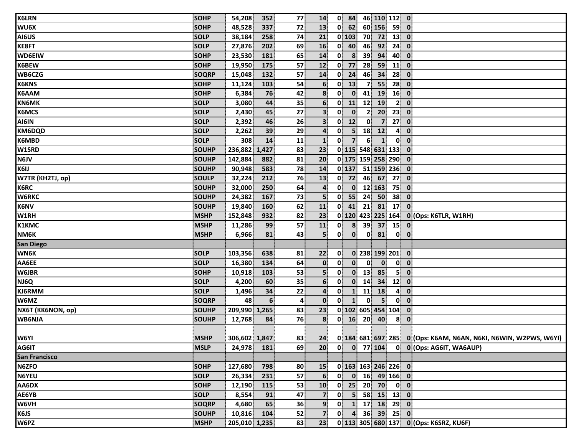| <b>K6LRN</b>         | <b>SOHP</b>  | 54,208        | 352   | 77             | 14                      | $\mathbf{0}$           | 84               |                 |                 | 46 110 112 0                           |                                                                    |
|----------------------|--------------|---------------|-------|----------------|-------------------------|------------------------|------------------|-----------------|-----------------|----------------------------------------|--------------------------------------------------------------------|
| WU6X                 | <b>SOHP</b>  | 48,528        | 337   | 72             | 13                      | $\mathbf{0}$           | 62               |                 | $60$ 156        | 59                                     | $\mathbf{0}$                                                       |
| AI6US                | <b>SOLP</b>  | 38,184        | 258   | 74             | 21                      | $0$ 103                |                  | 70              | 72              | 13                                     | $\mathbf{0}$                                                       |
| <b>KE8FT</b>         | <b>SOLP</b>  | 27,876        | 202   | 69             | 16                      | $\mathbf{0}$           | 40               | 46              | 92              | 24                                     | $\mathbf{0}$                                                       |
| <b>WD6EIW</b>        | <b>SOHP</b>  | 23,530        | 181   | 65             | 14                      | 0                      | 8                | 39              | 94              | 40                                     | $\overline{\mathbf{0}}$                                            |
| K6BEW                | <b>SOHP</b>  | 19,950        | 175   | 57             | 12                      | 0                      | 77               | 28              | 59              | $\mathbf{11}$                          | $\mathbf{0}$                                                       |
| WB6CZG               | <b>SOQRP</b> | 15,048        | 132   | 57             | 14                      | $\mathbf{0}$           | 24               | 46              | 34              | 28                                     | $\mathbf{0}$                                                       |
| <b>K6KNS</b>         | <b>SOHP</b>  | 11,124        | 103   | 54             | 6 <sup>1</sup>          | 0                      | 13               | $\overline{7}$  | 55              | 28                                     | $\mathbf 0$                                                        |
| K6AAM                | <b>SOHP</b>  | 6,384         | 76    | 42             | 8                       | 0                      | $\mathbf{0}$     | 41              | 19              | 16                                     | $\mathbf{0}$                                                       |
| <b>KN6MK</b>         | <b>SOLP</b>  | 3,080         | 44    | 35             | $6 \overline{6}$        | $\mathbf{0}$           | 11               | 12              | 19              | 2 <sup>1</sup>                         | $\mathbf{0}$                                                       |
| <b>K6MCS</b>         | <b>SOLP</b>  | 2,430         | 45    | 27             | $\mathbf{3}$            | $\mathbf{0}$           | $\mathbf{0}$     | $\mathbf{2}$    | 20 <sup>2</sup> | 23                                     | $\mathbf{0}$                                                       |
| AI6IN                | <b>SOLP</b>  | 2,392         | 46    | 26             | $\overline{\mathbf{3}}$ | $\mathbf{0}$           | 12               | $\mathbf{0}$    | $\overline{7}$  | 27                                     | $\mathbf{0}$                                                       |
| KM6DQD               | <b>SOLP</b>  | 2,262         | 39    | 29             | 4                       | $\mathbf{0}$           | 5 <sup>1</sup>   | 18              | 12              | $\mathbf{4}$                           | $\mathbf{0}$                                                       |
| K6MBD                | <b>SOLP</b>  | 308           | 14    | 11             | $\mathbf{1}$            | 0                      | $\overline{7}$   | 6               |                 | $\mathbf{0}$                           | $\mathbf{0}$                                                       |
| W1SRD                | SOUHP        | 236,882       | 1,427 | 83             | 23                      |                        |                  |                 |                 | 0 115 548 631 133                      | $\mathbf{0}$                                                       |
| N6JV                 | <b>SOUHP</b> | 142,884       | 882   | 81             | 20                      |                        |                  |                 |                 | 0 175 159 258 290                      | $\overline{\mathbf{0}}$                                            |
| K6IJ                 | <b>SOUHP</b> | 90,948        | 583   | 78             | 14                      |                        | $0$   137        |                 |                 | 51 159 236                             | $\overline{\mathbf{0}}$                                            |
| W7TR (KH2TJ, op)     | <b>SOULP</b> | 32,224        | 212   | 76             | 13                      | $\mathbf{0}$           | 72               | 46              | 67              | 27                                     | $\mathbf{0}$                                                       |
| <b>K6RC</b>          | <b>SOUHP</b> | 32,000        | 250   | 64             | 4                       | 0                      | $\mathbf{0}$     |                 | 12 163          | 75                                     | $\mathbf{0}$                                                       |
| <b>W6RKC</b>         | <b>SOUHP</b> | 24,382        | 167   | 73             | 5 <sup>1</sup>          | $\mathbf{0}$           | 55               | 24              | 50 <sup>1</sup> | 38                                     | $\mathbf 0$                                                        |
| <b>K6NV</b>          | <b>SOUHP</b> | 19,840        | 160   | 62             | 11                      | $\mathbf{0}$           | 41               | 21              | 81              | 17                                     | $\mathbf{0}$                                                       |
| W1RH                 | <b>MSHP</b>  | 152,848       | 932   | 82             | 23                      |                        |                  |                 |                 | 0 120 423 225 164                      | 0 (Ops: K6TLR, W1RH)                                               |
| <b>K1KMC</b>         | <b>MSHP</b>  | 11,286        | 99    | 57             | 11                      | $\mathbf{0}$           | $\boldsymbol{8}$ | 39              | 37              | $15$ 0                                 |                                                                    |
| NM6K                 | <b>MSHP</b>  | 6,966         | 81    | 43             | 5                       | $\mathbf{0}$           | $\mathbf{0}$     | $\mathbf{0}$    | 81              | $\mathbf{0}$                           | $\overline{\mathbf{0}}$                                            |
| <b>San Diego</b>     |              |               |       |                |                         |                        |                  |                 |                 |                                        |                                                                    |
| <b>WN6K</b>          | <b>SOLP</b>  | 103,356       | 638   | 81             | 22                      | $\mathbf{0}$           |                  |                 |                 | 0 238 199 201                          | $\overline{\mathbf{0}}$                                            |
| AA6EE                | <b>SOLP</b>  | 16,380        | 134   | 64             | $\mathbf{0}$            | 0                      | $\mathbf{0}$     | $\mathbf{0}$    | $\mathbf{0}$    | $\mathbf{0}$                           | $\mathbf{0}$                                                       |
| <b>W6JBR</b>         | <b>SOHP</b>  | 10,918        | 103   | 53             | 5                       | $\mathbf{0}$           | $\mathbf{0}$     | 13              | 85              | 5                                      | $\mathbf{0}$                                                       |
| NJ6Q                 | <b>SOLP</b>  | 4,200         | 60    | 35             | 6 <sup>1</sup>          | $\mathbf{0}$           | $\mathbf{0}$     | 14              | 34              | 12                                     | $\mathbf{0}$                                                       |
| KJ6RMM               | <b>SOLP</b>  | 1,496         | 34    | 22             | 4                       | $\mathbf{0}$           | $\mathbf{1}$     | 11              | 18              | $\mathbf{4}$                           | $\mathbf{0}$                                                       |
| W6MZ                 | <b>SOQRP</b> | 48            | 6     | $\overline{4}$ | $\mathbf{0}$            | $\mathbf{0}$           | $\mathbf{1}$     | $\mathbf{0}$    | 5 <sup>1</sup>  | $\mathbf{0}$                           | $\mathbf{0}$                                                       |
| NX6T (KK6NON, op)    | <b>SOUHP</b> | 209,990 1,265 |       | 83             | 23                      |                        |                  |                 |                 | 0 102 605 454 104                      | $\mathbf 0$                                                        |
| WB6NJA               | <b>SOUHP</b> | 12,768        | 84    | 76             | 8                       |                        | $0$ 16           | 20 <sup>1</sup> | 40              | 8 <sup>1</sup>                         | $\mathbf 0$                                                        |
|                      |              |               |       |                |                         |                        |                  |                 |                 |                                        |                                                                    |
| W6YI                 | <b>MSHP</b>  | 306,602 1,847 |       | 83             |                         |                        |                  |                 |                 |                                        | 24 0 184 681 697 285 0 (Ops: K6AM, N6AN, N6KI, N6WIN, W2PWS, W6YI) |
| AG6IT                | <b>MSLP</b>  | 24,978        | 181   | 69             | 20 <sup>1</sup>         | 0                      |                  |                 | $0$ 77 104      |                                        | 0 0 (Ops: AG6IT, WA6AUP)                                           |
| <b>San Francisco</b> |              |               |       |                |                         |                        |                  |                 |                 |                                        |                                                                    |
| N6ZFO                | <b>SOHP</b>  | 127,680       | 798   | 80             | <b>15</b>               |                        |                  |                 |                 | $0$ 163 163 246 226 0                  |                                                                    |
| <b>N6YEU</b>         | <b>SOLP</b>  | 26,334        | 231   | 57             | 6                       | $\mathbf{0}^{\dagger}$ |                  |                 |                 | $0$ 16 49 166 0                        |                                                                    |
| AA6DX                | <b>SOHP</b>  | 12,190        | 115   | 53             | 10                      |                        |                  |                 | $0$ 25 20 70    | $\begin{bmatrix} 0 \\ 0 \end{bmatrix}$ |                                                                    |
| AE6YB                | <b>SOLP</b>  | 8,554         | 91    | 47             | $\overline{7}$          | $\mathbf{0}$           |                  |                 |                 | $5$ 58 15 13 0                         |                                                                    |
| <b>W6VH</b>          | <b>SOQRP</b> | 4,680         | 65    | 36             | 9 <sub>1</sub>          | $\mathbf{0}$           |                  |                 |                 | $1 \mid 17 \mid 18 \mid 29 \mid 0$     |                                                                    |
| K6JS                 | <b>SOUHP</b> | 10,816        | 104   | 52             | $\overline{7}$          | $\mathbf{0}$           |                  |                 |                 | 4 36 39 25 0                           |                                                                    |
| W6PZ                 | <b>MSHP</b>  | 205,010 1,235 |       | 83             | 23                      |                        |                  |                 |                 |                                        | 0 113 305 680 137 0 (Ops: K6SRZ, KU6F)                             |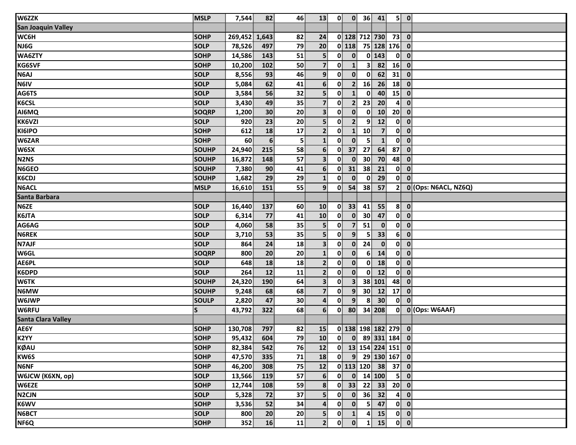| W6ZZK                         | <b>MSLP</b>  | 7,544   | 82              | 46             | 13                      | $\mathbf{0}$ |                | $0 \quad 36$            | 41                     |                         | 5 0                                    |                      |
|-------------------------------|--------------|---------|-----------------|----------------|-------------------------|--------------|----------------|-------------------------|------------------------|-------------------------|----------------------------------------|----------------------|
| <b>San Joaquin Valley</b>     |              |         |                 |                |                         |              |                |                         |                        |                         |                                        |                      |
| WC6H                          | <b>SOHP</b>  | 269,452 | 1,643           | 82             | 24                      |              |                |                         | 0 128 712 730          | $73$ 0                  |                                        |                      |
| NJ6G                          | <b>SOLP</b>  | 78,526  | 497             | 79             | 20                      |              | $0$ 118        |                         | 75 128 176 0           |                         |                                        |                      |
| WA6ZTY                        | <b>SOHP</b>  | 14,586  | 143             | 51             | 5 <sup>1</sup>          | $\mathbf{0}$ | $\mathbf{0}$   |                         | $0$ 143                | $\mathbf{0}$            | $\overline{\mathbf{0}}$                |                      |
| <b>KG6SVF</b>                 | <b>SOHP</b>  | 10,200  | 102             | 50             | $\overline{\mathbf{z}}$ | 0            | $\mathbf{1}$   | $\mathbf{3}$            | 82                     | 16                      | $\mathbf{0}$                           |                      |
| N6AJ                          | <b>SOLP</b>  | 8,556   | 93              | 46             | 9 <sup>1</sup>          | 0            | $\mathbf{0}$   | $\bf{0}$                | 62                     | 31                      | $\mathbf 0$                            |                      |
| N6IV                          | <b>SOLP</b>  | 5,084   | 62              | 41             | 6 <sup>1</sup>          | $\mathbf{0}$ | 2 <sup>1</sup> | 16                      | 26                     | 18                      | $\mathbf 0$                            |                      |
| AG6TS                         | <b>SOLP</b>  | 3,584   | 56              | 32             | $\overline{\mathbf{5}}$ | $\mathbf{0}$ | $\mathbf{1}$   | $\mathbf{0}$            | 40                     | 15                      | $\mathbf 0$                            |                      |
| <b>K6CSL</b>                  | <b>SOLP</b>  | 3,430   | 49              | 35             | $\overline{7}$          | 0            | 2 <sup>1</sup> | 23                      | 20                     | $\overline{\mathbf{4}}$ | $\mathbf{0}$                           |                      |
| AI6MQ                         | <b>SOQRP</b> | 1,200   | 30 <sup>°</sup> | 20             | 3 <sup>1</sup>          | $\mathbf{0}$ | $\mathbf{0}$   | $\mathbf{0}$            | 10 <sup>1</sup>        | 20 <sup>1</sup>         | $\mathbf{0}$                           |                      |
| <b>KK6VZI</b>                 | <b>SOLP</b>  | 920     | 23              | 20             | $\overline{\mathbf{5}}$ | 0            | 2 <sup>1</sup> | $\overline{9}$          | 12                     | $\mathbf{0}$            | $\mathbf{0}$                           |                      |
| KI6IPO                        | <b>SOHP</b>  | 612     | 18              | 17             | 2 <sup>1</sup>          | 0            | $\mathbf{1}$   | 10                      | $\overline{7}$         | $\mathbf{0}$            | $\mathbf{0}$                           |                      |
| W6ZAR                         | <b>SOHP</b>  | 60      | 6               | 5 <sup>1</sup> | $\mathbf{1}$            | $\mathbf{0}$ | $\mathbf{0}$   | $\overline{\mathbf{5}}$ | $\mathbf{1}$           | $\mathbf{0}$            | $\mathbf{0}$                           |                      |
| W6SX                          | SOUHP        | 24,940  | 215             | 58             | 6 <sup>1</sup>          | $\mathbf{0}$ | 37             | 27                      | 64                     | 87                      | $\mathbf{0}$                           |                      |
| N <sub>2</sub> N <sub>S</sub> | SOUHP        | 16,872  | 148             | 57             | 3 <sup>1</sup>          | $\mathbf{0}$ | $\mathbf{0}$   | 30 <sup>°</sup>         | 70                     | 48                      | $\mathbf 0$                            |                      |
| N6GEO                         | <b>SOUHP</b> | 7,380   | 90              | 41             | 6 <sup>1</sup>          | $\mathbf{0}$ | 31             | 38                      | 21                     | $\mathbf{0}$            | $\mathbf{0}$                           |                      |
| <b>K6CDJ</b>                  | SOUHP        | 1,682   | 29              | 29             | $\mathbf{1}$            | 0            | $\mathbf{0}$   | $\mathbf{0}$            | 29                     | $\mathbf{0}$            | $\mathbf 0$                            |                      |
| <b>N6ACL</b>                  | <b>MSLP</b>  | 16,610  | 151             | 55             | 9 <sup>1</sup>          | 0            | 54             | 38                      | 57                     | $\mathbf{2}$            |                                        | 0 (Ops: N6ACL, NZ6Q) |
| Santa Barbara                 |              |         |                 |                |                         |              |                |                         |                        |                         |                                        |                      |
| N6ZE                          | <b>SOLP</b>  | 16,440  | 137             | 60             | 10                      | 0            | 33             | 41                      | 55                     | 8 <sup>1</sup>          | $\mathbf{0}$                           |                      |
| K6JTA                         | SOLP         | 6,314   | 77              | 41             | 10                      | $\mathbf{0}$ | $\mathbf{0}$   | 30 <sup>°</sup>         | 47                     | 0                       | $\mathbf{0}$                           |                      |
| AG6AG                         | <b>SOLP</b>  | 4,060   | 58              | 35             | 5 <sup>1</sup>          | $\mathbf{0}$ | $\overline{7}$ | 51                      | $\mathbf{0}$           | 0                       | $\mathbf{0}$                           |                      |
| <b>N6REK</b>                  | <b>SOLP</b>  | 3,710   | 53              | 35             | $\overline{\mathbf{5}}$ | 0            | $\overline{9}$ | 5                       | 33                     | 6 <sup>1</sup>          | $\mathbf{0}$                           |                      |
| <b>N7AJF</b>                  | <b>SOLP</b>  | 864     | 24              | 18             | 3 <sup>1</sup>          | $\mathbf{0}$ | $\mathbf{0}$   | 24                      | $\mathbf{0}$           | $\mathbf{0}$            | $\mathbf{0}$                           |                      |
| W6GL                          | <b>SOQRP</b> | 800     | 20 <sup>°</sup> | 20             | $\mathbf{1}$            | 0            | $\mathbf{0}$   | $6 \overline{6}$        | 14                     | $\mathbf{0}$            | $\overline{\mathbf{0}}$                |                      |
| AE6PL                         | <b>SOLP</b>  | 648     | 18              | 18             | $\overline{2}$          | $\mathbf{0}$ | $\mathbf{0}$   | $\mathbf{0}$            | 18                     | $\mathbf{0}$            | $\mathbf{0}$                           |                      |
| <b>K6DPD</b>                  | <b>SOLP</b>  | 264     | 12              | 11             | 2 <sup>1</sup>          | $\mathbf{0}$ | $\mathbf{0}$   | $\mathbf{0}$            | 12                     | 0                       | $\mathbf{0}$                           |                      |
| <b>W6TK</b>                   | SOUHP        | 24,320  | 190             | 64             | 3 <sup>1</sup>          | 0            | 3 <sup>1</sup> |                         | 38 101                 | 48                      | $\mathbf{0}$                           |                      |
| N6MW                          | SOUHP        | 9,248   | 68              | 68             | 7 <sup>1</sup>          | $\mathbf{0}$ | 9 <sup>1</sup> | 30 <sup>7</sup>         | 12                     | 17                      | $\mathbf{0}$                           |                      |
| <b>W6JWP</b>                  | SOULP        | 2,820   | 47              | 30             | $\overline{4}$          | 0            | $\overline{9}$ | 8                       | 30 <sup>2</sup>        | $\mathbf{0}$            | $\mathbf{0}$                           |                      |
| <b>W6RFU</b>                  | $\mathsf{s}$ | 43,792  | 322             | 68             | 6 <sup>1</sup>          | $\mathbf{0}$ | 80             |                         | 34 208                 | $\mathbf{0}$            |                                        | 0 (Ops: W6AAF)       |
| <b>Santa Clara Valley</b>     |              |         |                 |                |                         |              |                |                         |                        |                         |                                        |                      |
| AE6Y                          | <b>SOHP</b>  | 130,708 | 797             | 82             | 15                      |              |                |                         | 0 138 198 182 279 0    |                         |                                        |                      |
| K2YY                          | <b>SOHP</b>  | 95,432  | 604             | 79             | 10                      |              |                |                         | $0$ $0$ $89$ 331 184 0 |                         |                                        |                      |
| <b>KØAU</b>                   | <b>SOHP</b>  | 82,384  | 542             | 76             | 12                      |              |                |                         | $0$ 13 154 224 151 0   |                         |                                        |                      |
| KW6S                          | <b>SOHP</b>  | 47,570  | 335             | 71             | 18                      | $\mathbf{0}$ |                |                         | $9$ 29 130 167 0       |                         |                                        |                      |
| <b>N6NF</b>                   | <b>SOHP</b>  | 46,200  | 308             | 75             | 12                      |              |                |                         | $0$ 113 120 38 37 0    |                         |                                        |                      |
| W6JCW (K6XN, op)              | <b>SOLP</b>  | 13,566  | 119             | 57             | $6 \overline{6}$        | 0            |                |                         | $0$ 14 100             |                         | 5 0                                    |                      |
| W6EZE                         | <b>SOHP</b>  | 12,744  | 108             | 59             | 8                       |              |                |                         | $0$ 33 22 33           | $20$ 0                  |                                        |                      |
| <b>N2CJN</b>                  | <b>SOLP</b>  | 5,328   | 72              | 37             | 5 <sup>1</sup>          | $\mathbf{0}$ |                |                         | $0$ 36 32              |                         | $4 \mid 0$                             |                      |
| K6WV                          | SOHP         | 3,536   | 52              | 34             | $\overline{4}$          | $\mathbf{0}$ | $\mathbf{0}$   |                         | $5 \mid 47 \mid$       |                         | 0 0                                    |                      |
| N6BCT                         | <b>SOLP</b>  | 800     | 20              | 20             | 5                       | $\mathbf{0}$ | $1\vert$       | $\mathbf{4}$            | 15                     |                         | $\begin{bmatrix} 0 \\ 0 \end{bmatrix}$ |                      |
| NF6Q                          | <b>SOHP</b>  | 352     | 16              | 11             | 2 <sup>1</sup>          | $\mathbf{0}$ | $\mathbf{0}$   | $\mathbf{1}$            | 15                     |                         | $\mathbf{0}$ $\mathbf{0}$              |                      |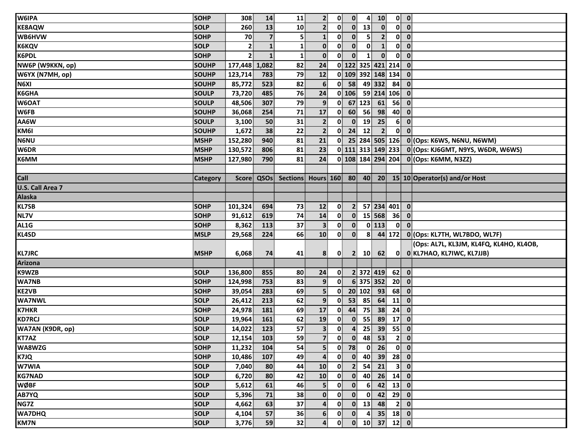| W6IPA                   | SOHP            | 308            | 14                      | 11              | $\mathbf{2}$            | $\mathbf{0}$ | $\mathbf{0}$            | 4               | 10                                                                 |                 | $0$ $0$                                                   |
|-------------------------|-----------------|----------------|-------------------------|-----------------|-------------------------|--------------|-------------------------|-----------------|--------------------------------------------------------------------|-----------------|-----------------------------------------------------------|
| <b>KE8AQW</b>           | <b>SOLP</b>     | 260            | 13                      | 10              | 2 <sup>1</sup>          | 0            | 0                       | 13              | $\mathbf{0}$                                                       |                 | $0\ 0$                                                    |
| WB6HVW                  | <b>SOHP</b>     | 70             | $\overline{\mathbf{z}}$ | 5               | $\mathbf{1}$            | $\mathbf{0}$ | $\mathbf{0}$            | 5.              | 2 <sup>1</sup>                                                     |                 | $0\ 0$                                                    |
| <b>K6KQV</b>            | <b>SOLP</b>     | 2              | $\mathbf{1}$            |                 | $\mathbf{0}$            | $\mathbf{0}$ | $\mathbf{0}$            | $\mathbf{0}$    | $\mathbf{1}$                                                       | $\mathbf{0}$    | $\overline{\mathbf{0}}$                                   |
| K6PDL                   | <b>SOHP</b>     | $\overline{2}$ | $\mathbf 1$             | $\mathbf{1}$    | $\mathbf{0}$            | $\mathbf{0}$ | $\mathbf{0}$            | $\mathbf{1}$    | $\mathbf{0}$                                                       | $\mathbf{0}$    | $\overline{\mathbf{o}}$                                   |
| NW6P (W9KKN, op)        | <b>SOUHP</b>    | 177,448        | 1,082                   | 82              | 24                      |              |                         |                 | 0 122 325 421 214                                                  |                 | $\overline{\mathbf{0}}$                                   |
| W6YX (N7MH, op)         | <b>SOUHP</b>    | 123,714        | 783                     | 79              | 12                      |              |                         |                 | 0 109 392 148 134                                                  |                 | $\overline{\mathbf{0}}$                                   |
| N6XI                    | SOUHP           | 85,772         | 523                     | 82              | 6 <sup>1</sup>          |              | $0$ 58                  |                 | 49 332                                                             | 84              | $\mathbf{0}$                                              |
| K6GHA                   | <b>SOULP</b>    | 73,720         | 485                     | 76              | 24                      |              | $0$ 106                 |                 | 59 214 106                                                         |                 | $\overline{\mathbf{0}}$                                   |
| W6OAT                   | <b>SOULP</b>    | 48,506         | 307                     | 79              | 9 <sup>1</sup>          | 0            |                         | 67 123          | 61                                                                 | 56              | $\overline{\mathbf{0}}$                                   |
| W6FB                    | SOUHP           | 36,068         | 254                     | 71              | 17                      | $\mathbf{0}$ | 60                      | 56              | 98                                                                 | 40              | $\mathbf{0}$                                              |
| AA6W                    | <b>SOULP</b>    | 3,100          | 50                      | 31              | $\overline{2}$          | $\mathbf{0}$ | $\mathbf{0}$            | 19              | 25                                                                 | 6 <sup>1</sup>  | $\bullet$                                                 |
| KM6I                    | <b>SOUHP</b>    | 1,672          | 38                      | 22              | $\overline{2}$          | 0            | 24                      | 12 <sup>1</sup> | 2 <sup>1</sup>                                                     | $\mathbf{0}$    | $\mathbf{0}$                                              |
| <b>N6NU</b>             | <b>MSHP</b>     | 152,280        | 940                     | 81              | 21                      | $\mathbf{0}$ |                         |                 |                                                                    |                 | 25 284 505 126 0 (Ops: K6WS, N6NU, N6WM)                  |
| W6DR                    | <b>MSHP</b>     | 130,572        | 806                     | 81              | 23                      |              |                         |                 |                                                                    |                 | 0 111 313 149 233 0 (Ops: KJ6GMT, N9YS, W6DR, W6WS)       |
| K6MM                    | <b>MSHP</b>     | 127,980        | 790                     | 81              | 24                      |              |                         |                 |                                                                    |                 | 0 108 184 294 204 0 (Ops: K6MM, N3ZZ)                     |
|                         |                 |                |                         |                 |                         |              |                         |                 |                                                                    |                 |                                                           |
| Call                    | <b>Category</b> | <b>Score</b>   | QSOs                    |                 |                         |              |                         |                 |                                                                    |                 | Sections Hours 160 80 40 20 15 10 Operator(s) and/or Host |
| <b>U.S. Call Area 7</b> |                 |                |                         |                 |                         |              |                         |                 |                                                                    |                 |                                                           |
| <b>Alaska</b>           |                 |                |                         |                 |                         |              |                         |                 |                                                                    |                 |                                                           |
| <b>KL7SB</b>            | <b>SOHP</b>     | 101,324        | 694                     | 73              | 12                      | 0            | 2 <sub>1</sub>          |                 | 57 234 401 0                                                       |                 |                                                           |
| NL7V                    | <b>SOHP</b>     | 91,612         | 619                     | 74              | 14                      | $\mathbf{0}$ | $\mathbf{0}$            |                 | 15 568                                                             |                 | $36$ 0                                                    |
| AL1G                    | <b>SOHP</b>     | 8,362          | 113                     | 37              | $\overline{\mathbf{3}}$ | $\mathbf{0}$ | $\mathbf{0}$            |                 | $0$ 113                                                            | $\mathbf{0}$    | $\overline{\mathbf{0}}$                                   |
| KL4SD                   | <b>MSLP</b>     | 29,568         | 224                     | 66              | 10                      | 0            | $\mathbf{0}$            | 8               |                                                                    | $44$ 172        | 0 (Ops: KL7TH, WL7BDO, WL7F)                              |
|                         |                 |                |                         |                 |                         |              |                         |                 |                                                                    |                 | (Ops: AL7L, KL3JM, KL4FQ, KL4HO, KL4OB,                   |
| <b>KL7JRC</b>           | <b>MSHP</b>     | 6,068          | 74                      | 41              | 8                       | $\mathbf{0}$ |                         |                 | $2 \quad 10 \quad 62$                                              |                 | 0 0 KL7HAO, KL7IWC, KL7JJB)                               |
| <b>Arizona</b>          |                 |                |                         |                 |                         |              |                         |                 |                                                                    |                 |                                                           |
| K9WZB                   | <b>SOLP</b>     | 136,800        | 855                     | 80              | 24                      | $\mathbf{0}$ |                         |                 | 2 372 419                                                          |                 | $62$ 0                                                    |
| <b>WA7NB</b>            | <b>SOHP</b>     | 124,998        | 753                     | 83              | 9 <sub>1</sub>          | $\mathbf{0}$ |                         |                 | 6 375 352                                                          | 20 <sub>l</sub> | $\overline{\mathbf{0}}$                                   |
| <b>KE2VB</b>            | <b>SOHP</b>     | 39,054         | 283                     | 69              | 5 <sup>1</sup>          | $\mathbf{0}$ |                         | 20 102          | 93                                                                 | 68              | $\overline{\mathbf{0}}$                                   |
| <b>WA7NWL</b>           | <b>SOLP</b>     | 26,412         | 213                     | 62              | 9                       | $\mathbf{0}$ | 53                      | 85              | 64                                                                 | 11              | $\bullet$                                                 |
| <b>K7HKR</b>            | <b>SOHP</b>     | 24,978         | 181                     | 69              | 17                      | 0            | 44                      | 75              | 38                                                                 | 24              | $\overline{\mathbf{0}}$                                   |
| <b>KD7RCJ</b>           | SOLP            | 19,964         | 161                     | 62              | 19                      | 0            | $\mathbf{0}$            | 55              | 89                                                                 | 17              | $\mathbf{0}$                                              |
| WA7AN (K9DR, op)        | <b>SOLP</b>     | 14,022         | 123                     | 57              | 3 <sup>1</sup>          | 0            | $\overline{\mathbf{a}}$ | 25              | 39                                                                 | 55              | $\overline{\mathbf{0}}$                                   |
| KT7AZ                   | <b>SOLP</b>     | $12, 154$ 103  |                         | 59              | $\overline{7}$          |              |                         |                 | $\begin{array}{ c c c c c }\n\hline\n0 & 0 & 48 & 53\n\end{array}$ |                 | $\begin{bmatrix} 2 & 0 \\ 0 & 1 \end{bmatrix}$            |
| WA8WZG                  | <b>SOHP</b>     | 11,232         | 104                     | 54              | 5 <sup>1</sup>          | $\mathbf{0}$ | 78                      | 0               | 26                                                                 |                 | $\begin{bmatrix} 0 \\ 0 \end{bmatrix}$                    |
| K7JQ                    | <b>SOHP</b>     | 10,486         | 107                     | 49              | $\overline{\mathbf{a}}$ | 0            | $\mathbf{0}$            | 40              |                                                                    | $39$ 28 0       |                                                           |
| W7WIA                   | <b>SOLP</b>     | 7,040          | 80                      | 44              | 10                      | 0            | $\mathbf{2}$            | 54              | 21                                                                 |                 | 3 0                                                       |
| <b>KG7NAD</b>           | <b>SOLP</b>     | 6,720          | 80                      | 42              | 10                      | 0            |                         | $0 \quad 40$    |                                                                    | $26$ 14 0       |                                                           |
| <b>WØBF</b>             | <b>SOLP</b>     | 5,612          | 61                      | 46              | 5                       | $\mathbf{0}$ | $\mathbf{0}$            | 6 <sup>1</sup>  | 42                                                                 |                 | $13$ 0                                                    |
| <b>AB7YQ</b>            | <b>SOLP</b>     | 5,396          | 71                      | 38              | $\mathbf{0}$            | $\mathbf{0}$ | $\mathbf{0}$            |                 | $0$ 42 29 0                                                        |                 |                                                           |
| NG7Z                    | SOLP            | 4,662          | 63                      | 37              | 4                       | $\mathbf{0}$ | $\mathbf{0}$            | 13              | 48                                                                 |                 | 2 0                                                       |
| <b>WA7DHQ</b>           | <b>SOLP</b>     | 4,104          | 57                      | 36              | 6 <sup>1</sup>          | $\mathbf{0}$ | $\mathbf{0}$            | $\mathbf{4}$    |                                                                    | $35$ 18 0       |                                                           |
| <b>KM7N</b>             | <b>SOLP</b>     | 3,776          | 59                      | 32 <sub>1</sub> | $\overline{4}$          | 0            |                         |                 | $0$ 10 37 12 0                                                     |                 |                                                           |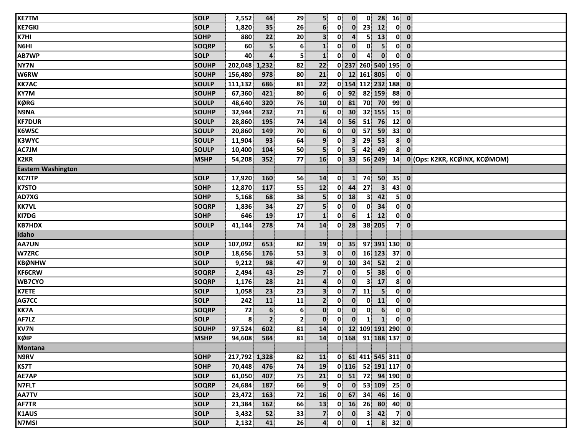| <b>KE7TM</b>              | <b>SOLP</b>  | 2,552         | 44             | 29             | 5 <sup>1</sup>          | $\mathbf{0}$             | $\mathbf{0}$            | $\mathbf{0}$ |                                                                                                                                                 | $28$ 16 0                |                         |                               |
|---------------------------|--------------|---------------|----------------|----------------|-------------------------|--------------------------|-------------------------|--------------|-------------------------------------------------------------------------------------------------------------------------------------------------|--------------------------|-------------------------|-------------------------------|
| <b>KE7GKI</b>             | <b>SOLP</b>  | 1,820         | 35             | 26             | $6 \overline{6}$        | $\mathbf{0}$             | $\mathbf{0}$            | 23           | 12                                                                                                                                              | $\mathbf{0}$             | $\overline{\mathbf{0}}$ |                               |
| K7HI                      | <b>SOHP</b>  | 880           | 22             | 20             | $\overline{\mathbf{3}}$ | $\mathbf{0}$             | 4                       | 5            | 13                                                                                                                                              | $\mathbf{0}$             | $\overline{\mathbf{0}}$ |                               |
| N6HI                      | <b>SOQRP</b> | 60            |                | 6              | $\mathbf{1}$            | $\mathbf{0}$             | $\mathbf{0}$            | 0            | 5 <sup>1</sup>                                                                                                                                  | $\mathbf{0}$             | $\overline{\mathbf{0}}$ |                               |
| <b>AB7WP</b>              | <b>SOLP</b>  | 40            |                | 5 <sup>1</sup> | $\mathbf{1}$            | $\mathbf{0}$             | $\mathbf{0}$            | 4            | $\mathbf{0}$                                                                                                                                    | $\mathbf{0}$             | $\mathbf 0$             |                               |
| NY7N                      | SOUHP        | 202,048 1,232 |                | 82             | 22                      |                          |                         |              | 0 237 260 540 195                                                                                                                               |                          | $\mathbf{0}$            |                               |
| W6RW                      | <b>SOUHP</b> | 156,480       | 978            | 80             | 21                      |                          |                         |              | 0 12 161 805                                                                                                                                    | $\mathbf{0}$             | $\mathbf 0$             |                               |
| <b>KK7AC</b>              | SOULP        | 111,132       | 686            | 81             | 22                      |                          |                         |              | 0 154 112 232 188                                                                                                                               |                          | $\overline{\mathbf{0}}$ |                               |
| KY7M                      | <b>SOUHP</b> | 67,360        | 421            | 80             | $6 \overline{6}$        | $\mathbf{0}$             | 92                      |              | 82 159                                                                                                                                          | 88                       | $\mathbf 0$             |                               |
| <b>KØRG</b>               | <b>SOULP</b> | 48,640        | 320            | 76             | 10                      | $\mathbf{0}^{\parallel}$ | 81                      |              | 70 70 99                                                                                                                                        |                          | $\overline{\mathbf{0}}$ |                               |
| N9NA                      | SOUHP        | 32,944        | 232            | 71             | $6 \overline{6}$        | 0                        | 30 <sup>°</sup>         |              | 32 155                                                                                                                                          | 15                       | $\overline{\mathbf{0}}$ |                               |
| <b>KF7DUR</b>             | <b>SOULP</b> | 28,860        | 195            | 74             | 14                      | $\mathbf{0}$             | 56                      | 51           | 76                                                                                                                                              | 12                       | $\overline{\mathbf{0}}$ |                               |
| <b>K6WSC</b>              | <b>SOULP</b> | 20,860        | 149            | 70             | $6 \overline{6}$        | $\mathbf{0}$             | $\mathbf{0}$            | 57           | 59                                                                                                                                              | 33                       | $\mathbf 0$             |                               |
| <b>K3WYC</b>              | <b>SOULP</b> | 11,904        | 93             | 64             | $\overline{9}$          | $\mathbf{0}$             | $\overline{\mathbf{3}}$ | 29           | 53                                                                                                                                              | 8 <sup>1</sup>           | $\overline{\mathbf{0}}$ |                               |
| AC7JM                     | <b>SOULP</b> | 10,400        | 104            | 50             | 5 <sup>1</sup>          | $\mathbf{0}$             | 5 <sup>1</sup>          | 42           | 49                                                                                                                                              | 8 <sup>1</sup>           | $\mathbf{0}$            |                               |
| <b>K2KR</b>               | <b>MSHP</b>  | 54,208        | 352            | 77             | 16                      | 0                        | 33                      |              | 56 249                                                                                                                                          | 14                       |                         | 0 (Ops: K2KR, KCØINX, KCØMOM) |
| <b>Eastern Washington</b> |              |               |                |                |                         |                          |                         |              |                                                                                                                                                 |                          |                         |                               |
| <b>KC7ITP</b>             | <b>SOLP</b>  | 17,920        | 160            | 56             | 14                      | $\mathbf{0}$             | $\mathbf{1}$            | 74           | 50                                                                                                                                              | 35                       | $\mathbf{0}$            |                               |
| <b>K7STO</b>              | <b>SOHP</b>  | 12,870        | 117            | 55             | 12                      | $\mathbf{0}$             | 44                      | 27           | 3 <sup>1</sup>                                                                                                                                  | 43                       | $\mathbf 0$             |                               |
| AD7XG                     | <b>SOHP</b>  | 5,168         | 68             | 38             | 5 <sup>1</sup>          | $\mathbf{0}$             | 18                      | 3            | 42                                                                                                                                              | 5 <sup>1</sup>           | $\mathbf 0$             |                               |
| <b>KK7VL</b>              | <b>SOQRP</b> | 1,836         | 34             | 27             | $\overline{\mathbf{5}}$ | $\mathbf{0}$             | $\mathbf{0}$            | $\mathbf{0}$ | 34                                                                                                                                              |                          | $0$ $0$                 |                               |
| <b>KI7DG</b>              | SOHP         | 646           | 19             | 17             | $\mathbf{1}$            | $\mathbf{0}$             | 6 <sup>1</sup>          | 1            | 12                                                                                                                                              | $\mathbf{0}$             | $\mathbf 0$             |                               |
| <b>KB7HDX</b>             | <b>SOULP</b> | 41,144        | 278            | 74             | 14                      | 0                        | 28                      |              | 38 205                                                                                                                                          | 7 <sup>1</sup>           | $\mathbf 0$             |                               |
| Idaho                     |              |               |                |                |                         |                          |                         |              |                                                                                                                                                 |                          |                         |                               |
| <b>AA7UN</b>              | <b>SOLP</b>  | 107,092       | 653            | 82             | 19                      | $\mathbf{0}$             | 35                      |              | 97 391 130 0                                                                                                                                    |                          |                         |                               |
| <b>W7ZRC</b>              | <b>SOLP</b>  | 18,656        | 176            | 53             | $\overline{\mathbf{3}}$ | 0                        | $\mathbf{0}$            |              | 16 123 37 0                                                                                                                                     |                          |                         |                               |
| <b>KBØNHW</b>             | <b>SOLP</b>  | 9,212         | 98             | 47             | $\overline{9}$          | $\mathbf{0}$             | 10                      | 34           | 52                                                                                                                                              | 2 <sup>1</sup>           | $\mathbf 0$             |                               |
| <b>KF6CRW</b>             | <b>SOQRP</b> | 2,494         | 43             | 29             | $\overline{\mathbf{z}}$ | 0                        | $\mathbf 0$             | 5            | 38                                                                                                                                              | $\mathbf{0}$             | $\overline{\mathbf{0}}$ |                               |
| WB7CYO                    | <b>SOQRP</b> | 1,176         | 28             | 21             | $\overline{\mathbf{a}}$ | $\mathbf{0}$             | $\mathbf{0}$            | 3            | 17                                                                                                                                              |                          | $8$ 0                   |                               |
| <b>K7ETE</b>              | <b>SOLP</b>  | 1,058         | 23             | 23             | $\overline{\mathbf{3}}$ | $\mathbf 0$              | $\overline{7}$          | 11           | 5 <sup>1</sup>                                                                                                                                  | $\mathbf{0}$             | $\mathbf 0$             |                               |
| AG7CC                     | <b>SOLP</b>  | 242           | 11             | 11             | $\mathbf{2}$            | $\mathbf{0}$             | $\mathbf{0}$            | 0            | 11                                                                                                                                              | $\mathbf{0}$             | $\mathbf 0$             |                               |
| <b>KK7A</b>               | <b>SOQRP</b> | 72            | 6              | 6              | $\mathbf 0$             | 0                        | $\mathbf{0}$            | $\mathbf{0}$ | 6 <sup>1</sup>                                                                                                                                  | $\mathbf{0}^{\parallel}$ | $\mathbf 0$             |                               |
| AF7LZ                     | <b>SOLP</b>  | 8             | $\overline{2}$ | $\mathbf{2}$   | $\mathbf{0}$            | 0                        | $\mathbf{0}$            | $\mathbf{1}$ | $\mathbf{1}$                                                                                                                                    | 0                        | $\mathbf 0$             |                               |
| <b>KV7N</b>               | <b>SOUHP</b> | 97,524        | 602            | 81             | 14                      |                          |                         |              | $0$ 12 109 191 290 0                                                                                                                            |                          |                         |                               |
| KØIP                      | <b>MSHP</b>  | 94,608        | 584            | 81             | 14                      |                          |                         |              | 0 168 91 188 137 0                                                                                                                              |                          |                         |                               |
| <b>Montana</b>            |              |               |                |                |                         |                          |                         |              |                                                                                                                                                 |                          |                         |                               |
| <b>N9RV</b>               | <b>SOHP</b>  | 217,792 1,328 |                | 82             | <b>11</b>               |                          |                         |              | $0$ 61 411 545 311 0                                                                                                                            |                          |                         |                               |
| <b>KS7T</b>               | <b>SOHP</b>  | 70,448        | 476            | 74             | 19                      |                          |                         |              | $0$ 116 52 191 117 0                                                                                                                            |                          |                         |                               |
| AE7AP                     | <b>SOLP</b>  | 61,050        | 407            | 75             | 21                      |                          |                         |              | $\begin{array}{ c c c c c c c c } \hline \textbf{0} & \textbf{51} & \textbf{72} & \textbf{94} & \textbf{190} & \textbf{0} \ \hline \end{array}$ |                          |                         |                               |
| <b>N7FLT</b>              | <b>SOQRP</b> | 24,684        | 187            | 66             | 9                       | $\mathbf{0}$             |                         |              | $\begin{array}{ c c c c c c } \hline \textbf{0} & \textbf{53} & \textbf{109} & \textbf{25} & \textbf{0} \end{array}$                            |                          |                         |                               |
| <b>AA7TV</b>              | <b>SOLP</b>  | 23,472        | 163            | 72             | 16                      |                          | $0$ 67                  |              | 34 46 16 0                                                                                                                                      |                          |                         |                               |
| <b>AF7TR</b>              | <b>SOLP</b>  | 21,384        | 162            | 66             | 13                      |                          |                         | $0$ 16 26    |                                                                                                                                                 | 80 40 0                  |                         |                               |
| <b>K1AUS</b>              | <b>SOLP</b>  | 3,432         | 52             | 33             | $\overline{7}$          | $\mathbf{0}$             | $\mathbf{0}$            | $\vert$ 3    | 42                                                                                                                                              |                          | 70                      |                               |
| N7MSI                     | <b>SOLP</b>  | 2,132         | 41             | 26             | $\mathbf{4}$            | $\mathbf{0}$             | $\mathbf{0}$            | $\mathbf{1}$ |                                                                                                                                                 | $8$ 32 0                 |                         |                               |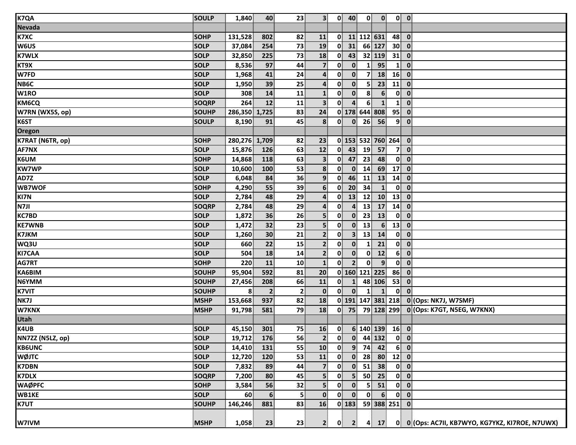| <b>K7QA</b>      | <b>SOULP</b> | 1,840         | 40                      | 23           | 3 <sup>1</sup>          | $\mathbf{0}$             | 40                      | $\mathbf{0}$    | $\mathbf{0}$                                                    |                | $0$ $0$                                |                                                 |
|------------------|--------------|---------------|-------------------------|--------------|-------------------------|--------------------------|-------------------------|-----------------|-----------------------------------------------------------------|----------------|----------------------------------------|-------------------------------------------------|
| <b>Nevada</b>    |              |               |                         |              |                         |                          |                         |                 |                                                                 |                |                                        |                                                 |
| <b>K7XC</b>      | <b>SOHP</b>  | 131,528       | 802                     | 82           | 11                      |                          |                         | 0 11 112 631    |                                                                 | 48             | $\bullet$                              |                                                 |
| <b>W6US</b>      | <b>SOLP</b>  | 37,084        | 254                     | 73           | 19                      | $\mathbf{0}$             | 31                      |                 | 66 127                                                          | $30$ 0         |                                        |                                                 |
| <b>K7WLX</b>     | <b>SOLP</b>  | 32,850        | 225                     | 73           | 18                      | $\mathbf{0}$             | 43                      |                 | 32 119                                                          | 31             | $\overline{\mathbf{0}}$                |                                                 |
| KT9X             | <b>SOLP</b>  | 8,536         | 97                      | 44           | $\overline{7}$          | $\mathbf{0}$             | $\mathbf{0}$            |                 | 95                                                              | $\mathbf{1}$   | $\mathbf{0}$                           |                                                 |
| W7FD             | <b>SOLP</b>  | 1,968         | 41                      | 24           | 4                       | $\mathbf{0}$             | $\mathbf{0}$            | 7               | 18                                                              | 16             | $\mathbf 0$                            |                                                 |
| NB6C             | <b>SOLP</b>  | 1,950         | 39                      | 25           | 4                       | $\mathbf{0}$             | $\mathbf{0}$            | 5               | 23                                                              | 11             | $\mathbf 0$                            |                                                 |
| W1RO             | <b>SOLP</b>  | 308           | 14                      | 11           | $\mathbf{1}$            | 0                        | $\mathbf{0}$            | $\mathbf{8}$    | 6 <sup>1</sup>                                                  | $\mathbf{0}$   | $\mathbf 0$                            |                                                 |
| <b>KM6CQ</b>     | SOQRP        | 264           | 12                      | 11           | 3 <sup>1</sup>          | $\mathbf{0}$             | $\overline{a}$          | 6 <sup>1</sup>  | $\mathbf{1}$                                                    | $\mathbf{1}$   | $\mathbf 0$                            |                                                 |
| W7RN (WX5S, op)  | SOUHP        | 286,350 1,725 |                         | 83           | 24                      |                          |                         |                 | 0 178 644 808                                                   | 95             | $\mathbf 0$                            |                                                 |
| K6ST             | <b>SOULP</b> | 8,190         | 91                      | 45           | 8                       | 0                        | $\mathbf{0}$            | 26              | 56                                                              | 9              | $\mathbf 0$                            |                                                 |
| Oregon           |              |               |                         |              |                         |                          |                         |                 |                                                                 |                |                                        |                                                 |
| K7RAT (N6TR, op) | <b>SOHP</b>  | 280,276 1,709 |                         | 82           | 23                      |                          |                         |                 | 0 153 532 760 264                                               |                | $\mathbf{0}$                           |                                                 |
| <b>AF7NX</b>     | <b>SOLP</b>  | 15,876        | 126                     | 63           | 12                      | 0                        | 43                      | 19              | 57                                                              | 7 <sup>1</sup> | $\mathbf 0$                            |                                                 |
| K6UM             | <b>SOHP</b>  | 14,868        | 118                     | 63           | 3 <sup>1</sup>          | $\mathbf{0}$             | 47                      | 23              | 48                                                              | $\mathbf{0}$   | $\mathbf 0$                            |                                                 |
| <b>KW7WP</b>     | <b>SOLP</b>  | 10,600        | 100                     | 53           | 8 <sup>1</sup>          | $\mathbf{0}^{\parallel}$ | $\overline{\mathbf{0}}$ | 14              | 69                                                              | 17             | $\mathbf 0$                            |                                                 |
| AD7Z             | SOLP         | 6,048         | 84                      | 36           | 9 <sub>1</sub>          | $\mathbf{0}$             | 46                      | 11              | 13                                                              | 14             | $\mathbf 0$                            |                                                 |
| WB7WOF           | <b>SOHP</b>  | 4,290         | 55                      | 39           | 6 <sup>1</sup>          | $\mathbf{0}$             | 20                      | 34              | $\mathbf{1}$                                                    | $\mathbf{0}$   | $\boldsymbol{0}$                       |                                                 |
| KI7N             | <b>SOLP</b>  | 2,784         | 48                      | 29           | 4                       | $\mathbf{0}$             | 13                      | 12              | 10                                                              | 13             | $\mathbf 0$                            |                                                 |
| N7JI             | SOQRP        | 2,784         | 48                      | 29           | $\overline{\mathbf{a}}$ | $\mathbf{0}$             | $\overline{4}$          | 13              | 17                                                              | 14             | $\mathbf 0$                            |                                                 |
| <b>KC7BD</b>     | <b>SOLP</b>  | 1,872         | 36                      | 26           | 5 <sup>1</sup>          | $\mathbf{0}$             | $\mathbf{0}$            | 23              | 13                                                              | $\mathbf{0}$   | $\mathbf{0}$                           |                                                 |
| <b>KE7WNB</b>    | <b>SOLP</b>  | 1,472         | 32                      | 23           | 5 <sub>1</sub>          | $\mathbf{0}$             | $\mathbf{0}$            | 13              | 6 <sup>1</sup>                                                  | 13             | $\mathbf 0$                            |                                                 |
| <b>K7JKM</b>     | <b>SOLP</b>  | 1,260         | 30                      | 21           | 2 <sup>1</sup>          | $\mathbf{0}$             | 3 <sup>1</sup>          | 13              | 14                                                              | $\mathbf{0}$   | $\mathbf 0$                            |                                                 |
| WQ3U             | SOLP         | 660           | 22                      | 15           | $\mathbf{2}$            | $\mathbf{0}$             | $\mathbf{0}$            |                 | 21                                                              | $\mathbf{0}$   | $\mathbf{0}$                           |                                                 |
| <b>KI7CAA</b>    | <b>SOLP</b>  | 504           | 18                      | 14           | $\mathbf{2}$            | $\mathbf{0}$             | $\mathbf{0}$            | $\mathbf{0}$    | 12                                                              | 6 <sup>1</sup> | $\mathbf 0$                            |                                                 |
| AG7RT            | <b>SOHP</b>  | 220           | 11                      | 10           | $\mathbf{1}$            | $\mathbf{0}$             | 2 <sup>1</sup>          | $\mathbf{0}$    | $\overline{9}$                                                  | $\mathbf{0}$   | $\mathbf{0}$                           |                                                 |
| KA6BIM           | <b>SOUHP</b> | 95,904        | 592                     | 81           | 20                      |                          |                         |                 | 0 160 121 225                                                   | 86             | $\mathbf 0$                            |                                                 |
| N6YMM            | SOUHP        | 27,456        | 208                     | 66           | 11                      | 0                        | 1                       |                 | 48 106                                                          | 53             | $\mathbf 0$                            |                                                 |
| <b>K7VIT</b>     | SOUHP        | 8             | $\overline{\mathbf{2}}$ | $\mathbf{2}$ | $\mathbf{0}$            | $\mathbf{0}$             | $\mathbf{0}$            | $\mathbf{1}$    | $\mathbf{1}$                                                    | $\mathbf{0}$   | $\mathbf 0$                            |                                                 |
| NK7J             | <b>MSHP</b>  | 153,668       | 937                     | 82           | 18                      |                          |                         |                 | 0 191 147 381 218                                               |                |                                        | 0 (Ops: NK7J, W7SMF)                            |
| W7KNX            | <b>MSHP</b>  | 91,798        | 581                     | 79           | 18                      |                          | $0$ 75                  |                 |                                                                 |                |                                        | 79 128 299 0 (Ops: K7GT, N5EG, W7KNX)           |
| Utah             |              |               |                         |              |                         |                          |                         |                 |                                                                 |                |                                        |                                                 |
| K4UB             | <b>SOLP</b>  | 45,150        | 301                     | 75           | 16                      | $\mathbf{0}$             |                         |                 | 6 140 139                                                       | $16$ 0         |                                        |                                                 |
| NN7ZZ (N5LZ, op) | <b>SOLP</b>  | 19,712        | 176                     | 56           | 2 <sup>1</sup>          |                          |                         |                 | $\begin{array}{ c c c }\n\hline\n0 & 0 & 44 & 132\n\end{array}$ |                | $\begin{bmatrix} 0 \\ 0 \end{bmatrix}$ |                                                 |
| <b>KB6UNC</b>    | <b>SOLP</b>  | 14,410        | 131                     | 55           | 10                      | $\mathbf{0}$             | 9 <sup>1</sup>          | 74              | 42                                                              | 6 <sup>1</sup> | $\overline{\mathbf{0}}$                |                                                 |
| <b>WØJTC</b>     | <b>SOLP</b>  | 12,720        | 120                     | 53           | 11                      | 0                        | $\mathbf{0}$            | 28 <sup>1</sup> | 80 <sup>3</sup>                                                 | 12             | $\overline{\mathbf{0}}$                |                                                 |
| <b>K7DBN</b>     | SOLP         | 7,832         | 89                      | 44           | $\overline{7}$          | $\mathbf{0}$             | 0                       | 51              | 38                                                              | $\mathbf{0}$   | $\mathbf 0$                            |                                                 |
| <b>K7DLX</b>     | SOQRP        | 7,200         | 80                      | 45           | 5 <sup>1</sup>          | $\mathbf{0}$             | 5 <sup>1</sup>          | 50              | 25                                                              |                | $0$ $0$                                |                                                 |
| <b>WAØPFC</b>    | <b>SOHP</b>  | 3,584         | 56                      | 32           | 5                       | 0                        | $\mathbf{0}$            | 5 <sup>1</sup>  | 51                                                              |                | $0 \quad 0$                            |                                                 |
| WB1KE            | <b>SOLP</b>  | 60            | 6                       | 5            | $\mathbf{0}$            | $\mathbf{0}$             | $\mathbf{0}$            | $\mathbf{0}$    | 6 <sup>1</sup>                                                  |                | $0$ 0                                  |                                                 |
| <b>K7UT</b>      | SOUHP        | 146,246       | 881                     | 83           | 16                      |                          | $0$   183               |                 | 59 388 251 0                                                    |                |                                        |                                                 |
|                  |              |               |                         |              |                         |                          |                         |                 |                                                                 |                |                                        |                                                 |
| W7IVM            | <b>MSHP</b>  | 1,058         | 23                      | 23           | $\mathbf{2}$            | 0                        | $\mathbf{2}$            | $\mathbf{A}$    | 17                                                              |                |                                        | 0 0 (Ops: AC7II, KB7WYO, KG7YKZ, KI7ROE, N7UWX) |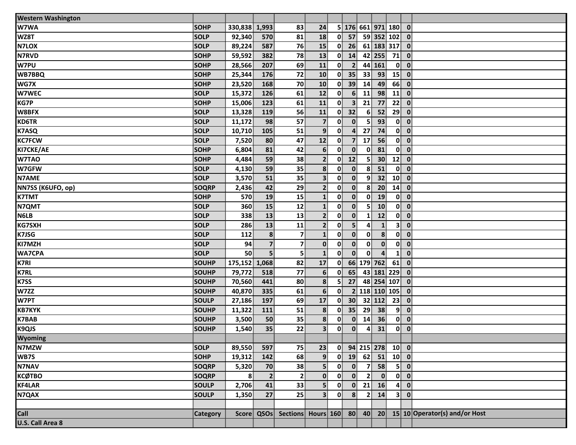| <b>Western Washington</b> |                 |               |                         |                |                         |              |                         |                  |                     |                |                         |                                                                      |
|---------------------------|-----------------|---------------|-------------------------|----------------|-------------------------|--------------|-------------------------|------------------|---------------------|----------------|-------------------------|----------------------------------------------------------------------|
| W7WA                      | <b>SOHP</b>     | 330,838 1,993 |                         | 83             | 24                      |              |                         |                  | 5 176 661 971 180   |                | $\bullet$               |                                                                      |
| WZ8T                      | <b>SOLP</b>     | 92,340        | 570                     | 81             | 18                      | $\mathbf{0}$ | 57                      |                  | 59 352 102 0        |                |                         |                                                                      |
| N7LOX                     | <b>SOLP</b>     | 89,224        | 587                     | 76             | 15                      | $\mathbf{0}$ | 26                      |                  | 61 183 317 0        |                |                         |                                                                      |
| <b>N7RVD</b>              | <b>SOHP</b>     | 59,592        | 382                     | 78             | 13                      | $\mathbf{0}$ | 14                      |                  | 42 255              | 71             | $\overline{\mathbf{0}}$ |                                                                      |
| W7PU                      | <b>SOHP</b>     | 28,566        | 207                     | 69             | 11                      | $\mathbf{0}$ | $\overline{2}$          |                  | 44 161              | $\mathbf{0}$   | $\bullet$               |                                                                      |
| <b>WB7BBQ</b>             | <b>SOHP</b>     | 25,344        | 176                     | 72             | 10                      | $\mathbf{0}$ | 35                      | 33               | 93                  | 15             | $\bullet$               |                                                                      |
| WG7X                      | SOHP            | 23,520        | 168                     | 70             | 10                      | 0            | 39                      | 14               | 49                  | 66             | $\overline{\mathbf{0}}$ |                                                                      |
| W7WEC                     | <b>SOLP</b>     | 15,372        | 126                     | 61             | 12                      | 0            | 6 <sup>1</sup>          | $\mathbf{11}$    | 98                  | $\mathbf{11}$  | $\overline{\mathbf{0}}$ |                                                                      |
| <b>KG7P</b>               | <b>SOHP</b>     | 15,006        | 123                     | 61             | 11                      | $\mathbf{0}$ | $\overline{\mathbf{3}}$ | 21               | 77                  | 22             | $\mathbf{0}$            |                                                                      |
| W8BFX                     | SOLP            | 13,328        | 119                     | 56             | 11                      | $\mathbf{0}$ | 32                      | 6 <sup>1</sup>   | 52                  | 29             | $\overline{\mathbf{0}}$ |                                                                      |
| <b>KD6TR</b>              | SOLP            | 11,172        | 98                      | 57             | $\overline{7}$          | $\mathbf{0}$ | $\mathbf{0}$            | 5 <sup>1</sup>   | 93                  | $\mathbf{0}$   | $\bullet$               |                                                                      |
| <b>K7ASQ</b>              | <b>SOLP</b>     | 10,710        | 105                     | 51             | 9 <sup>1</sup>          | 0            | $\overline{\mathbf{4}}$ | 27               | 74                  | $\mathbf{0}$   | $\overline{\mathbf{0}}$ |                                                                      |
| <b>KC7FCW</b>             | <b>SOLP</b>     | 7,520         | 80                      | 47             | 12                      | $\mathbf{0}$ | $\overline{7}$          | 17               | 56                  |                | $0\ 0$                  |                                                                      |
| KI7CKE/AE                 | SOHP            | 6,804         | 81                      | 42             | 6 <sup>1</sup>          | 0            | $\mathbf{0}$            | $\mathbf{0}$     | 81                  |                | $0$ $0$                 |                                                                      |
| W7TAO                     | <b>SOHP</b>     | 4,484         | 59                      | 38             | $\overline{2}$          | 0            | 12                      | 5 <sup>1</sup>   | 30 <sup>°</sup>     | 12             | $\overline{\mathbf{0}}$ |                                                                      |
| W7GFW                     | <b>SOLP</b>     | 4,130         | 59                      | 35             | 8 <sup>1</sup>          | $\mathbf{0}$ | $\mathbf{0}$            | 8 <sup>1</sup>   | 51                  |                | $0$ $0$                 |                                                                      |
| N7AME                     | <b>SOLP</b>     | 3,570         | 51                      | 35             | $\overline{\mathbf{3}}$ | $\mathbf{0}$ | $\mathbf{0}$            | $\mathbf{9}$     | 32                  | 10             | $\bullet$               |                                                                      |
| NN7SS (K6UFO, op)         | <b>SOQRP</b>    | 2,436         | 42                      | 29             | $\overline{2}$          | $\mathbf{0}$ | $\mathbf{0}$            | 8 <sup>1</sup>   | 20 <sub>2</sub>     | 14             | $\bullet$               |                                                                      |
| <b>K7TMT</b>              | <b>SOHP</b>     | 570           | 19                      | 15             | $\mathbf{1}$            | $\mathbf{0}$ | $\mathbf{0}$            | $\mathbf{0}$     | 19                  | $\mathbf{0}$   | $\bullet$               |                                                                      |
| N7QMT                     | <b>SOLP</b>     | 360           | 15                      | 12             | $\mathbf{1}$            | $\mathbf{0}$ | $\mathbf{0}$            | 5 <sup>1</sup>   | 10                  | $\mathbf{0}$   | $\bullet$               |                                                                      |
| <b>N6LB</b>               | <b>SOLP</b>     | 338           | 13                      | 13             | $\overline{2}$          | $\mathbf{0}$ | $\mathbf{0}$            | $\mathbf{1}$     | 12                  | $\mathbf{0}$   | $\bullet$               |                                                                      |
| <b>KG7SXH</b>             | <b>SOLP</b>     | 286           | 13                      | 11             | $\mathbf{2}$            | $\mathbf{0}$ | 5 <sup>1</sup>          | 4                | $\mathbf{1}$        | 3 <sup>1</sup> | $\mathbf{0}$            |                                                                      |
| K7JSG                     | <b>SOLP</b>     | 112           | 8                       | 7 <sup>1</sup> | $\mathbf{1}$            | $\mathbf{0}$ | $\mathbf{0}$            | $\mathbf{0}$     | 8                   | $\mathbf{0}$   | $\overline{\mathbf{0}}$ |                                                                      |
| KI7MZH                    | <b>SOLP</b>     | 94            | $\overline{\mathbf{z}}$ | 7 <sup>1</sup> | $\mathbf{0}$            | $\mathbf{0}$ | $\mathbf{0}$            | $\mathbf{0}$     | $\mathbf{0}$        | 0              | $\overline{\mathbf{0}}$ |                                                                      |
| <b>WA7CPA</b>             | <b>SOLP</b>     | 50            | 5                       | 5 <sup>1</sup> | $\mathbf{1}$            | $\mathbf{0}$ | $\mathbf{0}$            | $\mathbf{0}$     | 4                   | $\mathbf{1}$   | $\bullet$               |                                                                      |
| <b>K7RI</b>               | SOUHP           | 175,152       | 1,068                   | 82             | 17                      | $\mathbf{0}$ |                         |                  | 66 179 762          | 61             | $\overline{\mathbf{0}}$ |                                                                      |
| <b>K7RL</b>               | SOUHP           | 79,772        | 518                     | 77             | $6 \overline{6}$        | $\mathbf{0}$ | 65                      |                  | 43 181 229          |                | $\overline{\mathbf{0}}$ |                                                                      |
| K7SS                      | SOUHP           | 70,560        | 441                     | 80             | 8 <sup>1</sup>          | 5            | 27                      |                  | 48 254 107          |                | $\overline{\mathbf{0}}$ |                                                                      |
| W7ZZ                      | SOUHP           | 40,870        | 335                     | 61             | 6 <sup>1</sup>          | $\mathbf{0}$ |                         |                  | 2 118 110 105       |                | $\mathbf{0}$            |                                                                      |
| W7PT                      | SOULP           | 27,186        | 197                     | 69             | 17                      | $\mathbf{0}$ | 30 <sup>°</sup>         |                  | 32 112              | 23             | $\overline{\mathbf{0}}$ |                                                                      |
| <b>KB7KYK</b>             | SOUHP           | 11,322        | 111                     | 51             | 8                       | $\mathbf{0}$ | 35                      | 29               | 38                  | 9 <sup>1</sup> | $\overline{\mathbf{0}}$ |                                                                      |
| <b>K7BAB</b>              | <b>SOUHP</b>    | 3,500         | 50                      | 35             | 8                       | 0            | $\mathbf{0}$            | 14               | 36                  | $\mathbf{0}$   | $\bullet$               |                                                                      |
| K9QJS                     | <b>SOUHP</b>    | 1,540         | 35                      | 22             | 3 <sup>1</sup>          | 0            | $\mathbf{0}$            | $\boldsymbol{4}$ | 31                  | $\mathbf{0}$   | $\bullet$               |                                                                      |
| Wyoming                   |                 |               |                         |                |                         |              |                         |                  |                     |                |                         |                                                                      |
| N7MZW                     | <b>SOLP</b>     | 89,550        | 597                     | 75             | 23                      |              |                         |                  | $0$ 94 215 278 10 0 |                |                         |                                                                      |
| <b>WB7S</b>               | <b>SOHP</b>     | 19,312        | 142                     | 68             | 9                       | $\mathbf{0}$ | 19                      |                  | $62$ 51 10 0        |                |                         |                                                                      |
| <b>N7NAV</b>              | <b>SOQRP</b>    | 5,320         | 70                      | 38             | 5 <sup>1</sup>          | 0            | $\mathbf{0}$            | 7 <sup>1</sup>   | 58                  | 5 <sup>1</sup> | $\bullet$               |                                                                      |
| КСФТВО                    | <b>SOQRP</b>    | 8             | $\overline{2}$          | $\mathbf{2}$   | $\mathbf{0}$            | $\mathbf{0}$ | $\mathbf{0}$            | 2 <sup>1</sup>   | $\mathbf{0}$        |                | $0$ $0$                 |                                                                      |
| <b>KF4LAR</b>             | <b>SOULP</b>    | 2,706         | 41                      | 33             | 5 <sup>1</sup>          | 0            |                         |                  | $0$ 21 16           | $\mathbf{4}$   | $\overline{\mathbf{0}}$ |                                                                      |
| N7QAX                     | <b>SOULP</b>    | 1,350         | 27                      | 25             | 3 <sup>1</sup>          | 0            | 8 <sup>1</sup>          | 2 <sup>1</sup>   | 14                  |                | 3 0                     |                                                                      |
|                           |                 |               |                         |                |                         |              |                         |                  |                     |                |                         |                                                                      |
| Call<br>U.S. Call Area 8  | <b>Category</b> |               |                         |                |                         |              |                         |                  |                     |                |                         | Score QSOs Sections Hours 160 80 40 20 15 10 Operator(s) and/or Host |
|                           |                 |               |                         |                |                         |              |                         |                  |                     |                |                         |                                                                      |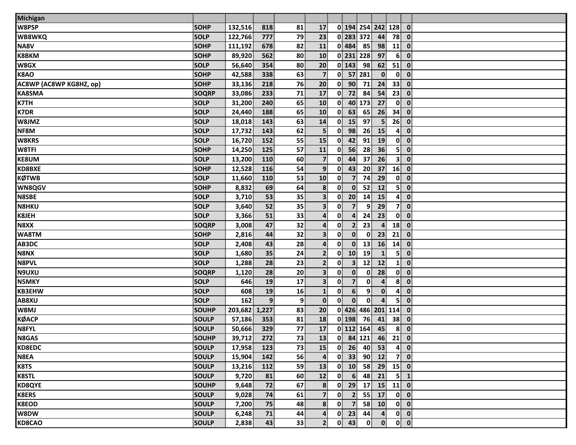| <b>Michigan</b>         |              |               |            |    |                         |                      |                              |                              |                          |                                        |
|-------------------------|--------------|---------------|------------|----|-------------------------|----------------------|------------------------------|------------------------------|--------------------------|----------------------------------------|
| W8PSP                   | <b>SOHP</b>  | 132,516       | 818        | 81 | 17                      |                      |                              | 0 194 254 242 128            |                          | $\mathbf 0$                            |
| <b>WB8WKQ</b>           | <b>SOLP</b>  | 122,766       | 777        | 79 | 23                      |                      | 0 283 372                    | 44                           | 78                       | $\mathbf 0$                            |
| NA8V                    | <b>SOHP</b>  | 111,192       | 678        | 82 | 11                      | $0$ 484              | 85                           | 98                           | 11                       | $\mathbf 0$                            |
| <b>K8BKM</b>            | <b>SOHP</b>  | 89,920        | 562        | 80 | 10                      |                      | 0 231 228                    | 97                           | 6 <sup>1</sup>           | $\mathbf 0$                            |
| W8GX                    | <b>SOLP</b>  | 56,640        | 354        | 80 | 20                      | $\overline{0}$ 143   | 98                           | 62                           | 51                       | $\mathbf 0$                            |
| K8AO                    | <b>SOHP</b>  | 42,588        | 338        | 63 | $\overline{\mathbf{z}}$ | $\mathbf{0}$         | 57 281                       | $\mathbf{0}$                 | $\mathbf{0}$             | $\mathbf 0$                            |
| AC8WP (AC8WP KG8HZ, op) | <b>SOHP</b>  | 33,136        | 218        | 76 | 20                      | 90 <sup>1</sup><br>0 | 71                           | 24                           | 33                       | $\mathbf 0$                            |
| <b>KA8SMA</b>           | <b>SOQRP</b> | 33,086        | 233        | 71 | 17                      | 0<br>72              | 84                           | 54                           | 23                       | $\mathbf 0$                            |
| <b>K7TH</b>             | <b>SOLP</b>  | 31,200        | 240        | 65 | 10                      | $\mathbf{0}$         | 40 173                       | 27                           | $\mathbf{0}$             | $\mathbf 0$                            |
| <b>K7DR</b>             | <b>SOLP</b>  | 24,440        | 188        | 65 | 10                      | $\mathbf{0}$<br>63   | 65                           | 26                           | 34                       | $\mathbf 0$                            |
| W8JMZ                   | <b>SOLP</b>  | 18,018        | 143        | 63 | 14                      | 0<br>15              | 97                           | 5 <sub>1</sub>               | 26                       | $\mathbf 0$                            |
| NF8M                    | <b>SOLP</b>  | 17,732        | 143        | 62 | 5 <sub>5</sub>          | 0<br>98              | 26                           | 15                           | 4                        | $\mathbf 0$                            |
| <b>W8KRS</b>            | <b>SOLP</b>  | 16,720        | 152        | 55 | 15                      | 42<br>0              | 91                           | 19                           | $\mathbf{0}$             | $\mathbf 0$                            |
| W8TFI                   | <b>SOHP</b>  | 14,250        | 125        | 57 | 11                      | 0<br>56              | 28                           | 36                           | 5 <sup>1</sup>           | $\mathbf 0$                            |
| <b>KE8UM</b>            | <b>SOLP</b>  | 13,200        | 110        | 60 | $\overline{7}$          | 44<br>0              | 37                           | 26                           | 3 <sup>1</sup>           | $\boldsymbol{0}$                       |
| <b>KD8BXE</b>           | <b>SOHP</b>  | 12,528        | 116        | 54 | 9 <sup>1</sup>          | 43<br>$\mathbf{0}$   | 20                           | 37                           | 16                       | $\mathbf 0$                            |
| KØTWB                   | <b>SOLP</b>  | 11,660        | 110        | 53 | 10                      | $\mathbf{0}$         | $\overline{7}$<br>74         | 29                           | $\mathbf{0}$             | $\mathbf 0$                            |
| <b>WN8QGV</b>           | <b>SOHP</b>  | 8,832         | 69         | 64 | 8                       | $\mathbf{0}$         | $\mathbf{0}$<br>52           | 12                           | 5 <sup>1</sup>           | $\boldsymbol{0}$                       |
| <b>N8SBE</b>            | <b>SOLP</b>  | 3,710         | 53         | 35 | $\overline{\mathbf{3}}$ | 20<br>$\mathbf{0}$   | 14                           | 15                           | $\mathbf{4}$             | $\mathbf 0$                            |
| <b>N8HKU</b>            | <b>SOLP</b>  | 3,640         | 52         | 35 | $\overline{\mathbf{3}}$ | $\mathbf{0}$         | $\overline{7}$<br>9          | 29                           | 7                        | $\mathbf 0$                            |
| <b>K8JEH</b>            | <b>SOLP</b>  | 3,366         | 51         | 33 | $\mathbf{4}$            | 0                    | $\overline{4}$<br>24         | 23                           | 0                        | $\mathbf 0$                            |
| N8XX                    | <b>SOQRP</b> | 3,008         | 47         | 32 | $\mathbf{4}$            | 0                    | 2 <sup>1</sup><br>23         | $\overline{4}$               | 18                       | $\mathbf 0$                            |
| WA8TM                   | <b>SOHP</b>  | 2,816         | 44         | 32 | 3 <sup>1</sup>          | $\mathbf{0}$         | $\mathbf{0}$<br>$\mathbf{0}$ | 23                           | 21                       | $\mathbf 0$                            |
| AB3DC                   | <b>SOLP</b>  | 2,408         | 43         | 28 | $\mathbf{4}$            | $\mathbf{0}$         | $\mathbf{0}$<br>13           | <b>16</b>                    | 14                       | $\mathbf 0$                            |
| N8NX                    | <b>SOLP</b>  | 1,680         | 35         | 24 | $\overline{2}$          | 10 <sup>1</sup><br>0 | 19                           | $\mathbf{1}$                 | 5 <sup>1</sup>           | $\mathbf 0$                            |
| <b>N8PVL</b>            | <b>SOLP</b>  | 1,288         | 28         | 23 | 2 <sup>1</sup>          | 0                    | 3 <sup>1</sup><br>12         | 12                           | $\mathbf{1}$             | $\mathbf 0$                            |
| N9UXU                   | <b>SOQRP</b> | 1,120         | 28         | 20 | $\overline{\mathbf{3}}$ | $\mathbf{0}$         | $\mathbf{0}$<br>$\mathbf 0$  | 28                           | $\mathbf{0}$             | $\mathbf 0$                            |
| <b>N5MKY</b>            | <b>SOLP</b>  | 646           | 19         | 17 | $\overline{\mathbf{3}}$ | $\mathbf{0}$         | 7 <sup>1</sup><br>$\bf{0}$   | 4                            | 8                        | $\mathbf 0$                            |
| <b>KB3EHW</b>           | <b>SOLP</b>  | 608           | 19         | 16 | $\mathbf{1}$            | $\mathbf{0}$         | 6 <sup>1</sup>               | 9<br>$\mathbf{0}$            | $\mathbf{A}^{\parallel}$ | $\mathbf 0$                            |
| AB8XU                   | <b>SOLP</b>  | 162           | 9          | 9  | $\mathbf{0}$            | 0                    | $\mathbf{0}$<br>$\mathbf{0}$ | 4                            | 5 <sup>1</sup>           | $\mathbf 0$                            |
| W8MJ                    | <b>SOUHP</b> | 203,682 1,227 |            | 83 | 20                      |                      |                              | 0 426 486 201 114            |                          | $\mathbf 0$                            |
| КØАСР                   | <b>SOULP</b> | 57,186        | 353        | 81 | 18                      | $0$ 198              | 76                           | 41                           | $38^{\circ}$             | $\boldsymbol{0}$                       |
| N8FYL                   | <b>SOULP</b> | 50,666        | 329        | 77 | 17                      |                      | $0$ 112 164                  | 45                           | 8 <sup>1</sup>           | $\mathbf 0$                            |
| N8GAS                   | <b>SOUHP</b> | 39,712        | 272        | 73 | 13                      |                      |                              | $0$ 84 121 46 21 0           |                          |                                        |
| <b>KD8EDC</b>           | <b>SOULP</b> | 17,958        | 123        | 73 | 15                      | $0$ 26               | 40                           | 53                           |                          | $4$ 0                                  |
| N8EA                    | <b>SOULP</b> | 15,904        | 142        | 56 | $\boldsymbol{4}$        | $0$ 33               | 90 <sup>1</sup>              | 12                           |                          | 7 0                                    |
| K8TS                    | <b>SOULP</b> | 13,216        | <b>112</b> | 59 | 13                      | $0$ 10               | 58                           | 29                           | $15$ 0                   |                                        |
| <b>K8STL</b>            | <b>SOULP</b> | 9,720         | 81         | 60 | 12                      | $\mathbf{0}$         | $6 \overline{6}$<br>48       | 21                           |                          | $5 \mid 1$                             |
| <b>KD8QYE</b>           | SOUHP        | 9,648         | 72         | 67 | 8                       | $0$ 29               |                              | $17$ 15                      | $11$ 0                   |                                        |
| <b>K8ERS</b>            | <b>SOULP</b> | 9,028         | 74         | 61 | 7 <sup>1</sup>          | $\mathbf{0}$         | $\overline{2}$               | 55 17                        |                          | $0 \quad 0$                            |
| <b>K8EOD</b>            | <b>SOULP</b> | 7,200         | 75         | 48 | 8 <sup>1</sup>          | $0 \quad 7$          |                              | $58$ 10                      |                          | $0$ $0$                                |
| W8DW                    | <b>SOULP</b> | 6,248         | 71         | 44 | $\mathbf{4}$            | $0$ 23               | 44                           | $\mathbf{4}$                 |                          | $\begin{bmatrix} 0 \\ 0 \end{bmatrix}$ |
| <b>KD8CAO</b>           | <b>SOULP</b> | 2,838         | 43         | 33 | 2 <sub>1</sub>          | $0$ 43               |                              | $\mathbf{0}$<br>$\mathbf{0}$ |                          | $\begin{bmatrix} 0 \\ 0 \end{bmatrix}$ |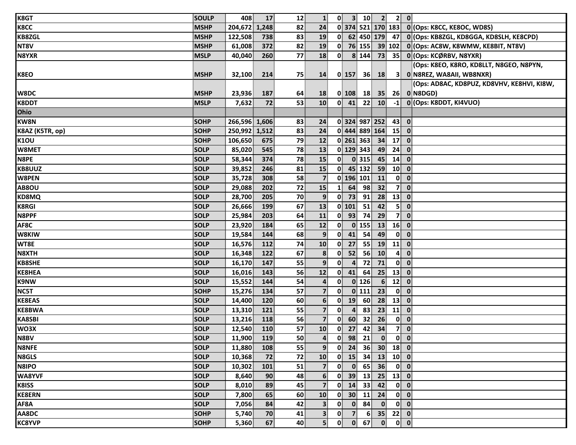| K8GT            | <b>SOULP</b> | 408           | 17              | 12 | $\mathbf{1}$            | $\mathbf{0}$             | 3 <sup>1</sup>          | 10              | 2 <sup>1</sup>             |                          | $2$ 0                                  |                                            |
|-----------------|--------------|---------------|-----------------|----|-------------------------|--------------------------|-------------------------|-----------------|----------------------------|--------------------------|----------------------------------------|--------------------------------------------|
| K8CC            | <b>MSHP</b>  | 204,672 1,248 |                 | 82 | 24                      |                          |                         |                 | 0 374 521 170 183          |                          |                                        | 0 (Ops: K8CC, KE8OC, WD8S)                 |
| <b>KB8ZGL</b>   | <b>MSHP</b>  | 122,508       | 738             | 83 | 19                      |                          |                         |                 | 0 62 450 179 47            |                          |                                        | 0 (Ops: KB8ZGL, KD8GGA, KD8SLH, KE8CPD)    |
| NT8V            | <b>MSHP</b>  | 61,008        | 372             | 82 | 19                      | $\mathbf{0}$             |                         | 76 155          |                            | 39 102                   |                                        | 0 (Ops: AC8W, K8WMW, KE8BIT, NT8V)         |
| N8YXR           | <b>MSLP</b>  | 40,040        | 260             | 77 | 18                      | $\mathbf{0}$             |                         | 8 144           |                            | $73$ 35                  |                                        | 0 (Ops: KCØRBV, N8YXR)                     |
|                 |              |               |                 |    |                         |                          |                         |                 |                            |                          |                                        | (Ops: K8EO, K8RO, KD8LLT, N8GEO, N8PYN,    |
| K8EO            | <b>MSHP</b>  | 32,100        | 214             | 75 | 14                      |                          | $0$   157               | 36 <sup>1</sup> | <b>18</b>                  |                          |                                        | 3 0 N8REZ, WA8AII, WB8NXR)                 |
|                 |              |               |                 |    |                         |                          |                         |                 |                            |                          |                                        | (Ops: AD8AC, KD8PUZ, KD8VHV, KE8HVI, KI8W, |
| W8DC            | <b>MSHP</b>  | 23,936        | 187             | 64 | <b>18</b>               |                          | $0$ 108                 | 18              | 35                         | 26                       |                                        | 0 N8DGD)                                   |
| <b>K8DDT</b>    | <b>MSLP</b>  | 7,632         | 72              | 53 | 10                      |                          | $0$ 41                  | 22              | 10 <sup>1</sup>            | $-1$                     |                                        | 0 (Ops: K8DDT, KI4VUO)                     |
| Ohio            |              |               |                 |    |                         |                          |                         |                 |                            |                          |                                        |                                            |
| <b>KW8N</b>     | <b>SOHP</b>  | 266,596 1,606 |                 | 83 | 24                      |                          |                         |                 | 0324 987 252               | 43                       | $\overline{\mathbf{0}}$                |                                            |
| K8AZ (K5TR, op) | <b>SOHP</b>  | 250,992 1,512 |                 | 83 | 24                      |                          |                         | 0 444 889 164   |                            | 15                       | $\mathbf 0$                            |                                            |
| <b>K10U</b>     | <b>SOHP</b>  | 106,650       | 675             | 79 | 12                      |                          |                         | 0 261 363       | 34                         | $17$ 0                   |                                        |                                            |
| W8MET           | <b>SOLP</b>  | 85,020        | 545             | 78 | 13                      |                          |                         | 0 129 343       | 49                         | 24                       | $\overline{\mathbf{0}}$                |                                            |
| N8PE            | <b>SOLP</b>  | 58,344        | 374             | 78 | 15                      | $\mathbf{0}$             |                         | $0$ 315         | 45                         | 14                       | $\overline{\mathbf{0}}$                |                                            |
| <b>KB8UUZ</b>   | <b>SOLP</b>  | 39,852        | 246             | 81 | 15                      | $\mathbf{0}^{\parallel}$ |                         | 45 132          | 59                         | $10$ 0                   |                                        |                                            |
| W8PEN           | <b>SOLP</b>  | 35,728        | 308             | 58 | $\overline{\mathbf{z}}$ |                          | 0 196 101               |                 | 11                         | $\mathbf{0}$             | $\mathbf 0$                            |                                            |
| AB8OU           | <b>SOLP</b>  | 29,088        | 202             | 72 | 15                      | $\mathbf{1}$             | 64                      | 98              | 32                         | 7 <sup>1</sup>           | $\mathbf{0}$                           |                                            |
| KD8MQ           | <b>SOLP</b>  | 28,700        | 205             | 70 | 9                       | $\mathbf{0}$             | 73                      | 91              | 28                         | 13                       | $\mathbf 0$                            |                                            |
| <b>K8RGI</b>    | <b>SOLP</b>  | 26,666        | 199             | 67 | 13                      |                          | $0$ 101                 | 51              | 42                         | 5 <sup>1</sup>           | $\mathbf 0$                            |                                            |
| N8PPF           | <b>SOLP</b>  | 25,984        | 203             | 64 | 11                      | 0                        | 93                      | 74              | 29                         | 7                        | $\mathbf{0}$                           |                                            |
| AF8C            | <b>SOLP</b>  | 23,920        | 184             | 65 | 12                      | $\mathbf{0}$             |                         | $0$ 155         | 13                         | 16                       | $\mathbf 0$                            |                                            |
| W8KIW           | <b>SOLP</b>  | 19,584        | 144             | 68 | $\overline{9}$          | $\mathbf{0}^{\parallel}$ | 41                      | 54              | 49                         | $\mathbf{0}^{\parallel}$ | $\mathbf{0}$                           |                                            |
| WT8E            | <b>SOLP</b>  | 16,576        | 112             | 74 | 10                      | $\mathbf{0}$             | 27                      | 55              | 19                         | 11                       | $\mathbf 0$                            |                                            |
| N8XTH           | <b>SOLP</b>  | 16,348        | 122             | 67 | 8                       | $\mathbf{0}$             | 52                      | 56              | 10                         | 4                        | $\overline{\mathbf{0}}$                |                                            |
| <b>KB8SHE</b>   | <b>SOLP</b>  | 16,170        | 147             | 55 | 9                       | 0                        | $\overline{\mathbf{a}}$ | 72              | 71                         |                          | $0\ 0$                                 |                                            |
| KE8HEA          | <b>SOLP</b>  | 16,016        | 143             | 56 | 12                      | $\mathbf{0}$             | 41                      | 64              | 25                         | $13$ 0                   |                                        |                                            |
| K9NW            | <b>SOLP</b>  | 15,552        | 144             | 54 | $\overline{\mathbf{r}}$ | 0                        |                         | $0$ 126         | 6 <sup>1</sup>             | 12                       | $\bf{0}$                               |                                            |
| NC5T            | <b>SOHP</b>  | 15,276        | 134             | 57 | $\mathbf{7}$            | $\mathbf{0}$             |                         | $0$ 111         | 23                         |                          | $0\ 0$                                 |                                            |
| <b>KE8EAS</b>   | <b>SOLP</b>  | 14,400        | 120             | 60 | $\mathbf{6}$            | $\mathbf{0}$             | 19                      | 60              | 28                         | 13                       | $\mathbf 0$                            |                                            |
| <b>KE8BWA</b>   | <b>SOLP</b>  | 13,310        | 121             | 55 | $\overline{7}$          | $\mathbf{0}$             | $\overline{\mathbf{4}}$ | 83              | 23                         | 11                       | $\mathbf{0}$                           |                                            |
| <b>KA8SBI</b>   | <b>SOLP</b>  | 13,216        | 118             | 56 | $\overline{7}$          | $\mathbf{0}$             | 60                      | 32              | 26                         |                          | $0$ $0$                                |                                            |
| WO3X            | <b>SOLP</b>  | 12,540        | 110             | 57 | 10                      | $\mathbf{0}$             | 27                      | 42              | 34                         | 7 <sup>1</sup>           | $\mathbf 0$                            |                                            |
| N8BV            | <b>SOLP</b>  | 11,900        | 119             | 50 | $\mathbf{4}$            |                          |                         | $0$ 98 21       | $\overline{\phantom{a}}$ 0 |                          | $\begin{bmatrix} 0 \\ 0 \end{bmatrix}$ |                                            |
| <b>N8NFE</b>    | <b>SOLP</b>  | 11,880        | 108             | 55 | 9 <sup>1</sup>          | $\mathbf{0}$             | 24                      | <b>36</b>       |                            | $30$ 18 0                |                                        |                                            |
| <b>N8GLS</b>    | <b>SOLP</b>  | 10,368        | 72              | 72 | 10                      | 0                        | 15                      | 34 <sup>1</sup> | 13                         | $10$ 0                   |                                        |                                            |
| N8IPO           | <b>SOLP</b>  | 10,302        | 101             | 51 | $\overline{7}$          | $\mathbf{0}$             | $\mathbf{0}$            | 65              | 36                         |                          | $0 \quad 0$                            |                                            |
| <b>WA8YVF</b>   | <b>SOLP</b>  | 8,640         | 90 <sup>°</sup> | 48 | 6                       | $\mathbf{0}$             | 39                      | 13              | 25                         | $13$ 0                   |                                        |                                            |
| K8ISS           | <b>SOLP</b>  | 8,010         | 89              | 45 | $\overline{7}$          | 0                        | 14                      | 33              | 42                         |                          | $0 \quad 0$                            |                                            |
| <b>KE8ERN</b>   | <b>SOLP</b>  | 7,800         | 65              | 60 | 10                      | $\mathbf{0}$             |                         | $30$ 11         | 24                         |                          | $0 \quad 0$                            |                                            |
| AF8A            | <b>SOLP</b>  | 7,056         | 84              | 42 | $\mathbf{3}$            | $\mathbf{0}$             | $\mathbf{0}$            | 84              | $\mathbf{0}$               |                          | $0\ 0$                                 |                                            |
| AA8DC           | SOHP         | 5,740         | 70              | 41 | 3 <sup>1</sup>          | $\mathbf{0}$             | 7 <sup>1</sup>          | 6 <sup>1</sup>  | 35                         | $22$ 0                   |                                        |                                            |
| <b>KC8YVP</b>   | <b>SOHP</b>  | 5,360         | 67              | 40 | $\mathsf{S}$            | $\mathbf{0}$             |                         | $0$ 67          | $\mathbf{0}$               |                          | $0$ $0$                                |                                            |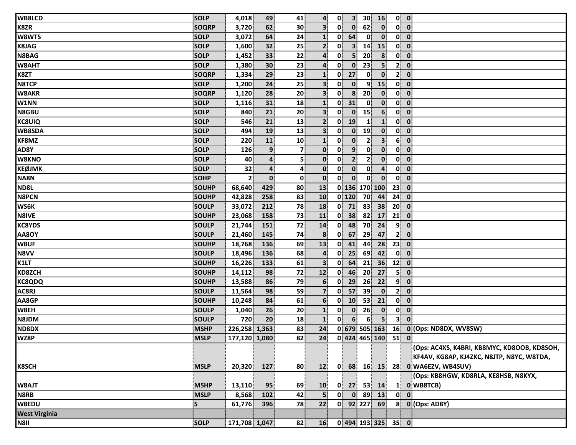| WB8LCD               | <b>SOLP</b>  | 4,018          | 49              | 41             | $\overline{4}$          | $\mathbf{0}$ | 3 <sup>1</sup> | 30 <sup>°</sup> | 16                                      |                          | $0$ $0$                                     |
|----------------------|--------------|----------------|-----------------|----------------|-------------------------|--------------|----------------|-----------------|-----------------------------------------|--------------------------|---------------------------------------------|
| K8ZR                 | <b>SOQRP</b> | 3,720          | 62              | 30             | $\mathbf{3}$            | 0            | $\mathbf{0}$   | 62              | $\mathbf{0}$                            | $\mathbf{0}$             | $\overline{\mathbf{0}}$                     |
| W8WTS                | <b>SOLP</b>  | 3,072          | 64              | 24             | $\mathbf{1}$            | 0            | 64             |                 | $\mathbf{0}$<br>$\mathbf{0}$            | $\mathbf{0}$             | $\overline{\mathbf{0}}$                     |
| <b>K8JAG</b>         | <b>SOLP</b>  | 1,600          | 32              | 25             | 2 <sup>1</sup>          | $\mathbf{0}$ | 3 <sup>1</sup> | 14              | 15                                      |                          | $0$ $0$                                     |
| N8BAG                | <b>SOLP</b>  | 1,452          | 33              | 22             | $\boldsymbol{4}$        | $\mathbf{0}$ | 5 <sup>1</sup> | 20              | 8                                       | $\mathbf{0}$             | $\mathbf 0$                                 |
| W8AHT                | <b>SOLP</b>  | 1,380          | 30 <sup>2</sup> | 23             | 4                       | $\mathbf{0}$ | $\mathbf{0}$   | 23              | 5 <sup>1</sup>                          | $\mathbf{2}^{\parallel}$ | $\mathbf 0$                                 |
| K8ZT                 | <b>SOQRP</b> | 1,334          | 29              | 23             | $\mathbf{1}$            | $\mathbf{0}$ | 27             |                 | $\mathbf{0}$<br>$\mathbf{0}$            | 2 <sup>1</sup>           | $\overline{\mathbf{0}}$                     |
| <b>N8TCP</b>         | SOLP         | 1,200          | 24              | 25             | $\overline{\mathbf{3}}$ | $\mathbf{0}$ | $\mathbf{0}$   |                 | 15<br>$\mathbf{9}$                      | 0                        | $\mathbf 0$                                 |
| <b>W8AKR</b>         | <b>SOQRP</b> | 1,120          | 28              | 20             | 3 <sup>1</sup>          | 0            | 8              | 20              | $\mathbf{0}$                            | $\mathbf{0}$             | $\mathbf 0$                                 |
| W1NN                 | <b>SOLP</b>  | 1,116          | 31              | 18             | $\mathbf{1}$            | $\mathbf{0}$ | 31             |                 | $\mathbf{0}$<br>$\mathbf{0}$            |                          | $0$ $0$                                     |
| <b>N8GBU</b>         | <b>SOLP</b>  | 840            | 21              | 20             | $\overline{\mathbf{3}}$ | 0            | $\mathbf{0}$   | 15              | 6 <sup>1</sup>                          | 0                        | $\overline{\mathbf{0}}$                     |
| <b>KC8UIQ</b>        | <b>SOLP</b>  | 546            | 21              | 13             | $\mathbf{2}$            | $\mathbf{0}$ | 19             | $\mathbf{1}$    | $\mathbf{1}$                            | $\mathbf{0}$             | $\overline{\mathbf{o}}$                     |
| <b>WB8SDA</b>        | <b>SOLP</b>  | 494            | 19              | 13             | $\mathbf{3}$            | 0            | $\mathbf{0}$   | 19              | $\mathbf{0}$                            | $\mathbf{0}$             | $\bullet$                                   |
| KF8MZ                | <b>SOLP</b>  | 220            | 11              | 10             | $\mathbf{1}$            | 0            | $\mathbf{0}$   |                 | $\mathbf{2}$<br>3 <sup>1</sup>          | 6 <sup>1</sup>           | $\overline{\mathbf{0}}$                     |
| AD8Y                 | <b>SOLP</b>  | 126            | 9               | $\overline{7}$ | $\mathbf{0}$            | $\mathbf{0}$ | 9 <sup>1</sup> |                 | $\mathbf{0}$<br>$\mathbf{0}$            | 0                        | $\mathbf 0$                                 |
| W8KNO                | <b>SOLP</b>  | 40             | $\overline{4}$  | 5 <sup>1</sup> | $\mathbf{0}$            | $\mathbf{0}$ | $\overline{2}$ |                 | $\mathbf{0}$<br>$\mathbf{2}$            | $\mathbf{0}$             | $\overline{\mathbf{0}}$                     |
| <b>KEØJMK</b>        | <b>SOLP</b>  | 32             | 4               | 4              | $\mathbf{0}$            | $\mathbf{0}$ | $\mathbf{0}$   |                 | $\mathbf{0}$<br>$\overline{\mathbf{4}}$ | 0                        | $\mathbf 0$                                 |
| NA8N                 | <b>SOHP</b>  | 2 <sup>1</sup> | $\mathbf 0$     | $\mathbf{0}$   | $\mathbf{0}$            | $\mathbf{0}$ | $\mathbf{0}$   |                 | $\mathbf{0}$<br>$\mathbf{0}$            | $\mathbf{0}$             | $\mathbf{0}$                                |
| ND8L                 | <b>SOUHP</b> | 68,640         | 429             | 80             | 13                      |              |                |                 | 0 136 170 100                           | 23                       | $\mathbf{0}$                                |
| <b>N8PCN</b>         | <b>SOUHP</b> | 42,828         | 258             | 83             | 10                      |              | 0 120          | 70              | 44                                      | 24                       | $\mathbf 0$                                 |
| <b>WS6K</b>          | <b>SOULP</b> | 33,072         | 212             | 78             | 18                      | $\mathbf{0}$ | 71             | 83              | 38                                      | 20 <sup>1</sup>          | $\mathbf 0$                                 |
| <b>N8IVE</b>         | <b>SOUHP</b> | 23,068         | 158             | 73             | 11                      | $\mathbf{0}$ | 38             | 82              | 17                                      | 21                       | $\mathbf 0$                                 |
| <b>KC8YDS</b>        | <b>SOULP</b> | 21,744         | 151             | 72             | 14                      | $\mathbf{0}$ | 48             | 70              | 24                                      | 9 <sup>1</sup>           | $\mathbf 0$                                 |
| AA8OY                | <b>SOULP</b> | 21,460         | 145             | 74             | 8                       | $\mathbf{0}$ | 67             | 29              | 47                                      | 2 <sup>1</sup>           | $\overline{\mathbf{0}}$                     |
| W8UF                 | <b>SOUHP</b> | 18,768         | 136             | 69             | 13                      | $\mathbf{0}$ | 41             | 44              | 28                                      | 23                       | $\mathbf 0$                                 |
| N8VV                 | <b>SOULP</b> | 18,496         | 136             | 68             | 4                       | $\mathbf{0}$ | 25             | 69              | 42                                      | $\mathbf{0}$             | $\mathbf{0}$                                |
| K1LT                 | <b>SOUHP</b> | 16,226         | 133             | 61             | $\overline{\mathbf{3}}$ | $\mathbf{0}$ | 64             | 21              | 36                                      | 12                       | $\mathbf 0$                                 |
| KD8ZCH               | <b>SOUHP</b> | 14,112         | 98              | 72             | 12                      | $\mathbf{0}$ | 46             | 20              | 27                                      | 51                       | $\mathbf 0$                                 |
| <b>KC8QDQ</b>        | <b>SOUHP</b> | 13,588         | 86              | 79             | 6 <sup>1</sup>          | $\mathbf{0}$ | 29             | 26              | 22                                      | 9 <sup>1</sup>           | $\overline{\mathbf{0}}$                     |
| AC8RJ                | <b>SOULP</b> | 11,564         | 98              | 59             | $\overline{7}$          | $\mathbf{0}$ | 57             | 39              | $\mathbf{0}$                            | 2 <sup>1</sup>           | $\mathbf 0$                                 |
| AA8GP                | <b>SOUHP</b> | 10,248         | 84              | 61             | 6 <sup>1</sup>          | $\mathbf{0}$ | 10             | 53              | 21                                      | 0                        | $\mathbf 0$                                 |
| W8EH                 | <b>SOULP</b> | 1,040          | 26              | 20             | $\mathbf{1}$            | $\mathbf{0}$ | $\mathbf{0}$   | 26              | $\mathbf{0}$                            | $\mathbf{0}$             | $\overline{\mathbf{0}}$                     |
| N8JDM                | <b>SOULP</b> | 720            | 20              | 18             | $\mathbf{1}$            | $\mathbf{0}$ | 6 <sup>1</sup> |                 | 6 <sup>1</sup><br>5 <sup>1</sup>        | 3 <sup>1</sup>           | $\mathbf{0}$                                |
| ND8DX                | <b>MSHP</b>  | 226,258 1,363  |                 | 83             | 24                      |              |                |                 |                                         |                          | 0 679 505 163 16 0 (Ops: ND8DX, WV8SW)      |
| WZ8P                 | <b>MSLP</b>  | 177,120 1,080  |                 | 82             |                         |              |                |                 | 24 0 424 465 140 51 0                   |                          |                                             |
|                      |              |                |                 |                |                         |              |                |                 |                                         |                          | (Ops: AC4XS, K4BRI, KB8MYC, KD8OOB, KD8SOH, |
|                      |              |                |                 |                |                         |              |                |                 |                                         |                          | KF4AV, KG8AP, KJ4ZKC, N8JTP, N8YC, W8TDA,   |
| <b>K8SCH</b>         | <b>MSLP</b>  | 20,320         | 127             | 80             | 12                      |              |                |                 |                                         |                          | 0 68 16 15 28 0 WA6EZV, WB4SUV)             |
|                      |              |                |                 |                |                         |              |                |                 |                                         |                          | (Ops: KB8HGW, KD8RLA, KE8HSB, N8KYX,        |
| W8AJT                | <b>MSHP</b>  | 13,110         | 95              | 69             | 10                      | $\mathbf{0}$ |                |                 | $27$ 53 14                              |                          | 1 0 WB8TCB)                                 |
| N8RB                 | <b>MSLP</b>  | 8,568          | 102             | 42             | 5 <sup>1</sup>          | 0            |                |                 | $0$ 89 13                               |                          | $0\quad 0$                                  |
| W8EDU                | $\mathsf S$  | 61,776         | 396             | 78             | 22                      |              |                |                 | $0$ 92 227 69                           |                          | $8$ 0 (Ops: AD8Y)                           |
| <b>West Virginia</b> |              |                |                 |                |                         |              |                |                 |                                         |                          |                                             |
| N8II                 | <b>SOLP</b>  | 171,708 1,047  |                 | 82             | 16                      |              |                |                 | $0$ 494 193 325 35 0                    |                          |                                             |
|                      |              |                |                 |                |                         |              |                |                 |                                         |                          |                                             |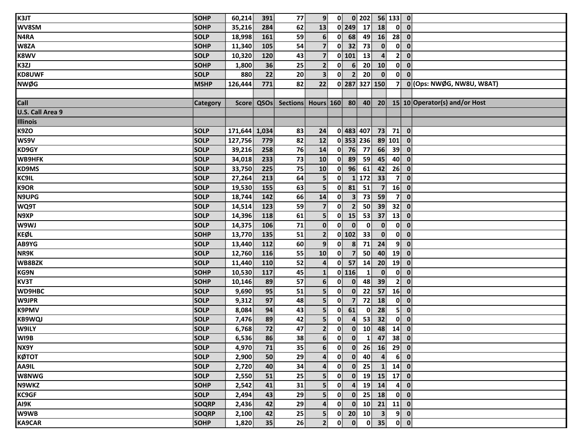| K3JT             | SOHP            | 60,214        | 391        | 77 | 9 <sup>1</sup>          | 0                       |                         | $0$ 202         |                         | 56 133 0       |                                        |                                                           |
|------------------|-----------------|---------------|------------|----|-------------------------|-------------------------|-------------------------|-----------------|-------------------------|----------------|----------------------------------------|-----------------------------------------------------------|
| WV8SM            | <b>SOHP</b>     | 35,216        | 284        | 62 | 13                      |                         | $0$   249               | 17              | 18                      | $\mathbf{0}$   | $\mathbf{0}$                           |                                                           |
| N4RA             | <b>SOLP</b>     | 18,998        | 161        | 59 | $6\phantom{1}$          | 0                       | 68                      | 49              | 16                      | 28             | $\mathbf 0$                            |                                                           |
| W8ZA             | <b>SOHP</b>     | 11,340        | 105        | 54 | 7 <sup>1</sup>          | $\mathbf{0}$            | 32                      | 73              | $\mathbf{0}$            | 0              | $\mathbf 0$                            |                                                           |
| <b>K8WV</b>      | <b>SOLP</b>     | 10,320        | 120        | 43 | $\overline{7}$          |                         | $0$   101               | 13              | $\overline{\mathbf{4}}$ | $\mathbf{2}$   | $\mathbf 0$                            |                                                           |
| K3ZJ             | <b>SOHP</b>     | 1,800         | 36         | 25 | $\mathbf{2}$            | $\mathbf{0}$            | 6                       | 20              | 10                      | $\mathbf{0}$   | $\mathbf 0$                            |                                                           |
| <b>KD8UWF</b>    | <b>SOLP</b>     | 880           | 22         | 20 | 3 <sup>1</sup>          | $\mathbf{0}$            | $\mathbf{2}$            | 20              | $\mathbf{0}$            | $\mathbf{0}$   | $\mathbf 0$                            |                                                           |
| <b>NWØG</b>      | <b>MSHP</b>     | 126,444       | 771        | 82 | 22                      |                         |                         | 0 287 327 150   |                         | 7              |                                        | 0 (Ops: NWØG, NW8U, W8AT)                                 |
|                  |                 |               |            |    |                         |                         |                         |                 |                         |                |                                        |                                                           |
| Call             | <b>Category</b> |               | Score QSOs |    |                         |                         |                         |                 |                         |                |                                        | Sections Hours 160 80 40 20 15 10 Operator(s) and/or Host |
| U.S. Call Area 9 |                 |               |            |    |                         |                         |                         |                 |                         |                |                                        |                                                           |
| <b>Illinois</b>  |                 |               |            |    |                         |                         |                         |                 |                         |                |                                        |                                                           |
| K9ZO             | <b>SOLP</b>     | 171,644 1,034 |            | 83 | 24                      |                         |                         | 0 483 407       | 73                      | 71             | $\overline{\mathbf{0}}$                |                                                           |
| WS9V             | <b>SOLP</b>     | 127,756       | 779        | 82 | 12                      |                         |                         | 0 353 236       |                         | 89 101         | $\mathbf{0}$                           |                                                           |
| KD9GY            | <b>SOLP</b>     | 39,216        | 258        | 76 | 14                      |                         | $0$ 76                  | 77              | 66                      | $39^{\circ}$   | $\mathbf{0}$                           |                                                           |
| <b>WB9HFK</b>    | <b>SOLP</b>     | 34,018        | 233        | 73 | 10                      | $\mathbf{0}$            | 89                      | 59              | 45                      | 40             | $\mathbf 0$                            |                                                           |
| <b>KD9MS</b>     | <b>SOLP</b>     | 33,750        | 225        | 75 | 10                      | 0                       | 96                      | 61              | 42                      | 26             | $\mathbf 0$                            |                                                           |
| KC9IL            | <b>SOLP</b>     | 27,264        | 213        | 64 | 5                       | $\mathbf{0}$            |                         | 1 172           | 33                      | $\overline{7}$ | $\mathbf 0$                            |                                                           |
| K9OR             | <b>SOLP</b>     | 19,530        | 155        | 63 | $\overline{\mathbf{5}}$ | $\mathbf{0}$            | 81                      | 51              | $\overline{7}$          | 16             | $\mathbf 0$                            |                                                           |
| N9UPG            | <b>SOLP</b>     | 18,744        | 142        | 66 | 14                      | 0                       | 3 <sup>1</sup>          | 73              | 59                      | 7              | $\mathbf{0}$                           |                                                           |
| WQ9T             | <b>SOLP</b>     | 14,514        | 123        | 59 | $\overline{\mathbf{z}}$ | $\mathbf{0}$            | $\mathbf{2}$            | 50              | 39                      | 32             | $\mathbf 0$                            |                                                           |
| N9XP             | <b>SOLP</b>     | 14,396        | 118        | 61 | $\mathbf{5}$            | $\mathbf{0}$            | 15                      | 53              | 37                      | 13             | $\mathbf 0$                            |                                                           |
| W9WJ             | <b>SOLP</b>     | 14,375        | 106        | 71 | $\mathbf{0}$            | 0                       | $\mathbf{0}$            | $\mathbf{0}$    | $\mathbf{0}$            | $\mathbf{0}$   | $\mathbf 0$                            |                                                           |
| <b>KEØL</b>      | <b>SOHP</b>     | 13,770        | 135        | 51 | $\mathbf{2}$            |                         | $0$ 102                 | 33              | $\mathbf{0}$            | $\mathbf{0}$   | $\mathbf 0$                            |                                                           |
| AB9YG            | <b>SOLP</b>     | 13,440        | 112        | 60 | 9 <sub>1</sub>          | $\mathbf{0}$            | 8                       | 71              | 24                      | 9              | $\mathbf 0$                            |                                                           |
| NR9K             | <b>SOLP</b>     | 12,760        | 116        | 55 | 10                      | $\mathbf{0}$            | $\overline{7}$          | 50              | 40                      | 19             | $\overline{\mathbf{0}}$                |                                                           |
| WB8BZK           | <b>SOLP</b>     | 11,440        | 110        | 52 | $\overline{\mathbf{a}}$ | 0                       | 57                      | 14              | 20                      | 19             | $\mathbf 0$                            |                                                           |
| <b>KG9N</b>      | <b>SOHP</b>     | 10,530        | 117        | 45 | $\mathbf{1}$            |                         | $0$ 116                 | 1               | $\mathbf{0}$            | $\mathbf{0}$   | $\mathbf 0$                            |                                                           |
| KV3T             | <b>SOHP</b>     | 10,146        | 89         | 57 | 6 <sup>1</sup>          | $\mathbf{0}$            | $\mathbf{0}$            | 48              | 39                      | 2 <sup>1</sup> | $\mathbf 0$                            |                                                           |
| <b>WD9HBC</b>    | <b>SOLP</b>     | 9,690         | 95         | 51 | $\overline{\mathbf{5}}$ | $\mathbf{0}$            | $\mathbf{0}$            | 22              | 57                      | 16             | $\mathbf 0$                            |                                                           |
| W9JPR            | <b>SOLP</b>     | 9,312         | 97         | 48 | $\overline{\mathbf{5}}$ | 0                       | $\overline{7}$          | 72              | 18                      | $\mathbf{0}$   | $\mathbf 0$                            |                                                           |
| <b>K9PMV</b>     | <b>SOLP</b>     | 8,084         | 94         | 43 | 5 <sub>1</sub>          | $\mathbf{0}$            | 61                      | 0               | 28                      | 5 <sup>1</sup> | $\mathbf 0$                            |                                                           |
| <b>KB9WQJ</b>    | <b>SOLP</b>     | 7,476         | 89         | 42 | $\overline{\mathbf{5}}$ | $\mathbf{0}$            | $\overline{4}$          | 53              | 32                      | 0              | $\mathbf 0$                            |                                                           |
| W9ILY            | <b>SOLP</b>     | 6,768         | 72         | 47 | $\mathbf{2}$            | $\mathbf{0}$            | $\mathbf{0}$            | 10 <sup>1</sup> | 48                      | 14             | $\mathbf{0}$                           |                                                           |
| WI9B             | <b>SOLP</b>     | 6,536         | 86         | 38 | $\overline{6}$          | $\overline{\mathbf{0}}$ | $\overline{\mathbf{0}}$ |                 | $1 \mid 47$             | $38$ 0         |                                        |                                                           |
| NX9Y             | <b>SOLP</b>     | 4,970         | 71         | 35 | 6 <sup>1</sup>          | $\mathbf{0}$            | $\mathbf{0}$            | 26              | 16                      | $29$ 0         |                                        |                                                           |
| КØТОТ            | <b>SOLP</b>     | 2,900         | 50         | 29 | $\mathbf{4}$            | $\mathbf{0}$            | $\mathbf{0}$            | 40              | $\boldsymbol{4}$        |                | $6$ 0                                  |                                                           |
| AA9IL            | <b>SOLP</b>     | 2,720         | 40         | 34 | 4                       | $\mathbf{0}$            | $\mathbf{0}$            | 25              | $\mathbf{1}$            | $14$ 0         |                                        |                                                           |
| <b>W8NWG</b>     | <b>SOLP</b>     | 2,550         | 51         | 25 | 5 <sup>1</sup>          | 0                       | $\mathbf{0}$            | 19              | 15                      | $17$ 0         |                                        |                                                           |
| <b>N9WKZ</b>     | <b>SOHP</b>     | 2,542         | 41         | 31 | 5 <sup>1</sup>          | 0                       | $\mathbf{4}$            | 19              | 14                      |                | $4$ 0                                  |                                                           |
| <b>KC9GF</b>     | <b>SOLP</b>     | 2,494         | 43         | 29 | $\overline{\mathbf{5}}$ | $\mathbf{0}$            | $\mathbf{0}$            | 25              | 18                      |                | $0 \quad 0$                            |                                                           |
| AI9K             | SOQRP           | 2,436         | 42         | 29 | $\mathbf{4}$            | $\mathbf{0}$            | $\mathbf{0}$            | 10              | 21                      | $11$ 0         |                                        |                                                           |
| W9WB             | SOQRP           | 2,100         | 42         | 25 | $\overline{\mathbf{5}}$ | $\mathbf{0}$            | 20 <sup>°</sup>         | 10              | $\overline{\mathbf{3}}$ |                | $9$ 0                                  |                                                           |
| <b>KA9CAR</b>    | <b>SOHP</b>     | 1,820         | 35         | 26 | 2 <sup>1</sup>          | $\mathbf{0}$            | $\mathbf{0}$            | 0               | 35                      |                | $\begin{bmatrix} 0 \\ 0 \end{bmatrix}$ |                                                           |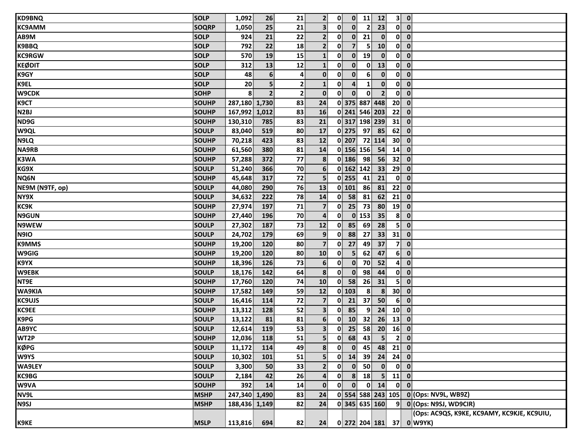| <b>KD9BNQ</b>    | <b>SOLP</b>  | 1,092         | 26             | 21             | 2 <sup>1</sup>           | $\mathbf{0}$ |                  | $0$ 11                 | 12                  |                         | $3$ 0                                      |
|------------------|--------------|---------------|----------------|----------------|--------------------------|--------------|------------------|------------------------|---------------------|-------------------------|--------------------------------------------|
| <b>KC9AMM</b>    | <b>SOQRP</b> | 1,050         | 25             | 21             | $\overline{\mathbf{3}}$  | $\mathbf{0}$ | $\mathbf{0}$     | 2                      | 23                  | $\mathbf{0}$            | $\overline{\mathbf{0}}$                    |
| AB9M             | <b>SOLP</b>  | 924           | 21             | 22             | 2 <sup>1</sup>           | $\mathbf{0}$ | $\mathbf{0}$     | 21                     | $\mathbf{0}$        |                         | $0\ 0$                                     |
| <b>K9BBQ</b>     | <b>SOLP</b>  | 792           | 22             | 18             | 2 <sup>1</sup>           | $\mathbf{0}$ | $\overline{7}$   | 5 <sup>1</sup>         | 10                  |                         | $0\ 0$                                     |
| <b>KC9RGW</b>    | <b>SOLP</b>  | 570           | 19             | 15             | $\mathbf{1}$             | 0            | $\mathbf{0}$     | 19                     | $\mathbf{0}$        | $\mathbf{0}$            | $\overline{\mathbf{0}}$                    |
| <b>KEØDIT</b>    | <b>SOLP</b>  | 312           | 13             | 12             | $\mathbf{1}$             | $\mathbf{0}$ | $\mathbf{0}$     | $\mathbf{0}$           | 13                  | 0                       | $\mathbf{0}$                               |
| K9GY             | <b>SOLP</b>  | 48            | 6              | 4              | $\mathbf{0}$             | $\mathbf{0}$ | $\mathbf{0}$     | 6                      | $\mathbf{0}$        | $\mathbf{0}$            | $\overline{\mathbf{0}}$                    |
| K9EL             | <b>SOLP</b>  | 20            | 5              | $\mathbf{2}$   | $\mathbf{1}$             | 0            | $\boldsymbol{4}$ | $\mathbf{1}$           | $\mathbf{0}$        | 0                       | $\mathbf{0}$                               |
| <b>W9CDK</b>     | <b>SOHP</b>  | 8             | $\overline{2}$ | 2 <sup>1</sup> | $\mathbf{0}$             | $\mathbf{0}$ | $\mathbf{0}$     | $\mathbf{0}$           | 2 <sup>1</sup>      | $\mathbf{0}$            | $\mathbf{0}$                               |
| K9CT             | SOUHP        | 287,180 1,730 |                | 83             | 24                       |              |                  |                        | 0 375 887 448       | 20 <sup>1</sup>         | $\overline{\mathbf{0}}$                    |
| N <sub>2BJ</sub> | <b>SOUHP</b> | 167,992 1,012 |                | 83             | 16                       |              |                  |                        | 0 241 546 203       | 22                      | $\overline{\mathbf{0}}$                    |
| ND9G             | <b>SOUHP</b> | 130,310       | 785            | 83             | 21                       |              |                  |                        | 0 317 198 239       | 31                      | $\mathbf{0}$                               |
| W9QL             | <b>SOULP</b> | 83,040        | 519            | 80             | 17                       |              | $0$ 275 97       |                        | 85                  | 62                      | $\mathbf{0}$                               |
| N9LQ             | <b>SOUHP</b> | 70,218        | 423            | 83             | 12                       |              | $0$   207        |                        | $\overline{72}$ 114 | 30                      | $\overline{\mathbf{0}}$                    |
| <b>NA9RB</b>     | <b>SOUHP</b> | 61,560        | 380            | 81             | 14                       |              |                  | $\overline{0}$ 156 156 | 54                  | 14                      | $\mathbf{0}$                               |
| K3WA             | <b>SOUHP</b> | 57,288        | 372            | 77             | 8                        |              | $0$ 186          | 98                     | 56                  | 32                      | $\overline{\mathbf{0}}$                    |
| KG9X             | <b>SOULP</b> | 51,240        | 366            | 70             | $6 \overline{6}$         |              | 0 162 142        |                        | 33                  | 29                      | $\overline{\mathbf{0}}$                    |
| NQ6N             | <b>SOUHP</b> | 45,648        | 317            | 72             | 5 <sup>1</sup>           |              | $0$   255        | 41                     | 21                  | $\mathbf{0}$            | $\mathbf{0}$                               |
| NE9M (N9TF, op)  | <b>SOULP</b> | 44,080        | 290            | 76             | 13                       |              | $0$ 101          | 86                     | 81                  | 22                      | $\mathbf{0}$                               |
| NY9X             | <b>SOULP</b> | 34,632        | 222            | 78             | 14                       | $\mathbf{0}$ | 58               | 81                     | 62                  | 21                      | $\mathbf{0}$                               |
| KC9K             | <b>SOUHP</b> | 27,974        | 197            | 71             | $\overline{7}$           | $\mathbf{0}$ | 25               | 73                     | 80                  | 19                      | $\overline{\mathbf{0}}$                    |
| <b>N9GUN</b>     | <b>SOUHP</b> | 27,440        | 196            | 70             | $\overline{\mathbf{4}}$  | $\mathbf{0}$ |                  | $0$ 153                | 35                  | 8 <sup>1</sup>          | $\mathbf{0}$                               |
| N9WEW            | <b>SOULP</b> | 27,302        | 187            | 73             | 12                       | $\mathbf{0}$ | 85               | 69                     | 28                  | $\overline{\mathbf{5}}$ | $\mathbf{0}$                               |
| N9IO             | <b>SOULP</b> | 24,702        | 179            | 69             | 9 <sub>1</sub>           | 0            | 88               | 27                     | 33                  | 31                      | $\mathbf{0}$                               |
| <b>K9MMS</b>     | <b>SOUHP</b> | 19,200        | 120            | 80             | $\overline{7}$           | 0            | 27               | 49                     | 37                  | 7 <sup>1</sup>          | $\mathbf{0}$                               |
| W9GIG            | SOUHP        | 19,200        | 120            | 80             | 10                       | $\mathbf{0}$ | 5 <sup>1</sup>   | 62                     | 47                  | 6 <sup>1</sup>          | $\mathbf{0}$                               |
| K9YX             | <b>SOUHP</b> | 18,396        | 126            | 73             | $6 \overline{6}$         | $\mathbf{0}$ | $\mathbf{0}$     | 70                     | 52                  | 4                       | $\mathbf{0}$                               |
| W9EBK            | <b>SOULP</b> | 18,176        | 142            | 64             | 8                        | 0            | $\mathbf{0}$     | 98                     | 44                  | $\mathbf{0}$            | $\overline{\mathbf{0}}$                    |
| NT9E             | <b>SOUHP</b> | 17,760        | 120            | 74             | 10                       | $\mathbf{0}$ | 58               | 26                     | 31                  | 5 <sup>1</sup>          | $\mathbf{0}$                               |
| WA9KIA           | <b>SOUHP</b> | 17,582        | 149            | 59             | 12                       |              | $0$ 103          | 8                      | 8 <sup>1</sup>      | 30 <sup>°</sup>         | $\overline{\mathbf{0}}$                    |
| <b>KC9UJS</b>    | <b>SOULP</b> | 16,416        | 114            | 72             | $\overline{7}$           | $\mathbf{0}$ | 21               | 37                     | 50                  | 6 <sup>1</sup>          | $\mathbf{0}$                               |
| <b>KC9EE</b>     | <b>SOUHP</b> | 13,312        | 128            | 52             | 3 <sup>1</sup>           | 0            | 85               | $\overline{9}$         | 24                  | 10 <sup>1</sup>         | $\overline{\mathbf{0}}$                    |
| <b>K9PG</b>      | <b>SOULP</b> | 13,122        | 81             | 81             | 6 <sup>1</sup>           | 0            | 10               | 32                     | 26                  | $\mathbf{13}$           | $\mathbf{0}$                               |
| AB9YC            | <b>SOULP</b> | 12,614        | 119            | 53             | 3 <sup>1</sup>           | $\mathbf{0}$ | 25               | 58                     | 20 <sub>1</sub>     | 16                      | $\mathbf{0}$                               |
| WT2P             | <b>SOUHP</b> | 12,036        | 118            | 51             | $\overline{\phantom{0}}$ |              |                  |                        | $0$ 68 43 5 2 0     |                         |                                            |
| <b>KØPG</b>      | <b>SOULP</b> | 11,172        | 114            | 49             | 8 <sup>1</sup>           | $\mathbf{0}$ | $\mathbf{0}$     | 45                     |                     | $48$ 21 0               |                                            |
| W9YS             | <b>SOULP</b> | 10,302        | 101            | 51             | 5.                       | $\mathbf{0}$ |                  | 14 39                  |                     | $24$ 24 0               |                                            |
| <b>WA9LEY</b>    | <b>SOULP</b> | 3,300         | 50             | 33             | $\mathbf{2}$             | $\mathbf{0}$ |                  | $0$ 50                 | $\bullet$           |                         | $0$ $0$                                    |
| <b>KC9BG</b>     | <b>SOULP</b> | 2,184         | 42             | 26             | 4                        | 0            |                  | 8 18                   |                     | $5$ 11 0                |                                            |
| W9VA             | <b>SOUHP</b> | 392           | 14             | 14             | $\mathbf{0}$             | $\mathbf{0}$ | $\mathbf{0}$     |                        | $0 \mid 14$         |                         | $0$ $0$                                    |
| NV9L             | <b>MSHP</b>  | 247,340 1,490 |                | 83             | 24                       |              |                  |                        |                     |                         | 0 554 588 243 105 0 (Ops: NV9L, WB9Z)      |
| <b>N9SJ</b>      | <b>MSHP</b>  | 188,436 1,149 |                | 82             | 24                       |              |                  |                        | 0 345 635 160       |                         | 9 0 (Ops: N9SJ, WD9CIR)                    |
|                  |              |               |                |                |                          |              |                  |                        |                     |                         | (Ops: AC9QS, K9KE, KC9AMY, KC9KJE, KC9UIU, |
| K9KE             | <b>MSLP</b>  | 113,816       | 694            | 82             | 24                       |              |                  |                        |                     |                         | 0 272 204 181 37 0 W9YK)                   |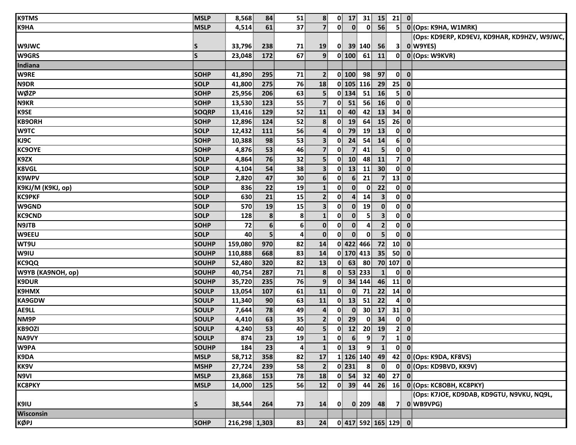| <b>K9TMS</b>             | <b>MSLP</b>  | 8,568         | 84               | 51           | 8                       | $0$ 17                         |                                | $31 \mid 15 \mid$       |                 | <b>21</b> 0                                  |
|--------------------------|--------------|---------------|------------------|--------------|-------------------------|--------------------------------|--------------------------------|-------------------------|-----------------|----------------------------------------------|
| K9HA                     | <b>MSLP</b>  | 4,514         | 61               | 37           | 7 <sup>1</sup>          | $\mathbf{0}$                   | $\mathbf{0}$<br>$\mathbf{0}$   | 56                      | 5 <sup>1</sup>  | 0 (Ops: K9HA, W1MRK)                         |
|                          |              |               |                  |              |                         |                                |                                |                         |                 | (Ops: KD9ERP, KD9EVJ, KD9HAR, KD9HZV, W9JWC, |
| W9JWC                    | S            | 33,796        | 238              | 71           | 19                      | 0                              | 39 140                         | 56                      | 3 <sup>1</sup>  | O W9YES)                                     |
| <b>W9GRS</b>             | $\mathsf{s}$ | 23,048        | 172              | 67           | 9 <sup>1</sup>          | 0 100  61                      |                                | 11                      |                 | 0 0 (Ops: W9KVR)                             |
| Indiana                  |              |               |                  |              |                         |                                |                                |                         |                 |                                              |
| W9RE                     | <b>SOHP</b>  | 41,890        | 295              | 71           | $\mathbf{2}$            | $0$ 100                        | 98                             | 97                      | $\mathbf{0}$    | $\overline{\mathbf{0}}$                      |
| N9DR                     | <b>SOLP</b>  | 41,800        | 275              | 76           | 18                      | $0$ 105 116                    |                                | 29                      | 25              | $\overline{\mathbf{0}}$                      |
| <b>WØZP</b>              | <b>SOHP</b>  | 25,956        | 206              | 63           | 5 <sup>1</sup>          | $0$ 134                        | 51                             | 16                      | 5 <sup>1</sup>  | $\mathbf{0}$                                 |
| N9KR                     | <b>SOHP</b>  | 13,530        | 123              | 55           | $\overline{7}$          | $\mathbf{0}^{\parallel}$<br>51 | 56                             | 16                      | $\mathbf{0}$    | $\mathbf{0}$                                 |
| <b>K9SE</b>              | <b>SOQRP</b> | 13,416        | 129              | 52           | 11                      | $\mathbf{0}$<br>40             | 42                             | 13                      | 34              | $\overline{\mathbf{0}}$                      |
| <b>KB9ORH</b>            | <b>SOHP</b>  | 12,896        | 124              | 52           | $\mathbf{8}$            | $\mathbf{0}$<br>19             | 64                             | 15                      | 26              | $\overline{\mathbf{0}}$                      |
| <b>W9TC</b>              | <b>SOLP</b>  | 12,432        | 111              | 56           | $\overline{4}$          | 79<br>0                        | 19                             | 13                      | $\mathbf{0}$    | $\mathbf{0}$                                 |
| KJ9C                     | <b>SOHP</b>  | 10,388        | 98               | 53           | 3 <sup>1</sup>          | $\mathbf{0}$<br>24             | 54                             | 14                      | 6 <sup>1</sup>  | $\overline{\mathbf{0}}$                      |
| <b>KC9OYE</b>            | <b>SOHP</b>  | 4,876         | 53               | 46           | 7 <sup>1</sup>          | 0<br>$\overline{7}$            | 41                             | 5 <sup>1</sup>          | $\mathbf{0}$    | $\mathbf 0$                                  |
| K9ZX                     | <b>SOLP</b>  | 4,864         | 76               | 32           | $\overline{\mathbf{5}}$ | 0<br>10                        | 48                             | 11                      | 71              | $\mathbf 0$                                  |
| <b>K8VGL</b>             | <b>SOLP</b>  | 4,104         | 54               | 38           | 3 <sup>1</sup>          | $\mathbf{0}$<br>13             | 11                             | 30 <sup>°</sup>         |                 | $0$ $0$                                      |
| <b>K9WPV</b>             | <b>SOLP</b>  | 2,820         | 47               | 30           | 6 <sup>1</sup>          | 0                              | 6 <sup>1</sup><br>21           | 7 <sup>1</sup>          | 13              | $\mathbf 0$                                  |
| <b>K9KJ/M (K9KJ, op)</b> | <b>SOLP</b>  | 836           | 22               | 19           | $\mathbf{1}$            | 0                              | $\mathbf{0}$<br>$\mathbf{0}$   | 22                      | $\mathbf{0}$    | $\overline{\mathbf{0}}$                      |
| <b>KC9PKF</b>            | <b>SOLP</b>  | 630           | 21               | 15           | $\mathbf{2}$            | $\mathbf{0}$                   | 14<br>$\overline{4}$           | $\overline{\mathbf{3}}$ | $\mathbf{0}$    | $\overline{\mathbf{0}}$                      |
| W9GND                    | <b>SOLP</b>  | 570           | 19               | 15           | 3 <sup>1</sup>          | 0                              | $\mathbf{0}$<br>19             | $\mathbf{0}$            | 0               | $\mathbf 0$                                  |
| <b>KC9CND</b>            | <b>SOLP</b>  | 128           | $\pmb{8}$        | 8            | $\mathbf{1}$            | 0                              | $\mathbf{0}$<br>5 <sup>1</sup> | $\overline{\mathbf{3}}$ | $\mathbf{0}$    | $\overline{\mathbf{0}}$                      |
| N9JTB                    | <b>SOHP</b>  | 72            | $6 \overline{6}$ | 6            | $\mathbf{0}$            | $\mathbf{0}$                   | $\mathbf{0}$<br>4              | $\overline{2}$          |                 | $0$ $0$                                      |
| W9EEU                    | <b>SOLP</b>  | 40            | 5                | 4            | $\mathbf{0}$            | $\mathbf{0}$                   | $\mathbf{0}$<br>$\mathbf{0}$   | 5 <sup>1</sup>          | $\mathbf{0}$    | $\mathbf 0$                                  |
| WT9U                     | <b>SOUHP</b> | 159,080       | 970              | 82           | 14                      | 0 422 466                      |                                | 72                      | 10 <sup>1</sup> | $\overline{\mathbf{0}}$                      |
| W9IU                     | <b>SOUHP</b> | 110,888       | 668              | 83           | 14                      | 0 170 413                      |                                | 35                      |                 | 50 0                                         |
| <b>KC9QQ</b>             | <b>SOUHP</b> | 52,480        | 320              | 82           | 13                      | $\mathbf{0}^{\dagger}$<br>63   | 80                             |                         | 70 107          | $\mathbf 0$                                  |
| W9YB (KA9NOH, op)        | SOUHP        | 40,754        | 287              | 71           | $\boldsymbol{8}$        | $\mathbf{0}$                   | 53 233                         | $\mathbf{1}$            | $\mathbf{0}$    | $\mathbf 0$                                  |
| <b>K9DUR</b>             | <b>SOUHP</b> | 35,720        | 235              | 76           | 9 <sup>1</sup>          | $\mathbf{0}$                   | 34 144                         | 46                      | 11              | $\mathbf 0$                                  |
| K9HMX                    | <b>SOULP</b> | 13,054        | 107              | 61           | 11                      | $\mathbf{0}$                   | $\mathbf{0}$<br>71             | 22                      | 14              | $\overline{\mathbf{0}}$                      |
| <b>KA9GDW</b>            | SOULP        | 11,340        | 90               | 63           | 11                      | 13<br>0                        | 51                             | 22                      | 4               | $\mathbf{0}$                                 |
| AE9LL                    | <b>SOULP</b> | 7,644         | 78               | 49           | 4                       | 0<br>$\mathbf{0}$              | 30 <sup>°</sup>                | 17                      | 31              | $\mathbf 0$                                  |
| NM9P                     | <b>SOULP</b> | 4,410         | 63               | 35           | 2 <sup>1</sup>          | 29<br>$\mathbf{0}$             | $\mathbf{0}$                   | 34                      | $\mathbf{0}$    | $\overline{\mathbf{0}}$                      |
| <b>KB9OZI</b>            | <b>SOULP</b> | 4,240         | 53               | 40           | 5 <sup>1</sup>          | 0<br>12                        | 20                             | 19                      | 2 <sup>1</sup>  | $\mathbf{0}$                                 |
| NA9VY                    | SOULP        | 874           | 23               | 19           | $\mathbf{1}$            | $\boxed{6}$<br>$\mathbf{0}$    | 9                              | $\overline{\mathbf{z}}$ |                 | $1 \vert 0 \vert$                            |
| W9PA                     | SOUHP        | 184           | 23               | $\mathbf{4}$ | $\mathbf{1}$            | $0$ 13                         |                                | $9 \quad 1$             |                 | 0 <sub>0</sub>                               |
| K9DA                     | <b>MSLP</b>  | 58,712        | 358              | 82           | 17                      | $1 126 140 $ 49                |                                |                         |                 | 42 0 (Ops: K9DA, KF8VS)                      |
| KK9V                     | <b>MSHP</b>  | 27,724        | 239              | 58           | $\mathbf{2}$            | $0$   231                      | 8 <sup>1</sup>                 | $\overline{\mathbf{0}}$ |                 | 0 0 (Ops: KD9BVD, KK9V)                      |
| <b>N9VI</b>              | <b>MSLP</b>  | 23,868        | 153              | 78           | 18                      | $0$ 54 32 40 27 0              |                                |                         |                 |                                              |
| <b>KC8PKY</b>            | <b>MSLP</b>  | 14,000        | 125              | 56           | 12                      | $0$ 39 44                      |                                |                         |                 | 26 16 0 (Ops: KC8OBH, KC8PKY)                |
|                          |              |               |                  |              |                         |                                |                                |                         |                 | (Ops: K7JOE, KD9DAB, KD9GTU, N9VKU, NQ9L,    |
| K9IU                     | S,           | 38,544        | 264              | 73           | 14                      | $\mathbf{0}$                   | $0$ 209                        | 48                      |                 | 7 0 WB9VPG)                                  |
| Wisconsin                |              |               |                  |              |                         |                                |                                |                         |                 |                                              |
| <b>KØPJ</b>              | <b>SOHP</b>  | 216,298 1,303 |                  | 83           | 24                      | $0$ 417 592 165 129 0          |                                |                         |                 |                                              |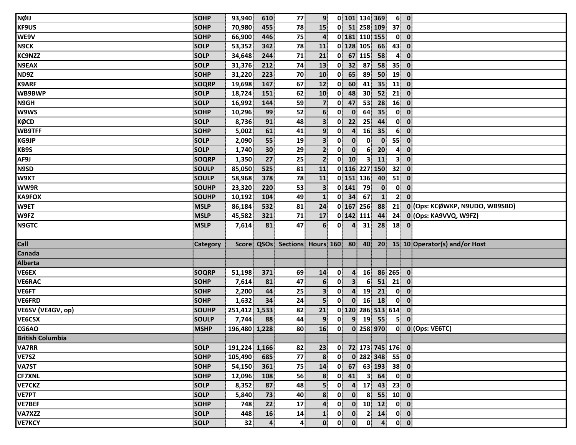| NØIJ                    | <b>SOHP</b>  | 93,940        | 610        | 77                    | 9 <sup>1</sup>          |                         |                  |                         | 0 101 134 369        |                          | 6 0                                    |                                  |
|-------------------------|--------------|---------------|------------|-----------------------|-------------------------|-------------------------|------------------|-------------------------|----------------------|--------------------------|----------------------------------------|----------------------------------|
| <b>KF9US</b>            | <b>SOHP</b>  | 70,980        | 455        | 78                    | 15                      |                         |                  |                         | 0 51 258 109         | 37                       | $\overline{\mathbf{0}}$                |                                  |
| WE9V                    | <b>SOHP</b>  | 66,900        | 446        | 75                    | $\overline{\mathbf{4}}$ |                         |                  |                         | 0 181 110 155        | $\mathbf{0}$             | $\overline{\mathbf{0}}$                |                                  |
| <b>N9CK</b>             | <b>SOLP</b>  | 53,352        | 342        | 78                    | 11                      |                         |                  | 0 128 105               | 66                   | 43                       | $\mathbf 0$                            |                                  |
| <b>KC9NZZ</b>           | <b>SOLP</b>  | 34,648        | 244        | 71                    | 21                      |                         |                  | $0$ 67 115              | 58                   | $\mathbf{A}^{\parallel}$ | $\mathbf{0}$                           |                                  |
| N9EAX                   | <b>SOLP</b>  | 31,376        | 212        | 74                    | 13                      | $\overline{\mathbf{0}}$ | 32               | 87                      | 58                   | 35                       | $\mathbf{0}$                           |                                  |
| ND9Z                    | <b>SOHP</b>  | 31,220        | 223        | 70                    | 10                      | 0                       | 65               | 89                      | 50                   | 19                       | $\mathbf 0$                            |                                  |
| <b>K9ARF</b>            | <b>SOQRP</b> | 19,698        | 147        | 67                    | 12                      | 0                       | 60 <sup>1</sup>  | 41                      | 35                   | 11                       | $\mathbf{0}$                           |                                  |
| WB9BWP                  | <b>SOLP</b>  | 18,724        | 151        | 62                    | 10                      | 0                       | 48               | 30 <sup>°</sup>         | 52                   | 21                       | $\mathbf 0$                            |                                  |
| N <sub>9GH</sub>        | <b>SOLP</b>  | 16,992        | 144        | 59                    | $\overline{7}$          | $\mathbf{0}$            | 47               | 53                      | 28                   | 16                       | $\mathbf{0}$                           |                                  |
| <b>W9WS</b>             | <b>SOHP</b>  | 10,296        | 99         | 52                    | 6 <sup>1</sup>          | $\mathbf{0}$            | $\mathbf{0}$     | 64                      | 35                   |                          | $0$ $0$                                |                                  |
| KØCD                    | <b>SOLP</b>  | 8,736         | 91         | 48                    | $\overline{\mathbf{3}}$ | $\mathbf{0}$            | 22               | 25                      | 44                   | $\mathbf{0}$             | $\mathbf 0$                            |                                  |
| <b>WB9TFF</b>           | <b>SOHP</b>  | 5,002         | 61         | 41                    | 9 <sup>1</sup>          | 0                       | 4                | 16                      | 35                   | 6 <sup>1</sup>           | $\mathbf 0$                            |                                  |
| KG9JP                   | <b>SOLP</b>  | 2,090         | 55         | 19                    | 3 <sup>1</sup>          | 0                       | $\mathbf{0}$     | $\mathbf{0}$            | $\mathbf{0}$         | 55                       | $\mathbf{0}$                           |                                  |
| <b>KB9S</b>             | <b>SOLP</b>  | 1,740         | 30         | 29                    | $\overline{2}$          | 0                       | $\mathbf{0}$     | 6                       | 20                   | 4                        | $\mathbf 0$                            |                                  |
| AF9J                    | <b>SOQRP</b> | 1,350         | 27         | 25                    | $\overline{2}$          |                         | $0$ 10           | $\overline{\mathbf{3}}$ | 11                   | 3 <sup>1</sup>           | $\mathbf 0$                            |                                  |
| N9SD                    | <b>SOULP</b> | 85,050        | 525        | 81                    | 11                      |                         |                  |                         | 0 116 227 150        | 32 <sup>1</sup>          | $\overline{\mathbf{0}}$                |                                  |
| W9XT                    | <b>SOULP</b> | 58,968        | 378        | 78                    | 11                      |                         |                  | 0 151 136               | 40                   | 51                       | $\mathbf 0$                            |                                  |
| WW9R                    | <b>SOUHP</b> | 23,320        | 220        | 53                    | $\overline{\mathbf{3}}$ |                         | $0$ 141          | 79                      | $\mathbf{0}$         | $\mathbf{0}$             | $\boldsymbol{0}$                       |                                  |
| <b>KA9FOX</b>           | <b>SOUHP</b> | 10,192        | 104        | 49                    | $\mathbf{1}$            |                         | $0 \quad 34$     | 67                      | $\mathbf{1}$         | 2 <sup>1</sup>           | $\mathbf{0}$                           |                                  |
| W9ET                    | <b>MSLP</b>  | 86,184        | 532        | 81                    | 24                      |                         |                  | 0 167 256               | 88                   | 21                       |                                        | 0 (Ops: KCØWKP, N9UDO, WB9SBD)   |
| W9FZ                    | <b>MSLP</b>  | 45,582        | 321        | 71                    | 17                      |                         | 0 142 111        |                         | 44                   | 24                       |                                        | 0 (Ops: KA9VVQ, W9FZ)            |
| N9GTC                   | <b>MSLP</b>  | 7,614         | 81         | 47                    | 6                       | 0                       | $\boldsymbol{4}$ | 31                      | 28                   | 18                       | $\mathbf{0}$                           |                                  |
|                         |              |               |            |                       |                         |                         |                  |                         |                      |                          |                                        |                                  |
| Call                    | Category     |               | Score QSOs | Sections Hours 160 80 |                         |                         |                  | 40                      |                      |                          |                                        | 20 15 10 Operator(s) and/or Host |
| <b>Canada</b>           |              |               |            |                       |                         |                         |                  |                         |                      |                          |                                        |                                  |
| <b>Alberta</b>          |              |               |            |                       |                         |                         |                  |                         |                      |                          |                                        |                                  |
| VE6EX                   | <b>SOQRP</b> | 51,198        | 371        | 69                    | 14                      | $\mathbf{0}$            | 4                | 16                      |                      | 86 265 0                 |                                        |                                  |
| <b>VE6RAC</b>           | <b>SOHP</b>  | 7,614         | 81         | 47                    | $6 \overline{6}$        | $\mathbf{0}$            | 3 <sup>1</sup>   | 6                       | 51                   | 21                       | $\mathbf 0$                            |                                  |
| VE6FT                   | <b>SOHP</b>  | 2,200         | 44         | 25                    | $\mathbf{3}$            | 0                       | $\overline{4}$   | 19                      | 21                   | $\mathbf{0}$             | $\mathbf 0$                            |                                  |
| VE6FRD                  | <b>SOHP</b>  | 1,632         | 34         | 24                    | $\overline{\mathbf{5}}$ | $\mathbf{0}$            | $\mathbf{0}$     | 16                      | 18                   | $\mathbf{0}$             | $\mathbf{0}$                           |                                  |
| VE6SV (VE4GV, op)       | <b>SOUHP</b> | 251,412 1,533 |            | 82                    | 21                      |                         |                  |                         | $0$ 120 286 513 614  |                          | $\overline{\mathbf{0}}$                |                                  |
| <b>VE6CSX</b>           | <b>SOULP</b> | 7,744         | 88         | 44                    | 9                       | 0                       | $\overline{9}$   | 19                      | 55                   | 5                        | $\mathbf{0}$                           |                                  |
| CG6AO                   | <b>MSHP</b>  | 196,480 1,228 |            | 80                    | 16                      | 0                       |                  |                         | 0 258 970            |                          |                                        | 0 0 (Ops: VE6TC)                 |
| <b>British Columbia</b> |              |               |            |                       |                         |                         |                  |                         |                      |                          |                                        |                                  |
| <b>VA7RR</b>            | <b>SOLP</b>  | 191,224 1,166 |            | 82                    | 23 <sup>3</sup>         |                         |                  |                         | $0$ 72 173 745 176 0 |                          |                                        |                                  |
| VE7SZ                   | <b>SOHP</b>  | 105,490       | 685        | 77                    | 8                       | 0                       |                  |                         | 0 282 348            | $55$ 0                   |                                        |                                  |
| <b>VA7ST</b>            | <b>SOHP</b>  | 54,150        | 361        | 75                    | 14                      | 01                      | 67               |                         | 63 193               | 38 0                     |                                        |                                  |
| <b>CF7XNL</b>           | <b>SOHP</b>  | 12,096        | 108        | 56                    | 8                       |                         | $0$ 41           | 3 <sup>1</sup>          | 64                   |                          | $0\vert 0\vert$                        |                                  |
| VE7CKZ                  | <b>SOLP</b>  | 8,352         | 87         | 48                    | 5 <sup>1</sup>          | 0                       | $\overline{a}$   | 17 <sup>1</sup>         | 43                   | $23$ 0                   |                                        |                                  |
| VE7PT                   | <b>SOLP</b>  | 5,840         | 73         | 40                    | 8                       | $\mathbf{0}$            | $\mathbf{0}$     | 8 <sup>1</sup>          | 55                   | $10$ 0                   |                                        |                                  |
| <b>VE7BEF</b>           | <b>SOHP</b>  | 748           | 22         | $17 \overline{ }$     | $\mathbf{4}$            | $\mathbf{0}$            | $\mathbf{0}$     |                         | $10$ $12$            |                          | $0$ $0$                                |                                  |
| VA7XZZ                  | <b>SOLP</b>  | 448           | 16         | 14                    | $\mathbf{1}$            | $\mathbf{0}$            | $\mathbf{0}$     | $\mathbf{2}$            | 14                   |                          | $\begin{bmatrix} 0 \\ 0 \end{bmatrix}$ |                                  |
| <b>VE7KCY</b>           | <b>SOLP</b>  | 32            | 4          | 4                     | $\mathbf{0}$            | 0                       | $\mathbf{0}$     | $\mathbf{0}$            | $\overline{a}$       |                          | $0$ $0$                                |                                  |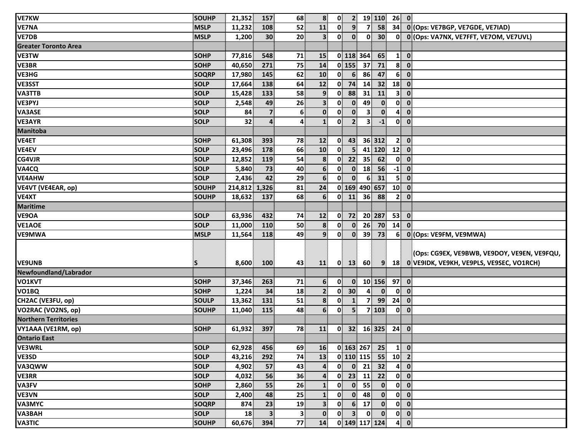| <b>VE7KW</b>                | SOUHP        | 21,352        | 157                     | 68             | 8                | $\mathbf{0}$           | $\overline{2}$   |                         | 19 110          | $26$ 0                   |                         |                                               |
|-----------------------------|--------------|---------------|-------------------------|----------------|------------------|------------------------|------------------|-------------------------|-----------------|--------------------------|-------------------------|-----------------------------------------------|
| <b>VE7NA</b>                | <b>MSLP</b>  | 11,232        | 108                     | 52             | 11               | $\mathbf{0}$           | 9 <sup>1</sup>   | 7                       | 58              | 34                       |                         | 0 (Ops: VE7BGP, VE7GDE, VE7IAD)               |
| <b>VE7DB</b>                | <b>MSLP</b>  | 1,200         | 30                      | 20             | 3 <sup>1</sup>   | $\mathbf{0}$           | $\mathbf{0}$     | $\mathbf{0}$            | 30 <sup>2</sup> | $\mathbf{0}$             |                         | 0 (Ops: VA7NX, VE7FFT, VE7OM, VE7UVL)         |
| <b>Greater Toronto Area</b> |              |               |                         |                |                  |                        |                  |                         |                 |                          |                         |                                               |
| <b>VE3TW</b>                | <b>SOHP</b>  | 77,816        | 548                     | 71             | <b>15</b>        |                        |                  | 0 118 364               | 65              | $\mathbf{1}$             | $\overline{\mathbf{0}}$ |                                               |
| VE3BR                       | <b>SOHP</b>  | 40,650        | 271                     | 75             | 14               |                        | $0$ 155          | 37                      | 71              | 8 <sup>1</sup>           | $\mathbf{0}$            |                                               |
| <b>VE3HG</b>                | <b>SOQRP</b> | 17,980        | 145                     | 62             | 10               | 0                      | $6 \overline{6}$ | 86                      | 47              | 6 <sup>1</sup>           | $\mathbf 0$             |                                               |
| <b>VE3SST</b>               | <b>SOLP</b>  | 17,664        | 138                     | 64             | 12               | $\mathbf{0}$           | 74               | 14                      | 32              | 18                       | $\mathbf{0}$            |                                               |
| <b>VA3TTB</b>               | <b>SOLP</b>  | 15,428        | 133                     | 58             | 9 <sup>1</sup>   | $\mathbf{0}$           | 88               | 31                      | 11              | 3 <sup>1</sup>           | $\mathbf{0}$            |                                               |
| VE3PYJ                      | <b>SOLP</b>  | 2,548         | 49                      | 26             | 3 <sup>1</sup>   | $\mathbf{0}$           | $\mathbf{0}$     | 49                      | $\mathbf{0}$    | $\mathbf{0}$             | $\mathbf{0}$            |                                               |
| <b>VA3ASE</b>               | <b>SOLP</b>  | 84            | $\overline{\mathbf{z}}$ | 6 <sup>1</sup> | $\mathbf{0}$     | $\mathbf{0}$           | $\mathbf{0}$     | $\overline{\mathbf{3}}$ | $\mathbf{0}$    | $\mathbf{A}^{\parallel}$ | $\mathbf{0}$            |                                               |
| <b>VE3AYR</b>               | <b>SOLP</b>  | 32            | $\overline{a}$          | $\overline{4}$ | $\mathbf{1}$     | $\mathbf{0}$           | $\overline{2}$   | 3 <sup>1</sup>          | $-1$            | $\mathbf{0}$             | $\overline{\mathbf{0}}$ |                                               |
| <b>Manitoba</b>             |              |               |                         |                |                  |                        |                  |                         |                 |                          |                         |                                               |
| <b>VE4ET</b>                | <b>SOHP</b>  | 61,308        | 393                     | 78             | 12               | 0                      | 43               |                         | 36 312          | 2 <sup>1</sup>           | $\overline{\mathbf{0}}$ |                                               |
| <b>VE4EV</b>                | <b>SOLP</b>  | 23,496        | 178                     | 66             | 10               | $\mathbf{0}$           | 5 <sup>1</sup>   |                         | 41 120          | $12$ 0                   |                         |                                               |
| CG4VJR                      | <b>SOLP</b>  | 12,852        | 119                     | 54             | 8                | $\mathbf{0}$           | 22               | 35                      | 62              |                          | $0$ $0$                 |                                               |
| VA4CQ                       | <b>SOLP</b>  | 5,840         | 73                      | 40             | $6 \overline{6}$ | $\mathbf{0}$           | $\mathbf{0}$     | 18                      | 56              | $-1$                     | $\overline{\mathbf{0}}$ |                                               |
| VE4AHW                      | <b>SOLP</b>  | 2,436         | 42                      | 29             | 6 <sup>1</sup>   | $\mathbf{0}$           | $\mathbf{0}$     | 6                       | 31              | 5 <sup>1</sup>           | $\mathbf{0}$            |                                               |
| VE4VT (VE4EAR, op)          | <b>SOUHP</b> | 214,812 1,326 |                         | 81             | 24               |                        |                  |                         | 0 169 490 657   | 10 <sup>1</sup>          | $\overline{\mathbf{0}}$ |                                               |
| VE4XT                       | <b>SOUHP</b> | 18,632        | 137                     | 68             | 6                |                        | $0$ 11           |                         | 36 88           |                          | 2 0                     |                                               |
| <b>Maritime</b>             |              |               |                         |                |                  |                        |                  |                         |                 |                          |                         |                                               |
| VE9OA                       | <b>SOLP</b>  | 63,936        | 432                     | 74             | 12               |                        | $0$ 72           |                         | 20 287          | 53                       | $\mathbf{0}$            |                                               |
| <b>VE1AOE</b>               | <b>SOLP</b>  | 11,000        | 110                     | 50             | $\boldsymbol{8}$ | $\mathbf{0}$           | $\mathbf{0}$     | 26                      | 70              | 14                       | $\mathbf{0}$            |                                               |
| VE9MWA                      | <b>MSLP</b>  | 11,564        | 118                     | 49             | $\overline{9}$   | $\mathbf{0}$           | $\mathbf{0}$     | 39                      | 73              | 6 <sup>1</sup>           |                         | 0 (Ops: VE9FM, VE9MWA)                        |
|                             |              |               |                         |                |                  |                        |                  |                         |                 |                          |                         |                                               |
|                             |              |               |                         |                |                  |                        |                  |                         |                 |                          |                         | (Ops: CG9EX, VE9BWB, VE9DOY, VE9EN, VE9FQU,   |
| <b>VE9UNB</b>               | S            | 8,600         | 100                     | 43             | <b>11</b>        |                        |                  | $0$ 13 60               |                 |                          |                         | 9 18 0 VE9IDK, VE9KH, VE9PLS, VE9SEC, VO1RCH) |
| Newfoundland/Labrador       |              |               |                         |                |                  |                        |                  |                         |                 |                          |                         |                                               |
| VO1KVT                      | <b>SOHP</b>  | 37,346        | 263                     | 71             | 6                | $\mathbf{0}^{\dagger}$ | $\mathbf{0}$     |                         | $10$ 156        | $97$ 0                   |                         |                                               |
| VO <sub>1</sub> BQ          | <b>SOHP</b>  | 1,224         | 34                      | 18             | 2 <sup>1</sup>   | 0                      | 30 <sup>2</sup>  | $\overline{\mathbf{A}}$ | $\mathbf{0}$    | $\mathbf{0}$             | $\mathbf{0}$            |                                               |
| CH2AC (VE3FU, op)           | <b>SOULP</b> | 13,362        | 131                     | 51             | 8 <sup>1</sup>   | $\mathbf{0}$           | 1                | $\overline{7}$          | 99              | 24                       | $\mathbf 0$             |                                               |
| VO2RAC (VO2NS, op)          | <b>SOUHP</b> | 11,040        | 115                     | 48             | $6 \overline{6}$ | $\mathbf{0}$           | 5 <sup>1</sup>   |                         | 7 103           |                          | $0 \vert 0 \vert$       |                                               |
| <b>Northern Territories</b> |              |               |                         |                |                  |                        |                  |                         |                 |                          |                         |                                               |
| VY1AAA (VE1RM, op)          | <b>SOHP</b>  | 61,932        | 397                     | 78             | 11               | $\mathbf{0}$           | 32               |                         | $16$ 325        | $24$ 0                   |                         |                                               |
| <b>Ontario East</b>         |              |               |                         |                |                  |                        |                  |                         |                 |                          |                         |                                               |
| <b>VE3WRL</b>               | <b>SOLP</b>  | 62,928        | 456                     | 69             | <b>16</b>        |                        |                  | $0$ 163 267             | 25              | $\mathbf{1}$             | $\mathbf{0}$            |                                               |
| VE3SD                       | <b>SOLP</b>  | 43,216        | 292                     | 74             | 13               |                        |                  | $0$ 110 115             | 55              | 10 <sup>1</sup>          | $\overline{2}$          |                                               |
| VA3QWW                      | <b>SOLP</b>  | 4,902         | 57                      | 43             | 4                | 01                     | $\mathbf{0}$     | 21                      | 32              | $\mathbf{A}$             | $\mathbf{0}$            |                                               |
| <b>VE3RR</b>                | <b>SOLP</b>  | 4,032         | 56                      | 36             | 4                | $\mathbf{0}$           |                  | $23$ 11                 | 22              | $\mathbf{0}$             | $\mathbf 0$             |                                               |
| VA3FV                       | <b>SOHP</b>  | 2,860         | 55                      | 26             | $\mathbf{1}$     | 0                      |                  | $0$ 55                  | $\mathbf{0}$    |                          | $0$ $0$                 |                                               |
| VE3VN                       | <b>SOLP</b>  | 2,400         | 48                      | 25             | $\mathbf{1}$     | $\mathbf{0}$           | $\mathbf{0}$     | 48                      | $\mathbf{0}$    | $\mathbf{0}$             | $\mathbf{0}$            |                                               |
| <b>VA3MYC</b>               | SOQRP        | 874           | 23                      | 19             | 3                | 0                      | 6 <sup>1</sup>   | 17                      | $\mathbf{0}$    | $\mathbf{0}$             | $\overline{\mathbf{0}}$ |                                               |
| VA3BAH                      | <b>SOLP</b>  | 18            | $\overline{\mathbf{3}}$ | $\mathbf{3}$   | $\mathbf{0}$     | 0                      | 3 <sup>1</sup>   | $\mathbf{0}$            | $\mathbf{0}$    | $\mathbf{0}$             | $\overline{\mathbf{0}}$ |                                               |
| <b>VA3TIC</b>               | SOUHP        | 60,676        | 394                     | 77             | 14               |                        |                  |                         | 0 149 117 124   |                          | $4$ 0                   |                                               |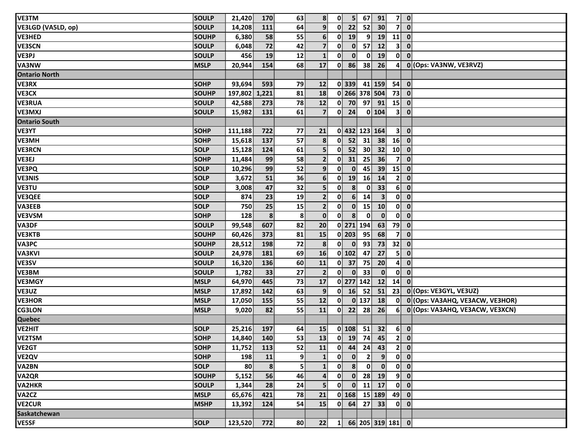| <b>VE3TM</b>         | <b>SOULP</b> | 21,420      | 170            | 63              | 8                       | $\mathbf{0}$             | 5 <sup>1</sup> | 67                                            | 91              |                 | $7$ 0                   |                                   |
|----------------------|--------------|-------------|----------------|-----------------|-------------------------|--------------------------|----------------|-----------------------------------------------|-----------------|-----------------|-------------------------|-----------------------------------|
| VE3LGD (VA5LD, op)   | <b>SOULP</b> | 14,208      | 111            | 64              | $\overline{9}$          | 0                        | 22             | 52                                            | 30              | 7               | $\mathbf{0}$            |                                   |
| VE3HED               | <b>SOUHP</b> | 6,380       | 58             | 55              | 6 <sup>1</sup>          | $\mathbf{0}$             | 19             | $\overline{9}$                                | 19              | 11              | $\overline{\mathbf{0}}$ |                                   |
| <b>VE3SCN</b>        | <b>SOULP</b> | 6,048       | 72             | 42              | $\mathbf{z}$            | $\mathbf{0}$             | $\mathbf{0}$   | 57 <sup>1</sup>                               | 12              | 3 <sup>1</sup>  | $\mathbf 0$             |                                   |
| VE3PJ                | <b>SOULP</b> | 456         | 19             | 12              | $\mathbf{1}$            | $\mathbf{0}$             | $\mathbf{0}$   | $\bf{0}$                                      | 19              | $\mathbf{0}$    | $\mathbf{0}$            |                                   |
| VA3NW                | <b>MSLP</b>  | 20,944      | 154            | 68              | 17                      | 0                        | 86             | 38                                            | 26              | 4               |                         | 0 (Ops: VA3NW, VE3RVZ)            |
| <b>Ontario North</b> |              |             |                |                 |                         |                          |                |                                               |                 |                 |                         |                                   |
| <b>VE3RX</b>         | <b>SOHP</b>  | 93,694      | 593            | 79              | 12                      |                          | $0$ 339        |                                               | 41 159          | $54$ 0          |                         |                                   |
| <b>VE3CX</b>         | <b>SOUHP</b> | 197,802     | 1,221          | 81              | 18                      |                          |                | 0 266 378 504                                 |                 | 73 0            |                         |                                   |
| <b>VE3RUA</b>        | <b>SOULP</b> | 42,588      | 273            | 78              | 12                      |                          | $0$ 70         |                                               | 97 91           | $15$ 0          |                         |                                   |
| <b>VE3MXJ</b>        | <b>SOULP</b> | 15,982      | 131            | 61              | $\overline{7}$          | $\mathbf{0}$             | 24             |                                               | $0$ 104         | 3 <sup>1</sup>  | $\mathbf 0$             |                                   |
| <b>Ontario South</b> |              |             |                |                 |                         |                          |                |                                               |                 |                 |                         |                                   |
| <b>VE3YT</b>         | <b>SOHP</b>  | 111,188     | 722            | 77              | 21                      |                          |                | 0 432 123 164                                 |                 | 3 <sup>1</sup>  | $\overline{\mathbf{0}}$ |                                   |
| <b>VE3MH</b>         | <b>SOHP</b>  | 15,618      | 137            | 57              | 8                       | $\mathbf{0}$             | 52             | 31                                            | 38              | 16              | $\overline{\mathbf{0}}$ |                                   |
| <b>VE3RCN</b>        | <b>SOLP</b>  | 15,128      | 124            | 61              | $\overline{\mathbf{5}}$ | $\mathbf{0}$             | 52             | 30 <sup>°</sup>                               | 32              | 10 <sup>1</sup> | $\mathbf{0}$            |                                   |
| VE3EJ                | <b>SOHP</b>  | 11,484      | 99             | 58              | 2 <sub>1</sub>          | $\mathbf{0}$             | 31             | 25                                            | 36              | 7 <sup>1</sup>  | $\mathbf 0$             |                                   |
| VE3PQ                | <b>SOLP</b>  | 10,296      | 99             | 52              | $\overline{9}$          | $\mathbf{0}$             | $\mathbf{0}$   | 45                                            | 39              | 15              | $\mathbf 0$             |                                   |
| <b>VE3NIS</b>        | <b>SOLP</b>  | 3,672       | 51             | 36              | 6 <sup>1</sup>          | $\mathbf{0}$             | 19             | 16                                            | 14              | $\mathbf{2}$    | $\mathbf{0}$            |                                   |
| <b>VE3TU</b>         | <b>SOLP</b>  | 3,008       | 47             | 32              | $\overline{\mathbf{5}}$ | $\mathbf{0}$             | 8              | $\mathbf{0}$                                  | 33              | 6 <sup>1</sup>  | $\mathbf 0$             |                                   |
| <b>VE3QEE</b>        | <b>SOLP</b>  | 874         | 23             | 19              | $\mathbf{2}$            | 0                        | 6 <sup>1</sup> | 14                                            | 3 <sup>1</sup>  | 0               | $\mathbf{0}$            |                                   |
| <b>VA3EEB</b>        | <b>SOLP</b>  | 750         | 25             | 15              | $\overline{2}$          | $\mathbf{0}$             | $\mathbf{0}$   | 15                                            | 10              | $\mathbf{0}$    | $\mathbf{0}$            |                                   |
| <b>VE3VSM</b>        | <b>SOHP</b>  | 128         | 8              | 8               | $\mathbf{0}$            | 0                        | 8              | $\mathbf{0}$                                  | $\mathbf{0}$    | $\mathbf{0}$    | $\mathbf 0$             |                                   |
| VA3DF                | <b>SOULP</b> | 99,548      | 607            | 82              | 20                      |                          |                | 0 271 194                                     | 63              | 79              | $\overline{\mathbf{0}}$ |                                   |
| <b>VE3KTB</b>        | <b>SOUHP</b> | 60,426      | 373            | 81              | 15                      |                          | $0$   203      | 95                                            | 68              | $\overline{7}$  | $\mathbf{0}$            |                                   |
| <b>VA3PC</b>         | <b>SOUHP</b> | 28,512      | 198            | 72              | 8                       | $\mathbf{0}$             | $\mathbf{0}$   | 93                                            | 73              | 32              | $\overline{\mathbf{0}}$ |                                   |
| <b>VA3KVI</b>        | <b>SOULP</b> | 24,978      | 181            | 69              | 16                      |                          | $0$ 102        | 47                                            | 27              | 5 <sup>1</sup>  | $\mathbf{0}$            |                                   |
| VE3SV                | <b>SOULP</b> | 16,320      | 136            | 60              | ${\bf 11}$              | 0                        | 37             | 75                                            | 20              | 4               | $\mathbf 0$             |                                   |
| <b>VE3BM</b>         | <b>SOULP</b> | 1,782       | 33             | 27              | $\overline{2}$          | $\mathbf{0}^{\parallel}$ | $\mathbf{0}$   | 33                                            | $\mathbf{0}$    | $\mathbf{0}$    | $\mathbf 0$             |                                   |
| <b>VE3MGY</b>        | <b>MSLP</b>  | 64,970      | 445            | 73              | 17                      |                          |                | 0 277 142                                     | 12              | 14              | $\mathbf{0}$            |                                   |
| VE3UZ                | <b>MSLP</b>  | 17,892      | 142            | 63              | 9 <sup>1</sup>          | $\mathbf{0}$             | 16             | 52                                            | 51              | 23              |                         | 0 (Ops: VE3GYL, VE3UZ)            |
| <b>VE3HOR</b>        | <b>MSLP</b>  | 17,050      | 155            | 55              | 12                      | $\mathbf{0}$             |                | $0$ 137                                       | 18              | $\mathbf{0}$    |                         | 0 (Ops: VA3AHQ, VE3ACW, VE3HOR)   |
| <b>CG3LON</b>        | <b>MSLP</b>  | 9,020       | 82             | 55              | 11                      |                          |                | $0$ 22 28                                     | 26 <sup>2</sup> |                 |                         | 6 0 (Ops: VA3AHQ, VE3ACW, VE3XCN) |
| <b>Quebec</b>        |              |             |                |                 |                         |                          |                |                                               |                 |                 |                         |                                   |
| VE2HIT               | <b>SOLP</b>  | 25,216      | 197            | 64              | 15                      |                          |                | $0$ 108 51                                    | 32              |                 | $6$ 0                   |                                   |
| <b>VE2TSM</b>        | <b>SOHP</b>  | 14,840 140  |                | $\overline{53}$ |                         |                          |                |                                               |                 |                 |                         |                                   |
| VE <sub>2</sub> GT   | <b>SOHP</b>  | 11,752      | 113            | 52              | 11                      | $\mathbf{0}$             | 44             | 24                                            | 43              |                 | $2$ 0                   |                                   |
| VE <sub>2</sub> QV   | <b>SOHP</b>  | 198         | 11             | 9               | $\mathbf{1}$            | $\mathbf{0}$             | $\mathbf{0}$   | $\mathbf{2}$                                  | 9 <sup>1</sup>  |                 | $0$ $0$                 |                                   |
| VA2BN                | <b>SOLP</b>  | 80          | 8 <sup>1</sup> | 5               | $\mathbf{1}$            | $\mathbf{0}$             | 8 <sup>1</sup> | $\mathbf{0}$                                  | $\mathbf{0}$    |                 | $0$ $0$                 |                                   |
| VA2QR                | <b>SOUHP</b> | 5,152       | 56             | 46              | $\overline{4}$          | $\mathbf{0}$             |                | $0$ 28 19                                     |                 |                 | $9$ 0                   |                                   |
| VA2HKR               | <b>SOULP</b> | 1,344       | 28             | 24              | 5 <sup>1</sup>          | $\mathbf{0}$             | $\mathbf{0}$   |                                               | $11$ 17         |                 | $0 \quad 0$             |                                   |
| VA2CZ                | <b>MSLP</b>  | 65,676      | 421            | 78              | 21                      |                          |                | $0$ 168 15 189                                |                 | 49 0            |                         |                                   |
| <b>VE2CUR</b>        | <b>MSHP</b>  | 13,392      | 124            | 54              | 15                      |                          | $0 \quad 64$   |                                               | 27 33           |                 | $0\ 0$                  |                                   |
| Saskatchewan         |              |             |                |                 |                         |                          |                |                                               |                 |                 |                         |                                   |
| <b>VE5SF</b>         | <b>SOLP</b>  | 123,520 772 |                | 80              | 22                      |                          |                | $1 \mid 66 \mid 205 \mid 319 \mid 181 \mid 0$ |                 |                 |                         |                                   |